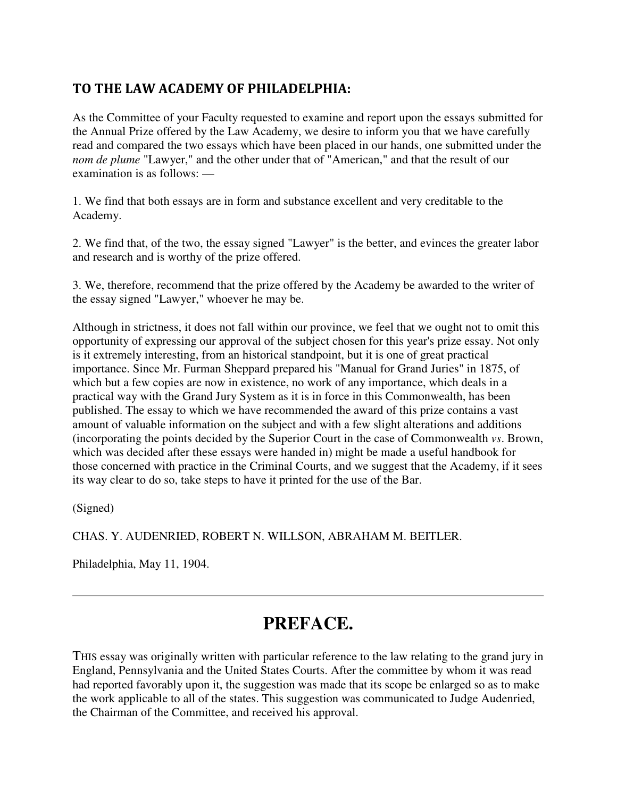## TO THE LAW ACADEMY OF PHILADELPHIA:

As the Committee of your Faculty requested to examine and report upon the essays submitted for the Annual Prize offered by the Law Academy, we desire to inform you that we have carefully read and compared the two essays which have been placed in our hands, one submitted under the *nom de plume* "Lawyer," and the other under that of "American," and that the result of our examination is as follows: —

1. We find that both essays are in form and substance excellent and very creditable to the Academy.

2. We find that, of the two, the essay signed "Lawyer" is the better, and evinces the greater labor and research and is worthy of the prize offered.

3. We, therefore, recommend that the prize offered by the Academy be awarded to the writer of the essay signed "Lawyer," whoever he may be.

Although in strictness, it does not fall within our province, we feel that we ought not to omit this opportunity of expressing our approval of the subject chosen for this year's prize essay. Not only is it extremely interesting, from an historical standpoint, but it is one of great practical importance. Since Mr. Furman Sheppard prepared his "Manual for Grand Juries" in 1875, of which but a few copies are now in existence, no work of any importance, which deals in a practical way with the Grand Jury System as it is in force in this Commonwealth, has been published. The essay to which we have recommended the award of this prize contains a vast amount of valuable information on the subject and with a few slight alterations and additions (incorporating the points decided by the Superior Court in the case of Commonwealth *vs*. Brown, which was decided after these essays were handed in) might be made a useful handbook for those concerned with practice in the Criminal Courts, and we suggest that the Academy, if it sees its way clear to do so, take steps to have it printed for the use of the Bar.

(Signed)

CHAS. Y. AUDENRIED, ROBERT N. WILLSON, ABRAHAM M. BEITLER.

Philadelphia, May 11, 1904.

## **PREFACE.**

THIS essay was originally written with particular reference to the law relating to the grand jury in England, Pennsylvania and the United States Courts. After the committee by whom it was read had reported favorably upon it, the suggestion was made that its scope be enlarged so as to make the work applicable to all of the states. This suggestion was communicated to Judge Audenried, the Chairman of the Committee, and received his approval.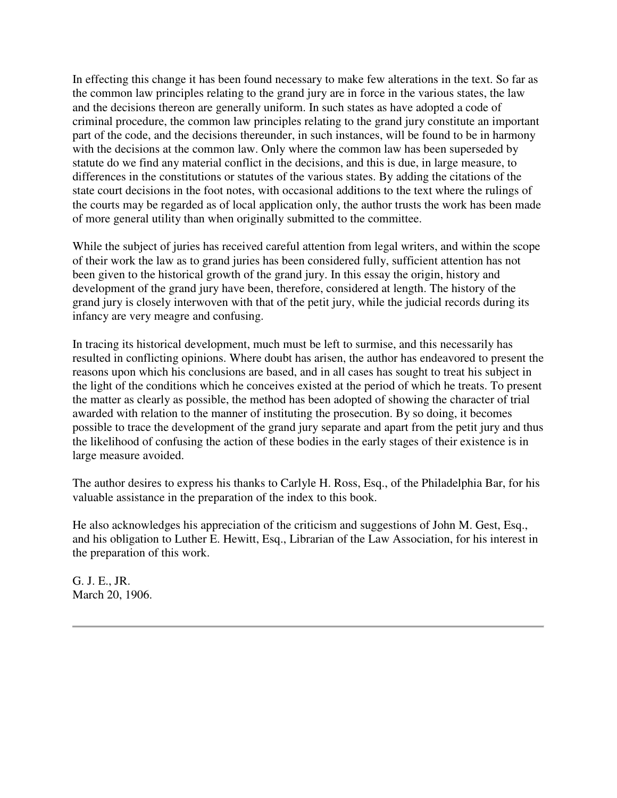In effecting this change it has been found necessary to make few alterations in the text. So far as the common law principles relating to the grand jury are in force in the various states, the law and the decisions thereon are generally uniform. In such states as have adopted a code of criminal procedure, the common law principles relating to the grand jury constitute an important part of the code, and the decisions thereunder, in such instances, will be found to be in harmony with the decisions at the common law. Only where the common law has been superseded by statute do we find any material conflict in the decisions, and this is due, in large measure, to differences in the constitutions or statutes of the various states. By adding the citations of the state court decisions in the foot notes, with occasional additions to the text where the rulings of the courts may be regarded as of local application only, the author trusts the work has been made of more general utility than when originally submitted to the committee.

While the subject of juries has received careful attention from legal writers, and within the scope of their work the law as to grand juries has been considered fully, sufficient attention has not been given to the historical growth of the grand jury. In this essay the origin, history and development of the grand jury have been, therefore, considered at length. The history of the grand jury is closely interwoven with that of the petit jury, while the judicial records during its infancy are very meagre and confusing.

In tracing its historical development, much must be left to surmise, and this necessarily has resulted in conflicting opinions. Where doubt has arisen, the author has endeavored to present the reasons upon which his conclusions are based, and in all cases has sought to treat his subject in the light of the conditions which he conceives existed at the period of which he treats. To present the matter as clearly as possible, the method has been adopted of showing the character of trial awarded with relation to the manner of instituting the prosecution. By so doing, it becomes possible to trace the development of the grand jury separate and apart from the petit jury and thus the likelihood of confusing the action of these bodies in the early stages of their existence is in large measure avoided.

The author desires to express his thanks to Carlyle H. Ross, Esq., of the Philadelphia Bar, for his valuable assistance in the preparation of the index to this book.

He also acknowledges his appreciation of the criticism and suggestions of John M. Gest, Esq., and his obligation to Luther E. Hewitt, Esq., Librarian of the Law Association, for his interest in the preparation of this work.

G. J. E., JR. March 20, 1906.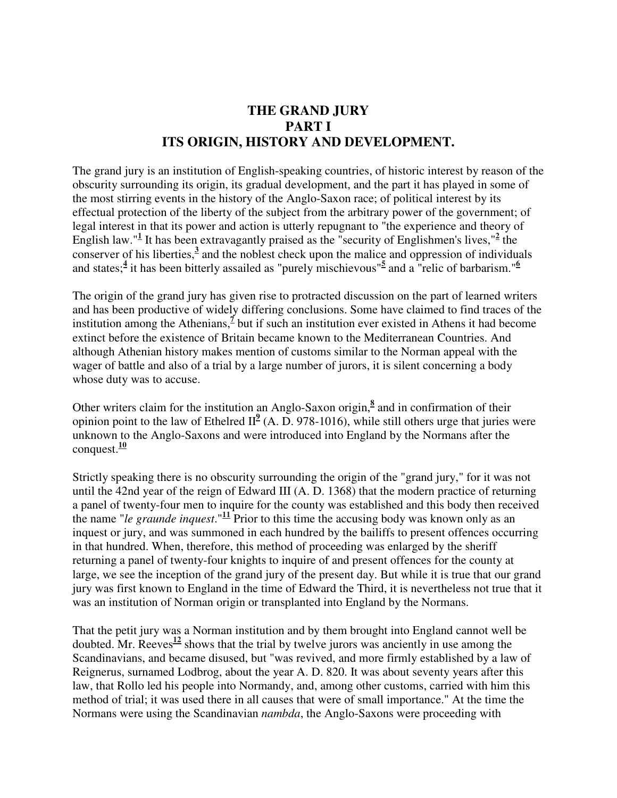## **THE GRAND JURY PART I ITS ORIGIN, HISTORY AND DEVELOPMENT.**

The grand jury is an institution of English-speaking countries, of historic interest by reason of the obscurity surrounding its origin, its gradual development, and the part it has played in some of the most stirring events in the history of the Anglo-Saxon race; of political interest by its effectual protection of the liberty of the subject from the arbitrary power of the government; of legal interest in that its power and action is utterly repugnant to "the experience and theory of English law."<sup>1</sup> It has been extravagantly praised as the "security of Englishmen's lives,"<sup>2</sup> the conserver of his liberties,**<sup>3</sup>** and the noblest check upon the malice and oppression of individuals and states;<sup>4</sup> it has been bitterly assailed as "purely mischievous"<sup>5</sup> and a "relic of barbarism."<sup>6</sup>

The origin of the grand jury has given rise to protracted discussion on the part of learned writers and has been productive of widely differing conclusions. Some have claimed to find traces of the institution among the Athenians,<sup> $\frac{7}{2}$ </sup> but if such an institution ever existed in Athens it had become extinct before the existence of Britain became known to the Mediterranean Countries. And although Athenian history makes mention of customs similar to the Norman appeal with the wager of battle and also of a trial by a large number of jurors, it is silent concerning a body whose duty was to accuse.

Other writers claim for the institution an Anglo-Saxon origin,<sup>8</sup> and in confirmation of their opinion point to the law of Ethelred II $<sup>9</sup>$  (A. D. 978-1016), while still others urge that juries were</sup> unknown to the Anglo-Saxons and were introduced into England by the Normans after the conquest.**<sup>10</sup>**

Strictly speaking there is no obscurity surrounding the origin of the "grand jury," for it was not until the 42nd year of the reign of Edward III (A. D. 1368) that the modern practice of returning a panel of twenty-four men to inquire for the county was established and this body then received the name "*le graunde inquest*."**<sup>11</sup>** Prior to this time the accusing body was known only as an inquest or jury, and was summoned in each hundred by the bailiffs to present offences occurring in that hundred. When, therefore, this method of proceeding was enlarged by the sheriff returning a panel of twenty-four knights to inquire of and present offences for the county at large, we see the inception of the grand jury of the present day. But while it is true that our grand jury was first known to England in the time of Edward the Third, it is nevertheless not true that it was an institution of Norman origin or transplanted into England by the Normans.

That the petit jury was a Norman institution and by them brought into England cannot well be doubted. Mr. Reeves**<sup>12</sup>** shows that the trial by twelve jurors was anciently in use among the Scandinavians, and became disused, but "was revived, and more firmly established by a law of Reignerus, surnamed Lodbrog, about the year A. D. 820. It was about seventy years after this law, that Rollo led his people into Normandy, and, among other customs, carried with him this method of trial; it was used there in all causes that were of small importance." At the time the Normans were using the Scandinavian *nambda*, the Anglo-Saxons were proceeding with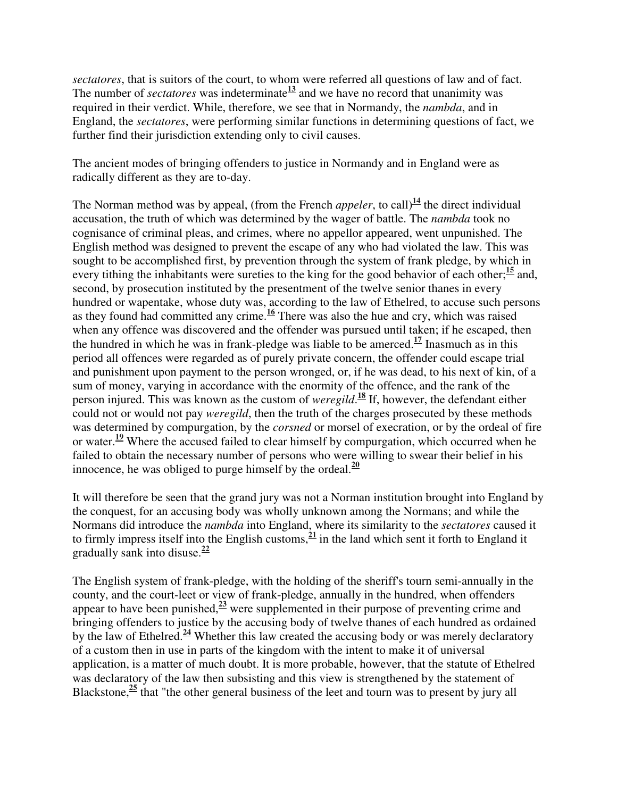*sectatores*, that is suitors of the court, to whom were referred all questions of law and of fact. The number of *sectatores* was indeterminate $\frac{13}{2}$  and we have no record that unanimity was required in their verdict. While, therefore, we see that in Normandy, the *nambda*, and in England, the *sectatores*, were performing similar functions in determining questions of fact, we further find their jurisdiction extending only to civil causes.

The ancient modes of bringing offenders to justice in Normandy and in England were as radically different as they are to-day.

The Norman method was by appeal, (from the French *appeler*, to call)<sup>14</sup> the direct individual accusation, the truth of which was determined by the wager of battle. The *nambda* took no cognisance of criminal pleas, and crimes, where no appellor appeared, went unpunished. The English method was designed to prevent the escape of any who had violated the law. This was sought to be accomplished first, by prevention through the system of frank pledge, by which in every tithing the inhabitants were sureties to the king for the good behavior of each other;**<sup>15</sup>** and, second, by prosecution instituted by the presentment of the twelve senior thanes in every hundred or wapentake, whose duty was, according to the law of Ethelred, to accuse such persons as they found had committed any crime.**<sup>16</sup>** There was also the hue and cry, which was raised when any offence was discovered and the offender was pursued until taken; if he escaped, then the hundred in which he was in frank-pledge was liable to be amerced.**<sup>17</sup>** Inasmuch as in this period all offences were regarded as of purely private concern, the offender could escape trial and punishment upon payment to the person wronged, or, if he was dead, to his next of kin, of a sum of money, varying in accordance with the enormity of the offence, and the rank of the person injured. This was known as the custom of *weregild*. **<sup>18</sup>** If, however, the defendant either could not or would not pay *weregild*, then the truth of the charges prosecuted by these methods was determined by compurgation, by the *corsned* or morsel of execration, or by the ordeal of fire or water.**<sup>19</sup>** Where the accused failed to clear himself by compurgation, which occurred when he failed to obtain the necessary number of persons who were willing to swear their belief in his innocence, he was obliged to purge himself by the ordeal. $\frac{20}{20}$ 

It will therefore be seen that the grand jury was not a Norman institution brought into England by the conquest, for an accusing body was wholly unknown among the Normans; and while the Normans did introduce the *nambda* into England, where its similarity to the *sectatores* caused it to firmly impress itself into the English customs,  $\frac{21}{1}$  in the land which sent it forth to England it gradually sank into disuse.**<sup>22</sup>**

The English system of frank-pledge, with the holding of the sheriff's tourn semi-annually in the county, and the court-leet or view of frank-pledge, annually in the hundred, when offenders appear to have been punished, $\frac{23}{2}$  were supplemented in their purpose of preventing crime and bringing offenders to justice by the accusing body of twelve thanes of each hundred as ordained by the law of Ethelred.**<sup>24</sup>** Whether this law created the accusing body or was merely declaratory of a custom then in use in parts of the kingdom with the intent to make it of universal application, is a matter of much doubt. It is more probable, however, that the statute of Ethelred was declaratory of the law then subsisting and this view is strengthened by the statement of Blackstone, $\frac{25}{25}$  that "the other general business of the leet and tourn was to present by jury all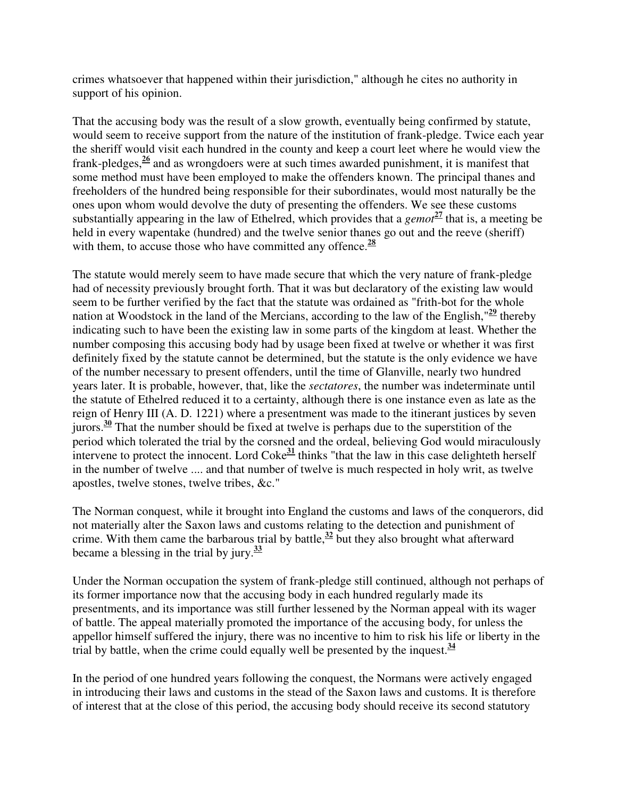crimes whatsoever that happened within their jurisdiction," although he cites no authority in support of his opinion.

That the accusing body was the result of a slow growth, eventually being confirmed by statute, would seem to receive support from the nature of the institution of frank-pledge. Twice each year the sheriff would visit each hundred in the county and keep a court leet where he would view the frank-pledges,**<sup>26</sup>** and as wrongdoers were at such times awarded punishment, it is manifest that some method must have been employed to make the offenders known. The principal thanes and freeholders of the hundred being responsible for their subordinates, would most naturally be the ones upon whom would devolve the duty of presenting the offenders. We see these customs substantially appearing in the law of Ethelred, which provides that a *gemot***<sup>27</sup>** that is, a meeting be held in every wapentake (hundred) and the twelve senior thanes go out and the reeve (sheriff) with them, to accuse those who have committed any offence.**<sup>28</sup>**

The statute would merely seem to have made secure that which the very nature of frank-pledge had of necessity previously brought forth. That it was but declaratory of the existing law would seem to be further verified by the fact that the statute was ordained as "frith-bot for the whole nation at Woodstock in the land of the Mercians, according to the law of the English,  $\frac{29}{2}$  thereby indicating such to have been the existing law in some parts of the kingdom at least. Whether the number composing this accusing body had by usage been fixed at twelve or whether it was first definitely fixed by the statute cannot be determined, but the statute is the only evidence we have of the number necessary to present offenders, until the time of Glanville, nearly two hundred years later. It is probable, however, that, like the *sectatores*, the number was indeterminate until the statute of Ethelred reduced it to a certainty, although there is one instance even as late as the reign of Henry III (A. D. 1221) where a presentment was made to the itinerant justices by seven jurors.**<sup>30</sup>** That the number should be fixed at twelve is perhaps due to the superstition of the period which tolerated the trial by the corsned and the ordeal, believing God would miraculously intervene to protect the innocent. Lord Coke**<sup>31</sup>** thinks "that the law in this case delighteth herself in the number of twelve .... and that number of twelve is much respected in holy writ, as twelve apostles, twelve stones, twelve tribes, &c."

The Norman conquest, while it brought into England the customs and laws of the conquerors, did not materially alter the Saxon laws and customs relating to the detection and punishment of crime. With them came the barbarous trial by battle, $\frac{32}{2}$  but they also brought what afterward became a blessing in the trial by jury.**<sup>33</sup>**

Under the Norman occupation the system of frank-pledge still continued, although not perhaps of its former importance now that the accusing body in each hundred regularly made its presentments, and its importance was still further lessened by the Norman appeal with its wager of battle. The appeal materially promoted the importance of the accusing body, for unless the appellor himself suffered the injury, there was no incentive to him to risk his life or liberty in the trial by battle, when the crime could equally well be presented by the inquest. $\frac{34}{3}$ 

In the period of one hundred years following the conquest, the Normans were actively engaged in introducing their laws and customs in the stead of the Saxon laws and customs. It is therefore of interest that at the close of this period, the accusing body should receive its second statutory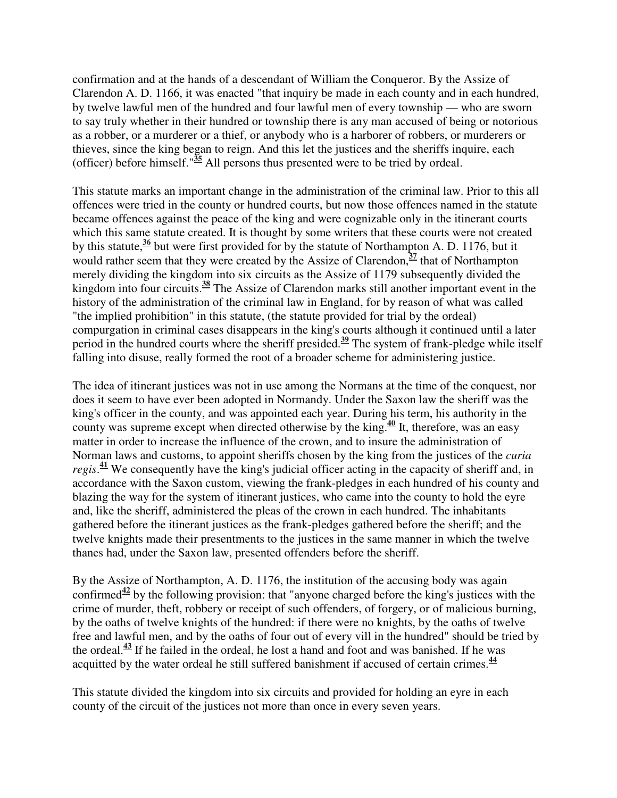confirmation and at the hands of a descendant of William the Conqueror. By the Assize of Clarendon A. D. 1166, it was enacted "that inquiry be made in each county and in each hundred, by twelve lawful men of the hundred and four lawful men of every township — who are sworn to say truly whether in their hundred or township there is any man accused of being or notorious as a robber, or a murderer or a thief, or anybody who is a harborer of robbers, or murderers or thieves, since the king began to reign. And this let the justices and the sheriffs inquire, each (officer) before himself."**<sup>35</sup>** All persons thus presented were to be tried by ordeal.

This statute marks an important change in the administration of the criminal law. Prior to this all offences were tried in the county or hundred courts, but now those offences named in the statute became offences against the peace of the king and were cognizable only in the itinerant courts which this same statute created. It is thought by some writers that these courts were not created by this statute,**<sup>36</sup>** but were first provided for by the statute of Northampton A. D. 1176, but it would rather seem that they were created by the Assize of Clarendon,  $\frac{37}{2}$  that of Northampton merely dividing the kingdom into six circuits as the Assize of 1179 subsequently divided the kingdom into four circuits.**<sup>38</sup>** The Assize of Clarendon marks still another important event in the history of the administration of the criminal law in England, for by reason of what was called "the implied prohibition" in this statute, (the statute provided for trial by the ordeal) compurgation in criminal cases disappears in the king's courts although it continued until a later period in the hundred courts where the sheriff presided.**<sup>39</sup>** The system of frank-pledge while itself falling into disuse, really formed the root of a broader scheme for administering justice.

The idea of itinerant justices was not in use among the Normans at the time of the conquest, nor does it seem to have ever been adopted in Normandy. Under the Saxon law the sheriff was the king's officer in the county, and was appointed each year. During his term, his authority in the county was supreme except when directed otherwise by the king.**<sup>40</sup>** It, therefore, was an easy matter in order to increase the influence of the crown, and to insure the administration of Norman laws and customs, to appoint sheriffs chosen by the king from the justices of the *curia regis*. **<sup>41</sup>** We consequently have the king's judicial officer acting in the capacity of sheriff and, in accordance with the Saxon custom, viewing the frank-pledges in each hundred of his county and blazing the way for the system of itinerant justices, who came into the county to hold the eyre and, like the sheriff, administered the pleas of the crown in each hundred. The inhabitants gathered before the itinerant justices as the frank-pledges gathered before the sheriff; and the twelve knights made their presentments to the justices in the same manner in which the twelve thanes had, under the Saxon law, presented offenders before the sheriff.

By the Assize of Northampton, A. D. 1176, the institution of the accusing body was again confirmed<sup> $42$ </sup> by the following provision: that "anyone charged before the king's justices with the crime of murder, theft, robbery or receipt of such offenders, of forgery, or of malicious burning, by the oaths of twelve knights of the hundred: if there were no knights, by the oaths of twelve free and lawful men, and by the oaths of four out of every vill in the hundred" should be tried by the ordeal.**<sup>43</sup>** If he failed in the ordeal, he lost a hand and foot and was banished. If he was acquitted by the water ordeal he still suffered banishment if accused of certain crimes.**<sup>44</sup>**

This statute divided the kingdom into six circuits and provided for holding an eyre in each county of the circuit of the justices not more than once in every seven years.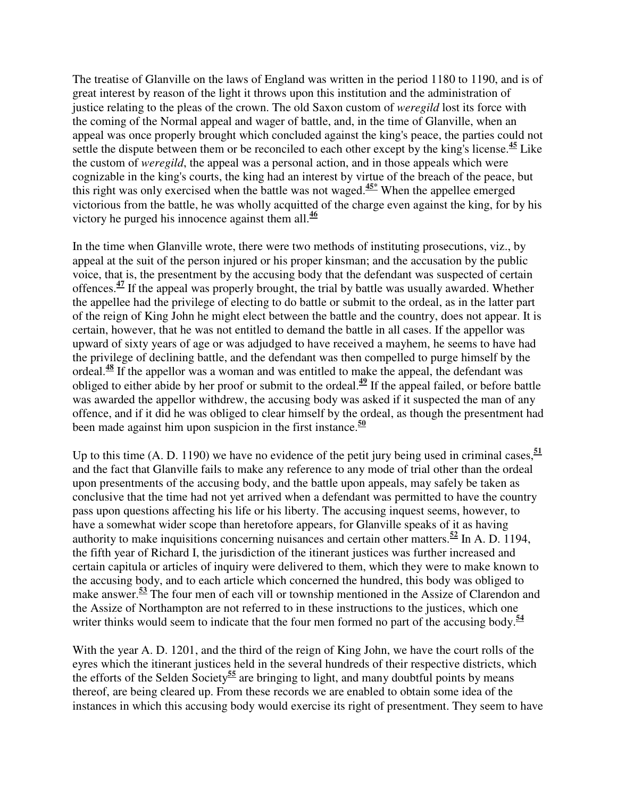The treatise of Glanville on the laws of England was written in the period 1180 to 1190, and is of great interest by reason of the light it throws upon this institution and the administration of justice relating to the pleas of the crown. The old Saxon custom of *weregild* lost its force with the coming of the Normal appeal and wager of battle, and, in the time of Glanville, when an appeal was once properly brought which concluded against the king's peace, the parties could not settle the dispute between them or be reconciled to each other except by the king's license.**<sup>45</sup>** Like the custom of *weregild*, the appeal was a personal action, and in those appeals which were cognizable in the king's courts, the king had an interest by virtue of the breach of the peace, but this right was only exercised when the battle was not waged.**45\*** When the appellee emerged victorious from the battle, he was wholly acquitted of the charge even against the king, for by his victory he purged his innocence against them all.**<sup>46</sup>**

In the time when Glanville wrote, there were two methods of instituting prosecutions, viz., by appeal at the suit of the person injured or his proper kinsman; and the accusation by the public voice, that is, the presentment by the accusing body that the defendant was suspected of certain offences.**<sup>47</sup>** If the appeal was properly brought, the trial by battle was usually awarded. Whether the appellee had the privilege of electing to do battle or submit to the ordeal, as in the latter part of the reign of King John he might elect between the battle and the country, does not appear. It is certain, however, that he was not entitled to demand the battle in all cases. If the appellor was upward of sixty years of age or was adjudged to have received a mayhem, he seems to have had the privilege of declining battle, and the defendant was then compelled to purge himself by the ordeal.**<sup>48</sup>** If the appellor was a woman and was entitled to make the appeal, the defendant was obliged to either abide by her proof or submit to the ordeal.**<sup>49</sup>** If the appeal failed, or before battle was awarded the appellor withdrew, the accusing body was asked if it suspected the man of any offence, and if it did he was obliged to clear himself by the ordeal, as though the presentment had been made against him upon suspicion in the first instance.**<sup>50</sup>**

Up to this time  $(A, D, 1190)$  we have no evidence of the petit jury being used in criminal cases,  $\frac{51}{2}$ and the fact that Glanville fails to make any reference to any mode of trial other than the ordeal upon presentments of the accusing body, and the battle upon appeals, may safely be taken as conclusive that the time had not yet arrived when a defendant was permitted to have the country pass upon questions affecting his life or his liberty. The accusing inquest seems, however, to have a somewhat wider scope than heretofore appears, for Glanville speaks of it as having authority to make inquisitions concerning nuisances and certain other matters.**<sup>52</sup>** In A. D. 1194, the fifth year of Richard I, the jurisdiction of the itinerant justices was further increased and certain capitula or articles of inquiry were delivered to them, which they were to make known to the accusing body, and to each article which concerned the hundred, this body was obliged to make answer.**<sup>53</sup>** The four men of each vill or township mentioned in the Assize of Clarendon and the Assize of Northampton are not referred to in these instructions to the justices, which one writer thinks would seem to indicate that the four men formed no part of the accusing body.<sup>54</sup>

With the year A. D. 1201, and the third of the reign of King John, we have the court rolls of the eyres which the itinerant justices held in the several hundreds of their respective districts, which the efforts of the Selden Society**<sup>55</sup>** are bringing to light, and many doubtful points by means thereof, are being cleared up. From these records we are enabled to obtain some idea of the instances in which this accusing body would exercise its right of presentment. They seem to have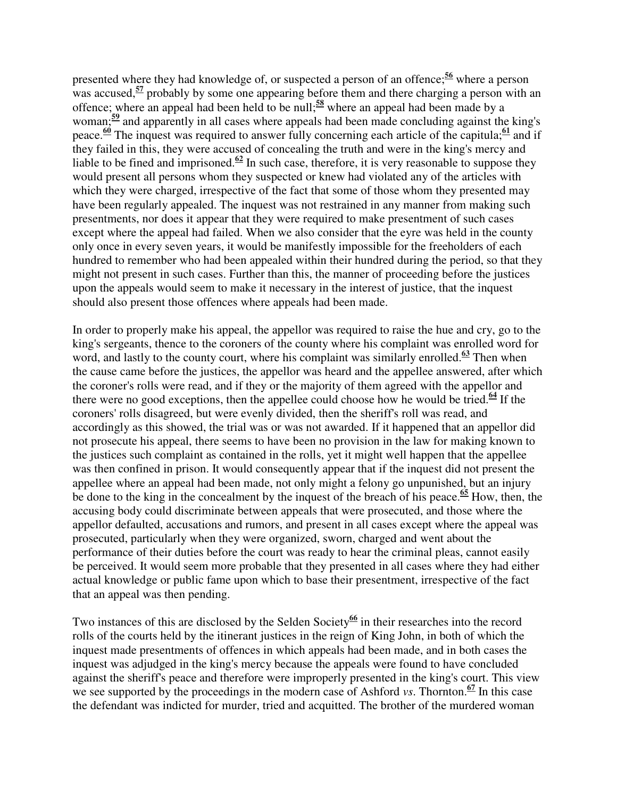presented where they had knowledge of, or suspected a person of an offence;**<sup>56</sup>** where a person was accused, <sup>57</sup> probably by some one appearing before them and there charging a person with an offence; where an appeal had been held to be null;**<sup>58</sup>** where an appeal had been made by a woman;**<sup>59</sup>** and apparently in all cases where appeals had been made concluding against the king's peace.**<sup>60</sup>** The inquest was required to answer fully concerning each article of the capitula;**<sup>61</sup>** and if they failed in this, they were accused of concealing the truth and were in the king's mercy and liable to be fined and imprisoned.<sup> $62$ </sup> In such case, therefore, it is very reasonable to suppose they would present all persons whom they suspected or knew had violated any of the articles with which they were charged, irrespective of the fact that some of those whom they presented may have been regularly appealed. The inquest was not restrained in any manner from making such presentments, nor does it appear that they were required to make presentment of such cases except where the appeal had failed. When we also consider that the eyre was held in the county only once in every seven years, it would be manifestly impossible for the freeholders of each hundred to remember who had been appealed within their hundred during the period, so that they might not present in such cases. Further than this, the manner of proceeding before the justices upon the appeals would seem to make it necessary in the interest of justice, that the inquest should also present those offences where appeals had been made.

In order to properly make his appeal, the appellor was required to raise the hue and cry, go to the king's sergeants, thence to the coroners of the county where his complaint was enrolled word for word, and lastly to the county court, where his complaint was similarly enrolled.<sup>63</sup> Then when the cause came before the justices, the appellor was heard and the appellee answered, after which the coroner's rolls were read, and if they or the majority of them agreed with the appellor and there were no good exceptions, then the appellee could choose how he would be tried.<sup> $64$ </sup> If the coroners' rolls disagreed, but were evenly divided, then the sheriff's roll was read, and accordingly as this showed, the trial was or was not awarded. If it happened that an appellor did not prosecute his appeal, there seems to have been no provision in the law for making known to the justices such complaint as contained in the rolls, yet it might well happen that the appellee was then confined in prison. It would consequently appear that if the inquest did not present the appellee where an appeal had been made, not only might a felony go unpunished, but an injury be done to the king in the concealment by the inquest of the breach of his peace.<sup> $65$ </sup> How, then, the accusing body could discriminate between appeals that were prosecuted, and those where the appellor defaulted, accusations and rumors, and present in all cases except where the appeal was prosecuted, particularly when they were organized, sworn, charged and went about the performance of their duties before the court was ready to hear the criminal pleas, cannot easily be perceived. It would seem more probable that they presented in all cases where they had either actual knowledge or public fame upon which to base their presentment, irrespective of the fact that an appeal was then pending.

Two instances of this are disclosed by the Selden Society**<sup>66</sup>** in their researches into the record rolls of the courts held by the itinerant justices in the reign of King John, in both of which the inquest made presentments of offences in which appeals had been made, and in both cases the inquest was adjudged in the king's mercy because the appeals were found to have concluded against the sheriff's peace and therefore were improperly presented in the king's court. This view we see supported by the proceedings in the modern case of Ashford *vs*. Thornton.**<sup>67</sup>** In this case the defendant was indicted for murder, tried and acquitted. The brother of the murdered woman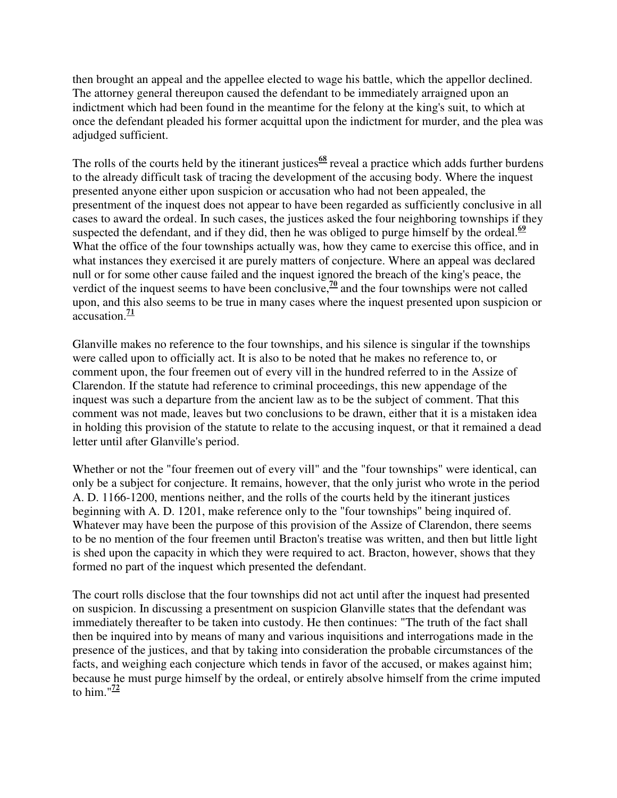then brought an appeal and the appellee elected to wage his battle, which the appellor declined. The attorney general thereupon caused the defendant to be immediately arraigned upon an indictment which had been found in the meantime for the felony at the king's suit, to which at once the defendant pleaded his former acquittal upon the indictment for murder, and the plea was adjudged sufficient.

The rolls of the courts held by the itinerant justices<sup>68</sup> reveal a practice which adds further burdens to the already difficult task of tracing the development of the accusing body. Where the inquest presented anyone either upon suspicion or accusation who had not been appealed, the presentment of the inquest does not appear to have been regarded as sufficiently conclusive in all cases to award the ordeal. In such cases, the justices asked the four neighboring townships if they suspected the defendant, and if they did, then he was obliged to purge himself by the ordeal. $\frac{69}{2}$ What the office of the four townships actually was, how they came to exercise this office, and in what instances they exercised it are purely matters of conjecture. Where an appeal was declared null or for some other cause failed and the inquest ignored the breach of the king's peace, the verdict of the inquest seems to have been conclusive,  $\frac{70}{2}$  and the four townships were not called upon, and this also seems to be true in many cases where the inquest presented upon suspicion or accusation. $\frac{71}{7}$ 

Glanville makes no reference to the four townships, and his silence is singular if the townships were called upon to officially act. It is also to be noted that he makes no reference to, or comment upon, the four freemen out of every vill in the hundred referred to in the Assize of Clarendon. If the statute had reference to criminal proceedings, this new appendage of the inquest was such a departure from the ancient law as to be the subject of comment. That this comment was not made, leaves but two conclusions to be drawn, either that it is a mistaken idea in holding this provision of the statute to relate to the accusing inquest, or that it remained a dead letter until after Glanville's period.

Whether or not the "four freemen out of every vill" and the "four townships" were identical, can only be a subject for conjecture. It remains, however, that the only jurist who wrote in the period A. D. 1166-1200, mentions neither, and the rolls of the courts held by the itinerant justices beginning with A. D. 1201, make reference only to the "four townships" being inquired of. Whatever may have been the purpose of this provision of the Assize of Clarendon, there seems to be no mention of the four freemen until Bracton's treatise was written, and then but little light is shed upon the capacity in which they were required to act. Bracton, however, shows that they formed no part of the inquest which presented the defendant.

The court rolls disclose that the four townships did not act until after the inquest had presented on suspicion. In discussing a presentment on suspicion Glanville states that the defendant was immediately thereafter to be taken into custody. He then continues: "The truth of the fact shall then be inquired into by means of many and various inquisitions and interrogations made in the presence of the justices, and that by taking into consideration the probable circumstances of the facts, and weighing each conjecture which tends in favor of the accused, or makes against him; because he must purge himself by the ordeal, or entirely absolve himself from the crime imputed to him." $\frac{72}{2}$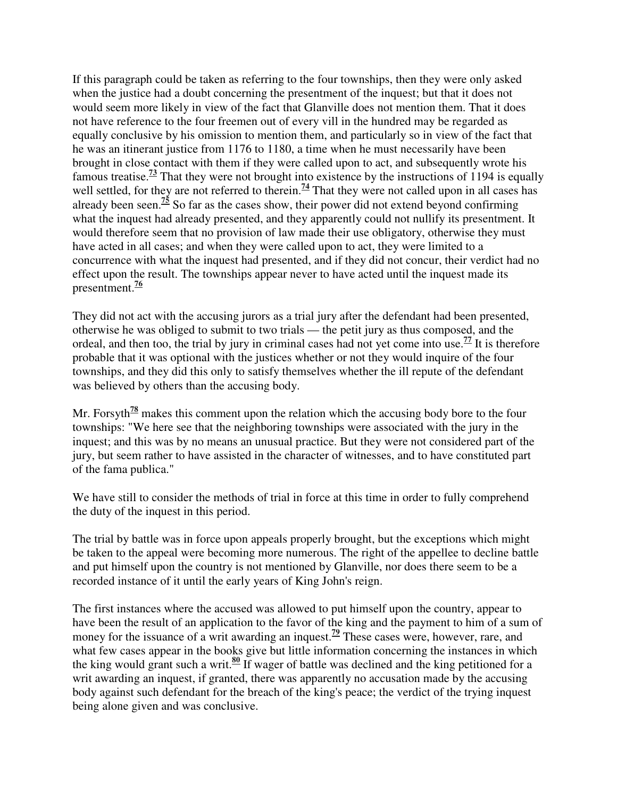If this paragraph could be taken as referring to the four townships, then they were only asked when the justice had a doubt concerning the presentment of the inquest; but that it does not would seem more likely in view of the fact that Glanville does not mention them. That it does not have reference to the four freemen out of every vill in the hundred may be regarded as equally conclusive by his omission to mention them, and particularly so in view of the fact that he was an itinerant justice from 1176 to 1180, a time when he must necessarily have been brought in close contact with them if they were called upon to act, and subsequently wrote his famous treatise.**<sup>73</sup>** That they were not brought into existence by the instructions of 1194 is equally well settled, for they are not referred to therein.<sup>74</sup> That they were not called upon in all cases has already been seen.**<sup>75</sup>** So far as the cases show, their power did not extend beyond confirming what the inquest had already presented, and they apparently could not nullify its presentment. It would therefore seem that no provision of law made their use obligatory, otherwise they must have acted in all cases; and when they were called upon to act, they were limited to a concurrence with what the inquest had presented, and if they did not concur, their verdict had no effect upon the result. The townships appear never to have acted until the inquest made its presentment.**<sup>76</sup>**

They did not act with the accusing jurors as a trial jury after the defendant had been presented, otherwise he was obliged to submit to two trials — the petit jury as thus composed, and the ordeal, and then too, the trial by jury in criminal cases had not yet come into use.<sup> $77$ </sup> It is therefore probable that it was optional with the justices whether or not they would inquire of the four townships, and they did this only to satisfy themselves whether the ill repute of the defendant was believed by others than the accusing body.

Mr. Forsyth<sup>78</sup> makes this comment upon the relation which the accusing body bore to the four townships: "We here see that the neighboring townships were associated with the jury in the inquest; and this was by no means an unusual practice. But they were not considered part of the jury, but seem rather to have assisted in the character of witnesses, and to have constituted part of the fama publica."

We have still to consider the methods of trial in force at this time in order to fully comprehend the duty of the inquest in this period.

The trial by battle was in force upon appeals properly brought, but the exceptions which might be taken to the appeal were becoming more numerous. The right of the appellee to decline battle and put himself upon the country is not mentioned by Glanville, nor does there seem to be a recorded instance of it until the early years of King John's reign.

The first instances where the accused was allowed to put himself upon the country, appear to have been the result of an application to the favor of the king and the payment to him of a sum of money for the issuance of a writ awarding an inquest.<sup>79</sup> These cases were, however, rare, and what few cases appear in the books give but little information concerning the instances in which the king would grant such a writ.**<sup>80</sup>** If wager of battle was declined and the king petitioned for a writ awarding an inquest, if granted, there was apparently no accusation made by the accusing body against such defendant for the breach of the king's peace; the verdict of the trying inquest being alone given and was conclusive.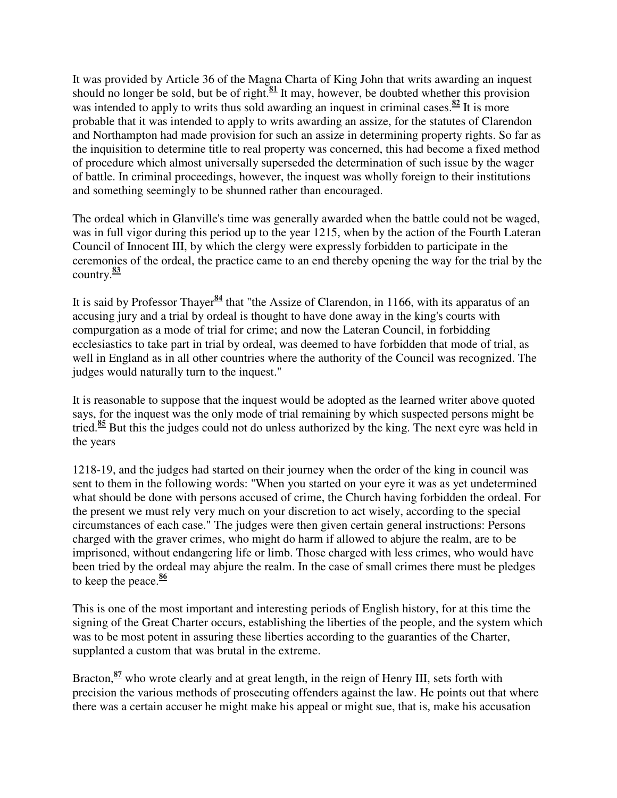It was provided by Article 36 of the Magna Charta of King John that writs awarding an inquest should no longer be sold, but be of right.<sup>81</sup> It may, however, be doubted whether this provision was intended to apply to writs thus sold awarding an inquest in criminal cases.<sup>82</sup> It is more probable that it was intended to apply to writs awarding an assize, for the statutes of Clarendon and Northampton had made provision for such an assize in determining property rights. So far as the inquisition to determine title to real property was concerned, this had become a fixed method of procedure which almost universally superseded the determination of such issue by the wager of battle. In criminal proceedings, however, the inquest was wholly foreign to their institutions and something seemingly to be shunned rather than encouraged.

The ordeal which in Glanville's time was generally awarded when the battle could not be waged, was in full vigor during this period up to the year 1215, when by the action of the Fourth Lateran Council of Innocent III, by which the clergy were expressly forbidden to participate in the ceremonies of the ordeal, the practice came to an end thereby opening the way for the trial by the country.**<sup>83</sup>**

It is said by Professor Thayer**<sup>84</sup>** that "the Assize of Clarendon, in 1166, with its apparatus of an accusing jury and a trial by ordeal is thought to have done away in the king's courts with compurgation as a mode of trial for crime; and now the Lateran Council, in forbidding ecclesiastics to take part in trial by ordeal, was deemed to have forbidden that mode of trial, as well in England as in all other countries where the authority of the Council was recognized. The judges would naturally turn to the inquest."

It is reasonable to suppose that the inquest would be adopted as the learned writer above quoted says, for the inquest was the only mode of trial remaining by which suspected persons might be tried.**<sup>85</sup>** But this the judges could not do unless authorized by the king. The next eyre was held in the years

1218-19, and the judges had started on their journey when the order of the king in council was sent to them in the following words: "When you started on your eyre it was as yet undetermined what should be done with persons accused of crime, the Church having forbidden the ordeal. For the present we must rely very much on your discretion to act wisely, according to the special circumstances of each case." The judges were then given certain general instructions: Persons charged with the graver crimes, who might do harm if allowed to abjure the realm, are to be imprisoned, without endangering life or limb. Those charged with less crimes, who would have been tried by the ordeal may abjure the realm. In the case of small crimes there must be pledges to keep the peace.**<sup>86</sup>**

This is one of the most important and interesting periods of English history, for at this time the signing of the Great Charter occurs, establishing the liberties of the people, and the system which was to be most potent in assuring these liberties according to the guaranties of the Charter, supplanted a custom that was brutal in the extreme.

Bracton, <sup>87</sup> who wrote clearly and at great length, in the reign of Henry III, sets forth with precision the various methods of prosecuting offenders against the law. He points out that where there was a certain accuser he might make his appeal or might sue, that is, make his accusation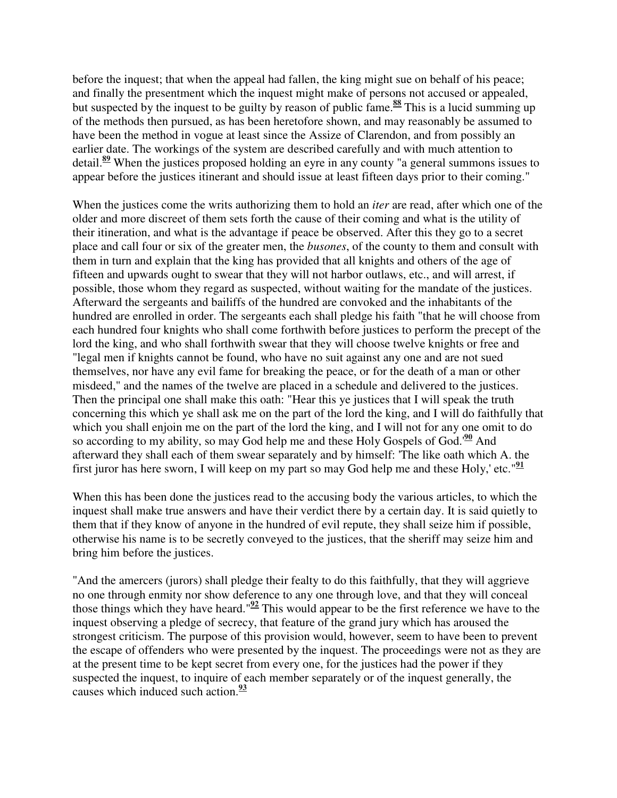before the inquest; that when the appeal had fallen, the king might sue on behalf of his peace; and finally the presentment which the inquest might make of persons not accused or appealed, but suspected by the inquest to be guilty by reason of public fame.**<sup>88</sup>** This is a lucid summing up of the methods then pursued, as has been heretofore shown, and may reasonably be assumed to have been the method in vogue at least since the Assize of Clarendon, and from possibly an earlier date. The workings of the system are described carefully and with much attention to detail.**<sup>89</sup>** When the justices proposed holding an eyre in any county "a general summons issues to appear before the justices itinerant and should issue at least fifteen days prior to their coming."

When the justices come the writs authorizing them to hold an *iter* are read, after which one of the older and more discreet of them sets forth the cause of their coming and what is the utility of their itineration, and what is the advantage if peace be observed. After this they go to a secret place and call four or six of the greater men, the *busones*, of the county to them and consult with them in turn and explain that the king has provided that all knights and others of the age of fifteen and upwards ought to swear that they will not harbor outlaws, etc., and will arrest, if possible, those whom they regard as suspected, without waiting for the mandate of the justices. Afterward the sergeants and bailiffs of the hundred are convoked and the inhabitants of the hundred are enrolled in order. The sergeants each shall pledge his faith "that he will choose from each hundred four knights who shall come forthwith before justices to perform the precept of the lord the king, and who shall forthwith swear that they will choose twelve knights or free and "legal men if knights cannot be found, who have no suit against any one and are not sued themselves, nor have any evil fame for breaking the peace, or for the death of a man or other misdeed," and the names of the twelve are placed in a schedule and delivered to the justices. Then the principal one shall make this oath: "Hear this ye justices that I will speak the truth concerning this which ye shall ask me on the part of the lord the king, and I will do faithfully that which you shall enjoin me on the part of the lord the king, and I will not for any one omit to do so according to my ability, so may God help me and these Holy Gospels of God.'**<sup>90</sup>** And afterward they shall each of them swear separately and by himself: 'The like oath which A. the first juror has here sworn, I will keep on my part so may God help me and these Holy,' etc."**<sup>91</sup>**

When this has been done the justices read to the accusing body the various articles, to which the inquest shall make true answers and have their verdict there by a certain day. It is said quietly to them that if they know of anyone in the hundred of evil repute, they shall seize him if possible, otherwise his name is to be secretly conveyed to the justices, that the sheriff may seize him and bring him before the justices.

"And the amercers (jurors) shall pledge their fealty to do this faithfully, that they will aggrieve no one through enmity nor show deference to any one through love, and that they will conceal those things which they have heard."**<sup>92</sup>** This would appear to be the first reference we have to the inquest observing a pledge of secrecy, that feature of the grand jury which has aroused the strongest criticism. The purpose of this provision would, however, seem to have been to prevent the escape of offenders who were presented by the inquest. The proceedings were not as they are at the present time to be kept secret from every one, for the justices had the power if they suspected the inquest, to inquire of each member separately or of the inquest generally, the causes which induced such action.**<sup>93</sup>**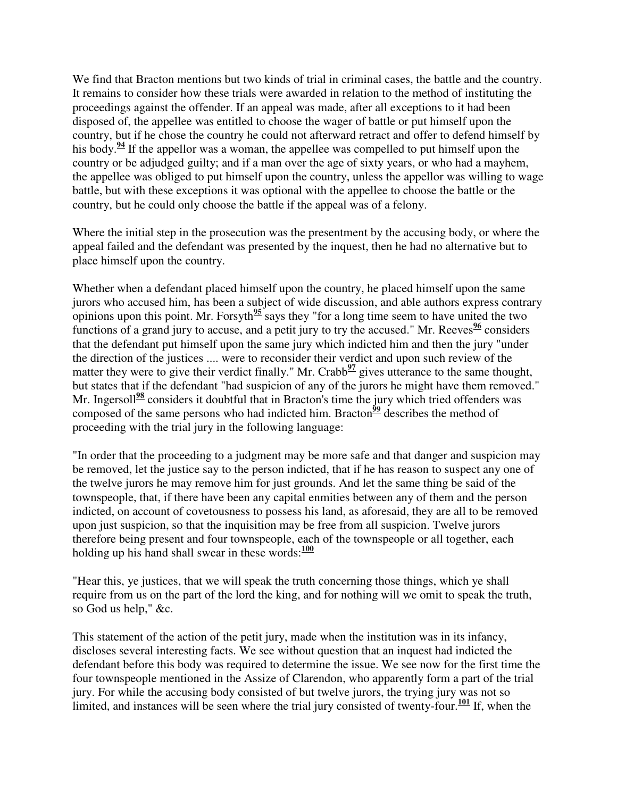We find that Bracton mentions but two kinds of trial in criminal cases, the battle and the country. It remains to consider how these trials were awarded in relation to the method of instituting the proceedings against the offender. If an appeal was made, after all exceptions to it had been disposed of, the appellee was entitled to choose the wager of battle or put himself upon the country, but if he chose the country he could not afterward retract and offer to defend himself by his body.<sup>94</sup> If the appellor was a woman, the appellee was compelled to put himself upon the country or be adjudged guilty; and if a man over the age of sixty years, or who had a mayhem, the appellee was obliged to put himself upon the country, unless the appellor was willing to wage battle, but with these exceptions it was optional with the appellee to choose the battle or the country, but he could only choose the battle if the appeal was of a felony.

Where the initial step in the prosecution was the presentment by the accusing body, or where the appeal failed and the defendant was presented by the inquest, then he had no alternative but to place himself upon the country.

Whether when a defendant placed himself upon the country, he placed himself upon the same jurors who accused him, has been a subject of wide discussion, and able authors express contrary opinions upon this point. Mr. Forsyth**<sup>95</sup>** says they "for a long time seem to have united the two functions of a grand jury to accuse, and a petit jury to try the accused." Mr. Reeves<sup> $96$ </sup> considers that the defendant put himself upon the same jury which indicted him and then the jury "under the direction of the justices .... were to reconsider their verdict and upon such review of the matter they were to give their verdict finally." Mr. Crabb<sup>97</sup> gives utterance to the same thought, but states that if the defendant "had suspicion of any of the jurors he might have them removed." Mr. Ingersoll<sup>98</sup> considers it doubtful that in Bracton's time the jury which tried offenders was composed of the same persons who had indicted him. Bracton<sup> $\frac{99}{2}$ </sup> describes the method of proceeding with the trial jury in the following language:

"In order that the proceeding to a judgment may be more safe and that danger and suspicion may be removed, let the justice say to the person indicted, that if he has reason to suspect any one of the twelve jurors he may remove him for just grounds. And let the same thing be said of the townspeople, that, if there have been any capital enmities between any of them and the person indicted, on account of covetousness to possess his land, as aforesaid, they are all to be removed upon just suspicion, so that the inquisition may be free from all suspicion. Twelve jurors therefore being present and four townspeople, each of the townspeople or all together, each holding up his hand shall swear in these words:**<sup>100</sup>**

"Hear this, ye justices, that we will speak the truth concerning those things, which ye shall require from us on the part of the lord the king, and for nothing will we omit to speak the truth, so God us help," &c.

This statement of the action of the petit jury, made when the institution was in its infancy, discloses several interesting facts. We see without question that an inquest had indicted the defendant before this body was required to determine the issue. We see now for the first time the four townspeople mentioned in the Assize of Clarendon, who apparently form a part of the trial jury. For while the accusing body consisted of but twelve jurors, the trying jury was not so limited, and instances will be seen where the trial jury consisted of twenty-four.**<sup>101</sup>** If, when the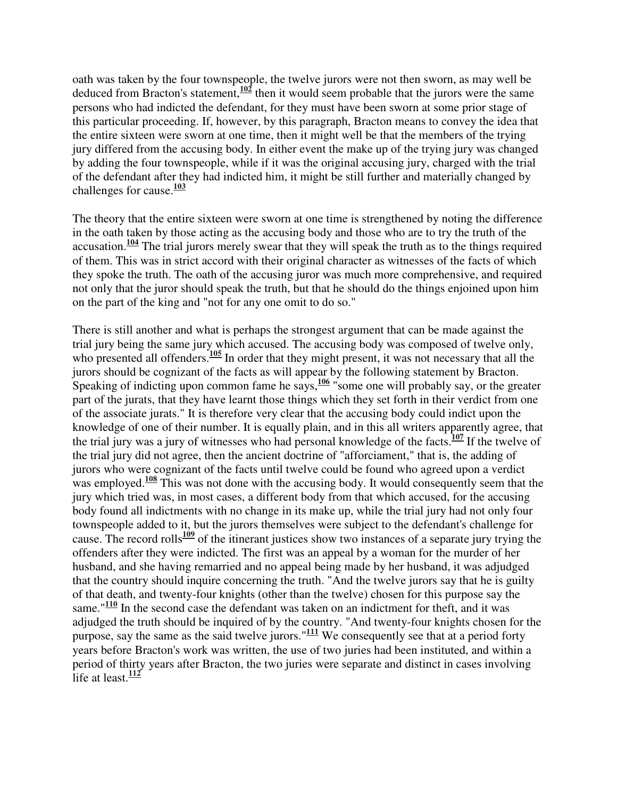oath was taken by the four townspeople, the twelve jurors were not then sworn, as may well be deduced from Bracton's statement,**<sup>102</sup>** then it would seem probable that the jurors were the same persons who had indicted the defendant, for they must have been sworn at some prior stage of this particular proceeding. If, however, by this paragraph, Bracton means to convey the idea that the entire sixteen were sworn at one time, then it might well be that the members of the trying jury differed from the accusing body. In either event the make up of the trying jury was changed by adding the four townspeople, while if it was the original accusing jury, charged with the trial of the defendant after they had indicted him, it might be still further and materially changed by challenges for cause.**<sup>103</sup>**

The theory that the entire sixteen were sworn at one time is strengthened by noting the difference in the oath taken by those acting as the accusing body and those who are to try the truth of the accusation.**<sup>104</sup>** The trial jurors merely swear that they will speak the truth as to the things required of them. This was in strict accord with their original character as witnesses of the facts of which they spoke the truth. The oath of the accusing juror was much more comprehensive, and required not only that the juror should speak the truth, but that he should do the things enjoined upon him on the part of the king and "not for any one omit to do so."

There is still another and what is perhaps the strongest argument that can be made against the trial jury being the same jury which accused. The accusing body was composed of twelve only, who presented all offenders.<sup>105</sup> In order that they might present, it was not necessary that all the jurors should be cognizant of the facts as will appear by the following statement by Bracton. Speaking of indicting upon common fame he says,  $\frac{106}{11}$  some one will probably say, or the greater part of the jurats, that they have learnt those things which they set forth in their verdict from one of the associate jurats." It is therefore very clear that the accusing body could indict upon the knowledge of one of their number. It is equally plain, and in this all writers apparently agree, that the trial jury was a jury of witnesses who had personal knowledge of the facts.**<sup>107</sup>** If the twelve of the trial jury did not agree, then the ancient doctrine of "afforciament," that is, the adding of jurors who were cognizant of the facts until twelve could be found who agreed upon a verdict was employed.<sup>108</sup> This was not done with the accusing body. It would consequently seem that the jury which tried was, in most cases, a different body from that which accused, for the accusing body found all indictments with no change in its make up, while the trial jury had not only four townspeople added to it, but the jurors themselves were subject to the defendant's challenge for cause. The record rolls<sup>109</sup> of the itinerant justices show two instances of a separate jury trying the offenders after they were indicted. The first was an appeal by a woman for the murder of her husband, and she having remarried and no appeal being made by her husband, it was adjudged that the country should inquire concerning the truth. "And the twelve jurors say that he is guilty of that death, and twenty-four knights (other than the twelve) chosen for this purpose say the same."<sup>110</sup> In the second case the defendant was taken on an indictment for theft, and it was adjudged the truth should be inquired of by the country. "And twenty-four knights chosen for the purpose, say the same as the said twelve jurors."**<sup>111</sup>** We consequently see that at a period forty years before Bracton's work was written, the use of two juries had been instituted, and within a period of thirty years after Bracton, the two juries were separate and distinct in cases involving life at least. $\frac{112}{112}$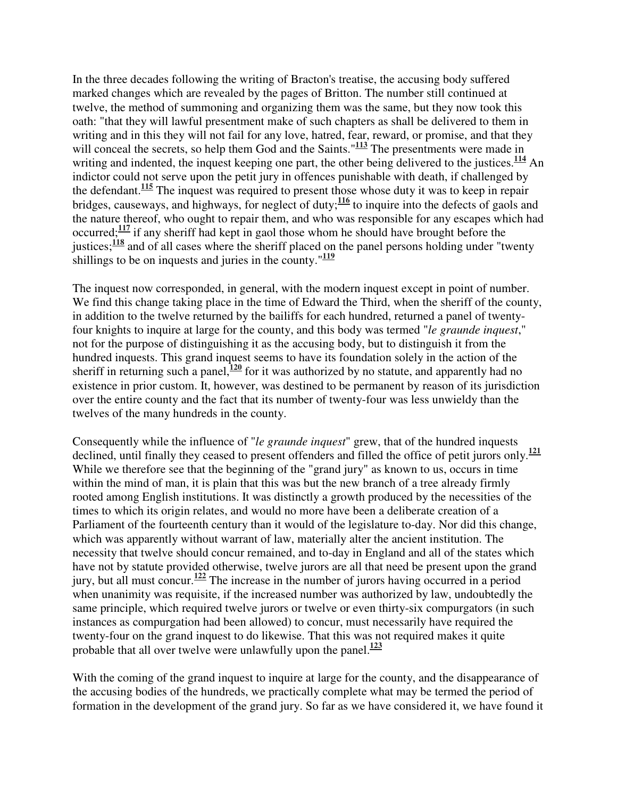In the three decades following the writing of Bracton's treatise, the accusing body suffered marked changes which are revealed by the pages of Britton. The number still continued at twelve, the method of summoning and organizing them was the same, but they now took this oath: "that they will lawful presentment make of such chapters as shall be delivered to them in writing and in this they will not fail for any love, hatred, fear, reward, or promise, and that they will conceal the secrets, so help them God and the Saints."<sup>113</sup> The presentments were made in writing and indented, the inquest keeping one part, the other being delivered to the justices.<sup>114</sup> An indictor could not serve upon the petit jury in offences punishable with death, if challenged by the defendant.**<sup>115</sup>** The inquest was required to present those whose duty it was to keep in repair bridges, causeways, and highways, for neglect of duty;<sup>116</sup> to inquire into the defects of gaols and the nature thereof, who ought to repair them, and who was responsible for any escapes which had occurred;**<sup>117</sup>** if any sheriff had kept in gaol those whom he should have brought before the justices;<sup>118</sup> and of all cases where the sheriff placed on the panel persons holding under "twenty" shillings to be on inquests and juries in the county."**<sup>119</sup>**

The inquest now corresponded, in general, with the modern inquest except in point of number. We find this change taking place in the time of Edward the Third, when the sheriff of the county, in addition to the twelve returned by the bailiffs for each hundred, returned a panel of twentyfour knights to inquire at large for the county, and this body was termed "*le graunde inquest*," not for the purpose of distinguishing it as the accusing body, but to distinguish it from the hundred inquests. This grand inquest seems to have its foundation solely in the action of the sheriff in returning such a panel,<sup>120</sup> for it was authorized by no statute, and apparently had no existence in prior custom. It, however, was destined to be permanent by reason of its jurisdiction over the entire county and the fact that its number of twenty-four was less unwieldy than the twelves of the many hundreds in the county.

Consequently while the influence of "*le graunde inquest*" grew, that of the hundred inquests declined, until finally they ceased to present offenders and filled the office of petit jurors only.**<sup>121</sup>** While we therefore see that the beginning of the "grand jury" as known to us, occurs in time within the mind of man, it is plain that this was but the new branch of a tree already firmly rooted among English institutions. It was distinctly a growth produced by the necessities of the times to which its origin relates, and would no more have been a deliberate creation of a Parliament of the fourteenth century than it would of the legislature to-day. Nor did this change, which was apparently without warrant of law, materially alter the ancient institution. The necessity that twelve should concur remained, and to-day in England and all of the states which have not by statute provided otherwise, twelve jurors are all that need be present upon the grand jury, but all must concur.**<sup>122</sup>** The increase in the number of jurors having occurred in a period when unanimity was requisite, if the increased number was authorized by law, undoubtedly the same principle, which required twelve jurors or twelve or even thirty-six compurgators (in such instances as compurgation had been allowed) to concur, must necessarily have required the twenty-four on the grand inquest to do likewise. That this was not required makes it quite probable that all over twelve were unlawfully upon the panel.**<sup>123</sup>**

With the coming of the grand inquest to inquire at large for the county, and the disappearance of the accusing bodies of the hundreds, we practically complete what may be termed the period of formation in the development of the grand jury. So far as we have considered it, we have found it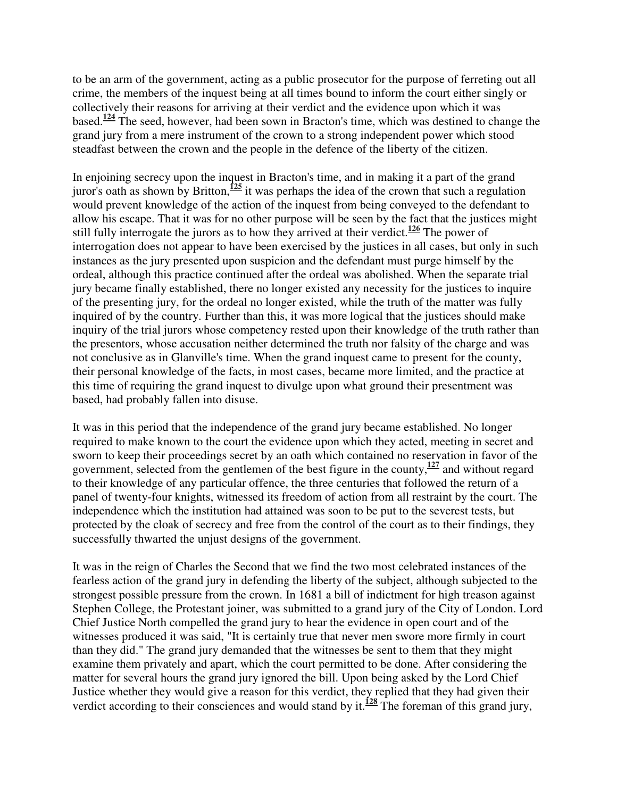to be an arm of the government, acting as a public prosecutor for the purpose of ferreting out all crime, the members of the inquest being at all times bound to inform the court either singly or collectively their reasons for arriving at their verdict and the evidence upon which it was based.**<sup>124</sup>** The seed, however, had been sown in Bracton's time, which was destined to change the grand jury from a mere instrument of the crown to a strong independent power which stood steadfast between the crown and the people in the defence of the liberty of the citizen.

In enjoining secrecy upon the inquest in Bracton's time, and in making it a part of the grand juror's oath as shown by Britton,**<sup>125</sup>** it was perhaps the idea of the crown that such a regulation would prevent knowledge of the action of the inquest from being conveyed to the defendant to allow his escape. That it was for no other purpose will be seen by the fact that the justices might still fully interrogate the jurors as to how they arrived at their verdict.**<sup>126</sup>** The power of interrogation does not appear to have been exercised by the justices in all cases, but only in such instances as the jury presented upon suspicion and the defendant must purge himself by the ordeal, although this practice continued after the ordeal was abolished. When the separate trial jury became finally established, there no longer existed any necessity for the justices to inquire of the presenting jury, for the ordeal no longer existed, while the truth of the matter was fully inquired of by the country. Further than this, it was more logical that the justices should make inquiry of the trial jurors whose competency rested upon their knowledge of the truth rather than the presentors, whose accusation neither determined the truth nor falsity of the charge and was not conclusive as in Glanville's time. When the grand inquest came to present for the county, their personal knowledge of the facts, in most cases, became more limited, and the practice at this time of requiring the grand inquest to divulge upon what ground their presentment was based, had probably fallen into disuse.

It was in this period that the independence of the grand jury became established. No longer required to make known to the court the evidence upon which they acted, meeting in secret and sworn to keep their proceedings secret by an oath which contained no reservation in favor of the government, selected from the gentlemen of the best figure in the county,**<sup>127</sup>** and without regard to their knowledge of any particular offence, the three centuries that followed the return of a panel of twenty-four knights, witnessed its freedom of action from all restraint by the court. The independence which the institution had attained was soon to be put to the severest tests, but protected by the cloak of secrecy and free from the control of the court as to their findings, they successfully thwarted the unjust designs of the government.

It was in the reign of Charles the Second that we find the two most celebrated instances of the fearless action of the grand jury in defending the liberty of the subject, although subjected to the strongest possible pressure from the crown. In 1681 a bill of indictment for high treason against Stephen College, the Protestant joiner, was submitted to a grand jury of the City of London. Lord Chief Justice North compelled the grand jury to hear the evidence in open court and of the witnesses produced it was said, "It is certainly true that never men swore more firmly in court than they did." The grand jury demanded that the witnesses be sent to them that they might examine them privately and apart, which the court permitted to be done. After considering the matter for several hours the grand jury ignored the bill. Upon being asked by the Lord Chief Justice whether they would give a reason for this verdict, they replied that they had given their verdict according to their consciences and would stand by it.**<sup>128</sup>** The foreman of this grand jury,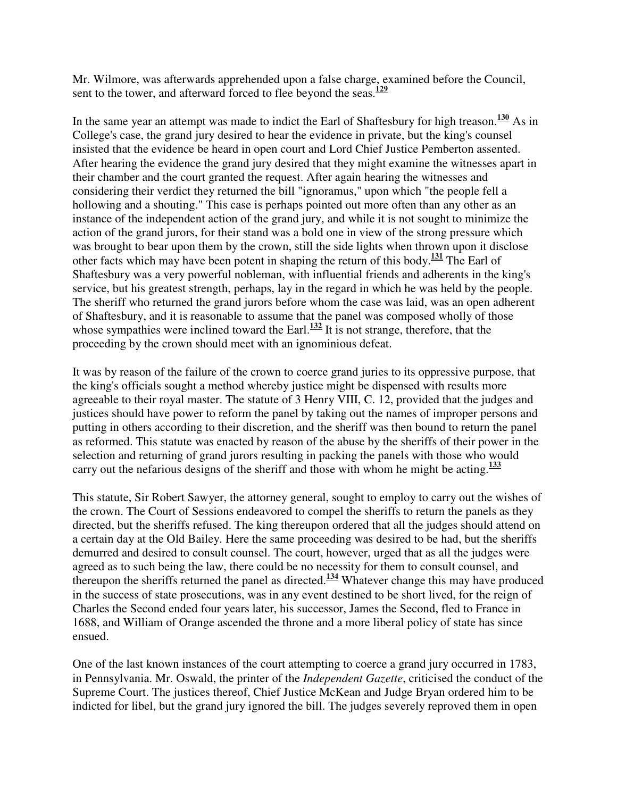Mr. Wilmore, was afterwards apprehended upon a false charge, examined before the Council, sent to the tower, and afterward forced to flee beyond the seas.**<sup>129</sup>**

In the same year an attempt was made to indict the Earl of Shaftesbury for high treason.**<sup>130</sup>** As in College's case, the grand jury desired to hear the evidence in private, but the king's counsel insisted that the evidence be heard in open court and Lord Chief Justice Pemberton assented. After hearing the evidence the grand jury desired that they might examine the witnesses apart in their chamber and the court granted the request. After again hearing the witnesses and considering their verdict they returned the bill "ignoramus," upon which "the people fell a hollowing and a shouting." This case is perhaps pointed out more often than any other as an instance of the independent action of the grand jury, and while it is not sought to minimize the action of the grand jurors, for their stand was a bold one in view of the strong pressure which was brought to bear upon them by the crown, still the side lights when thrown upon it disclose other facts which may have been potent in shaping the return of this body.**<sup>131</sup>** The Earl of Shaftesbury was a very powerful nobleman, with influential friends and adherents in the king's service, but his greatest strength, perhaps, lay in the regard in which he was held by the people. The sheriff who returned the grand jurors before whom the case was laid, was an open adherent of Shaftesbury, and it is reasonable to assume that the panel was composed wholly of those whose sympathies were inclined toward the Earl.<sup>132</sup> It is not strange, therefore, that the proceeding by the crown should meet with an ignominious defeat.

It was by reason of the failure of the crown to coerce grand juries to its oppressive purpose, that the king's officials sought a method whereby justice might be dispensed with results more agreeable to their royal master. The statute of 3 Henry VIII, C. 12, provided that the judges and justices should have power to reform the panel by taking out the names of improper persons and putting in others according to their discretion, and the sheriff was then bound to return the panel as reformed. This statute was enacted by reason of the abuse by the sheriffs of their power in the selection and returning of grand jurors resulting in packing the panels with those who would carry out the nefarious designs of the sheriff and those with whom he might be acting.**<sup>133</sup>**

This statute, Sir Robert Sawyer, the attorney general, sought to employ to carry out the wishes of the crown. The Court of Sessions endeavored to compel the sheriffs to return the panels as they directed, but the sheriffs refused. The king thereupon ordered that all the judges should attend on a certain day at the Old Bailey. Here the same proceeding was desired to be had, but the sheriffs demurred and desired to consult counsel. The court, however, urged that as all the judges were agreed as to such being the law, there could be no necessity for them to consult counsel, and thereupon the sheriffs returned the panel as directed.**<sup>134</sup>** Whatever change this may have produced in the success of state prosecutions, was in any event destined to be short lived, for the reign of Charles the Second ended four years later, his successor, James the Second, fled to France in 1688, and William of Orange ascended the throne and a more liberal policy of state has since ensued.

One of the last known instances of the court attempting to coerce a grand jury occurred in 1783, in Pennsylvania. Mr. Oswald, the printer of the *Independent Gazette*, criticised the conduct of the Supreme Court. The justices thereof, Chief Justice McKean and Judge Bryan ordered him to be indicted for libel, but the grand jury ignored the bill. The judges severely reproved them in open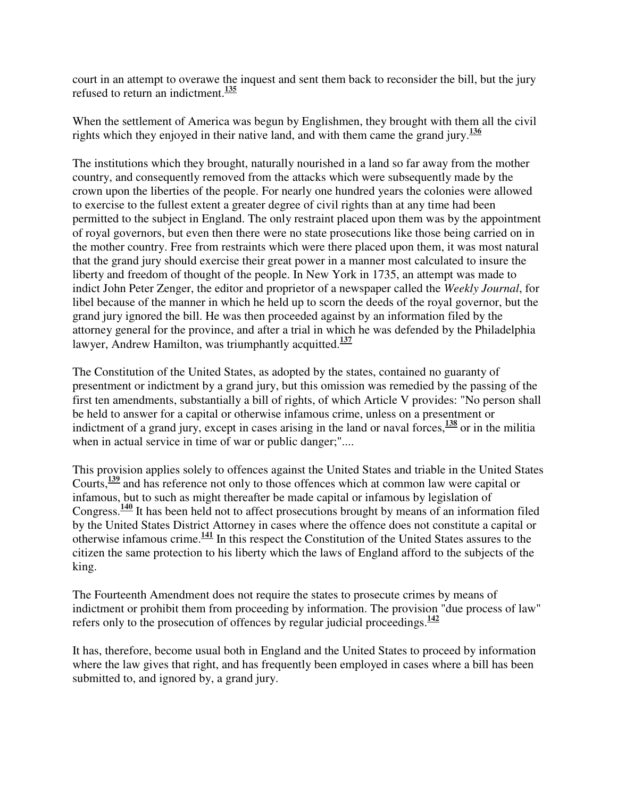court in an attempt to overawe the inquest and sent them back to reconsider the bill, but the jury refused to return an indictment.**<sup>135</sup>**

When the settlement of America was begun by Englishmen, they brought with them all the civil rights which they enjoyed in their native land, and with them came the grand jury.**<sup>136</sup>**

The institutions which they brought, naturally nourished in a land so far away from the mother country, and consequently removed from the attacks which were subsequently made by the crown upon the liberties of the people. For nearly one hundred years the colonies were allowed to exercise to the fullest extent a greater degree of civil rights than at any time had been permitted to the subject in England. The only restraint placed upon them was by the appointment of royal governors, but even then there were no state prosecutions like those being carried on in the mother country. Free from restraints which were there placed upon them, it was most natural that the grand jury should exercise their great power in a manner most calculated to insure the liberty and freedom of thought of the people. In New York in 1735, an attempt was made to indict John Peter Zenger, the editor and proprietor of a newspaper called the *Weekly Journal*, for libel because of the manner in which he held up to scorn the deeds of the royal governor, but the grand jury ignored the bill. He was then proceeded against by an information filed by the attorney general for the province, and after a trial in which he was defended by the Philadelphia lawyer, Andrew Hamilton, was triumphantly acquitted. **137**

The Constitution of the United States, as adopted by the states, contained no guaranty of presentment or indictment by a grand jury, but this omission was remedied by the passing of the first ten amendments, substantially a bill of rights, of which Article V provides: "No person shall be held to answer for a capital or otherwise infamous crime, unless on a presentment or indictment of a grand jury, except in cases arising in the land or naval forces,  $\frac{138}{120}$  or in the militia when in actual service in time of war or public danger;"....

This provision applies solely to offences against the United States and triable in the United States Courts,**<sup>139</sup>** and has reference not only to those offences which at common law were capital or infamous, but to such as might thereafter be made capital or infamous by legislation of Congress.**<sup>140</sup>** It has been held not to affect prosecutions brought by means of an information filed by the United States District Attorney in cases where the offence does not constitute a capital or otherwise infamous crime.**<sup>141</sup>** In this respect the Constitution of the United States assures to the citizen the same protection to his liberty which the laws of England afford to the subjects of the king.

The Fourteenth Amendment does not require the states to prosecute crimes by means of indictment or prohibit them from proceeding by information. The provision "due process of law" refers only to the prosecution of offences by regular judicial proceedings.**<sup>142</sup>**

It has, therefore, become usual both in England and the United States to proceed by information where the law gives that right, and has frequently been employed in cases where a bill has been submitted to, and ignored by, a grand jury.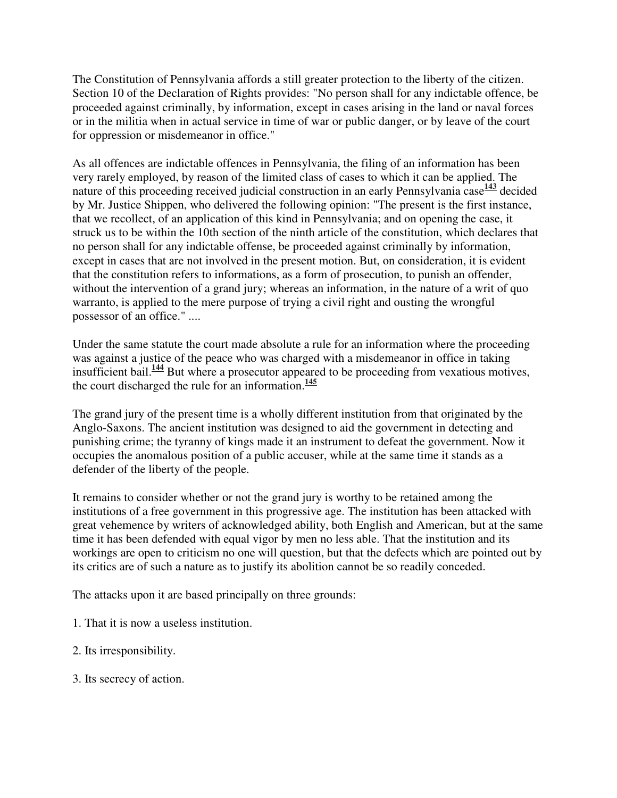The Constitution of Pennsylvania affords a still greater protection to the liberty of the citizen. Section 10 of the Declaration of Rights provides: "No person shall for any indictable offence, be proceeded against criminally, by information, except in cases arising in the land or naval forces or in the militia when in actual service in time of war or public danger, or by leave of the court for oppression or misdemeanor in office."

As all offences are indictable offences in Pennsylvania, the filing of an information has been very rarely employed, by reason of the limited class of cases to which it can be applied. The nature of this proceeding received judicial construction in an early Pennsylvania case<sup>143</sup> decided by Mr. Justice Shippen, who delivered the following opinion: "The present is the first instance, that we recollect, of an application of this kind in Pennsylvania; and on opening the case, it struck us to be within the 10th section of the ninth article of the constitution, which declares that no person shall for any indictable offense, be proceeded against criminally by information, except in cases that are not involved in the present motion. But, on consideration, it is evident that the constitution refers to informations, as a form of prosecution, to punish an offender, without the intervention of a grand jury; whereas an information, in the nature of a writ of quo warranto, is applied to the mere purpose of trying a civil right and ousting the wrongful possessor of an office." ....

Under the same statute the court made absolute a rule for an information where the proceeding was against a justice of the peace who was charged with a misdemeanor in office in taking insufficient bail.**<sup>144</sup>** But where a prosecutor appeared to be proceeding from vexatious motives, the court discharged the rule for an information.**<sup>145</sup>**

The grand jury of the present time is a wholly different institution from that originated by the Anglo-Saxons. The ancient institution was designed to aid the government in detecting and punishing crime; the tyranny of kings made it an instrument to defeat the government. Now it occupies the anomalous position of a public accuser, while at the same time it stands as a defender of the liberty of the people.

It remains to consider whether or not the grand jury is worthy to be retained among the institutions of a free government in this progressive age. The institution has been attacked with great vehemence by writers of acknowledged ability, both English and American, but at the same time it has been defended with equal vigor by men no less able. That the institution and its workings are open to criticism no one will question, but that the defects which are pointed out by its critics are of such a nature as to justify its abolition cannot be so readily conceded.

The attacks upon it are based principally on three grounds:

- 1. That it is now a useless institution.
- 2. Its irresponsibility.
- 3. Its secrecy of action.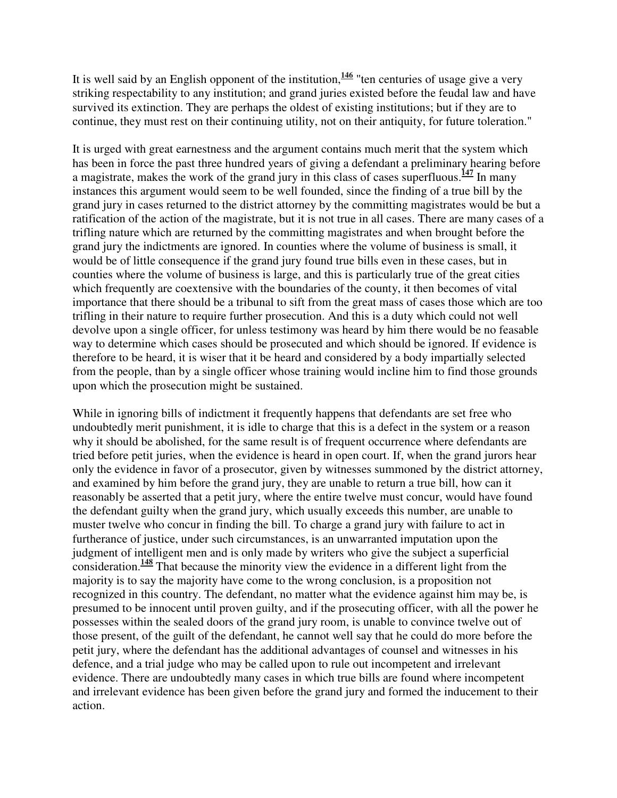It is well said by an English opponent of the institution,**<sup>146</sup>** "ten centuries of usage give a very striking respectability to any institution; and grand juries existed before the feudal law and have survived its extinction. They are perhaps the oldest of existing institutions; but if they are to continue, they must rest on their continuing utility, not on their antiquity, for future toleration."

It is urged with great earnestness and the argument contains much merit that the system which has been in force the past three hundred years of giving a defendant a preliminary hearing before a magistrate, makes the work of the grand jury in this class of cases superfluous.**<sup>147</sup>** In many instances this argument would seem to be well founded, since the finding of a true bill by the grand jury in cases returned to the district attorney by the committing magistrates would be but a ratification of the action of the magistrate, but it is not true in all cases. There are many cases of a trifling nature which are returned by the committing magistrates and when brought before the grand jury the indictments are ignored. In counties where the volume of business is small, it would be of little consequence if the grand jury found true bills even in these cases, but in counties where the volume of business is large, and this is particularly true of the great cities which frequently are coextensive with the boundaries of the county, it then becomes of vital importance that there should be a tribunal to sift from the great mass of cases those which are too trifling in their nature to require further prosecution. And this is a duty which could not well devolve upon a single officer, for unless testimony was heard by him there would be no feasable way to determine which cases should be prosecuted and which should be ignored. If evidence is therefore to be heard, it is wiser that it be heard and considered by a body impartially selected from the people, than by a single officer whose training would incline him to find those grounds upon which the prosecution might be sustained.

While in ignoring bills of indictment it frequently happens that defendants are set free who undoubtedly merit punishment, it is idle to charge that this is a defect in the system or a reason why it should be abolished, for the same result is of frequent occurrence where defendants are tried before petit juries, when the evidence is heard in open court. If, when the grand jurors hear only the evidence in favor of a prosecutor, given by witnesses summoned by the district attorney, and examined by him before the grand jury, they are unable to return a true bill, how can it reasonably be asserted that a petit jury, where the entire twelve must concur, would have found the defendant guilty when the grand jury, which usually exceeds this number, are unable to muster twelve who concur in finding the bill. To charge a grand jury with failure to act in furtherance of justice, under such circumstances, is an unwarranted imputation upon the judgment of intelligent men and is only made by writers who give the subject a superficial consideration.**<sup>148</sup>** That because the minority view the evidence in a different light from the majority is to say the majority have come to the wrong conclusion, is a proposition not recognized in this country. The defendant, no matter what the evidence against him may be, is presumed to be innocent until proven guilty, and if the prosecuting officer, with all the power he possesses within the sealed doors of the grand jury room, is unable to convince twelve out of those present, of the guilt of the defendant, he cannot well say that he could do more before the petit jury, where the defendant has the additional advantages of counsel and witnesses in his defence, and a trial judge who may be called upon to rule out incompetent and irrelevant evidence. There are undoubtedly many cases in which true bills are found where incompetent and irrelevant evidence has been given before the grand jury and formed the inducement to their action.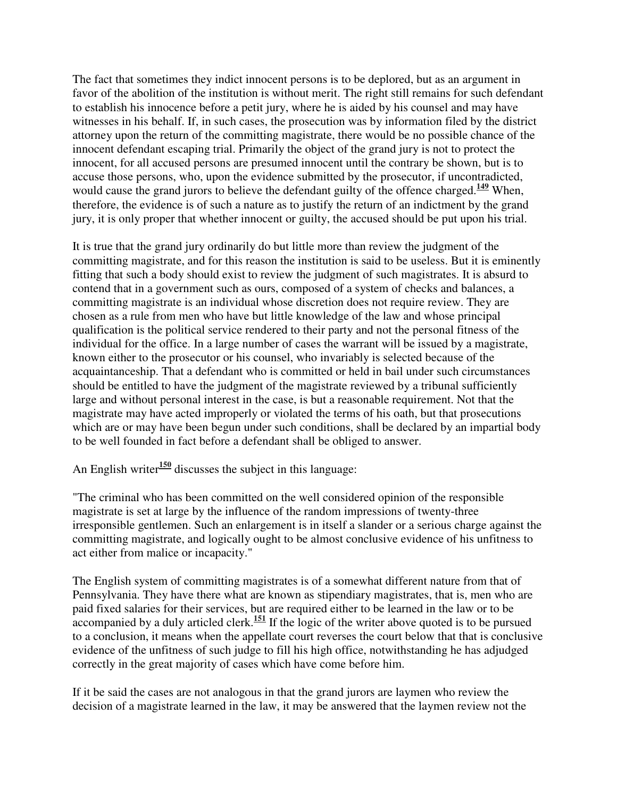The fact that sometimes they indict innocent persons is to be deplored, but as an argument in favor of the abolition of the institution is without merit. The right still remains for such defendant to establish his innocence before a petit jury, where he is aided by his counsel and may have witnesses in his behalf. If, in such cases, the prosecution was by information filed by the district attorney upon the return of the committing magistrate, there would be no possible chance of the innocent defendant escaping trial. Primarily the object of the grand jury is not to protect the innocent, for all accused persons are presumed innocent until the contrary be shown, but is to accuse those persons, who, upon the evidence submitted by the prosecutor, if uncontradicted, would cause the grand jurors to believe the defendant guilty of the offence charged.**<sup>149</sup>** When, therefore, the evidence is of such a nature as to justify the return of an indictment by the grand jury, it is only proper that whether innocent or guilty, the accused should be put upon his trial.

It is true that the grand jury ordinarily do but little more than review the judgment of the committing magistrate, and for this reason the institution is said to be useless. But it is eminently fitting that such a body should exist to review the judgment of such magistrates. It is absurd to contend that in a government such as ours, composed of a system of checks and balances, a committing magistrate is an individual whose discretion does not require review. They are chosen as a rule from men who have but little knowledge of the law and whose principal qualification is the political service rendered to their party and not the personal fitness of the individual for the office. In a large number of cases the warrant will be issued by a magistrate, known either to the prosecutor or his counsel, who invariably is selected because of the acquaintanceship. That a defendant who is committed or held in bail under such circumstances should be entitled to have the judgment of the magistrate reviewed by a tribunal sufficiently large and without personal interest in the case, is but a reasonable requirement. Not that the magistrate may have acted improperly or violated the terms of his oath, but that prosecutions which are or may have been begun under such conditions, shall be declared by an impartial body to be well founded in fact before a defendant shall be obliged to answer.

An English writer<sup>150</sup> discusses the subject in this language:

"The criminal who has been committed on the well considered opinion of the responsible magistrate is set at large by the influence of the random impressions of twenty-three irresponsible gentlemen. Such an enlargement is in itself a slander or a serious charge against the committing magistrate, and logically ought to be almost conclusive evidence of his unfitness to act either from malice or incapacity."

The English system of committing magistrates is of a somewhat different nature from that of Pennsylvania. They have there what are known as stipendiary magistrates, that is, men who are paid fixed salaries for their services, but are required either to be learned in the law or to be accompanied by a duly articled clerk.**<sup>151</sup>** If the logic of the writer above quoted is to be pursued to a conclusion, it means when the appellate court reverses the court below that that is conclusive evidence of the unfitness of such judge to fill his high office, notwithstanding he has adjudged correctly in the great majority of cases which have come before him.

If it be said the cases are not analogous in that the grand jurors are laymen who review the decision of a magistrate learned in the law, it may be answered that the laymen review not the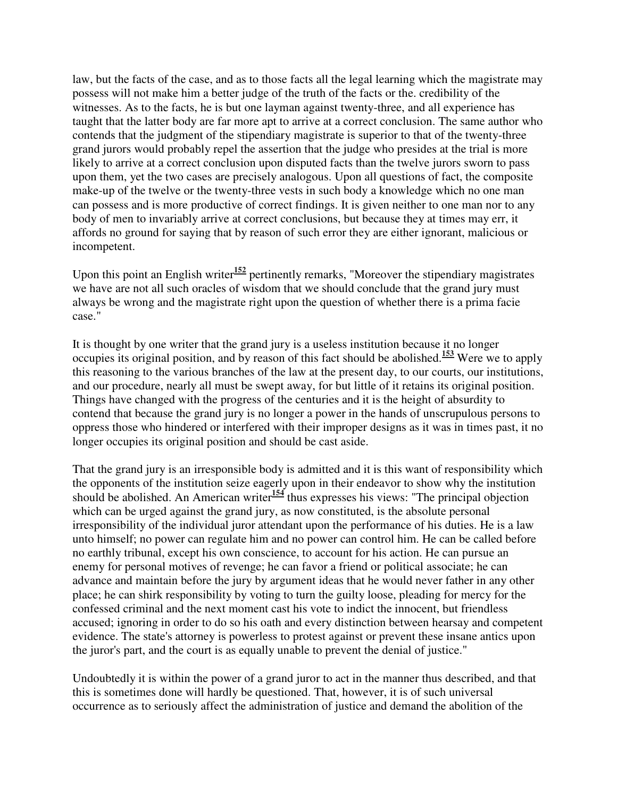law, but the facts of the case, and as to those facts all the legal learning which the magistrate may possess will not make him a better judge of the truth of the facts or the. credibility of the witnesses. As to the facts, he is but one layman against twenty-three, and all experience has taught that the latter body are far more apt to arrive at a correct conclusion. The same author who contends that the judgment of the stipendiary magistrate is superior to that of the twenty-three grand jurors would probably repel the assertion that the judge who presides at the trial is more likely to arrive at a correct conclusion upon disputed facts than the twelve jurors sworn to pass upon them, yet the two cases are precisely analogous. Upon all questions of fact, the composite make-up of the twelve or the twenty-three vests in such body a knowledge which no one man can possess and is more productive of correct findings. It is given neither to one man nor to any body of men to invariably arrive at correct conclusions, but because they at times may err, it affords no ground for saying that by reason of such error they are either ignorant, malicious or incompetent.

Upon this point an English writer<sup>152</sup> pertinently remarks, "Moreover the stipendiary magistrates" we have are not all such oracles of wisdom that we should conclude that the grand jury must always be wrong and the magistrate right upon the question of whether there is a prima facie case."

It is thought by one writer that the grand jury is a useless institution because it no longer occupies its original position, and by reason of this fact should be abolished.**<sup>153</sup>** Were we to apply this reasoning to the various branches of the law at the present day, to our courts, our institutions, and our procedure, nearly all must be swept away, for but little of it retains its original position. Things have changed with the progress of the centuries and it is the height of absurdity to contend that because the grand jury is no longer a power in the hands of unscrupulous persons to oppress those who hindered or interfered with their improper designs as it was in times past, it no longer occupies its original position and should be cast aside.

That the grand jury is an irresponsible body is admitted and it is this want of responsibility which the opponents of the institution seize eagerly upon in their endeavor to show why the institution should be abolished. An American writer<sup>154</sup> thus expresses his views: "The principal objection which can be urged against the grand jury, as now constituted, is the absolute personal irresponsibility of the individual juror attendant upon the performance of his duties. He is a law unto himself; no power can regulate him and no power can control him. He can be called before no earthly tribunal, except his own conscience, to account for his action. He can pursue an enemy for personal motives of revenge; he can favor a friend or political associate; he can advance and maintain before the jury by argument ideas that he would never father in any other place; he can shirk responsibility by voting to turn the guilty loose, pleading for mercy for the confessed criminal and the next moment cast his vote to indict the innocent, but friendless accused; ignoring in order to do so his oath and every distinction between hearsay and competent evidence. The state's attorney is powerless to protest against or prevent these insane antics upon the juror's part, and the court is as equally unable to prevent the denial of justice."

Undoubtedly it is within the power of a grand juror to act in the manner thus described, and that this is sometimes done will hardly be questioned. That, however, it is of such universal occurrence as to seriously affect the administration of justice and demand the abolition of the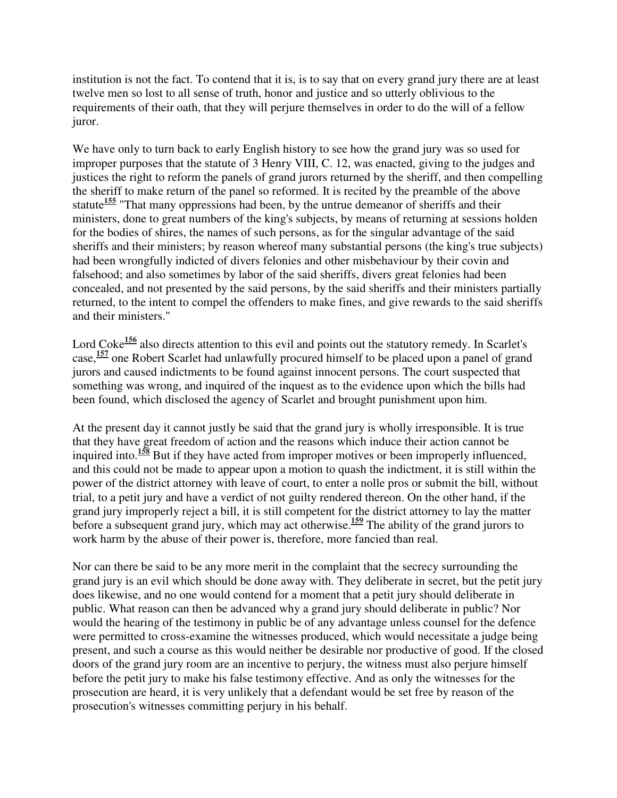institution is not the fact. To contend that it is, is to say that on every grand jury there are at least twelve men so lost to all sense of truth, honor and justice and so utterly oblivious to the requirements of their oath, that they will perjure themselves in order to do the will of a fellow juror.

We have only to turn back to early English history to see how the grand jury was so used for improper purposes that the statute of 3 Henry VIII, C. 12, was enacted, giving to the judges and justices the right to reform the panels of grand jurors returned by the sheriff, and then compelling the sheriff to make return of the panel so reformed. It is recited by the preamble of the above statute<sup>155</sup> "That many oppressions had been, by the untrue demeanor of sheriffs and their ministers, done to great numbers of the king's subjects, by means of returning at sessions holden for the bodies of shires, the names of such persons, as for the singular advantage of the said sheriffs and their ministers; by reason whereof many substantial persons (the king's true subjects) had been wrongfully indicted of divers felonies and other misbehaviour by their covin and falsehood; and also sometimes by labor of the said sheriffs, divers great felonies had been concealed, and not presented by the said persons, by the said sheriffs and their ministers partially returned, to the intent to compel the offenders to make fines, and give rewards to the said sheriffs and their ministers."

Lord Coke<sup>156</sup> also directs attention to this evil and points out the statutory remedy. In Scarlet's case,**<sup>157</sup>** one Robert Scarlet had unlawfully procured himself to be placed upon a panel of grand jurors and caused indictments to be found against innocent persons. The court suspected that something was wrong, and inquired of the inquest as to the evidence upon which the bills had been found, which disclosed the agency of Scarlet and brought punishment upon him.

At the present day it cannot justly be said that the grand jury is wholly irresponsible. It is true that they have great freedom of action and the reasons which induce their action cannot be inquired into.**<sup>158</sup>** But if they have acted from improper motives or been improperly influenced, and this could not be made to appear upon a motion to quash the indictment, it is still within the power of the district attorney with leave of court, to enter a nolle pros or submit the bill, without trial, to a petit jury and have a verdict of not guilty rendered thereon. On the other hand, if the grand jury improperly reject a bill, it is still competent for the district attorney to lay the matter before a subsequent grand jury, which may act otherwise.<sup>159</sup> The ability of the grand jurors to work harm by the abuse of their power is, therefore, more fancied than real.

Nor can there be said to be any more merit in the complaint that the secrecy surrounding the grand jury is an evil which should be done away with. They deliberate in secret, but the petit jury does likewise, and no one would contend for a moment that a petit jury should deliberate in public. What reason can then be advanced why a grand jury should deliberate in public? Nor would the hearing of the testimony in public be of any advantage unless counsel for the defence were permitted to cross-examine the witnesses produced, which would necessitate a judge being present, and such a course as this would neither be desirable nor productive of good. If the closed doors of the grand jury room are an incentive to perjury, the witness must also perjure himself before the petit jury to make his false testimony effective. And as only the witnesses for the prosecution are heard, it is very unlikely that a defendant would be set free by reason of the prosecution's witnesses committing perjury in his behalf.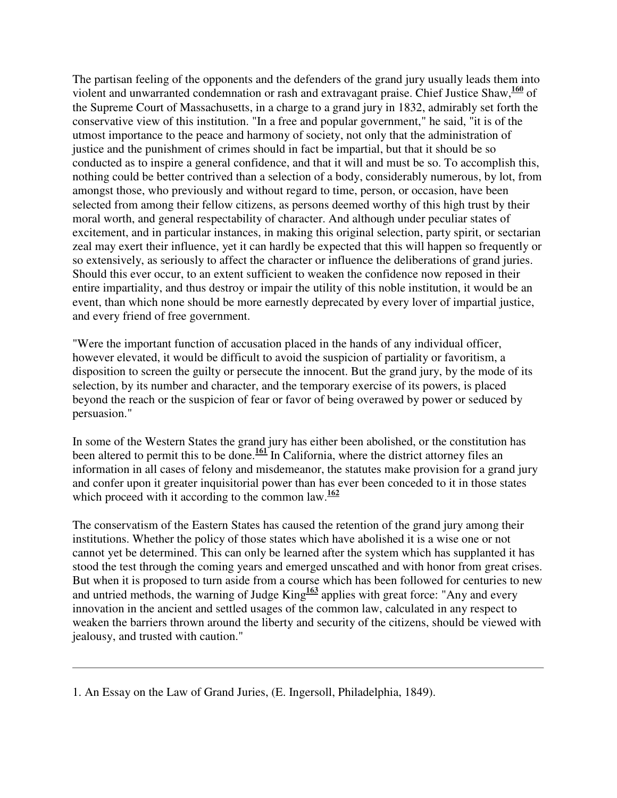The partisan feeling of the opponents and the defenders of the grand jury usually leads them into violent and unwarranted condemnation or rash and extravagant praise. Chief Justice Shaw,**<sup>160</sup>** of the Supreme Court of Massachusetts, in a charge to a grand jury in 1832, admirably set forth the conservative view of this institution. "In a free and popular government," he said, "it is of the utmost importance to the peace and harmony of society, not only that the administration of justice and the punishment of crimes should in fact be impartial, but that it should be so conducted as to inspire a general confidence, and that it will and must be so. To accomplish this, nothing could be better contrived than a selection of a body, considerably numerous, by lot, from amongst those, who previously and without regard to time, person, or occasion, have been selected from among their fellow citizens, as persons deemed worthy of this high trust by their moral worth, and general respectability of character. And although under peculiar states of excitement, and in particular instances, in making this original selection, party spirit, or sectarian zeal may exert their influence, yet it can hardly be expected that this will happen so frequently or so extensively, as seriously to affect the character or influence the deliberations of grand juries. Should this ever occur, to an extent sufficient to weaken the confidence now reposed in their entire impartiality, and thus destroy or impair the utility of this noble institution, it would be an event, than which none should be more earnestly deprecated by every lover of impartial justice, and every friend of free government.

"Were the important function of accusation placed in the hands of any individual officer, however elevated, it would be difficult to avoid the suspicion of partiality or favoritism, a disposition to screen the guilty or persecute the innocent. But the grand jury, by the mode of its selection, by its number and character, and the temporary exercise of its powers, is placed beyond the reach or the suspicion of fear or favor of being overawed by power or seduced by persuasion."

In some of the Western States the grand jury has either been abolished, or the constitution has been altered to permit this to be done.<sup>161</sup> In California, where the district attorney files an information in all cases of felony and misdemeanor, the statutes make provision for a grand jury and confer upon it greater inquisitorial power than has ever been conceded to it in those states which proceed with it according to the common law.<sup>162</sup>

The conservatism of the Eastern States has caused the retention of the grand jury among their institutions. Whether the policy of those states which have abolished it is a wise one or not cannot yet be determined. This can only be learned after the system which has supplanted it has stood the test through the coming years and emerged unscathed and with honor from great crises. But when it is proposed to turn aside from a course which has been followed for centuries to new and untried methods, the warning of Judge King<sup>163</sup> applies with great force: "Any and every innovation in the ancient and settled usages of the common law, calculated in any respect to weaken the barriers thrown around the liberty and security of the citizens, should be viewed with jealousy, and trusted with caution."

<sup>1.</sup> An Essay on the Law of Grand Juries, (E. Ingersoll, Philadelphia, 1849).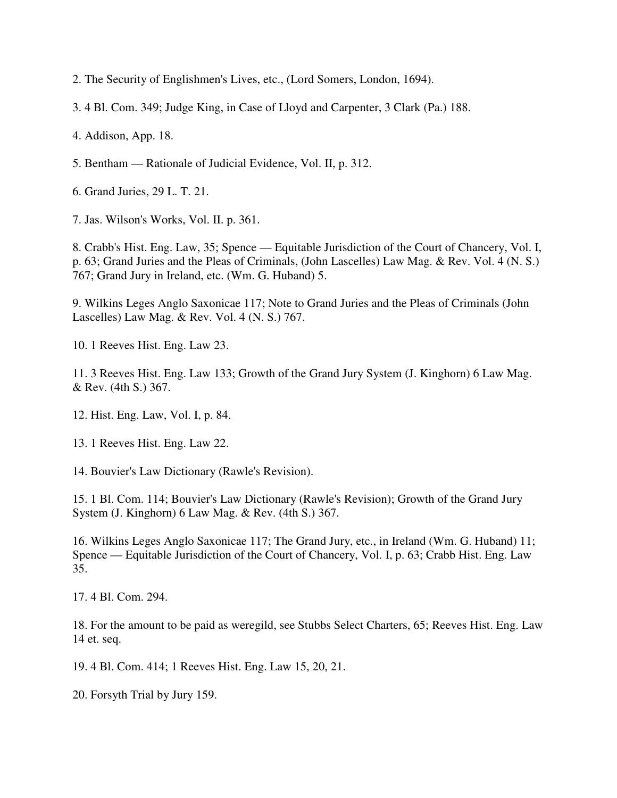2. The Security of Englishmen's Lives, etc., (Lord Somers, London, 1694).

3. 4 Bl. Com. 349; Judge King, in Case of Lloyd and Carpenter, 3 Clark (Pa.) 188.

4. Addison, App. 18.

5. Bentham — Rationale of Judicial Evidence, Vol. II, p. 312.

6. Grand Juries, 29 L. T. 21.

7. Jas. Wilson's Works, Vol. II. p. 361.

8. Crabb's Hist. Eng. Law, 35; Spence — Equitable Jurisdiction of the Court of Chancery, Vol. I, p. 63; Grand Juries and the Pleas of Criminals, (John Lascelles) Law Mag. & Rev. Vol. 4 (N. S.) 767; Grand Jury in Ireland, etc. (Wm. G. Huband) 5.

9. Wilkins Leges Anglo Saxonicae 117; Note to Grand Juries and the Pleas of Criminals (John Lascelles) Law Mag. & Rev. Vol. 4 (N. S.) 767.

10. 1 Reeves Hist. Eng. Law 23.

11. 3 Reeves Hist. Eng. Law 133; Growth of the Grand Jury System (J. Kinghorn) 6 Law Mag. & Rev. (4th S.) 367.

12. Hist. Eng. Law, Vol. I, p. 84.

13. 1 Reeves Hist. Eng. Law 22.

14. Bouvier's Law Dictionary (Rawle's Revision).

15. 1 Bl. Com. 114; Bouvier's Law Dictionary (Rawle's Revision); Growth of the Grand Jury System (J. Kinghorn) 6 Law Mag. & Rev. (4th S.) 367.

16. Wilkins Leges Anglo Saxonicae 117; The Grand Jury, etc., in Ireland (Wm. G. Huband) 11; Spence — Equitable Jurisdiction of the Court of Chancery, Vol. I, p. 63; Crabb Hist. Eng. Law 35.

17. 4 Bl. Com. 294.

18. For the amount to be paid as weregild, see Stubbs Select Charters, 65; Reeves Hist. Eng. Law 14 et. seq.

19. 4 Bl. Com. 414; 1 Reeves Hist. Eng. Law 15, 20, 21.

20. Forsyth Trial by Jury 159.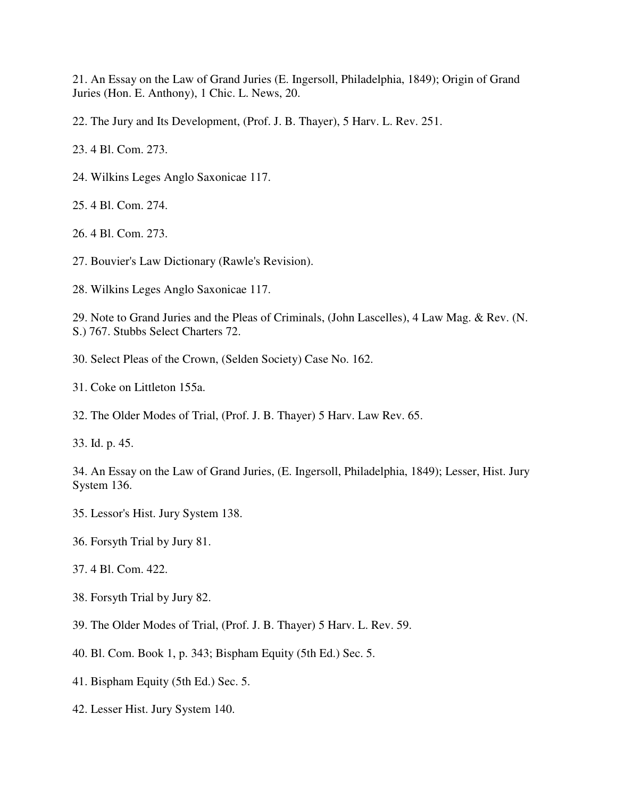21. An Essay on the Law of Grand Juries (E. Ingersoll, Philadelphia, 1849); Origin of Grand Juries (Hon. E. Anthony), 1 Chic. L. News, 20.

22. The Jury and Its Development, (Prof. J. B. Thayer), 5 Harv. L. Rev. 251.

23. 4 Bl. Com. 273.

24. Wilkins Leges Anglo Saxonicae 117.

25. 4 Bl. Com. 274.

26. 4 Bl. Com. 273.

27. Bouvier's Law Dictionary (Rawle's Revision).

28. Wilkins Leges Anglo Saxonicae 117.

29. Note to Grand Juries and the Pleas of Criminals, (John Lascelles), 4 Law Mag. & Rev. (N. S.) 767. Stubbs Select Charters 72.

- 30. Select Pleas of the Crown, (Selden Society) Case No. 162.
- 31. Coke on Littleton 155a.
- 32. The Older Modes of Trial, (Prof. J. B. Thayer) 5 Harv. Law Rev. 65.

33. Id. p. 45.

34. An Essay on the Law of Grand Juries, (E. Ingersoll, Philadelphia, 1849); Lesser, Hist. Jury System 136.

- 35. Lessor's Hist. Jury System 138.
- 36. Forsyth Trial by Jury 81.
- 37. 4 Bl. Com. 422.
- 38. Forsyth Trial by Jury 82.
- 39. The Older Modes of Trial, (Prof. J. B. Thayer) 5 Harv. L. Rev. 59.
- 40. Bl. Com. Book 1, p. 343; Bispham Equity (5th Ed.) Sec. 5.
- 41. Bispham Equity (5th Ed.) Sec. 5.
- 42. Lesser Hist. Jury System 140.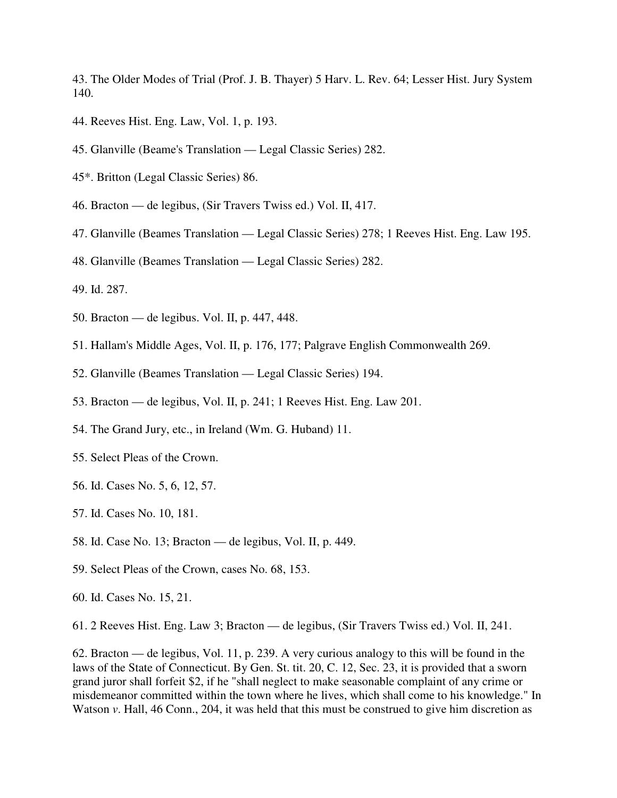43. The Older Modes of Trial (Prof. J. B. Thayer) 5 Harv. L. Rev. 64; Lesser Hist. Jury System 140.

- 44. Reeves Hist. Eng. Law, Vol. 1, p. 193.
- 45. Glanville (Beame's Translation Legal Classic Series) 282.
- 45\*. Britton (Legal Classic Series) 86.
- 46. Bracton de legibus, (Sir Travers Twiss ed.) Vol. II, 417.
- 47. Glanville (Beames Translation Legal Classic Series) 278; 1 Reeves Hist. Eng. Law 195.
- 48. Glanville (Beames Translation Legal Classic Series) 282.
- 49. Id. 287.
- 50. Bracton de legibus. Vol. II, p. 447, 448.
- 51. Hallam's Middle Ages, Vol. II, p. 176, 177; Palgrave English Commonwealth 269.
- 52. Glanville (Beames Translation Legal Classic Series) 194.
- 53. Bracton de legibus, Vol. II, p. 241; 1 Reeves Hist. Eng. Law 201.
- 54. The Grand Jury, etc., in Ireland (Wm. G. Huband) 11.
- 55. Select Pleas of the Crown.
- 56. Id. Cases No. 5, 6, 12, 57.
- 57. Id. Cases No. 10, 181.
- 58. Id. Case No. 13; Bracton de legibus, Vol. II, p. 449.
- 59. Select Pleas of the Crown, cases No. 68, 153.
- 60. Id. Cases No. 15, 21.

61. 2 Reeves Hist. Eng. Law 3; Bracton — de legibus, (Sir Travers Twiss ed.) Vol. II, 241.

62. Bracton — de legibus, Vol. 11, p. 239. A very curious analogy to this will be found in the laws of the State of Connecticut. By Gen. St. tit. 20, C. 12, Sec. 23, it is provided that a sworn grand juror shall forfeit \$2, if he "shall neglect to make seasonable complaint of any crime or misdemeanor committed within the town where he lives, which shall come to his knowledge." In Watson *v*. Hall, 46 Conn., 204, it was held that this must be construed to give him discretion as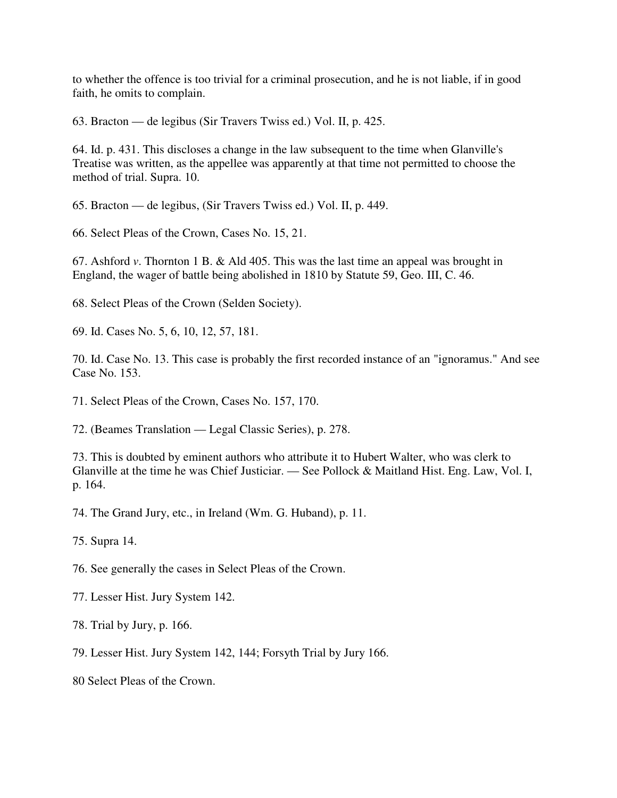to whether the offence is too trivial for a criminal prosecution, and he is not liable, if in good faith, he omits to complain.

63. Bracton — de legibus (Sir Travers Twiss ed.) Vol. II, p. 425.

64. Id. p. 431. This discloses a change in the law subsequent to the time when Glanville's Treatise was written, as the appellee was apparently at that time not permitted to choose the method of trial. Supra. 10.

65. Bracton — de legibus, (Sir Travers Twiss ed.) Vol. II, p. 449.

66. Select Pleas of the Crown, Cases No. 15, 21.

67. Ashford *v*. Thornton 1 B. & Ald 405. This was the last time an appeal was brought in England, the wager of battle being abolished in 1810 by Statute 59, Geo. III, C. 46.

68. Select Pleas of the Crown (Selden Society).

69. Id. Cases No. 5, 6, 10, 12, 57, 181.

70. Id. Case No. 13. This case is probably the first recorded instance of an "ignoramus." And see Case No. 153.

71. Select Pleas of the Crown, Cases No. 157, 170.

72. (Beames Translation — Legal Classic Series), p. 278.

73. This is doubted by eminent authors who attribute it to Hubert Walter, who was clerk to Glanville at the time he was Chief Justiciar. — See Pollock & Maitland Hist. Eng. Law, Vol. I, p. 164.

74. The Grand Jury, etc., in Ireland (Wm. G. Huband), p. 11.

75. Supra 14.

76. See generally the cases in Select Pleas of the Crown.

77. Lesser Hist. Jury System 142.

78. Trial by Jury, p. 166.

79. Lesser Hist. Jury System 142, 144; Forsyth Trial by Jury 166.

80 Select Pleas of the Crown.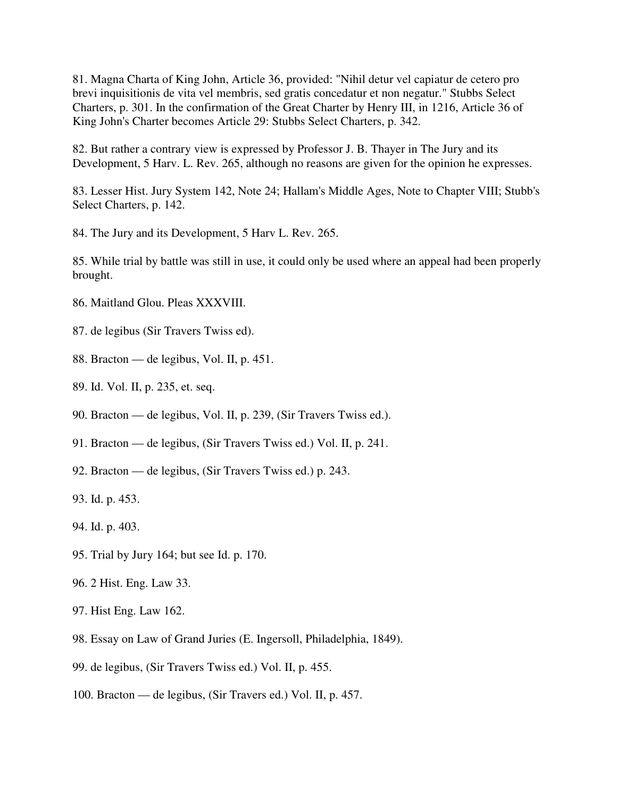81. Magna Charta of King John, Article 36, provided: "Nihil detur vel capiatur de cetero pro brevi inquisitionis de vita vel membris, sed gratis concedatur et non negatur." Stubbs Select Charters, p. 301. In the confirmation of the Great Charter by Henry III, in 1216, Article 36 of King John's Charter becomes Article 29: Stubbs Select Charters, p. 342.

82. But rather a contrary view is expressed by Professor J. B. Thayer in The Jury and its Development, 5 Harv. L. Rev. 265, although no reasons are given for the opinion he expresses.

83. Lesser Hist. Jury System 142, Note 24; Hallam's Middle Ages, Note to Chapter VIII; Stubb's Select Charters, p. 142.

84. The Jury and its Development, 5 Harv L. Rev. 265.

85. While trial by battle was still in use, it could only be used where an appeal had been properly brought.

- 86. Maitland Glou. Pleas XXXVIII.
- 87. de legibus (Sir Travers Twiss ed).
- 88. Bracton de legibus, Vol. II, p. 451.
- 89. Id. Vol. II, p. 235, et. seq.
- 90. Bracton de legibus, Vol. II, p. 239, (Sir Travers Twiss ed.).
- 91. Bracton de legibus, (Sir Travers Twiss ed.) Vol. II, p. 241.
- 92. Bracton de legibus, (Sir Travers Twiss ed.) p. 243.
- 93. Id. p. 453.
- 94. Id. p. 403.
- 95. Trial by Jury 164; but see Id. p. 170.
- 96. 2 Hist. Eng. Law 33.
- 97. Hist Eng. Law 162.
- 98. Essay on Law of Grand Juries (E. Ingersoll, Philadelphia, 1849).
- 99. de legibus, (Sir Travers Twiss ed.) Vol. II, p. 455.
- 100. Bracton de legibus, (Sir Travers ed.) Vol. II, p. 457.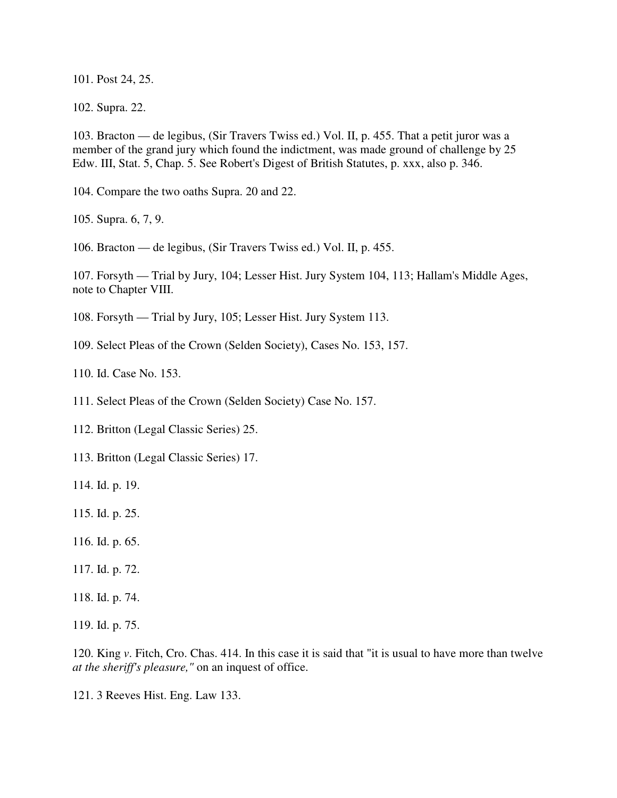101. Post 24, 25.

102. Supra. 22.

103. Bracton — de legibus, (Sir Travers Twiss ed.) Vol. II, p. 455. That a petit juror was a member of the grand jury which found the indictment, was made ground of challenge by 25 Edw. III, Stat. 5, Chap. 5. See Robert's Digest of British Statutes, p. xxx, also p. 346.

104. Compare the two oaths Supra. 20 and 22.

105. Supra. 6, 7, 9.

106. Bracton — de legibus, (Sir Travers Twiss ed.) Vol. II, p. 455.

107. Forsyth — Trial by Jury, 104; Lesser Hist. Jury System 104, 113; Hallam's Middle Ages, note to Chapter VIII.

108. Forsyth — Trial by Jury, 105; Lesser Hist. Jury System 113.

109. Select Pleas of the Crown (Selden Society), Cases No. 153, 157.

110. Id. Case No. 153.

111. Select Pleas of the Crown (Selden Society) Case No. 157.

112. Britton (Legal Classic Series) 25.

113. Britton (Legal Classic Series) 17.

114. Id. p. 19.

115. Id. p. 25.

116. Id. p. 65.

117. Id. p. 72.

118. Id. p. 74.

119. Id. p. 75.

120. King *v*. Fitch, Cro. Chas. 414. In this case it is said that "it is usual to have more than twelve *at the sheriff's pleasure,"* on an inquest of office.

121. 3 Reeves Hist. Eng. Law 133.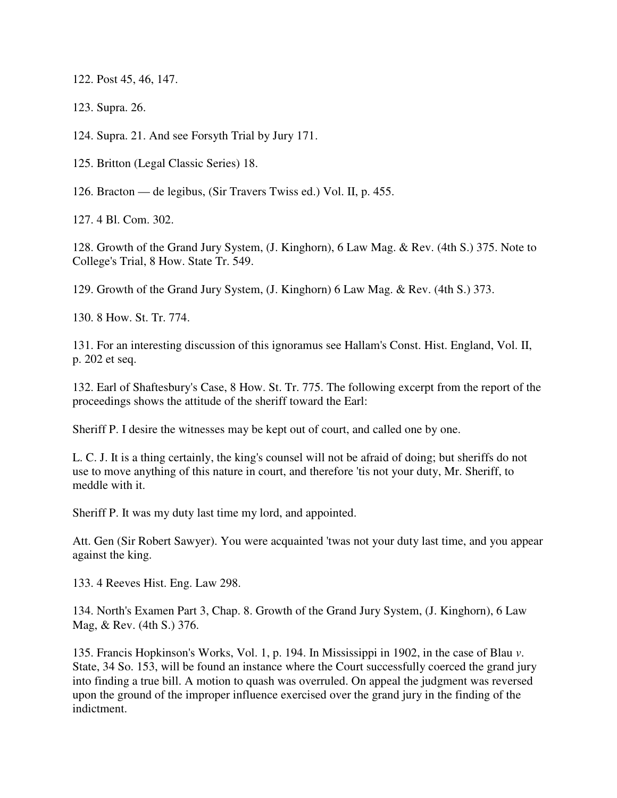122. Post 45, 46, 147.

123. Supra. 26.

124. Supra. 21. And see Forsyth Trial by Jury 171.

125. Britton (Legal Classic Series) 18.

126. Bracton — de legibus, (Sir Travers Twiss ed.) Vol. II, p. 455.

127. 4 Bl. Com. 302.

128. Growth of the Grand Jury System, (J. Kinghorn), 6 Law Mag. & Rev. (4th S.) 375. Note to College's Trial, 8 How. State Tr. 549.

129. Growth of the Grand Jury System, (J. Kinghorn) 6 Law Mag. & Rev. (4th S.) 373.

130. 8 How. St. Tr. 774.

131. For an interesting discussion of this ignoramus see Hallam's Const. Hist. England, Vol. II, p. 202 et seq.

132. Earl of Shaftesbury's Case, 8 How. St. Tr. 775. The following excerpt from the report of the proceedings shows the attitude of the sheriff toward the Earl:

Sheriff P. I desire the witnesses may be kept out of court, and called one by one.

L. C. J. It is a thing certainly, the king's counsel will not be afraid of doing; but sheriffs do not use to move anything of this nature in court, and therefore 'tis not your duty, Mr. Sheriff, to meddle with it.

Sheriff P. It was my duty last time my lord, and appointed.

Att. Gen (Sir Robert Sawyer). You were acquainted 'twas not your duty last time, and you appear against the king.

133. 4 Reeves Hist. Eng. Law 298.

134. North's Examen Part 3, Chap. 8. Growth of the Grand Jury System, (J. Kinghorn), 6 Law Mag, & Rev. (4th S.) 376.

135. Francis Hopkinson's Works, Vol. 1, p. 194. In Mississippi in 1902, in the case of Blau *v*. State, 34 So. 153, will be found an instance where the Court successfully coerced the grand jury into finding a true bill. A motion to quash was overruled. On appeal the judgment was reversed upon the ground of the improper influence exercised over the grand jury in the finding of the indictment.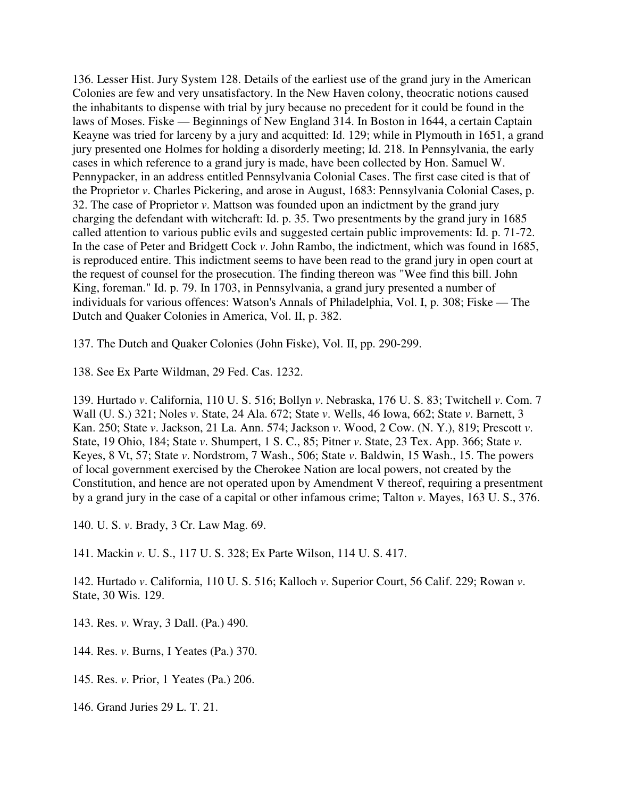136. Lesser Hist. Jury System 128. Details of the earliest use of the grand jury in the American Colonies are few and very unsatisfactory. In the New Haven colony, theocratic notions caused the inhabitants to dispense with trial by jury because no precedent for it could be found in the laws of Moses. Fiske — Beginnings of New England 314. In Boston in 1644, a certain Captain Keayne was tried for larceny by a jury and acquitted: Id. 129; while in Plymouth in 1651, a grand jury presented one Holmes for holding a disorderly meeting; Id. 218. In Pennsylvania, the early cases in which reference to a grand jury is made, have been collected by Hon. Samuel W. Pennypacker, in an address entitled Pennsylvania Colonial Cases. The first case cited is that of the Proprietor *v*. Charles Pickering, and arose in August, 1683: Pennsylvania Colonial Cases, p. 32. The case of Proprietor *v*. Mattson was founded upon an indictment by the grand jury charging the defendant with witchcraft: Id. p. 35. Two presentments by the grand jury in 1685 called attention to various public evils and suggested certain public improvements: Id. p. 71-72. In the case of Peter and Bridgett Cock *v*. John Rambo, the indictment, which was found in 1685, is reproduced entire. This indictment seems to have been read to the grand jury in open court at the request of counsel for the prosecution. The finding thereon was "Wee find this bill. John King, foreman." Id. p. 79. In 1703, in Pennsylvania, a grand jury presented a number of individuals for various offences: Watson's Annals of Philadelphia, Vol. I, p. 308; Fiske — The Dutch and Quaker Colonies in America, Vol. II, p. 382.

137. The Dutch and Quaker Colonies (John Fiske), Vol. II, pp. 290-299.

138. See Ex Parte Wildman, 29 Fed. Cas. 1232.

139. Hurtado *v*. California, 110 U. S. 516; Bollyn *v*. Nebraska, 176 U. S. 83; Twitchell *v*. Com. 7 Wall (U. S.) 321; Noles *v*. State, 24 Ala. 672; State *v*. Wells, 46 Iowa, 662; State *v*. Barnett, 3 Kan. 250; State *v*. Jackson, 21 La. Ann. 574; Jackson *v*. Wood, 2 Cow. (N. Y.), 819; Prescott *v*. State, 19 Ohio, 184; State *v*. Shumpert, 1 S. C., 85; Pitner *v*. State, 23 Tex. App. 366; State *v*. Keyes, 8 Vt, 57; State *v*. Nordstrom, 7 Wash., 506; State *v*. Baldwin, 15 Wash., 15. The powers of local government exercised by the Cherokee Nation are local powers, not created by the Constitution, and hence are not operated upon by Amendment V thereof, requiring a presentment by a grand jury in the case of a capital or other infamous crime; Talton *v*. Mayes, 163 U. S., 376.

140. U. S. *v*. Brady, 3 Cr. Law Mag. 69.

141. Mackin *v*. U. S., 117 U. S. 328; Ex Parte Wilson, 114 U. S. 417.

142. Hurtado *v*. California, 110 U. S. 516; Kalloch *v*. Superior Court, 56 Calif. 229; Rowan *v*. State, 30 Wis. 129.

143. Res. *v*. Wray, 3 Dall. (Pa.) 490.

144. Res. *v*. Burns, I Yeates (Pa.) 370.

145. Res. *v*. Prior, 1 Yeates (Pa.) 206.

146. Grand Juries 29 L. T. 21.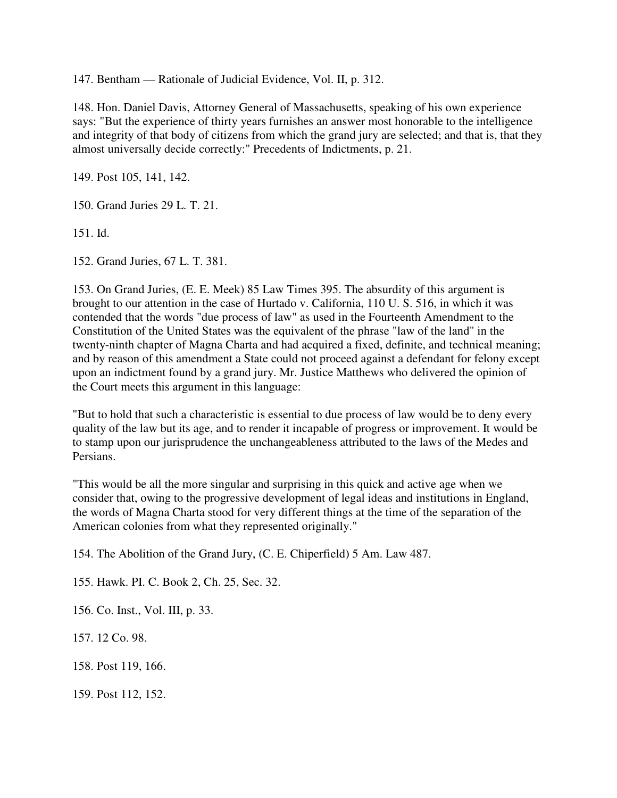147. Bentham — Rationale of Judicial Evidence, Vol. II, p. 312.

148. Hon. Daniel Davis, Attorney General of Massachusetts, speaking of his own experience says: "But the experience of thirty years furnishes an answer most honorable to the intelligence and integrity of that body of citizens from which the grand jury are selected; and that is, that they almost universally decide correctly:" Precedents of Indictments, p. 21.

149. Post 105, 141, 142.

150. Grand Juries 29 L. T. 21.

151. Id.

152. Grand Juries, 67 L. T. 381.

153. On Grand Juries, (E. E. Meek) 85 Law Times 395. The absurdity of this argument is brought to our attention in the case of Hurtado v. California, 110 U. S. 516, in which it was contended that the words "due process of law" as used in the Fourteenth Amendment to the Constitution of the United States was the equivalent of the phrase "law of the land" in the twenty-ninth chapter of Magna Charta and had acquired a fixed, definite, and technical meaning; and by reason of this amendment a State could not proceed against a defendant for felony except upon an indictment found by a grand jury. Mr. Justice Matthews who delivered the opinion of the Court meets this argument in this language:

"But to hold that such a characteristic is essential to due process of law would be to deny every quality of the law but its age, and to render it incapable of progress or improvement. It would be to stamp upon our jurisprudence the unchangeableness attributed to the laws of the Medes and Persians.

"This would be all the more singular and surprising in this quick and active age when we consider that, owing to the progressive development of legal ideas and institutions in England, the words of Magna Charta stood for very different things at the time of the separation of the American colonies from what they represented originally."

154. The Abolition of the Grand Jury, (C. E. Chiperfield) 5 Am. Law 487.

155. Hawk. PI. C. Book 2, Ch. 25, Sec. 32.

156. Co. Inst., Vol. III, p. 33.

157. 12 Co. 98.

158. Post 119, 166.

159. Post 112, 152.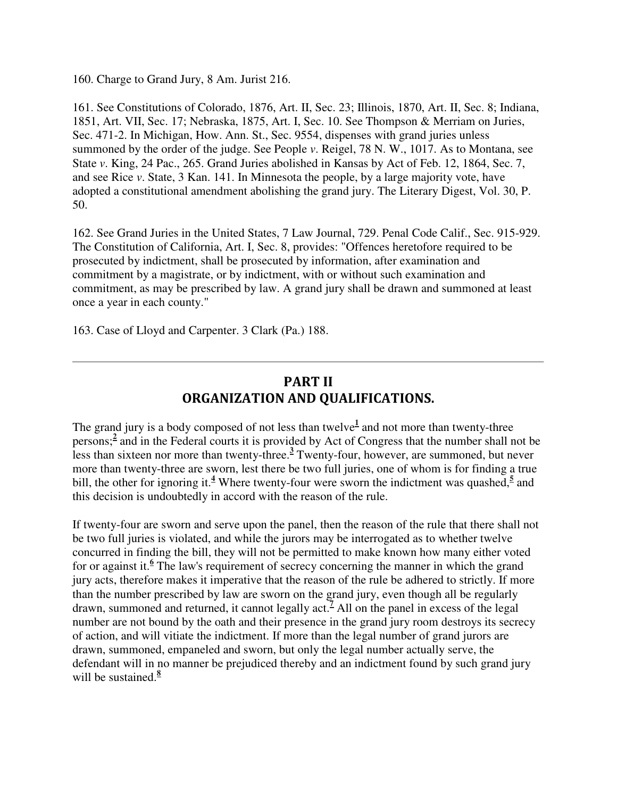160. Charge to Grand Jury, 8 Am. Jurist 216.

161. See Constitutions of Colorado, 1876, Art. II, Sec. 23; Illinois, 1870, Art. II, Sec. 8; Indiana, 1851, Art. VII, Sec. 17; Nebraska, 1875, Art. I, Sec. 10. See Thompson & Merriam on Juries, Sec. 471-2. In Michigan, How. Ann. St., Sec. 9554, dispenses with grand juries unless summoned by the order of the judge. See People *v*. Reigel, 78 N. W., 1017. As to Montana, see State *v*. King, 24 Pac., 265. Grand Juries abolished in Kansas by Act of Feb. 12, 1864, Sec. 7, and see Rice *v*. State, 3 Kan. 141. In Minnesota the people, by a large majority vote, have adopted a constitutional amendment abolishing the grand jury. The Literary Digest, Vol. 30, P. 50.

162. See Grand Juries in the United States, 7 Law Journal, 729. Penal Code Calif., Sec. 915-929. The Constitution of California, Art. I, Sec. 8, provides: "Offences heretofore required to be prosecuted by indictment, shall be prosecuted by information, after examination and commitment by a magistrate, or by indictment, with or without such examination and commitment, as may be prescribed by law. A grand jury shall be drawn and summoned at least once a year in each county."

163. Case of Lloyd and Carpenter. 3 Clark (Pa.) 188.

## PART II ORGANIZATION AND QUALIFICATIONS.

The grand jury is a body composed of not less than twelve<sup>1</sup> and not more than twenty-three persons;<sup>2</sup> and in the Federal courts it is provided by Act of Congress that the number shall not be less than sixteen nor more than twenty-three.**<sup>3</sup>** Twenty-four, however, are summoned, but never more than twenty-three are sworn, lest there be two full juries, one of whom is for finding a true bill, the other for ignoring it.<sup>4</sup> Where twenty-four were sworn the indictment was quashed,<sup>5</sup> and this decision is undoubtedly in accord with the reason of the rule.

If twenty-four are sworn and serve upon the panel, then the reason of the rule that there shall not be two full juries is violated, and while the jurors may be interrogated as to whether twelve concurred in finding the bill, they will not be permitted to make known how many either voted for or against it.<sup>6</sup> The law's requirement of secrecy concerning the manner in which the grand jury acts, therefore makes it imperative that the reason of the rule be adhered to strictly. If more than the number prescribed by law are sworn on the grand jury, even though all be regularly drawn, summoned and returned, it cannot legally act. **7** All on the panel in excess of the legal number are not bound by the oath and their presence in the grand jury room destroys its secrecy of action, and will vitiate the indictment. If more than the legal number of grand jurors are drawn, summoned, empaneled and sworn, but only the legal number actually serve, the defendant will in no manner be prejudiced thereby and an indictment found by such grand jury will be sustained.**<sup>8</sup>**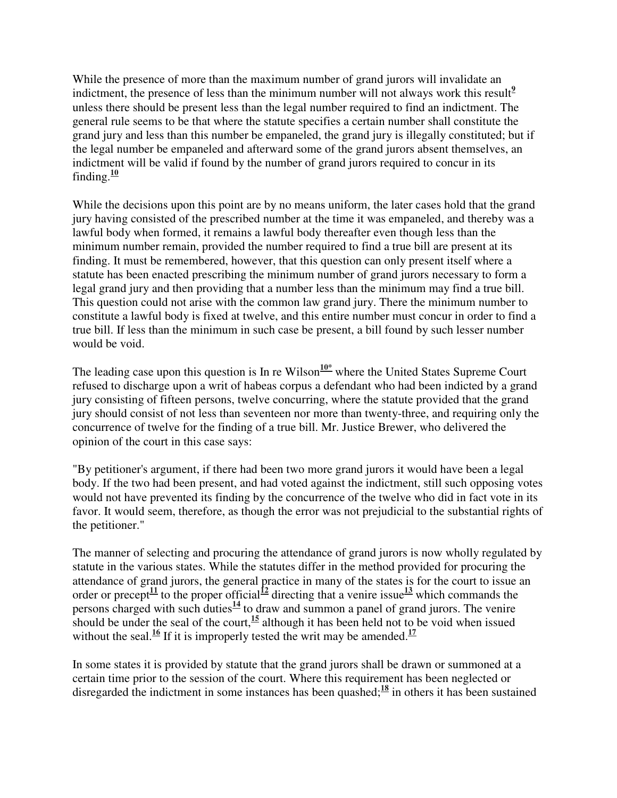While the presence of more than the maximum number of grand jurors will invalidate an indictment, the presence of less than the minimum number will not always work this result<sup>2</sup> unless there should be present less than the legal number required to find an indictment. The general rule seems to be that where the statute specifies a certain number shall constitute the grand jury and less than this number be empaneled, the grand jury is illegally constituted; but if the legal number be empaneled and afterward some of the grand jurors absent themselves, an indictment will be valid if found by the number of grand jurors required to concur in its finding. $\frac{10}{2}$ 

While the decisions upon this point are by no means uniform, the later cases hold that the grand jury having consisted of the prescribed number at the time it was empaneled, and thereby was a lawful body when formed, it remains a lawful body thereafter even though less than the minimum number remain, provided the number required to find a true bill are present at its finding. It must be remembered, however, that this question can only present itself where a statute has been enacted prescribing the minimum number of grand jurors necessary to form a legal grand jury and then providing that a number less than the minimum may find a true bill. This question could not arise with the common law grand jury. There the minimum number to constitute a lawful body is fixed at twelve, and this entire number must concur in order to find a true bill. If less than the minimum in such case be present, a bill found by such lesser number would be void.

The leading case upon this question is In re Wilson<sup> $10*$ </sup> where the United States Supreme Court refused to discharge upon a writ of habeas corpus a defendant who had been indicted by a grand jury consisting of fifteen persons, twelve concurring, where the statute provided that the grand jury should consist of not less than seventeen nor more than twenty-three, and requiring only the concurrence of twelve for the finding of a true bill. Mr. Justice Brewer, who delivered the opinion of the court in this case says:

"By petitioner's argument, if there had been two more grand jurors it would have been a legal body. If the two had been present, and had voted against the indictment, still such opposing votes would not have prevented its finding by the concurrence of the twelve who did in fact vote in its favor. It would seem, therefore, as though the error was not prejudicial to the substantial rights of the petitioner."

The manner of selecting and procuring the attendance of grand jurors is now wholly regulated by statute in the various states. While the statutes differ in the method provided for procuring the attendance of grand jurors, the general practice in many of the states is for the court to issue an order or precept<sup>11</sup> to the proper official<sup>12</sup> directing that a venire issue<sup>13</sup> which commands the persons charged with such duties $\frac{14}{1}$  to draw and summon a panel of grand jurors. The venire should be under the seal of the court,  $\frac{15}{15}$  although it has been held not to be void when issued without the seal.<sup>16</sup> If it is improperly tested the writ may be amended.<sup>17</sup>

In some states it is provided by statute that the grand jurors shall be drawn or summoned at a certain time prior to the session of the court. Where this requirement has been neglected or disregarded the indictment in some instances has been quashed;<sup>18</sup> in others it has been sustained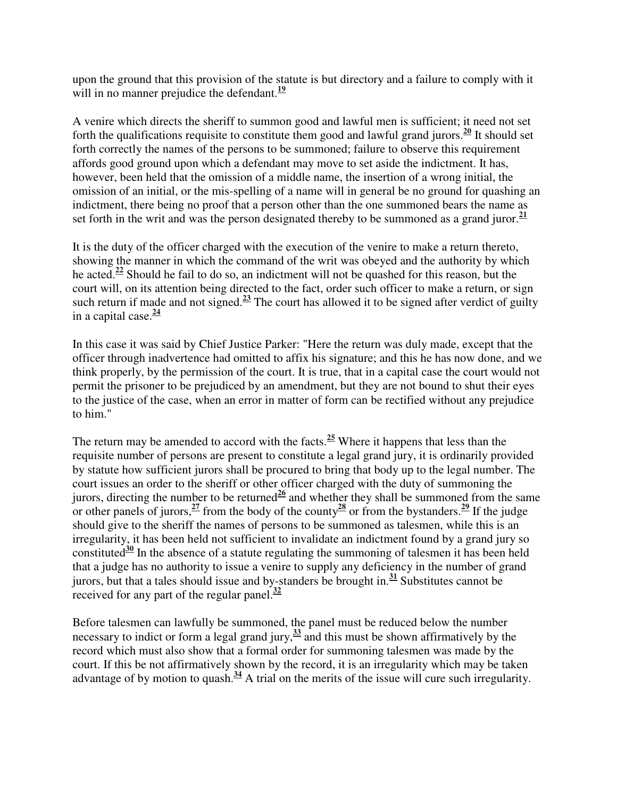upon the ground that this provision of the statute is but directory and a failure to comply with it will in no manner prejudice the defendant.<sup>19</sup>

A venire which directs the sheriff to summon good and lawful men is sufficient; it need not set forth the qualifications requisite to constitute them good and lawful grand jurors.<sup>20</sup> It should set forth correctly the names of the persons to be summoned; failure to observe this requirement affords good ground upon which a defendant may move to set aside the indictment. It has, however, been held that the omission of a middle name, the insertion of a wrong initial, the omission of an initial, or the mis-spelling of a name will in general be no ground for quashing an indictment, there being no proof that a person other than the one summoned bears the name as set forth in the writ and was the person designated thereby to be summoned as a grand juror. $\frac{21}{2}$ 

It is the duty of the officer charged with the execution of the venire to make a return thereto, showing the manner in which the command of the writ was obeyed and the authority by which he acted.**<sup>22</sup>** Should he fail to do so, an indictment will not be quashed for this reason, but the court will, on its attention being directed to the fact, order such officer to make a return, or sign such return if made and not signed.**<sup>23</sup>** The court has allowed it to be signed after verdict of guilty in a capital case.**<sup>24</sup>**

In this case it was said by Chief Justice Parker: "Here the return was duly made, except that the officer through inadvertence had omitted to affix his signature; and this he has now done, and we think properly, by the permission of the court. It is true, that in a capital case the court would not permit the prisoner to be prejudiced by an amendment, but they are not bound to shut their eyes to the justice of the case, when an error in matter of form can be rectified without any prejudice to him."

The return may be amended to accord with the facts.**<sup>25</sup>** Where it happens that less than the requisite number of persons are present to constitute a legal grand jury, it is ordinarily provided by statute how sufficient jurors shall be procured to bring that body up to the legal number. The court issues an order to the sheriff or other officer charged with the duty of summoning the jurors, directing the number to be returned<sup>26</sup> and whether they shall be summoned from the same or other panels of jurors,  $\frac{27}{27}$  from the body of the county  $\frac{28}{20}$  or from the bystanders.  $\frac{29}{21}$  If the judge should give to the sheriff the names of persons to be summoned as talesmen, while this is an irregularity, it has been held not sufficient to invalidate an indictment found by a grand jury so constituted<sup>30</sup> In the absence of a statute regulating the summoning of talesmen it has been held that a judge has no authority to issue a venire to supply any deficiency in the number of grand jurors, but that a tales should issue and by-standers be brought in.**<sup>31</sup>** Substitutes cannot be received for any part of the regular panel.**<sup>32</sup>**

Before talesmen can lawfully be summoned, the panel must be reduced below the number necessary to indict or form a legal grand jury,**<sup>33</sup>** and this must be shown affirmatively by the record which must also show that a formal order for summoning talesmen was made by the court. If this be not affirmatively shown by the record, it is an irregularity which may be taken advantage of by motion to quash.**<sup>34</sup>** A trial on the merits of the issue will cure such irregularity.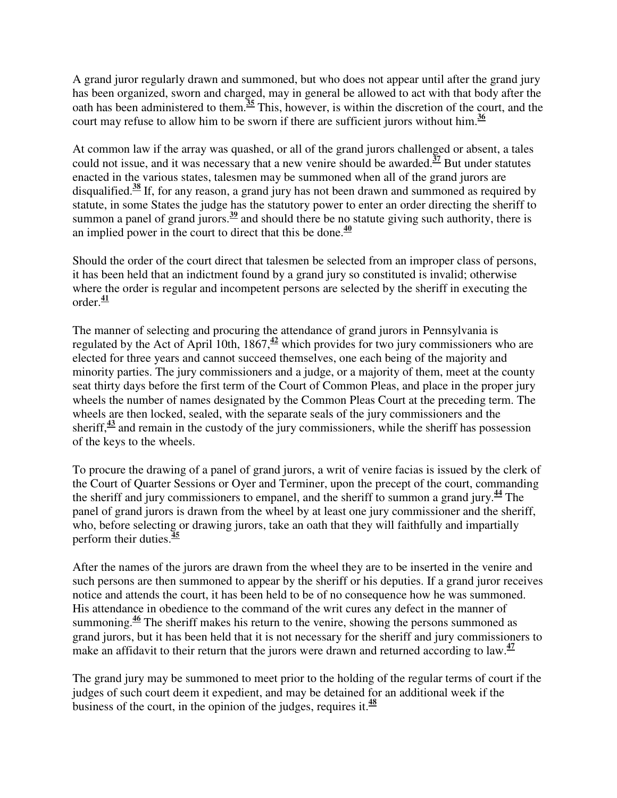A grand juror regularly drawn and summoned, but who does not appear until after the grand jury has been organized, sworn and charged, may in general be allowed to act with that body after the oath has been administered to them.**<sup>35</sup>** This, however, is within the discretion of the court, and the court may refuse to allow him to be sworn if there are sufficient jurors without him.**<sup>36</sup>**

At common law if the array was quashed, or all of the grand jurors challenged or absent, a tales could not issue, and it was necessary that a new venire should be awarded.**<sup>37</sup>** But under statutes enacted in the various states, talesmen may be summoned when all of the grand jurors are disqualified.**<sup>38</sup>** If, for any reason, a grand jury has not been drawn and summoned as required by statute, in some States the judge has the statutory power to enter an order directing the sheriff to summon a panel of grand jurors.<sup>39</sup> and should there be no statute giving such authority, there is an implied power in the court to direct that this be done.**<sup>40</sup>**

Should the order of the court direct that talesmen be selected from an improper class of persons, it has been held that an indictment found by a grand jury so constituted is invalid; otherwise where the order is regular and incompetent persons are selected by the sheriff in executing the  $\alpha$ rder<sup> $41$ </sup>

The manner of selecting and procuring the attendance of grand jurors in Pennsylvania is regulated by the Act of April 10th, 1867,<sup>42</sup> which provides for two jury commissioners who are elected for three years and cannot succeed themselves, one each being of the majority and minority parties. The jury commissioners and a judge, or a majority of them, meet at the county seat thirty days before the first term of the Court of Common Pleas, and place in the proper jury wheels the number of names designated by the Common Pleas Court at the preceding term. The wheels are then locked, sealed, with the separate seals of the jury commissioners and the sheriff,**<sup>43</sup>** and remain in the custody of the jury commissioners, while the sheriff has possession of the keys to the wheels.

To procure the drawing of a panel of grand jurors, a writ of venire facias is issued by the clerk of the Court of Quarter Sessions or Oyer and Terminer, upon the precept of the court, commanding the sheriff and jury commissioners to empanel, and the sheriff to summon a grand jury.**<sup>44</sup>** The panel of grand jurors is drawn from the wheel by at least one jury commissioner and the sheriff, who, before selecting or drawing jurors, take an oath that they will faithfully and impartially perform their duties.**<sup>45</sup>**

After the names of the jurors are drawn from the wheel they are to be inserted in the venire and such persons are then summoned to appear by the sheriff or his deputies. If a grand juror receives notice and attends the court, it has been held to be of no consequence how he was summoned. His attendance in obedience to the command of the writ cures any defect in the manner of summoning.**<sup>46</sup>** The sheriff makes his return to the venire, showing the persons summoned as grand jurors, but it has been held that it is not necessary for the sheriff and jury commissioners to make an affidavit to their return that the jurors were drawn and returned according to law.<sup>47</sup>

The grand jury may be summoned to meet prior to the holding of the regular terms of court if the judges of such court deem it expedient, and may be detained for an additional week if the business of the court, in the opinion of the judges, requires it.**<sup>48</sup>**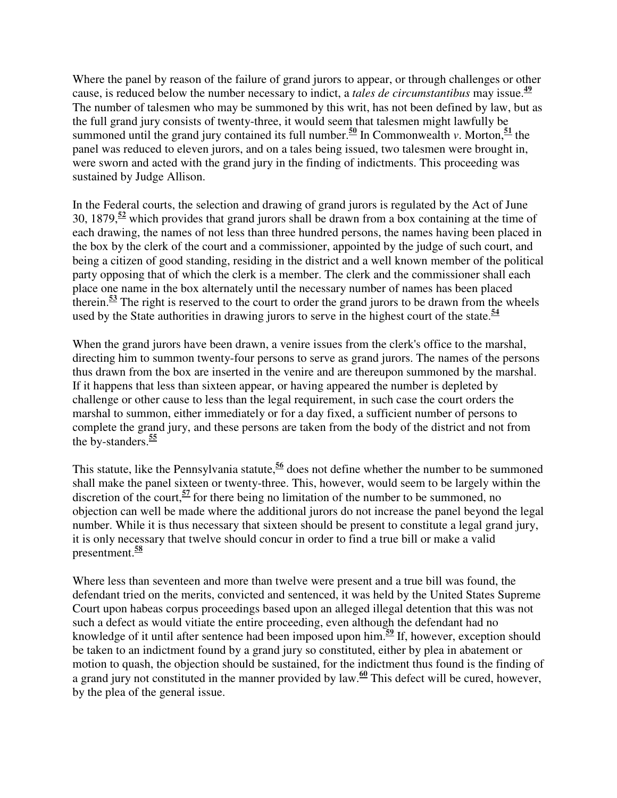Where the panel by reason of the failure of grand jurors to appear, or through challenges or other cause, is reduced below the number necessary to indict, a *tales de circumstantibus* may issue.**<sup>49</sup>** The number of talesmen who may be summoned by this writ, has not been defined by law, but as the full grand jury consists of twenty-three, it would seem that talesmen might lawfully be summoned until the grand jury contained its full number.<sup>50</sup> In Commonwealth *v*. Morton,<sup>51</sup> the panel was reduced to eleven jurors, and on a tales being issued, two talesmen were brought in, were sworn and acted with the grand jury in the finding of indictments. This proceeding was sustained by Judge Allison.

In the Federal courts, the selection and drawing of grand jurors is regulated by the Act of June 30, 1879,**<sup>52</sup>** which provides that grand jurors shall be drawn from a box containing at the time of each drawing, the names of not less than three hundred persons, the names having been placed in the box by the clerk of the court and a commissioner, appointed by the judge of such court, and being a citizen of good standing, residing in the district and a well known member of the political party opposing that of which the clerk is a member. The clerk and the commissioner shall each place one name in the box alternately until the necessary number of names has been placed therein.**<sup>53</sup>** The right is reserved to the court to order the grand jurors to be drawn from the wheels used by the State authorities in drawing jurors to serve in the highest court of the state.**<sup>54</sup>**

When the grand jurors have been drawn, a venire issues from the clerk's office to the marshal, directing him to summon twenty-four persons to serve as grand jurors. The names of the persons thus drawn from the box are inserted in the venire and are thereupon summoned by the marshal. If it happens that less than sixteen appear, or having appeared the number is depleted by challenge or other cause to less than the legal requirement, in such case the court orders the marshal to summon, either immediately or for a day fixed, a sufficient number of persons to complete the grand jury, and these persons are taken from the body of the district and not from the by-standers.**<sup>55</sup>**

This statute, like the Pennsylvania statute,**<sup>56</sup>** does not define whether the number to be summoned shall make the panel sixteen or twenty-three. This, however, would seem to be largely within the discretion of the court,<sup>57</sup> for there being no limitation of the number to be summoned, no objection can well be made where the additional jurors do not increase the panel beyond the legal number. While it is thus necessary that sixteen should be present to constitute a legal grand jury, it is only necessary that twelve should concur in order to find a true bill or make a valid presentment.**<sup>58</sup>**

Where less than seventeen and more than twelve were present and a true bill was found, the defendant tried on the merits, convicted and sentenced, it was held by the United States Supreme Court upon habeas corpus proceedings based upon an alleged illegal detention that this was not such a defect as would vitiate the entire proceeding, even although the defendant had no knowledge of it until after sentence had been imposed upon him.**<sup>59</sup>** If, however, exception should be taken to an indictment found by a grand jury so constituted, either by plea in abatement or motion to quash, the objection should be sustained, for the indictment thus found is the finding of a grand jury not constituted in the manner provided by law.**<sup>60</sup>** This defect will be cured, however, by the plea of the general issue.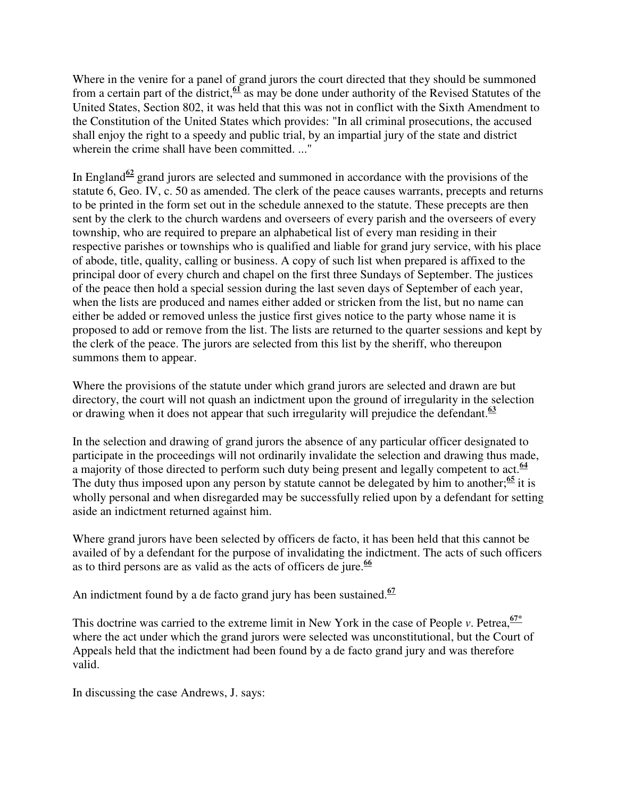Where in the venire for a panel of grand jurors the court directed that they should be summoned from a certain part of the district,**<sup>61</sup>** as may be done under authority of the Revised Statutes of the United States, Section 802, it was held that this was not in conflict with the Sixth Amendment to the Constitution of the United States which provides: "In all criminal prosecutions, the accused shall enjoy the right to a speedy and public trial, by an impartial jury of the state and district wherein the crime shall have been committed. ..."

In England<sup> $62$ </sup> grand jurors are selected and summoned in accordance with the provisions of the statute 6, Geo. IV, c. 50 as amended. The clerk of the peace causes warrants, precepts and returns to be printed in the form set out in the schedule annexed to the statute. These precepts are then sent by the clerk to the church wardens and overseers of every parish and the overseers of every township, who are required to prepare an alphabetical list of every man residing in their respective parishes or townships who is qualified and liable for grand jury service, with his place of abode, title, quality, calling or business. A copy of such list when prepared is affixed to the principal door of every church and chapel on the first three Sundays of September. The justices of the peace then hold a special session during the last seven days of September of each year, when the lists are produced and names either added or stricken from the list, but no name can either be added or removed unless the justice first gives notice to the party whose name it is proposed to add or remove from the list. The lists are returned to the quarter sessions and kept by the clerk of the peace. The jurors are selected from this list by the sheriff, who thereupon summons them to appear.

Where the provisions of the statute under which grand jurors are selected and drawn are but directory, the court will not quash an indictment upon the ground of irregularity in the selection or drawing when it does not appear that such irregularity will prejudice the defendant.**<sup>63</sup>**

In the selection and drawing of grand jurors the absence of any particular officer designated to participate in the proceedings will not ordinarily invalidate the selection and drawing thus made, a majority of those directed to perform such duty being present and legally competent to act.**<sup>64</sup>** The duty thus imposed upon any person by statute cannot be delegated by him to another;<sup>65</sup> it is wholly personal and when disregarded may be successfully relied upon by a defendant for setting aside an indictment returned against him.

Where grand jurors have been selected by officers de facto, it has been held that this cannot be availed of by a defendant for the purpose of invalidating the indictment. The acts of such officers as to third persons are as valid as the acts of officers de jure.**<sup>66</sup>**

An indictment found by a de facto grand jury has been sustained.**<sup>67</sup>**

This doctrine was carried to the extreme limit in New York in the case of People *v*. Petrea,  $\frac{67*}{67*}$ where the act under which the grand jurors were selected was unconstitutional, but the Court of Appeals held that the indictment had been found by a de facto grand jury and was therefore valid.

In discussing the case Andrews, J. says: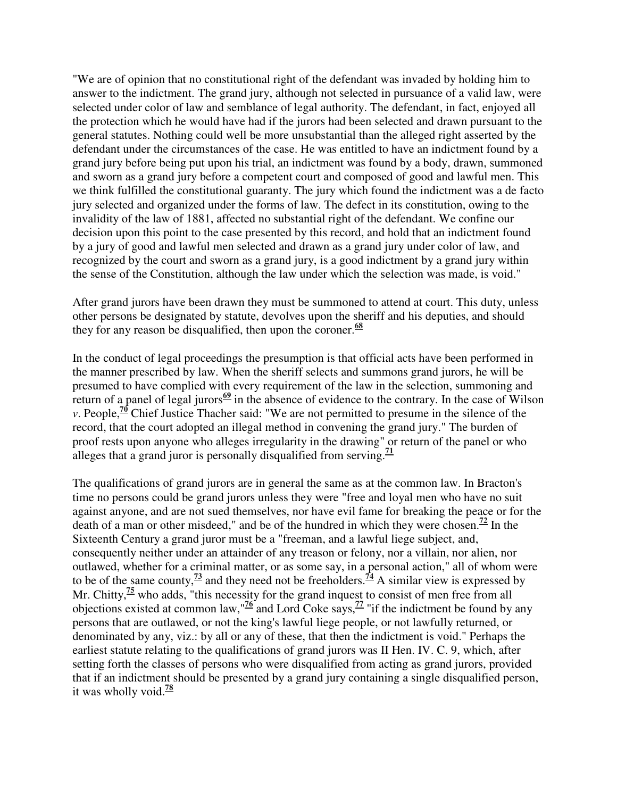"We are of opinion that no constitutional right of the defendant was invaded by holding him to answer to the indictment. The grand jury, although not selected in pursuance of a valid law, were selected under color of law and semblance of legal authority. The defendant, in fact, enjoyed all the protection which he would have had if the jurors had been selected and drawn pursuant to the general statutes. Nothing could well be more unsubstantial than the alleged right asserted by the defendant under the circumstances of the case. He was entitled to have an indictment found by a grand jury before being put upon his trial, an indictment was found by a body, drawn, summoned and sworn as a grand jury before a competent court and composed of good and lawful men. This we think fulfilled the constitutional guaranty. The jury which found the indictment was a de facto jury selected and organized under the forms of law. The defect in its constitution, owing to the invalidity of the law of 1881, affected no substantial right of the defendant. We confine our decision upon this point to the case presented by this record, and hold that an indictment found by a jury of good and lawful men selected and drawn as a grand jury under color of law, and recognized by the court and sworn as a grand jury, is a good indictment by a grand jury within the sense of the Constitution, although the law under which the selection was made, is void."

After grand jurors have been drawn they must be summoned to attend at court. This duty, unless other persons be designated by statute, devolves upon the sheriff and his deputies, and should they for any reason be disqualified, then upon the coroner.**<sup>68</sup>**

In the conduct of legal proceedings the presumption is that official acts have been performed in the manner prescribed by law. When the sheriff selects and summons grand jurors, he will be presumed to have complied with every requirement of the law in the selection, summoning and return of a panel of legal jurors<sup> $69$ </sup> in the absence of evidence to the contrary. In the case of Wilson *v*. People,<sup> $70$ </sup> Chief Justice Thacher said: "We are not permitted to presume in the silence of the record, that the court adopted an illegal method in convening the grand jury." The burden of proof rests upon anyone who alleges irregularity in the drawing" or return of the panel or who alleges that a grand juror is personally disqualified from serving.<sup> $11$ </sup>

The qualifications of grand jurors are in general the same as at the common law. In Bracton's time no persons could be grand jurors unless they were "free and loyal men who have no suit against anyone, and are not sued themselves, nor have evil fame for breaking the peace or for the death of a man or other misdeed," and be of the hundred in which they were chosen.<sup>72</sup> In the Sixteenth Century a grand juror must be a "freeman, and a lawful liege subject, and, consequently neither under an attainder of any treason or felony, nor a villain, nor alien, nor outlawed, whether for a criminal matter, or as some say, in a personal action," all of whom were to be of the same county, $\frac{73}{2}$  and they need not be freeholders.<sup> $74$ </sup> A similar view is expressed by Mr. Chitty,<sup> $75$ </sup> who adds, "this necessity for the grand inquest to consist of men free from all objections existed at common law,  $\frac{76}{2}$  and Lord Coke says,  $\frac{77}{2}$  "if the indictment be found by any persons that are outlawed, or not the king's lawful liege people, or not lawfully returned, or denominated by any, viz.: by all or any of these, that then the indictment is void." Perhaps the earliest statute relating to the qualifications of grand jurors was II Hen. IV. C. 9, which, after setting forth the classes of persons who were disqualified from acting as grand jurors, provided that if an indictment should be presented by a grand jury containing a single disqualified person, it was wholly void.**<sup>78</sup>**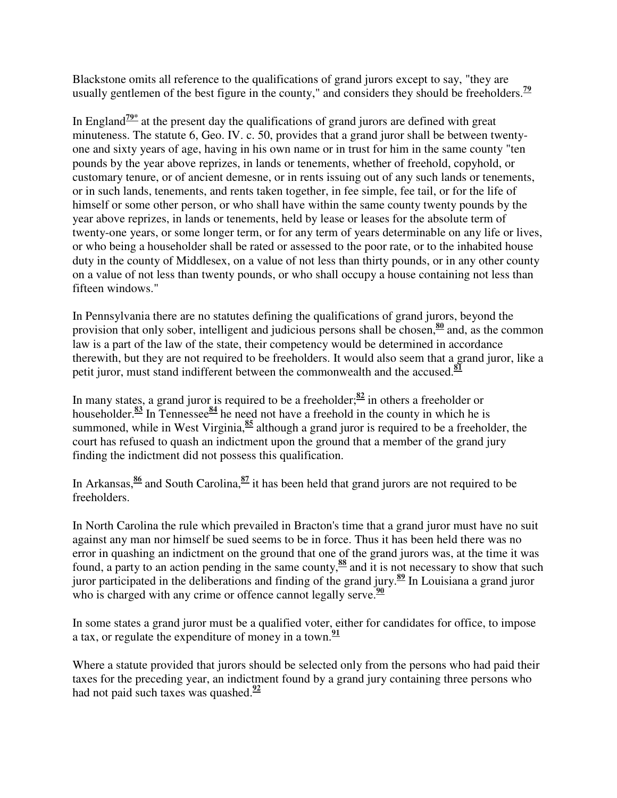Blackstone omits all reference to the qualifications of grand jurors except to say, "they are usually gentlemen of the best figure in the county," and considers they should be freeholders.**<sup>79</sup>**

In England<sup> $79*$ </sup> at the present day the qualifications of grand jurors are defined with great minuteness. The statute 6, Geo. IV. c. 50, provides that a grand juror shall be between twentyone and sixty years of age, having in his own name or in trust for him in the same county "ten pounds by the year above reprizes, in lands or tenements, whether of freehold, copyhold, or customary tenure, or of ancient demesne, or in rents issuing out of any such lands or tenements, or in such lands, tenements, and rents taken together, in fee simple, fee tail, or for the life of himself or some other person, or who shall have within the same county twenty pounds by the year above reprizes, in lands or tenements, held by lease or leases for the absolute term of twenty-one years, or some longer term, or for any term of years determinable on any life or lives, or who being a householder shall be rated or assessed to the poor rate, or to the inhabited house duty in the county of Middlesex, on a value of not less than thirty pounds, or in any other county on a value of not less than twenty pounds, or who shall occupy a house containing not less than fifteen windows."

In Pennsylvania there are no statutes defining the qualifications of grand jurors, beyond the provision that only sober, intelligent and judicious persons shall be chosen,**<sup>80</sup>** and, as the common law is a part of the law of the state, their competency would be determined in accordance therewith, but they are not required to be freeholders. It would also seem that a grand juror, like a petit juror, must stand indifferent between the commonwealth and the accused.**<sup>81</sup>**

In many states, a grand juror is required to be a freeholder;**<sup>82</sup>** in others a freeholder or householder.**<sup>83</sup>** In Tennessee**<sup>84</sup>** he need not have a freehold in the county in which he is summoned, while in West Virginia,**<sup>85</sup>** although a grand juror is required to be a freeholder, the court has refused to quash an indictment upon the ground that a member of the grand jury finding the indictment did not possess this qualification.

In Arkansas,**<sup>86</sup>** and South Carolina,**<sup>87</sup>** it has been held that grand jurors are not required to be freeholders.

In North Carolina the rule which prevailed in Bracton's time that a grand juror must have no suit against any man nor himself be sued seems to be in force. Thus it has been held there was no error in quashing an indictment on the ground that one of the grand jurors was, at the time it was found, a party to an action pending in the same county,<sup>88</sup> and it is not necessary to show that such juror participated in the deliberations and finding of the grand jury.**<sup>89</sup>** In Louisiana a grand juror who is charged with any crime or offence cannot legally serve.<sup>90</sup>

In some states a grand juror must be a qualified voter, either for candidates for office, to impose a tax, or regulate the expenditure of money in a town.**<sup>91</sup>**

Where a statute provided that jurors should be selected only from the persons who had paid their taxes for the preceding year, an indictment found by a grand jury containing three persons who had not paid such taxes was quashed.**<sup>92</sup>**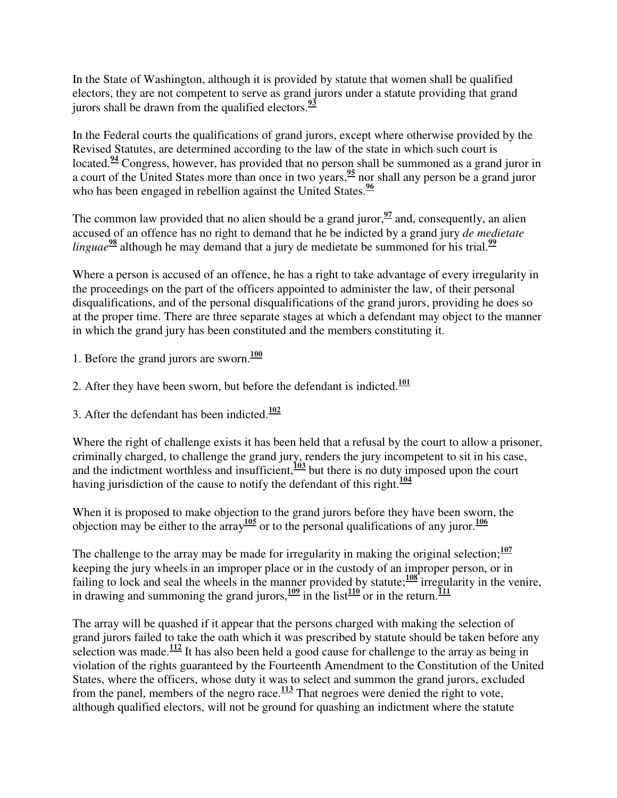In the State of Washington, although it is provided by statute that women shall be qualified electors, they are not competent to serve as grand jurors under a statute providing that grand jurors shall be drawn from the qualified electors.**<sup>93</sup>**

In the Federal courts the qualifications of grand jurors, except where otherwise provided by the Revised Statutes, are determined according to the law of the state in which such court is located.**<sup>94</sup>** Congress, however, has provided that no person shall be summoned as a grand juror in a court of the United States more than once in two years,**<sup>95</sup>** nor shall any person be a grand juror who has been engaged in rebellion against the United States.<sup>96</sup>

The common law provided that no alien should be a grand juror,  $\frac{97}{2}$  and, consequently, an alien accused of an offence has no right to demand that he be indicted by a grand jury *de medietate linguae***<sup>98</sup>** although he may demand that a jury de medietate be summoned for his trial.**<sup>99</sup>**

Where a person is accused of an offence, he has a right to take advantage of every irregularity in the proceedings on the part of the officers appointed to administer the law, of their personal disqualifications, and of the personal disqualifications of the grand jurors, providing he does so at the proper time. There are three separate stages at which a defendant may object to the manner in which the grand jury has been constituted and the members constituting it.

- 1. Before the grand jurors are sworn.**<sup>100</sup>**
- 2. After they have been sworn, but before the defendant is indicted.**<sup>101</sup>**
- 3. After the defendant has been indicted.**<sup>102</sup>**

Where the right of challenge exists it has been held that a refusal by the court to allow a prisoner, criminally charged, to challenge the grand jury, renders the jury incompetent to sit in his case, and the indictment worthless and insufficient,**<sup>103</sup>** but there is no duty imposed upon the court having jurisdiction of the cause to notify the defendant of this right.**<sup>104</sup>**

When it is proposed to make objection to the grand jurors before they have been sworn, the objection may be either to the array<sup>105</sup> or to the personal qualifications of any juror.<sup>106</sup>

The challenge to the array may be made for irregularity in making the original selection; $\frac{107}{107}$ keeping the jury wheels in an improper place or in the custody of an improper person, or in failing to lock and seal the wheels in the manner provided by statute;**<sup>108</sup>** irregularity in the venire, in drawing and summoning the grand jurors, $\frac{109}{10}$  in the list $\frac{110}{10}$  or in the return.

The array will be quashed if it appear that the persons charged with making the selection of grand jurors failed to take the oath which it was prescribed by statute should be taken before any selection was made.<sup>112</sup> It has also been held a good cause for challenge to the array as being in violation of the rights guaranteed by the Fourteenth Amendment to the Constitution of the United States, where the officers, whose duty it was to select and summon the grand jurors, excluded from the panel, members of the negro race.**<sup>113</sup>** That negroes were denied the right to vote, although qualified electors, will not be ground for quashing an indictment where the statute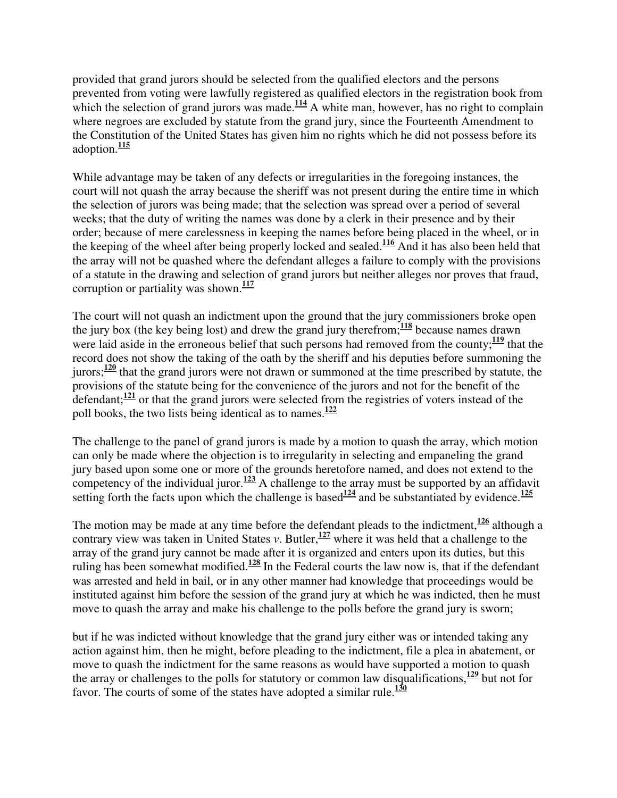provided that grand jurors should be selected from the qualified electors and the persons prevented from voting were lawfully registered as qualified electors in the registration book from which the selection of grand jurors was made.<sup> $114$ </sup> A white man, however, has no right to complain where negroes are excluded by statute from the grand jury, since the Fourteenth Amendment to the Constitution of the United States has given him no rights which he did not possess before its adoption.**<sup>115</sup>**

While advantage may be taken of any defects or irregularities in the foregoing instances, the court will not quash the array because the sheriff was not present during the entire time in which the selection of jurors was being made; that the selection was spread over a period of several weeks; that the duty of writing the names was done by a clerk in their presence and by their order; because of mere carelessness in keeping the names before being placed in the wheel, or in the keeping of the wheel after being properly locked and sealed.**<sup>116</sup>** And it has also been held that the array will not be quashed where the defendant alleges a failure to comply with the provisions of a statute in the drawing and selection of grand jurors but neither alleges nor proves that fraud, corruption or partiality was shown.**<sup>117</sup>**

The court will not quash an indictment upon the ground that the jury commissioners broke open the jury box (the key being lost) and drew the grand jury therefrom;**<sup>118</sup>** because names drawn were laid aside in the erroneous belief that such persons had removed from the county;<sup>119</sup> that the record does not show the taking of the oath by the sheriff and his deputies before summoning the jurors;**<sup>120</sup>** that the grand jurors were not drawn or summoned at the time prescribed by statute, the provisions of the statute being for the convenience of the jurors and not for the benefit of the defendant;**<sup>121</sup>** or that the grand jurors were selected from the registries of voters instead of the poll books, the two lists being identical as to names. **122**

The challenge to the panel of grand jurors is made by a motion to quash the array, which motion can only be made where the objection is to irregularity in selecting and empaneling the grand jury based upon some one or more of the grounds heretofore named, and does not extend to the competency of the individual juror.<sup>123</sup> A challenge to the array must be supported by an affidavit setting forth the facts upon which the challenge is based<sup>124</sup> and be substantiated by evidence.<sup>125</sup>

The motion may be made at any time before the defendant pleads to the indictment,**<sup>126</sup>** although a contrary view was taken in United States *v*. Butler,  $\frac{127}{127}$  where it was held that a challenge to the array of the grand jury cannot be made after it is organized and enters upon its duties, but this ruling has been somewhat modified.**<sup>128</sup>** In the Federal courts the law now is, that if the defendant was arrested and held in bail, or in any other manner had knowledge that proceedings would be instituted against him before the session of the grand jury at which he was indicted, then he must move to quash the array and make his challenge to the polls before the grand jury is sworn;

but if he was indicted without knowledge that the grand jury either was or intended taking any action against him, then he might, before pleading to the indictment, file a plea in abatement, or move to quash the indictment for the same reasons as would have supported a motion to quash the array or challenges to the polls for statutory or common law disqualifications,  $\frac{129}{129}$  but not for favor. The courts of some of the states have adopted a similar rule.**<sup>130</sup>**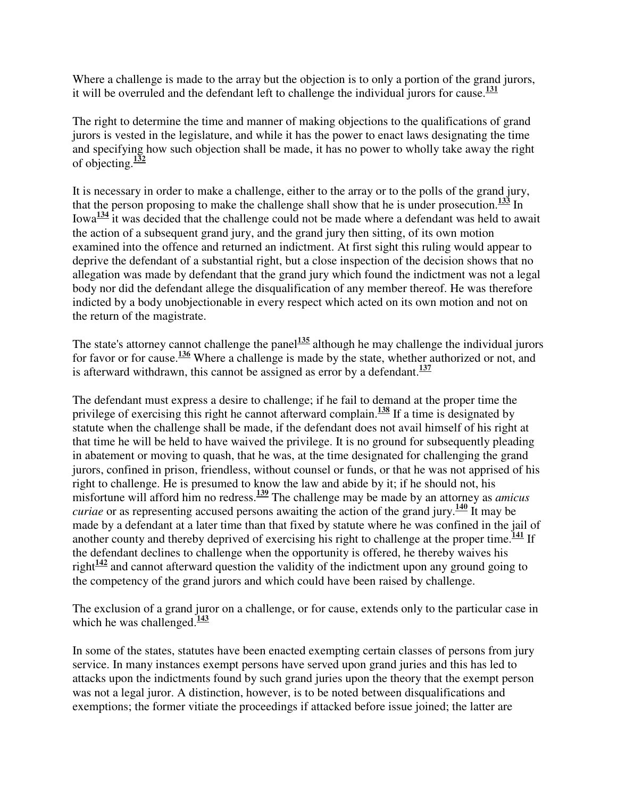Where a challenge is made to the array but the objection is to only a portion of the grand jurors, it will be overruled and the defendant left to challenge the individual jurors for cause.**<sup>131</sup>**

The right to determine the time and manner of making objections to the qualifications of grand jurors is vested in the legislature, and while it has the power to enact laws designating the time and specifying how such objection shall be made, it has no power to wholly take away the right of objecting.**<sup>132</sup>**

It is necessary in order to make a challenge, either to the array or to the polls of the grand jury, that the person proposing to make the challenge shall show that he is under prosecution.**<sup>133</sup>** In Iowa**<sup>134</sup>** it was decided that the challenge could not be made where a defendant was held to await the action of a subsequent grand jury, and the grand jury then sitting, of its own motion examined into the offence and returned an indictment. At first sight this ruling would appear to deprive the defendant of a substantial right, but a close inspection of the decision shows that no allegation was made by defendant that the grand jury which found the indictment was not a legal body nor did the defendant allege the disqualification of any member thereof. He was therefore indicted by a body unobjectionable in every respect which acted on its own motion and not on the return of the magistrate.

The state's attorney cannot challenge the panel<sup>135</sup> although he may challenge the individual jurors for favor or for cause.**<sup>136</sup>** Where a challenge is made by the state, whether authorized or not, and is afterward withdrawn, this cannot be assigned as error by a defendant.**<sup>137</sup>**

The defendant must express a desire to challenge; if he fail to demand at the proper time the privilege of exercising this right he cannot afterward complain.**<sup>138</sup>** If a time is designated by statute when the challenge shall be made, if the defendant does not avail himself of his right at that time he will be held to have waived the privilege. It is no ground for subsequently pleading in abatement or moving to quash, that he was, at the time designated for challenging the grand jurors, confined in prison, friendless, without counsel or funds, or that he was not apprised of his right to challenge. He is presumed to know the law and abide by it; if he should not, his misfortune will afford him no redress.**<sup>139</sup>** The challenge may be made by an attorney as *amicus curiae* or as representing accused persons awaiting the action of the grand jury.**<sup>140</sup>** It may be made by a defendant at a later time than that fixed by statute where he was confined in the jail of another county and thereby deprived of exercising his right to challenge at the proper time.**<sup>141</sup>** If the defendant declines to challenge when the opportunity is offered, he thereby waives his right**<sup>142</sup>** and cannot afterward question the validity of the indictment upon any ground going to the competency of the grand jurors and which could have been raised by challenge.

The exclusion of a grand juror on a challenge, or for cause, extends only to the particular case in which he was challenged.<sup>143</sup>

In some of the states, statutes have been enacted exempting certain classes of persons from jury service. In many instances exempt persons have served upon grand juries and this has led to attacks upon the indictments found by such grand juries upon the theory that the exempt person was not a legal juror. A distinction, however, is to be noted between disqualifications and exemptions; the former vitiate the proceedings if attacked before issue joined; the latter are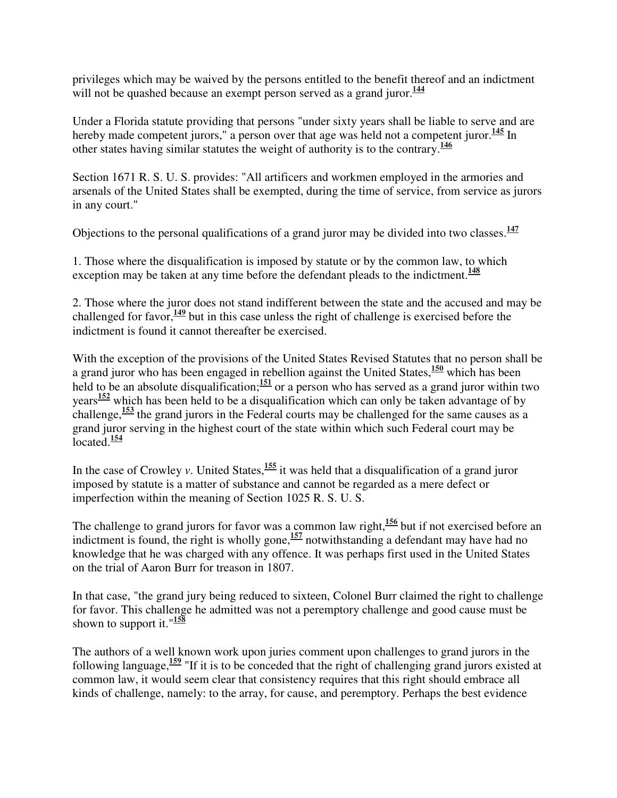privileges which may be waived by the persons entitled to the benefit thereof and an indictment will not be quashed because an exempt person served as a grand juror.<sup>144</sup>

Under a Florida statute providing that persons "under sixty years shall be liable to serve and are hereby made competent jurors," a person over that age was held not a competent juror.<sup>145</sup> In other states having similar statutes the weight of authority is to the contrary.**<sup>146</sup>**

Section 1671 R. S. U. S. provides: "All artificers and workmen employed in the armories and arsenals of the United States shall be exempted, during the time of service, from service as jurors in any court."

Objections to the personal qualifications of a grand juror may be divided into two classes.**<sup>147</sup>**

1. Those where the disqualification is imposed by statute or by the common law, to which exception may be taken at any time before the defendant pleads to the indictment.**<sup>148</sup>**

2. Those where the juror does not stand indifferent between the state and the accused and may be challenged for favor,**<sup>149</sup>** but in this case unless the right of challenge is exercised before the indictment is found it cannot thereafter be exercised.

With the exception of the provisions of the United States Revised Statutes that no person shall be a grand juror who has been engaged in rebellion against the United States,**<sup>150</sup>** which has been held to be an absolute disqualification;  $\frac{151}{20}$  or a person who has served as a grand juror within two years**<sup>152</sup>** which has been held to be a disqualification which can only be taken advantage of by challenge,**<sup>153</sup>** the grand jurors in the Federal courts may be challenged for the same causes as a grand juror serving in the highest court of the state within which such Federal court may be located.**<sup>154</sup>**

In the case of Crowley *v*. United States, <sup>155</sup> it was held that a disqualification of a grand juror imposed by statute is a matter of substance and cannot be regarded as a mere defect or imperfection within the meaning of Section 1025 R. S. U. S.

The challenge to grand jurors for favor was a common law right,**<sup>156</sup>** but if not exercised before an indictment is found, the right is wholly gone,  $\frac{157}{2}$  notwithstanding a defendant may have had no knowledge that he was charged with any offence. It was perhaps first used in the United States on the trial of Aaron Burr for treason in 1807.

In that case, "the grand jury being reduced to sixteen, Colonel Burr claimed the right to challenge for favor. This challenge he admitted was not a peremptory challenge and good cause must be shown to support it."**<sup>158</sup>**

The authors of a well known work upon juries comment upon challenges to grand jurors in the following language,**<sup>159</sup>** "If it is to be conceded that the right of challenging grand jurors existed at common law, it would seem clear that consistency requires that this right should embrace all kinds of challenge, namely: to the array, for cause, and peremptory. Perhaps the best evidence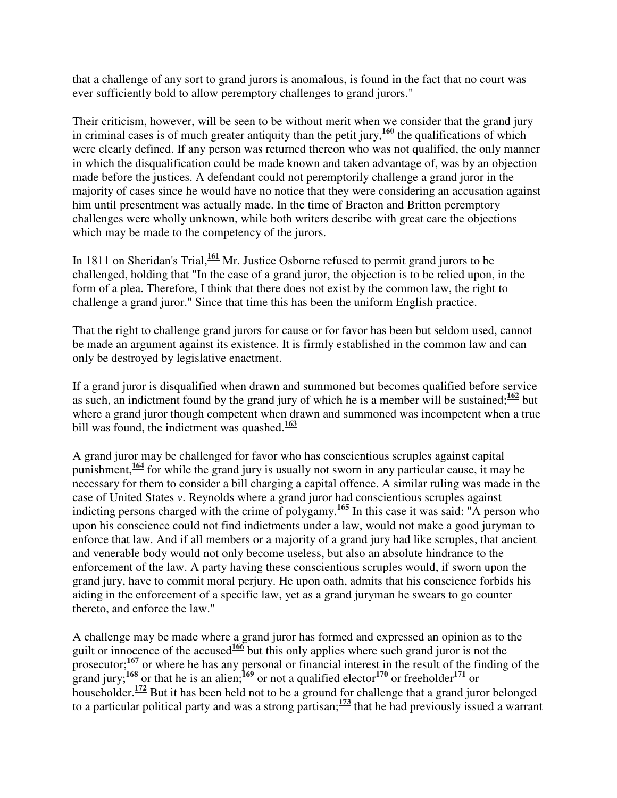that a challenge of any sort to grand jurors is anomalous, is found in the fact that no court was ever sufficiently bold to allow peremptory challenges to grand jurors."

Their criticism, however, will be seen to be without merit when we consider that the grand jury in criminal cases is of much greater antiquity than the petit jury,  $\frac{160}{100}$  the qualifications of which were clearly defined. If any person was returned thereon who was not qualified, the only manner in which the disqualification could be made known and taken advantage of, was by an objection made before the justices. A defendant could not peremptorily challenge a grand juror in the majority of cases since he would have no notice that they were considering an accusation against him until presentment was actually made. In the time of Bracton and Britton peremptory challenges were wholly unknown, while both writers describe with great care the objections which may be made to the competency of the jurors.

In 1811 on Sheridan's Trial,**<sup>161</sup>** Mr. Justice Osborne refused to permit grand jurors to be challenged, holding that "In the case of a grand juror, the objection is to be relied upon, in the form of a plea. Therefore, I think that there does not exist by the common law, the right to challenge a grand juror." Since that time this has been the uniform English practice.

That the right to challenge grand jurors for cause or for favor has been but seldom used, cannot be made an argument against its existence. It is firmly established in the common law and can only be destroyed by legislative enactment.

If a grand juror is disqualified when drawn and summoned but becomes qualified before service as such, an indictment found by the grand jury of which he is a member will be sustained;**<sup>162</sup>** but where a grand juror though competent when drawn and summoned was incompetent when a true bill was found, the indictment was quashed.**<sup>163</sup>**

A grand juror may be challenged for favor who has conscientious scruples against capital punishment,**<sup>164</sup>** for while the grand jury is usually not sworn in any particular cause, it may be necessary for them to consider a bill charging a capital offence. A similar ruling was made in the case of United States *v*. Reynolds where a grand juror had conscientious scruples against indicting persons charged with the crime of polygamy.<sup>165</sup> In this case it was said: "A person who upon his conscience could not find indictments under a law, would not make a good juryman to enforce that law. And if all members or a majority of a grand jury had like scruples, that ancient and venerable body would not only become useless, but also an absolute hindrance to the enforcement of the law. A party having these conscientious scruples would, if sworn upon the grand jury, have to commit moral perjury. He upon oath, admits that his conscience forbids his aiding in the enforcement of a specific law, yet as a grand juryman he swears to go counter thereto, and enforce the law."

A challenge may be made where a grand juror has formed and expressed an opinion as to the guilt or innocence of the accused**<sup>166</sup>** but this only applies where such grand juror is not the prosecutor;<sup>167</sup> or where he has any personal or financial interest in the result of the finding of the grand jury;**<sup>168</sup>** or that he is an alien;**<sup>169</sup>** or not a qualified elector**<sup>170</sup>** or freeholder**<sup>171</sup>** or householder.**<sup>172</sup>** But it has been held not to be a ground for challenge that a grand juror belonged to a particular political party and was a strong partisan;**<sup>173</sup>** that he had previously issued a warrant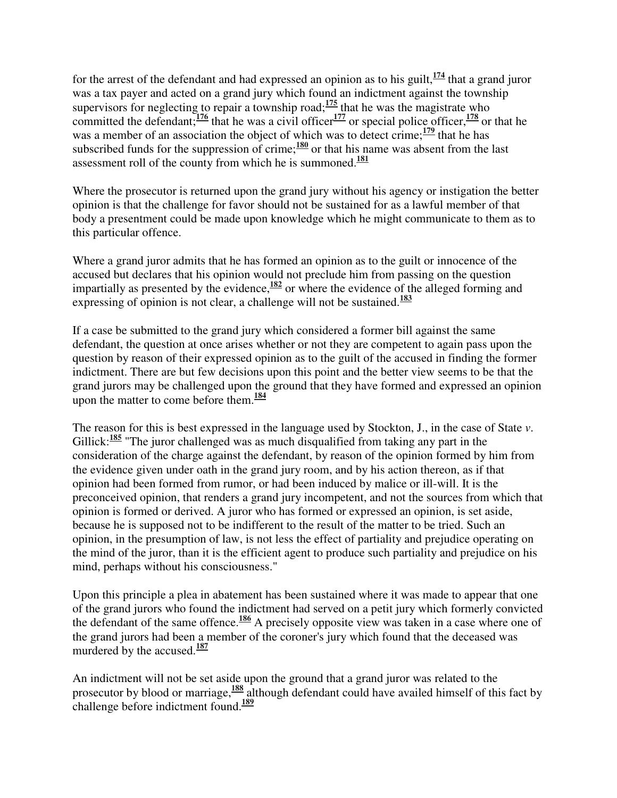for the arrest of the defendant and had expressed an opinion as to his guilt,**<sup>174</sup>** that a grand juror was a tax payer and acted on a grand jury which found an indictment against the township supervisors for neglecting to repair a township road;**<sup>175</sup>** that he was the magistrate who committed the defendant;**<sup>176</sup>** that he was a civil officer**<sup>177</sup>** or special police officer,**<sup>178</sup>** or that he was a member of an association the object of which was to detect crime; <sup>179</sup> that he has subscribed funds for the suppression of crime;<sup>180</sup> or that his name was absent from the last assessment roll of the county from which he is summoned.**<sup>181</sup>**

Where the prosecutor is returned upon the grand jury without his agency or instigation the better opinion is that the challenge for favor should not be sustained for as a lawful member of that body a presentment could be made upon knowledge which he might communicate to them as to this particular offence.

Where a grand juror admits that he has formed an opinion as to the guilt or innocence of the accused but declares that his opinion would not preclude him from passing on the question impartially as presented by the evidence,**<sup>182</sup>** or where the evidence of the alleged forming and expressing of opinion is not clear, a challenge will not be sustained.<sup>183</sup>

If a case be submitted to the grand jury which considered a former bill against the same defendant, the question at once arises whether or not they are competent to again pass upon the question by reason of their expressed opinion as to the guilt of the accused in finding the former indictment. There are but few decisions upon this point and the better view seems to be that the grand jurors may be challenged upon the ground that they have formed and expressed an opinion upon the matter to come before them.**<sup>184</sup>**

The reason for this is best expressed in the language used by Stockton, J., in the case of State *v*. Gillick:<sup>185</sup> "The juror challenged was as much disqualified from taking any part in the consideration of the charge against the defendant, by reason of the opinion formed by him from the evidence given under oath in the grand jury room, and by his action thereon, as if that opinion had been formed from rumor, or had been induced by malice or ill-will. It is the preconceived opinion, that renders a grand jury incompetent, and not the sources from which that opinion is formed or derived. A juror who has formed or expressed an opinion, is set aside, because he is supposed not to be indifferent to the result of the matter to be tried. Such an opinion, in the presumption of law, is not less the effect of partiality and prejudice operating on the mind of the juror, than it is the efficient agent to produce such partiality and prejudice on his mind, perhaps without his consciousness."

Upon this principle a plea in abatement has been sustained where it was made to appear that one of the grand jurors who found the indictment had served on a petit jury which formerly convicted the defendant of the same offence.**<sup>186</sup>** A precisely opposite view was taken in a case where one of the grand jurors had been a member of the coroner's jury which found that the deceased was murdered by the accused.<sup>187</sup>

An indictment will not be set aside upon the ground that a grand juror was related to the prosecutor by blood or marriage,**<sup>188</sup>** although defendant could have availed himself of this fact by challenge before indictment found.**<sup>189</sup>**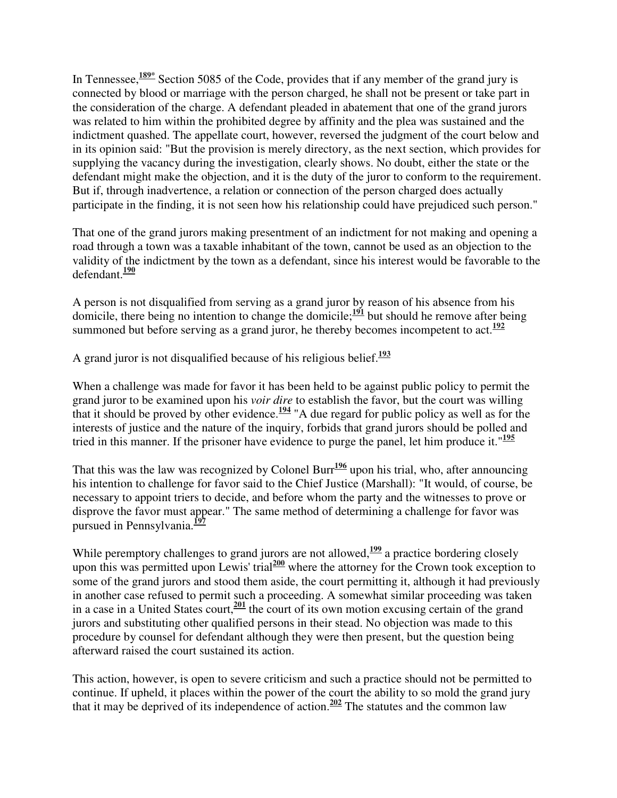In Tennessee,**189\*** Section 5085 of the Code, provides that if any member of the grand jury is connected by blood or marriage with the person charged, he shall not be present or take part in the consideration of the charge. A defendant pleaded in abatement that one of the grand jurors was related to him within the prohibited degree by affinity and the plea was sustained and the indictment quashed. The appellate court, however, reversed the judgment of the court below and in its opinion said: "But the provision is merely directory, as the next section, which provides for supplying the vacancy during the investigation, clearly shows. No doubt, either the state or the defendant might make the objection, and it is the duty of the juror to conform to the requirement. But if, through inadvertence, a relation or connection of the person charged does actually participate in the finding, it is not seen how his relationship could have prejudiced such person."

That one of the grand jurors making presentment of an indictment for not making and opening a road through a town was a taxable inhabitant of the town, cannot be used as an objection to the validity of the indictment by the town as a defendant, since his interest would be favorable to the defendant.**<sup>190</sup>**

A person is not disqualified from serving as a grand juror by reason of his absence from his domicile, there being no intention to change the domicile;**<sup>191</sup>** but should he remove after being summoned but before serving as a grand juror, he thereby becomes incompetent to act.<sup>192</sup>

A grand juror is not disqualified because of his religious belief.**<sup>193</sup>**

When a challenge was made for favor it has been held to be against public policy to permit the grand juror to be examined upon his *voir dire* to establish the favor, but the court was willing that it should be proved by other evidence.<sup> $194$ </sup> "A due regard for public policy as well as for the interests of justice and the nature of the inquiry, forbids that grand jurors should be polled and tried in this manner. If the prisoner have evidence to purge the panel, let him produce it."**<sup>195</sup>**

That this was the law was recognized by Colonel Burr **<sup>196</sup>** upon his trial, who, after announcing his intention to challenge for favor said to the Chief Justice (Marshall): "It would, of course, be necessary to appoint triers to decide, and before whom the party and the witnesses to prove or disprove the favor must appear." The same method of determining a challenge for favor was pursued in Pennsylvania.**<sup>197</sup>**

While peremptory challenges to grand jurors are not allowed,<sup>199</sup> a practice bordering closely upon this was permitted upon Lewis' trial<sup>200</sup> where the attorney for the Crown took exception to some of the grand jurors and stood them aside, the court permitting it, although it had previously in another case refused to permit such a proceeding. A somewhat similar proceeding was taken in a case in a United States court,**<sup>201</sup>** the court of its own motion excusing certain of the grand jurors and substituting other qualified persons in their stead. No objection was made to this procedure by counsel for defendant although they were then present, but the question being afterward raised the court sustained its action.

This action, however, is open to severe criticism and such a practice should not be permitted to continue. If upheld, it places within the power of the court the ability to so mold the grand jury that it may be deprived of its independence of action. **<sup>202</sup>** The statutes and the common law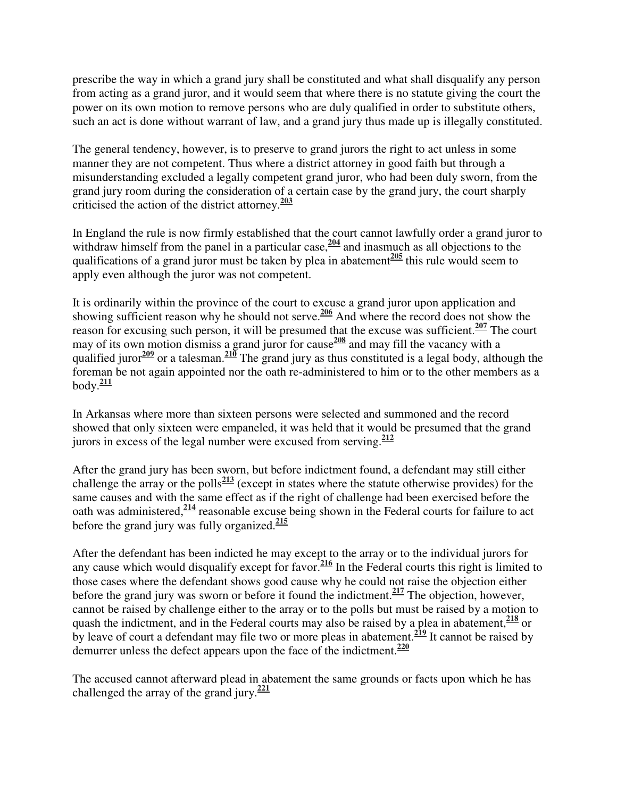prescribe the way in which a grand jury shall be constituted and what shall disqualify any person from acting as a grand juror, and it would seem that where there is no statute giving the court the power on its own motion to remove persons who are duly qualified in order to substitute others, such an act is done without warrant of law, and a grand jury thus made up is illegally constituted.

The general tendency, however, is to preserve to grand jurors the right to act unless in some manner they are not competent. Thus where a district attorney in good faith but through a misunderstanding excluded a legally competent grand juror, who had been duly sworn, from the grand jury room during the consideration of a certain case by the grand jury, the court sharply criticised the action of the district attorney.**<sup>203</sup>**

In England the rule is now firmly established that the court cannot lawfully order a grand juror to withdraw himself from the panel in a particular case, <sup>204</sup> and inasmuch as all objections to the qualifications of a grand juror must be taken by plea in abatement**<sup>205</sup>** this rule would seem to apply even although the juror was not competent.

It is ordinarily within the province of the court to excuse a grand juror upon application and showing sufficient reason why he should not serve.**<sup>206</sup>** And where the record does not show the reason for excusing such person, it will be presumed that the excuse was sufficient.**<sup>207</sup>** The court may of its own motion dismiss a grand juror for cause**<sup>208</sup>** and may fill the vacancy with a qualified juror<sup>209</sup> or a talesman.<sup>210</sup> The grand jury as thus constituted is a legal body, although the foreman be not again appointed nor the oath re-administered to him or to the other members as a body.**<sup>211</sup>**

In Arkansas where more than sixteen persons were selected and summoned and the record showed that only sixteen were empaneled, it was held that it would be presumed that the grand jurors in excess of the legal number were excused from serving.**<sup>212</sup>**

After the grand jury has been sworn, but before indictment found, a defendant may still either challenge the array or the polls**<sup>213</sup>** (except in states where the statute otherwise provides) for the same causes and with the same effect as if the right of challenge had been exercised before the oath was administered,**<sup>214</sup>** reasonable excuse being shown in the Federal courts for failure to act before the grand jury was fully organized.**<sup>215</sup>**

After the defendant has been indicted he may except to the array or to the individual jurors for any cause which would disqualify except for favor.<sup>216</sup> In the Federal courts this right is limited to those cases where the defendant shows good cause why he could not raise the objection either before the grand jury was sworn or before it found the indictment.**<sup>217</sup>** The objection, however, cannot be raised by challenge either to the array or to the polls but must be raised by a motion to quash the indictment, and in the Federal courts may also be raised by a plea in abatement,**<sup>218</sup>** or by leave of court a defendant may file two or more pleas in abatement.**<sup>219</sup>** It cannot be raised by demurrer unless the defect appears upon the face of the indictment.**<sup>220</sup>**

The accused cannot afterward plead in abatement the same grounds or facts upon which he has challenged the array of the grand jury.**<sup>221</sup>**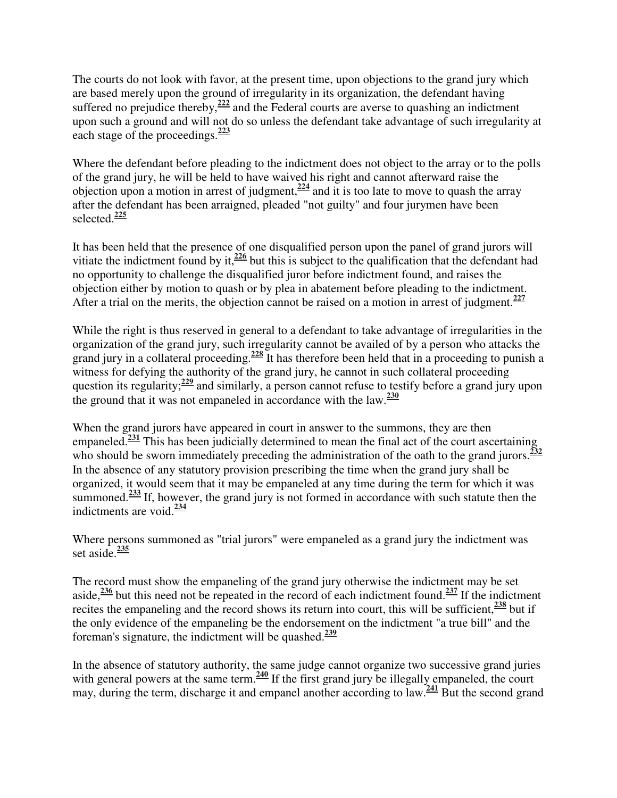The courts do not look with favor, at the present time, upon objections to the grand jury which are based merely upon the ground of irregularity in its organization, the defendant having suffered no prejudice thereby,**<sup>222</sup>** and the Federal courts are averse to quashing an indictment upon such a ground and will not do so unless the defendant take advantage of such irregularity at each stage of the proceedings.**<sup>223</sup>**

Where the defendant before pleading to the indictment does not object to the array or to the polls of the grand jury, he will be held to have waived his right and cannot afterward raise the objection upon a motion in arrest of judgment,**<sup>224</sup>** and it is too late to move to quash the array after the defendant has been arraigned, pleaded "not guilty" and four jurymen have been selected.**<sup>225</sup>**

It has been held that the presence of one disqualified person upon the panel of grand jurors will vitiate the indictment found by it,**<sup>226</sup>** but this is subject to the qualification that the defendant had no opportunity to challenge the disqualified juror before indictment found, and raises the objection either by motion to quash or by plea in abatement before pleading to the indictment. After a trial on the merits, the objection cannot be raised on a motion in arrest of judgment.**<sup>227</sup>**

While the right is thus reserved in general to a defendant to take advantage of irregularities in the organization of the grand jury, such irregularity cannot be availed of by a person who attacks the grand jury in a collateral proceeding.**<sup>228</sup>** It has therefore been held that in a proceeding to punish a witness for defying the authority of the grand jury, he cannot in such collateral proceeding question its regularity;**<sup>229</sup>** and similarly, a person cannot refuse to testify before a grand jury upon the ground that it was not empaneled in accordance with the law.**<sup>230</sup>**

When the grand jurors have appeared in court in answer to the summons, they are then empaneled.**<sup>231</sup>** This has been judicially determined to mean the final act of the court ascertaining who should be sworn immediately preceding the administration of the oath to the grand jurors.<sup>232</sup> In the absence of any statutory provision prescribing the time when the grand jury shall be organized, it would seem that it may be empaneled at any time during the term for which it was summoned.**<sup>233</sup>** If, however, the grand jury is not formed in accordance with such statute then the indictments are void.**<sup>234</sup>**

Where persons summoned as "trial jurors" were empaneled as a grand jury the indictment was set aside.**<sup>235</sup>**

The record must show the empaneling of the grand jury otherwise the indictment may be set aside,**<sup>236</sup>** but this need not be repeated in the record of each indictment found.**<sup>237</sup>** If the indictment recites the empaneling and the record shows its return into court, this will be sufficient,**<sup>238</sup>** but if the only evidence of the empaneling be the endorsement on the indictment "a true bill" and the foreman's signature, the indictment will be quashed. **239**

In the absence of statutory authority, the same judge cannot organize two successive grand juries with general powers at the same term.<sup>240</sup> If the first grand jury be illegally empaneled, the court may, during the term, discharge it and empanel another according to law.**<sup>241</sup>** But the second grand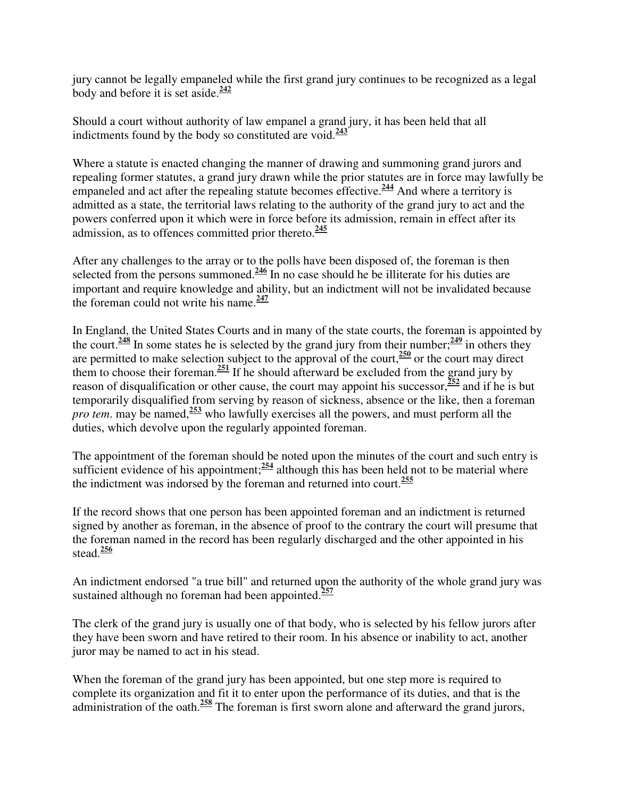jury cannot be legally empaneled while the first grand jury continues to be recognized as a legal body and before it is set aside.**<sup>242</sup>**

Should a court without authority of law empanel a grand jury, it has been held that all indictments found by the body so constituted are void.**<sup>243</sup>**

Where a statute is enacted changing the manner of drawing and summoning grand jurors and repealing former statutes, a grand jury drawn while the prior statutes are in force may lawfully be empaneled and act after the repealing statute becomes effective.**<sup>244</sup>** And where a territory is admitted as a state, the territorial laws relating to the authority of the grand jury to act and the powers conferred upon it which were in force before its admission, remain in effect after its admission, as to offences committed prior thereto.**<sup>245</sup>**

After any challenges to the array or to the polls have been disposed of, the foreman is then selected from the persons summoned.<sup>246</sup> In no case should he be illiterate for his duties are important and require knowledge and ability, but an indictment will not be invalidated because the foreman could not write his name.**<sup>247</sup>**

In England, the United States Courts and in many of the state courts, the foreman is appointed by the court.<sup>248</sup> In some states he is selected by the grand jury from their number; $\frac{249}{2}$  in others they are permitted to make selection subject to the approval of the court,**<sup>250</sup>** or the court may direct them to choose their foreman.**<sup>251</sup>** If he should afterward be excluded from the grand jury by reason of disqualification or other cause, the court may appoint his successor,**<sup>252</sup>** and if he is but temporarily disqualified from serving by reason of sickness, absence or the like, then a foreman *pro tem*. may be named,**<sup>253</sup>** who lawfully exercises all the powers, and must perform all the duties, which devolve upon the regularly appointed foreman.

The appointment of the foreman should be noted upon the minutes of the court and such entry is sufficient evidence of his appointment;<sup>254</sup> although this has been held not to be material where the indictment was indorsed by the foreman and returned into court.**<sup>255</sup>**

If the record shows that one person has been appointed foreman and an indictment is returned signed by another as foreman, in the absence of proof to the contrary the court will presume that the foreman named in the record has been regularly discharged and the other appointed in his stead.**<sup>256</sup>**

An indictment endorsed "a true bill" and returned upon the authority of the whole grand jury was sustained although no foreman had been appointed.**<sup>257</sup>**

The clerk of the grand jury is usually one of that body, who is selected by his fellow jurors after they have been sworn and have retired to their room. In his absence or inability to act, another juror may be named to act in his stead.

When the foreman of the grand jury has been appointed, but one step more is required to complete its organization and fit it to enter upon the performance of its duties, and that is the administration of the oath.**<sup>258</sup>** The foreman is first sworn alone and afterward the grand jurors,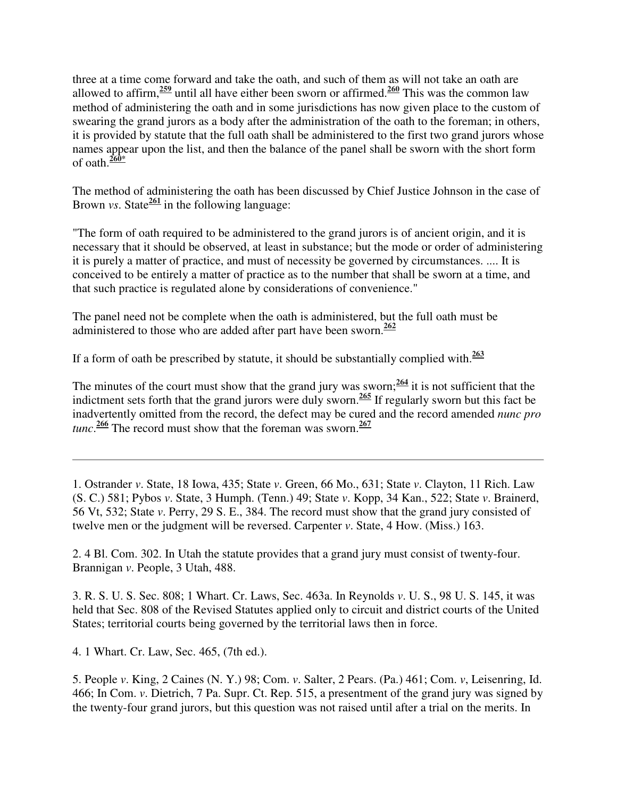three at a time come forward and take the oath, and such of them as will not take an oath are allowed to affirm,**<sup>259</sup>** until all have either been sworn or affirmed.**<sup>260</sup>** This was the common law method of administering the oath and in some jurisdictions has now given place to the custom of swearing the grand jurors as a body after the administration of the oath to the foreman; in others, it is provided by statute that the full oath shall be administered to the first two grand jurors whose names appear upon the list, and then the balance of the panel shall be sworn with the short form of oath.**260\***

The method of administering the oath has been discussed by Chief Justice Johnson in the case of Brown *vs*. State $\frac{261}{2}$  in the following language:

"The form of oath required to be administered to the grand jurors is of ancient origin, and it is necessary that it should be observed, at least in substance; but the mode or order of administering it is purely a matter of practice, and must of necessity be governed by circumstances. .... It is conceived to be entirely a matter of practice as to the number that shall be sworn at a time, and that such practice is regulated alone by considerations of convenience."

The panel need not be complete when the oath is administered, but the full oath must be administered to those who are added after part have been sworn.**<sup>262</sup>**

If a form of oath be prescribed by statute, it should be substantially complied with.**<sup>263</sup>**

The minutes of the court must show that the grand jury was sworn; $\frac{264}{11}$  it is not sufficient that the indictment sets forth that the grand jurors were duly sworn.**<sup>265</sup>** If regularly sworn but this fact be inadvertently omitted from the record, the defect may be cured and the record amended *nunc pro tunc*. **<sup>266</sup>** The record must show that the foreman was sworn.**<sup>267</sup>**

1. Ostrander *v*. State, 18 Iowa, 435; State *v*. Green, 66 Mo., 631; State *v*. Clayton, 11 Rich. Law (S. C.) 581; Pybos *v*. State, 3 Humph. (Tenn.) 49; State *v*. Kopp, 34 Kan., 522; State *v*. Brainerd, 56 Vt, 532; State *v*. Perry, 29 S. E., 384. The record must show that the grand jury consisted of twelve men or the judgment will be reversed. Carpenter *v*. State, 4 How. (Miss.) 163.

2. 4 Bl. Com. 302. In Utah the statute provides that a grand jury must consist of twenty-four. Brannigan *v*. People, 3 Utah, 488.

3. R. S. U. S. Sec. 808; 1 Whart. Cr. Laws, Sec. 463a. In Reynolds *v*. U. S., 98 U. S. 145, it was held that Sec. 808 of the Revised Statutes applied only to circuit and district courts of the United States; territorial courts being governed by the territorial laws then in force.

4. 1 Whart. Cr. Law, Sec. 465, (7th ed.).

5. People *v*. King, 2 Caines (N. Y.) 98; Com. *v*. Salter, 2 Pears. (Pa.) 461; Com. *v*, Leisenring, Id. 466; In Com. *v*. Dietrich, 7 Pa. Supr. Ct. Rep. 515, a presentment of the grand jury was signed by the twenty-four grand jurors, but this question was not raised until after a trial on the merits. In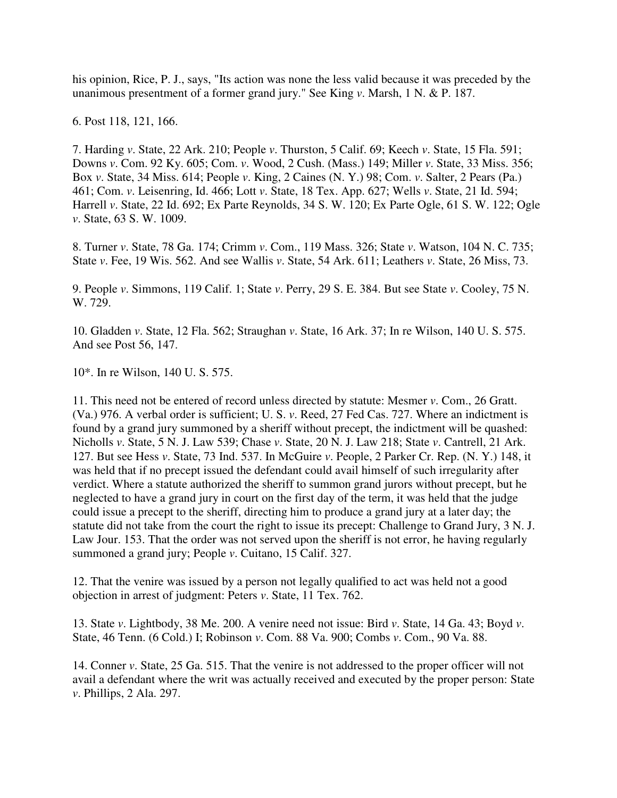his opinion, Rice, P. J., says, "Its action was none the less valid because it was preceded by the unanimous presentment of a former grand jury." See King *v*. Marsh, 1 N. & P. 187.

6. Post 118, 121, 166.

7. Harding *v*. State, 22 Ark. 210; People *v*. Thurston, 5 Calif. 69; Keech *v*. State, 15 Fla. 591; Downs *v*. Com. 92 Ky. 605; Com. *v*. Wood, 2 Cush. (Mass.) 149; Miller *v*. State, 33 Miss. 356; Box *v*. State, 34 Miss. 614; People *v*. King, 2 Caines (N. Y.) 98; Com. *v*. Salter, 2 Pears (Pa.) 461; Com. *v*. Leisenring, Id. 466; Lott *v*. State, 18 Tex. App. 627; Wells *v*. State, 21 Id. 594; Harrell *v*. State, 22 Id. 692; Ex Parte Reynolds, 34 S. W. 120; Ex Parte Ogle, 61 S. W. 122; Ogle *v*. State, 63 S. W. 1009.

8. Turner *v*. State, 78 Ga. 174; Crimm *v*. Com., 119 Mass. 326; State *v*. Watson, 104 N. C. 735; State *v*. Fee, 19 Wis. 562. And see Wallis *v*. State, 54 Ark. 611; Leathers *v*. State, 26 Miss, 73.

9. People *v*. Simmons, 119 Calif. 1; State *v*. Perry, 29 S. E. 384. But see State *v*. Cooley, 75 N. W. 729.

10. Gladden *v*. State, 12 Fla. 562; Straughan *v*. State, 16 Ark. 37; In re Wilson, 140 U. S. 575. And see Post 56, 147.

10\*. In re Wilson, 140 U. S. 575.

11. This need not be entered of record unless directed by statute: Mesmer *v*. Com., 26 Gratt. (Va.) 976. A verbal order is sufficient; U. S. *v*. Reed, 27 Fed Cas. 727. Where an indictment is found by a grand jury summoned by a sheriff without precept, the indictment will be quashed: Nicholls *v*. State, 5 N. J. Law 539; Chase *v*. State, 20 N. J. Law 218; State *v*. Cantrell, 21 Ark. 127. But see Hess *v*. State, 73 Ind. 537. In McGuire *v*. People, 2 Parker Cr. Rep. (N. Y.) 148, it was held that if no precept issued the defendant could avail himself of such irregularity after verdict. Where a statute authorized the sheriff to summon grand jurors without precept, but he neglected to have a grand jury in court on the first day of the term, it was held that the judge could issue a precept to the sheriff, directing him to produce a grand jury at a later day; the statute did not take from the court the right to issue its precept: Challenge to Grand Jury, 3 N. J. Law Jour. 153. That the order was not served upon the sheriff is not error, he having regularly summoned a grand jury; People *v*. Cuitano, 15 Calif. 327.

12. That the venire was issued by a person not legally qualified to act was held not a good objection in arrest of judgment: Peters *v*. State, 11 Tex. 762.

13. State *v*. Lightbody, 38 Me. 200. A venire need not issue: Bird *v*. State, 14 Ga. 43; Boyd *v*. State, 46 Tenn. (6 Cold.) I; Robinson *v*. Com. 88 Va. 900; Combs *v*. Com., 90 Va. 88.

14. Conner *v*. State, 25 Ga. 515. That the venire is not addressed to the proper officer will not avail a defendant where the writ was actually received and executed by the proper person: State *v*. Phillips, 2 Ala. 297.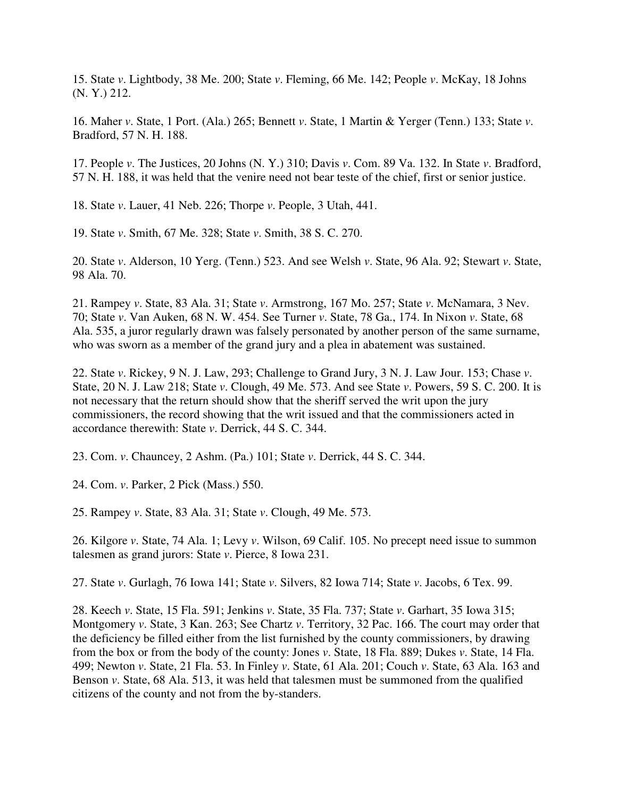15. State *v*. Lightbody, 38 Me. 200; State *v*. Fleming, 66 Me. 142; People *v*. McKay, 18 Johns (N. Y.) 212.

16. Maher *v*. State, 1 Port. (Ala.) 265; Bennett *v*. State, 1 Martin & Yerger (Tenn.) 133; State *v*. Bradford, 57 N. H. 188.

17. People *v*. The Justices, 20 Johns (N. Y.) 310; Davis *v*. Com. 89 Va. 132. In State *v*. Bradford, 57 N. H. 188, it was held that the venire need not bear teste of the chief, first or senior justice.

18. State *v*. Lauer, 41 Neb. 226; Thorpe *v*. People, 3 Utah, 441.

19. State *v*. Smith, 67 Me. 328; State *v*. Smith, 38 S. C. 270.

20. State *v*. Alderson, 10 Yerg. (Tenn.) 523. And see Welsh *v*. State, 96 Ala. 92; Stewart *v*. State, 98 Ala. 70.

21. Rampey *v*. State, 83 Ala. 31; State *v*. Armstrong, 167 Mo. 257; State *v*. McNamara, 3 Nev. 70; State *v*. Van Auken, 68 N. W. 454. See Turner *v*. State, 78 Ga., 174. In Nixon *v*. State, 68 Ala. 535, a juror regularly drawn was falsely personated by another person of the same surname, who was sworn as a member of the grand jury and a plea in abatement was sustained.

22. State *v*. Rickey, 9 N. J. Law, 293; Challenge to Grand Jury, 3 N. J. Law Jour. 153; Chase *v*. State, 20 N. J. Law 218; State *v*. Clough, 49 Me. 573. And see State *v*. Powers, 59 S. C. 200. It is not necessary that the return should show that the sheriff served the writ upon the jury commissioners, the record showing that the writ issued and that the commissioners acted in accordance therewith: State *v*. Derrick, 44 S. C. 344.

23. Com. *v*. Chauncey, 2 Ashm. (Pa.) 101; State *v*. Derrick, 44 S. C. 344.

24. Com. *v*. Parker, 2 Pick (Mass.) 550.

25. Rampey *v*. State, 83 Ala. 31; State *v*. Clough, 49 Me. 573.

26. Kilgore *v*. State, 74 Ala. 1; Levy *v*. Wilson, 69 Calif. 105. No precept need issue to summon talesmen as grand jurors: State *v*. Pierce, 8 Iowa 231.

27. State *v*. Gurlagh, 76 Iowa 141; State *v*. Silvers, 82 Iowa 714; State *v*. Jacobs, 6 Tex. 99.

28. Keech *v*. State, 15 Fla. 591; Jenkins *v*. State, 35 Fla. 737; State *v*. Garhart, 35 Iowa 315; Montgomery *v*. State, 3 Kan. 263; See Chartz *v*. Territory, 32 Pac. 166. The court may order that the deficiency be filled either from the list furnished by the county commissioners, by drawing from the box or from the body of the county: Jones *v*. State, 18 Fla. 889; Dukes *v*. State, 14 Fla. 499; Newton *v*. State, 21 Fla. 53. In Finley *v*. State, 61 Ala. 201; Couch *v*. State, 63 Ala. 163 and Benson *v*. State, 68 Ala. 513, it was held that talesmen must be summoned from the qualified citizens of the county and not from the by-standers.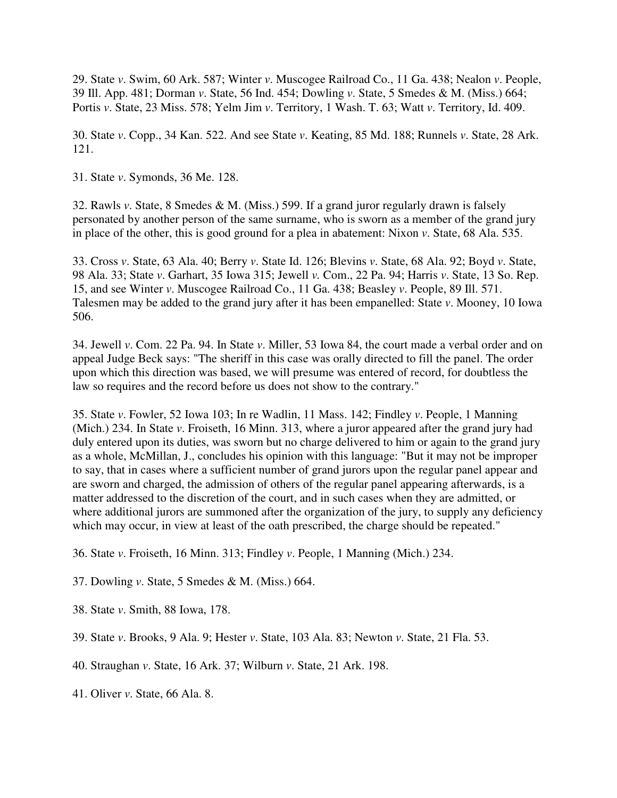29. State *v*. Swim, 60 Ark. 587; Winter *v*. Muscogee Railroad Co., 11 Ga. 438; Nealon *v*. People, 39 Ill. App. 481; Dorman *v*. State, 56 Ind. 454; Dowling *v*. State, 5 Smedes & M. (Miss.) 664; Portis *v*. State, 23 Miss. 578; Yelm Jim *v*. Territory, 1 Wash. T. 63; Watt *v*. Territory, Id. 409.

30. State *v*. Copp., 34 Kan. 522. And see State *v*. Keating, 85 Md. 188; Runnels *v*. State, 28 Ark. 121.

31. State *v*. Symonds, 36 Me. 128.

32. Rawls *v*. State, 8 Smedes & M. (Miss.) 599. If a grand juror regularly drawn is falsely personated by another person of the same surname, who is sworn as a member of the grand jury in place of the other, this is good ground for a plea in abatement: Nixon *v*. State, 68 Ala. 535.

33. Cross *v*. State, 63 Ala. 40; Berry *v*. State Id. 126; Blevins *v*. State, 68 Ala. 92; Boyd *v*. State, 98 Ala. 33; State *v*. Garhart, 35 Iowa 315; Jewell *v.* Com., 22 Pa. 94; Harris *v*. State, 13 So. Rep. 15, and see Winter *v*. Muscogee Railroad Co., 11 Ga. 438; Beasley *v*. People, 89 Ill. 571. Talesmen may be added to the grand jury after it has been empanelled: State *v*. Mooney, 10 Iowa 506.

34. Jewell *v*. Com. 22 Pa. 94. In State *v*. Miller, 53 Iowa 84, the court made a verbal order and on appeal Judge Beck says: "The sheriff in this case was orally directed to fill the panel. The order upon which this direction was based, we will presume was entered of record, for doubtless the law so requires and the record before us does not show to the contrary."

35. State *v*. Fowler, 52 Iowa 103; In re Wadlin, 11 Mass. 142; Findley *v*. People, 1 Manning (Mich.) 234. In State *v*. Froiseth, 16 Minn. 313, where a juror appeared after the grand jury had duly entered upon its duties, was sworn but no charge delivered to him or again to the grand jury as a whole, McMillan, J., concludes his opinion with this language: "But it may not be improper to say, that in cases where a sufficient number of grand jurors upon the regular panel appear and are sworn and charged, the admission of others of the regular panel appearing afterwards, is a matter addressed to the discretion of the court, and in such cases when they are admitted, or where additional jurors are summoned after the organization of the jury, to supply any deficiency which may occur, in view at least of the oath prescribed, the charge should be repeated."

36. State *v*. Froiseth, 16 Minn. 313; Findley *v*. People, 1 Manning (Mich.) 234.

- 37. Dowling *v*. State, 5 Smedes & M. (Miss.) 664.
- 38. State *v*. Smith, 88 Iowa, 178.
- 39. State *v*. Brooks, 9 Ala. 9; Hester *v*. State, 103 Ala. 83; Newton *v*. State, 21 Fla. 53.
- 40. Straughan *v*. State, 16 Ark. 37; Wilburn *v*. State, 21 Ark. 198.
- 41. Oliver *v*. State, 66 Ala. 8.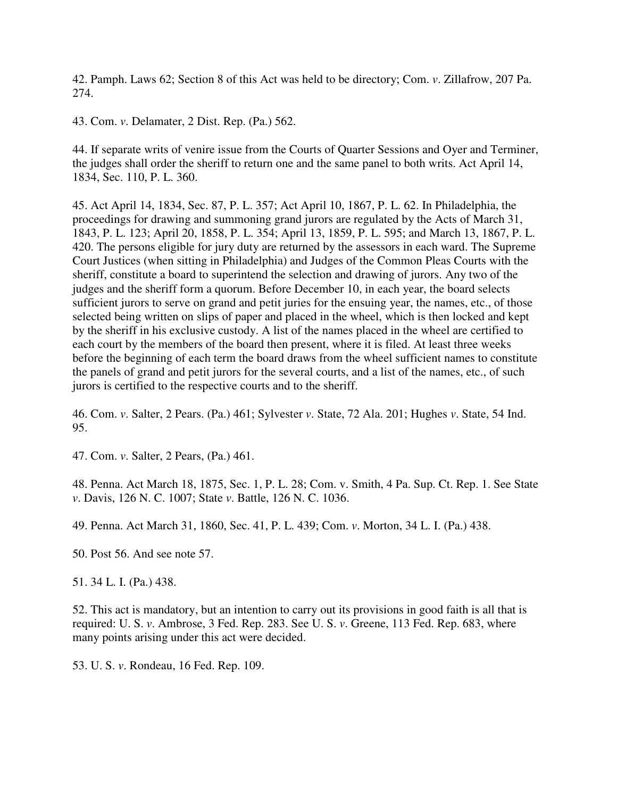42. Pamph. Laws 62; Section 8 of this Act was held to be directory; Com. *v*. Zillafrow, 207 Pa. 274.

43. Com. *v*. Delamater, 2 Dist. Rep. (Pa.) 562.

44. If separate writs of venire issue from the Courts of Quarter Sessions and Oyer and Terminer, the judges shall order the sheriff to return one and the same panel to both writs. Act April 14, 1834, Sec. 110, P. L. 360.

45. Act April 14, 1834, Sec. 87, P. L. 357; Act April 10, 1867, P. L. 62. In Philadelphia, the proceedings for drawing and summoning grand jurors are regulated by the Acts of March 31, 1843, P. L. 123; April 20, 1858, P. L. 354; April 13, 1859, P. L. 595; and March 13, 1867, P. L. 420. The persons eligible for jury duty are returned by the assessors in each ward. The Supreme Court Justices (when sitting in Philadelphia) and Judges of the Common Pleas Courts with the sheriff, constitute a board to superintend the selection and drawing of jurors. Any two of the judges and the sheriff form a quorum. Before December 10, in each year, the board selects sufficient jurors to serve on grand and petit juries for the ensuing year, the names, etc., of those selected being written on slips of paper and placed in the wheel, which is then locked and kept by the sheriff in his exclusive custody. A list of the names placed in the wheel are certified to each court by the members of the board then present, where it is filed. At least three weeks before the beginning of each term the board draws from the wheel sufficient names to constitute the panels of grand and petit jurors for the several courts, and a list of the names, etc., of such jurors is certified to the respective courts and to the sheriff.

46. Com. *v*. Salter, 2 Pears. (Pa.) 461; Sylvester *v*. State, 72 Ala. 201; Hughes *v*. State, 54 Ind. 95.

47. Com. *v*. Salter, 2 Pears, (Pa.) 461.

48. Penna. Act March 18, 1875, Sec. 1, P. L. 28; Com. v. Smith, 4 Pa. Sup. Ct. Rep. 1. See State *v*. Davis, 126 N. C. 1007; State *v*. Battle, 126 N. C. 1036.

49. Penna. Act March 31, 1860, Sec. 41, P. L. 439; Com. *v*. Morton, 34 L. I. (Pa.) 438.

50. Post 56. And see note 57.

51. 34 L. I. (Pa.) 438.

52. This act is mandatory, but an intention to carry out its provisions in good faith is all that is required: U. S. *v*. Ambrose, 3 Fed. Rep. 283. See U. S. *v*. Greene, 113 Fed. Rep. 683, where many points arising under this act were decided.

53. U. S. *v*. Rondeau, 16 Fed. Rep. 109.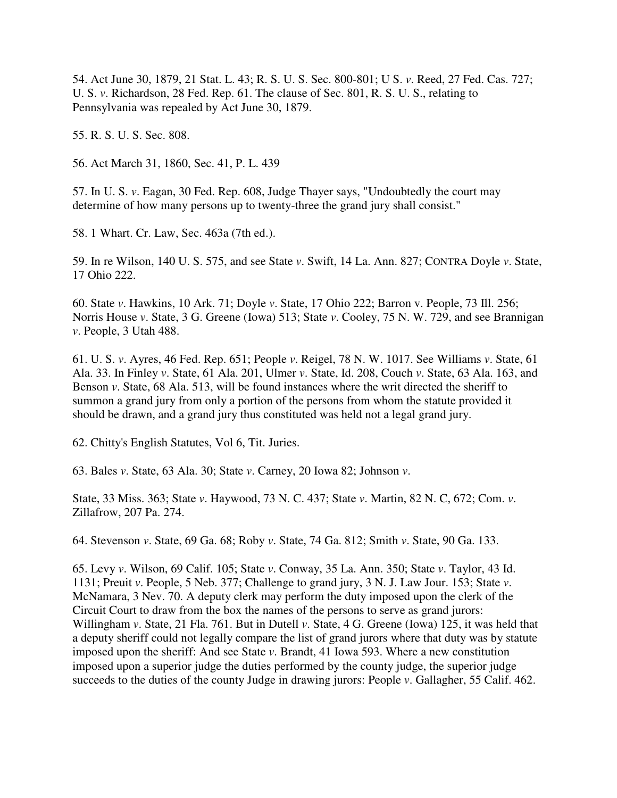54. Act June 30, 1879, 21 Stat. L. 43; R. S. U. S. Sec. 800-801; U S. *v*. Reed, 27 Fed. Cas. 727; U. S. *v*. Richardson, 28 Fed. Rep. 61. The clause of Sec. 801, R. S. U. S., relating to Pennsylvania was repealed by Act June 30, 1879.

55. R. S. U. S. Sec. 808.

56. Act March 31, 1860, Sec. 41, P. L. 439

57. In U. S. *v*. Eagan, 30 Fed. Rep. 608, Judge Thayer says, "Undoubtedly the court may determine of how many persons up to twenty-three the grand jury shall consist."

58. 1 Whart. Cr. Law, Sec. 463a (7th ed.).

59. In re Wilson, 140 U. S. 575, and see State *v*. Swift, 14 La. Ann. 827; CONTRA Doyle *v*. State, 17 Ohio 222.

60. State *v*. Hawkins, 10 Ark. 71; Doyle *v*. State, 17 Ohio 222; Barron v. People, 73 Ill. 256; Norris House *v*. State, 3 G. Greene (Iowa) 513; State *v*. Cooley, 75 N. W. 729, and see Brannigan *v*. People, 3 Utah 488.

61. U. S. *v*. Ayres, 46 Fed. Rep. 651; People *v*. Reigel, 78 N. W. 1017. See Williams *v*. State, 61 Ala. 33. In Finley *v*. State, 61 Ala. 201, Ulmer *v*. State, Id. 208, Couch *v*. State, 63 Ala. 163, and Benson *v*. State, 68 Ala. 513, will be found instances where the writ directed the sheriff to summon a grand jury from only a portion of the persons from whom the statute provided it should be drawn, and a grand jury thus constituted was held not a legal grand jury.

62. Chitty's English Statutes, Vol 6, Tit. Juries.

63. Bales *v*. State, 63 Ala. 30; State *v*. Carney, 20 Iowa 82; Johnson *v*.

State, 33 Miss. 363; State *v*. Haywood, 73 N. C. 437; State *v*. Martin, 82 N. C, 672; Com. *v*. Zillafrow, 207 Pa. 274.

64. Stevenson *v*. State, 69 Ga. 68; Roby *v*. State, 74 Ga. 812; Smith *v*. State, 90 Ga. 133.

65. Levy *v*. Wilson, 69 Calif. 105; State *v*. Conway, 35 La. Ann. 350; State *v*. Taylor, 43 Id. 1131; Preuit *v*. People, 5 Neb. 377; Challenge to grand jury, 3 N. J. Law Jour. 153; State *v*. McNamara, 3 Nev. 70. A deputy clerk may perform the duty imposed upon the clerk of the Circuit Court to draw from the box the names of the persons to serve as grand jurors: Willingham *v*. State, 21 Fla. 761. But in Dutell *v*. State, 4 G. Greene (Iowa) 125, it was held that a deputy sheriff could not legally compare the list of grand jurors where that duty was by statute imposed upon the sheriff: And see State *v*. Brandt, 41 Iowa 593. Where a new constitution imposed upon a superior judge the duties performed by the county judge, the superior judge succeeds to the duties of the county Judge in drawing jurors: People *v*. Gallagher, 55 Calif. 462.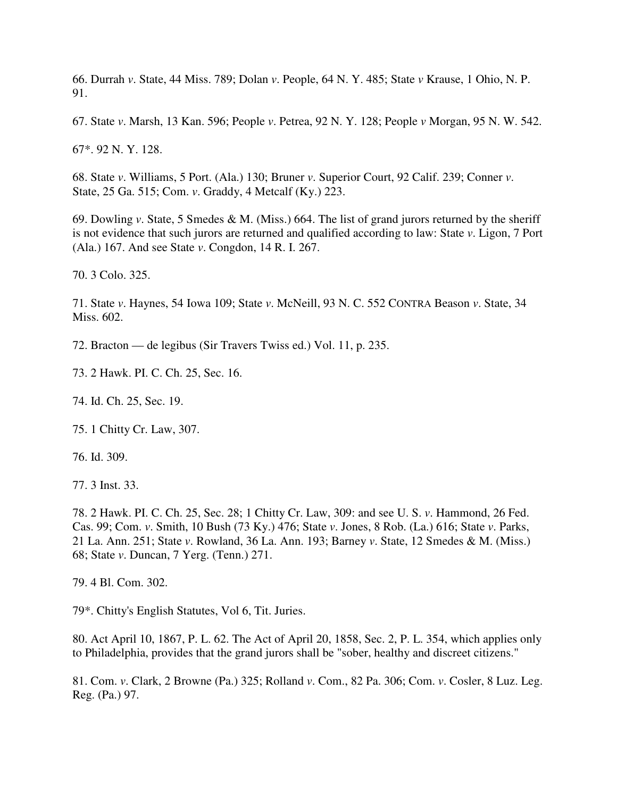66. Durrah *v*. State, 44 Miss. 789; Dolan *v*. People, 64 N. Y. 485; State *v* Krause, 1 Ohio, N. P. 91.

67. State *v*. Marsh, 13 Kan. 596; People *v*. Petrea, 92 N. Y. 128; People *v* Morgan, 95 N. W. 542.

67\*. 92 N. Y. 128.

68. State *v*. Williams, 5 Port. (Ala.) 130; Bruner *v*. Superior Court, 92 Calif. 239; Conner *v*. State, 25 Ga. 515; Com. *v*. Graddy, 4 Metcalf (Ky.) 223.

69. Dowling *v*. State, 5 Smedes & M. (Miss.) 664. The list of grand jurors returned by the sheriff is not evidence that such jurors are returned and qualified according to law: State *v*. Ligon, 7 Port (Ala.) 167. And see State *v*. Congdon, 14 R. I. 267.

70. 3 Colo. 325.

71. State *v*. Haynes, 54 Iowa 109; State *v*. McNeill, 93 N. C. 552 CONTRA Beason *v*. State, 34 Miss. 602.

72. Bracton — de legibus (Sir Travers Twiss ed.) Vol. 11, p. 235.

73. 2 Hawk. PI. C. Ch. 25, Sec. 16.

74. Id. Ch. 25, Sec. 19.

75. 1 Chitty Cr. Law, 307.

76. Id. 309.

77. 3 Inst. 33.

78. 2 Hawk. PI. C. Ch. 25, Sec. 28; 1 Chitty Cr. Law, 309: and see U. S. *v*. Hammond, 26 Fed. Cas. 99; Com. *v*. Smith, 10 Bush (73 Ky.) 476; State *v*. Jones, 8 Rob. (La.) 616; State *v*. Parks, 21 La. Ann. 251; State *v*. Rowland, 36 La. Ann. 193; Barney *v*. State, 12 Smedes & M. (Miss.) 68; State *v*. Duncan, 7 Yerg. (Tenn.) 271.

79. 4 Bl. Com. 302.

79\*. Chitty's English Statutes, Vol 6, Tit. Juries.

80. Act April 10, 1867, P. L. 62. The Act of April 20, 1858, Sec. 2, P. L. 354, which applies only to Philadelphia, provides that the grand jurors shall be "sober, healthy and discreet citizens."

81. Com. *v*. Clark, 2 Browne (Pa.) 325; Rolland *v*. Com., 82 Pa. 306; Com. *v*. Cosler, 8 Luz. Leg. Reg. (Pa.) 97.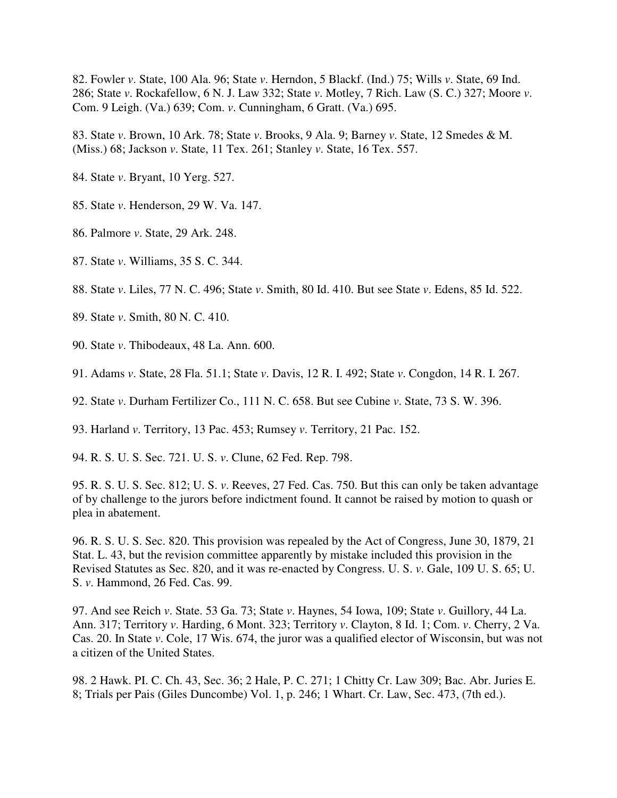82. Fowler *v*. State, 100 Ala. 96; State *v*. Herndon, 5 Blackf. (Ind.) 75; Wills *v*. State, 69 Ind. 286; State *v*. Rockafellow, 6 N. J. Law 332; State *v*. Motley, 7 Rich. Law (S. C.) 327; Moore *v*. Com. 9 Leigh. (Va.) 639; Com. *v*. Cunningham, 6 Gratt. (Va.) 695.

83. State *v*. Brown, 10 Ark. 78; State *v*. Brooks, 9 Ala. 9; Barney *v*. State, 12 Smedes & M. (Miss.) 68; Jackson *v*. State, 11 Tex. 261; Stanley *v*. State, 16 Tex. 557.

84. State *v*. Bryant, 10 Yerg. 527.

85. State *v*. Henderson, 29 W. Va. 147.

- 86. Palmore *v*. State, 29 Ark. 248.
- 87. State *v*. Williams, 35 S. C. 344.
- 88. State *v*. Liles, 77 N. C. 496; State *v*. Smith, 80 Id. 410. But see State *v*. Edens, 85 Id. 522.
- 89. State *v*. Smith, 80 N. C. 410.
- 90. State *v*. Thibodeaux, 48 La. Ann. 600.
- 91. Adams *v*. State, 28 Fla. 51.1; State *v*. Davis, 12 R. I. 492; State *v*. Congdon, 14 R. I. 267.
- 92. State *v*. Durham Fertilizer Co., 111 N. C. 658. But see Cubine *v*. State, 73 S. W. 396.

93. Harland *v*. Territory, 13 Pac. 453; Rumsey *v*. Territory, 21 Pac. 152.

94. R. S. U. S. Sec. 721. U. S. *v*. Clune, 62 Fed. Rep. 798.

95. R. S. U. S. Sec. 812; U. S. *v*. Reeves, 27 Fed. Cas. 750. But this can only be taken advantage of by challenge to the jurors before indictment found. It cannot be raised by motion to quash or plea in abatement.

96. R. S. U. S. Sec. 820. This provision was repealed by the Act of Congress, June 30, 1879, 21 Stat. L. 43, but the revision committee apparently by mistake included this provision in the Revised Statutes as Sec. 820, and it was re-enacted by Congress. U. S. *v*. Gale, 109 U. S. 65; U. S. *v*. Hammond, 26 Fed. Cas. 99.

97. And see Reich *v*. State. 53 Ga. 73; State *v*. Haynes, 54 Iowa, 109; State *v*. Guillory, 44 La. Ann. 317; Territory *v*. Harding, 6 Mont. 323; Territory *v*. Clayton, 8 Id. 1; Com. *v*. Cherry, 2 Va. Cas. 20. In State *v*. Cole, 17 Wis. 674, the juror was a qualified elector of Wisconsin, but was not a citizen of the United States.

98. 2 Hawk. PI. C. Ch. 43, Sec. 36; 2 Hale, P. C. 271; 1 Chitty Cr. Law 309; Bac. Abr. Juries E. 8; Trials per Pais (Giles Duncombe) Vol. 1, p. 246; 1 Whart. Cr. Law, Sec. 473, (7th ed.).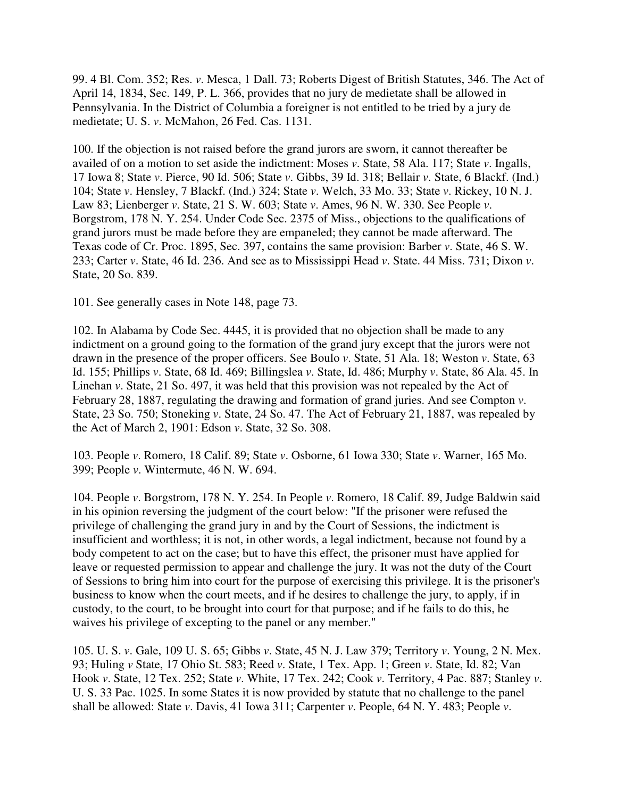99. 4 Bl. Com. 352; Res. *v*. Mesca, 1 Dall. 73; Roberts Digest of British Statutes, 346. The Act of April 14, 1834, Sec. 149, P. L. 366, provides that no jury de medietate shall be allowed in Pennsylvania. In the District of Columbia a foreigner is not entitled to be tried by a jury de medietate; U. S. *v*. McMahon, 26 Fed. Cas. 1131.

100. If the objection is not raised before the grand jurors are sworn, it cannot thereafter be availed of on a motion to set aside the indictment: Moses *v*. State, 58 Ala. 117; State *v*. Ingalls, 17 Iowa 8; State *v*. Pierce, 90 Id. 506; State *v*. Gibbs, 39 Id. 318; Bellair *v*. State, 6 Blackf. (Ind.) 104; State *v*. Hensley, 7 Blackf. (Ind.) 324; State *v*. Welch, 33 Mo. 33; State *v*. Rickey, 10 N. J. Law 83; Lienberger *v*. State, 21 S. W. 603; State *v*. Ames, 96 N. W. 330. See People *v*. Borgstrom, 178 N. Y. 254. Under Code Sec. 2375 of Miss., objections to the qualifications of grand jurors must be made before they are empaneled; they cannot be made afterward. The Texas code of Cr. Proc. 1895, Sec. 397, contains the same provision: Barber *v*. State, 46 S. W. 233; Carter *v*. State, 46 Id. 236. And see as to Mississippi Head *v*. State. 44 Miss. 731; Dixon *v*. State, 20 So. 839.

101. See generally cases in Note 148, page 73.

102. In Alabama by Code Sec. 4445, it is provided that no objection shall be made to any indictment on a ground going to the formation of the grand jury except that the jurors were not drawn in the presence of the proper officers. See Boulo *v*. State, 51 Ala. 18; Weston *v*. State, 63 Id. 155; Phillips *v*. State, 68 Id. 469; Billingslea *v*. State, Id. 486; Murphy *v*. State, 86 Ala. 45. In Linehan *v*. State, 21 So. 497, it was held that this provision was not repealed by the Act of February 28, 1887, regulating the drawing and formation of grand juries. And see Compton *v*. State, 23 So. 750; Stoneking *v*. State, 24 So. 47. The Act of February 21, 1887, was repealed by the Act of March 2, 1901: Edson *v*. State, 32 So. 308.

103. People *v*. Romero, 18 Calif. 89; State *v*. Osborne, 61 Iowa 330; State *v*. Warner, 165 Mo. 399; People *v*. Wintermute, 46 N. W. 694.

104. People *v*. Borgstrom, 178 N. Y. 254. In People *v*. Romero, 18 Calif. 89, Judge Baldwin said in his opinion reversing the judgment of the court below: "If the prisoner were refused the privilege of challenging the grand jury in and by the Court of Sessions, the indictment is insufficient and worthless; it is not, in other words, a legal indictment, because not found by a body competent to act on the case; but to have this effect, the prisoner must have applied for leave or requested permission to appear and challenge the jury. It was not the duty of the Court of Sessions to bring him into court for the purpose of exercising this privilege. It is the prisoner's business to know when the court meets, and if he desires to challenge the jury, to apply, if in custody, to the court, to be brought into court for that purpose; and if he fails to do this, he waives his privilege of excepting to the panel or any member."

105. U. S. *v*. Gale, 109 U. S. 65; Gibbs *v*. State, 45 N. J. Law 379; Territory *v*. Young, 2 N. Mex. 93; Huling *v* State, 17 Ohio St. 583; Reed *v*. State, 1 Tex. App. 1; Green *v*. State, Id. 82; Van Hook *v*. State, 12 Tex. 252; State *v*. White, 17 Tex. 242; Cook *v*. Territory, 4 Pac. 887; Stanley *v*. U. S. 33 Pac. 1025. In some States it is now provided by statute that no challenge to the panel shall be allowed: State *v*. Davis, 41 Iowa 311; Carpenter *v*. People, 64 N. Y. 483; People *v*.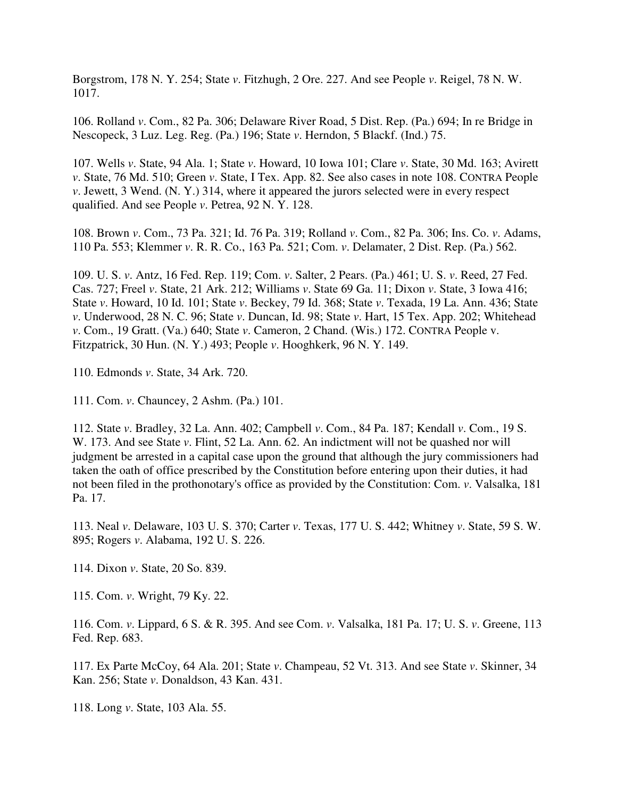Borgstrom, 178 N. Y. 254; State *v*. Fitzhugh, 2 Ore. 227. And see People *v*. Reigel, 78 N. W. 1017.

106. Rolland *v*. Com., 82 Pa. 306; Delaware River Road, 5 Dist. Rep. (Pa.) 694; In re Bridge in Nescopeck, 3 Luz. Leg. Reg. (Pa.) 196; State *v*. Herndon, 5 Blackf. (Ind.) 75.

107. Wells *v*. State, 94 Ala. 1; State *v*. Howard, 10 Iowa 101; Clare *v*. State, 30 Md. 163; Avirett *v*. State, 76 Md. 510; Green *v*. State, I Tex. App. 82. See also cases in note 108. CONTRA People *v*. Jewett, 3 Wend. (N. Y.) 314, where it appeared the jurors selected were in every respect qualified. And see People *v*. Petrea, 92 N. Y. 128.

108. Brown *v*. Com., 73 Pa. 321; Id. 76 Pa. 319; Rolland *v*. Com., 82 Pa. 306; Ins. Co. *v*. Adams, 110 Pa. 553; Klemmer *v*. R. R. Co., 163 Pa. 521; Com. *v*. Delamater, 2 Dist. Rep. (Pa.) 562.

109. U. S. *v*. Antz, 16 Fed. Rep. 119; Com. *v*. Salter, 2 Pears. (Pa.) 461; U. S. *v*. Reed, 27 Fed. Cas. 727; Freel *v*. State, 21 Ark. 212; Williams *v*. State 69 Ga. 11; Dixon *v*. State, 3 Iowa 416; State *v*. Howard, 10 Id. 101; State *v*. Beckey, 79 Id. 368; State *v*. Texada, 19 La. Ann. 436; State *v*. Underwood, 28 N. C. 96; State *v*. Duncan, Id. 98; State *v*. Hart, 15 Tex. App. 202; Whitehead *v*. Com., 19 Gratt. (Va.) 640; State *v*. Cameron, 2 Chand. (Wis.) 172. CONTRA People v. Fitzpatrick, 30 Hun. (N. Y.) 493; People *v*. Hooghkerk, 96 N. Y. 149.

110. Edmonds *v*. State, 34 Ark. 720.

111. Com. *v*. Chauncey, 2 Ashm. (Pa.) 101.

112. State *v*. Bradley, 32 La. Ann. 402; Campbell *v*. Com., 84 Pa. 187; Kendall *v*. Com., 19 S. W. 173. And see State *v*. Flint, 52 La. Ann. 62. An indictment will not be quashed nor will judgment be arrested in a capital case upon the ground that although the jury commissioners had taken the oath of office prescribed by the Constitution before entering upon their duties, it had not been filed in the prothonotary's office as provided by the Constitution: Com. *v*. Valsalka, 181 Pa. 17.

113. Neal *v*. Delaware, 103 U. S. 370; Carter *v*. Texas, 177 U. S. 442; Whitney *v*. State, 59 S. W. 895; Rogers *v*. Alabama, 192 U. S. 226.

114. Dixon *v*. State, 20 So. 839.

115. Com. *v*. Wright, 79 Ky. 22.

116. Com. *v*. Lippard, 6 S. & R. 395. And see Com. *v*. Valsalka, 181 Pa. 17; U. S. *v*. Greene, 113 Fed. Rep. 683.

117. Ex Parte McCoy, 64 Ala. 201; State *v*. Champeau, 52 Vt. 313. And see State *v*. Skinner, 34 Kan. 256; State *v*. Donaldson, 43 Kan. 431.

118. Long *v*. State, 103 Ala. 55.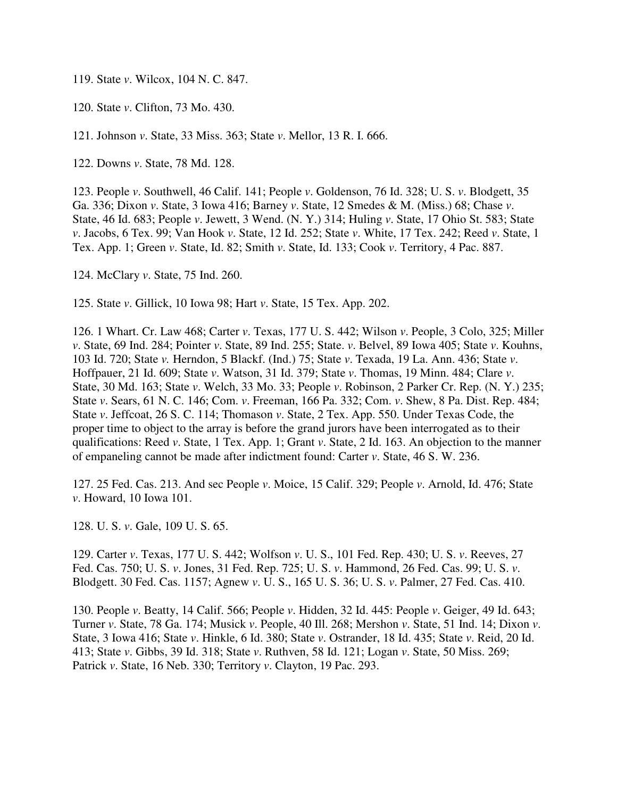119. State *v*. Wilcox, 104 N. C. 847.

120. State *v*. Clifton, 73 Mo. 430.

121. Johnson *v*. State, 33 Miss. 363; State *v*. Mellor, 13 R. I. 666.

122. Downs *v*. State, 78 Md. 128.

123. People *v*. Southwell, 46 Calif. 141; People *v*. Goldenson, 76 Id. 328; U. S. *v*. Blodgett, 35 Ga. 336; Dixon *v*. State, 3 Iowa 416; Barney *v*. State, 12 Smedes & M. (Miss.) 68; Chase *v*. State, 46 Id. 683; People *v*. Jewett, 3 Wend. (N. Y.) 314; Huling *v*. State, 17 Ohio St. 583; State *v*. Jacobs, 6 Tex. 99; Van Hook *v*. State, 12 Id. 252; State *v*. White, 17 Tex. 242; Reed *v*. State, 1 Tex. App. 1; Green *v*. State, Id. 82; Smith *v*. State, Id. 133; Cook *v*. Territory, 4 Pac. 887.

124. McClary *v*. State, 75 Ind. 260.

125. State *v*. Gillick, 10 Iowa 98; Hart *v*. State, 15 Tex. App. 202.

126. 1 Whart. Cr. Law 468; Carter *v*. Texas, 177 U. S. 442; Wilson *v*. People, 3 Colo, 325; Miller *v*. State, 69 Ind. 284; Pointer *v*. State, 89 Ind. 255; State. *v*. Belvel, 89 Iowa 405; State *v*. Kouhns, 103 Id. 720; State *v.* Herndon, 5 Blackf. (Ind.) 75; State *v*. Texada, 19 La. Ann. 436; State *v*. Hoffpauer, 21 Id. 609; State *v*. Watson, 31 Id. 379; State *v*. Thomas, 19 Minn. 484; Clare *v*. State, 30 Md. 163; State *v*. Welch, 33 Mo. 33; People *v*. Robinson, 2 Parker Cr. Rep. (N. Y.) 235; State *v*. Sears, 61 N. C. 146; Com. *v*. Freeman, 166 Pa. 332; Com. *v*. Shew, 8 Pa. Dist. Rep. 484; State *v*. Jeffcoat, 26 S. C. 114; Thomason *v*. State, 2 Tex. App. 550. Under Texas Code, the proper time to object to the array is before the grand jurors have been interrogated as to their qualifications: Reed *v*. State, 1 Tex. App. 1; Grant *v*. State, 2 Id. 163. An objection to the manner of empaneling cannot be made after indictment found: Carter *v*. State, 46 S. W. 236.

127. 25 Fed. Cas. 213. And sec People *v*. Moice, 15 Calif. 329; People *v*. Arnold, Id. 476; State *v*. Howard, 10 Iowa 101.

128. U. S. *v*. Gale, 109 U. S. 65.

129. Carter *v*. Texas, 177 U. S. 442; Wolfson *v*. U. S., 101 Fed. Rep. 430; U. S. *v*. Reeves, 27 Fed. Cas. 750; U. S. *v*. Jones, 31 Fed. Rep. 725; U. S. *v*. Hammond, 26 Fed. Cas. 99; U. S. *v*. Blodgett. 30 Fed. Cas. 1157; Agnew *v*. U. S., 165 U. S. 36; U. S. *v*. Palmer, 27 Fed. Cas. 410.

130. People *v*. Beatty, 14 Calif. 566; People *v*. Hidden, 32 Id. 445: People *v*. Geiger, 49 Id. 643; Turner *v*. State, 78 Ga. 174; Musick *v*. People, 40 Ill. 268; Mershon *v*. State, 51 Ind. 14; Dixon *v*. State, 3 Iowa 416; State *v*. Hinkle, 6 Id. 380; State *v*. Ostrander, 18 Id. 435; State *v*. Reid, 20 Id. 413; State *v*. Gibbs, 39 Id. 318; State *v*. Ruthven, 58 Id. 121; Logan *v*. State, 50 Miss. 269; Patrick *v*. State, 16 Neb. 330; Territory *v*. Clayton, 19 Pac. 293.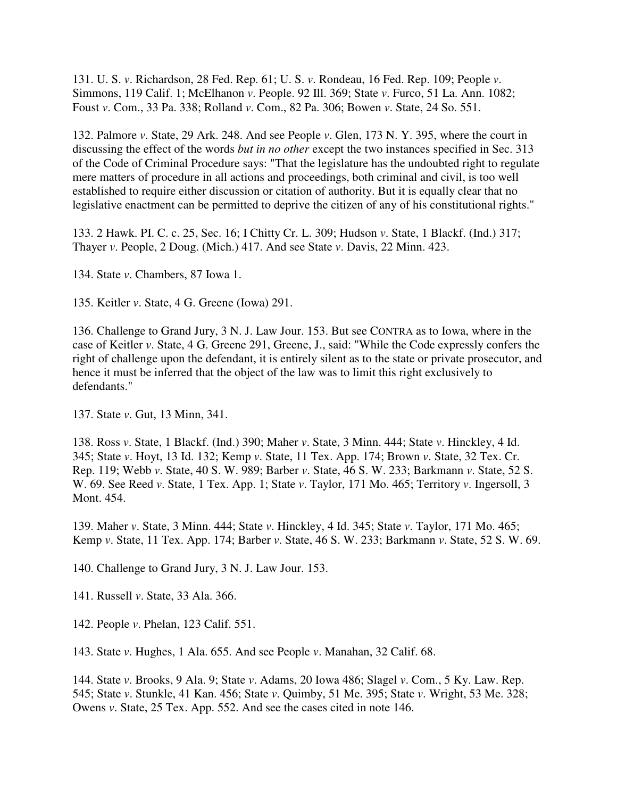131. U. S. *v*. Richardson, 28 Fed. Rep. 61; U. S. *v*. Rondeau, 16 Fed. Rep. 109; People *v*. Simmons, 119 Calif. 1; McElhanon *v*. People. 92 Ill. 369; State *v*. Furco, 51 La. Ann. 1082; Foust *v*. Com., 33 Pa. 338; Rolland *v*. Com., 82 Pa. 306; Bowen *v*. State, 24 So. 551.

132. Palmore *v*. State, 29 Ark. 248. And see People *v*. Glen, 173 N. Y. 395, where the court in discussing the effect of the words *but in no other* except the two instances specified in Sec. 313 of the Code of Criminal Procedure says: "That the legislature has the undoubted right to regulate mere matters of procedure in all actions and proceedings, both criminal and civil, is too well established to require either discussion or citation of authority. But it is equally clear that no legislative enactment can be permitted to deprive the citizen of any of his constitutional rights."

133. 2 Hawk. PI. C. c. 25, Sec. 16; I Chitty Cr. L. 309; Hudson *v*. State, 1 Blackf. (Ind.) 317; Thayer *v*. People, 2 Doug. (Mich.) 417. And see State *v*. Davis, 22 Minn. 423.

134. State *v*. Chambers, 87 Iowa 1.

135. Keitler *v*. State, 4 G. Greene (Iowa) 291.

136. Challenge to Grand Jury, 3 N. J. Law Jour. 153. But see CONTRA as to Iowa, where in the case of Keitler *v*. State, 4 G. Greene 291, Greene, J., said: "While the Code expressly confers the right of challenge upon the defendant, it is entirely silent as to the state or private prosecutor, and hence it must be inferred that the object of the law was to limit this right exclusively to defendants."

137. State *v*. Gut, 13 Minn, 341.

138. Ross *v*. State, 1 Blackf. (Ind.) 390; Maher *v*. State, 3 Minn. 444; State *v*. Hinckley, 4 Id. 345; State *v*. Hoyt, 13 Id. 132; Kemp *v*. State, 11 Tex. App. 174; Brown *v*. State, 32 Tex. Cr. Rep. 119; Webb *v*. State, 40 S. W. 989; Barber *v*. State, 46 S. W. 233; Barkmann *v*. State, 52 S. W. 69. See Reed *v*. State, 1 Tex. App. 1; State *v*. Taylor, 171 Mo. 465; Territory *v*. Ingersoll, 3 Mont. 454.

139. Maher *v*. State, 3 Minn. 444; State *v*. Hinckley, 4 Id. 345; State *v*. Taylor, 171 Mo. 465; Kemp *v*. State, 11 Tex. App. 174; Barber *v*. State, 46 S. W. 233; Barkmann *v*. State, 52 S. W. 69.

140. Challenge to Grand Jury, 3 N. J. Law Jour. 153.

141. Russell *v*. State, 33 Ala. 366.

142. People *v*. Phelan, 123 Calif. 551.

143. State *v*. Hughes, 1 Ala. 655. And see People *v*. Manahan, 32 Calif. 68.

144. State *v*. Brooks, 9 Ala. 9; State *v*. Adams, 20 Iowa 486; Slagel *v*. Com., 5 Ky. Law. Rep. 545; State *v*. Stunkle, 41 Kan. 456; State *v*. Quimby, 51 Me. 395; State *v*. Wright, 53 Me. 328; Owens *v*. State, 25 Tex. App. 552. And see the cases cited in note 146.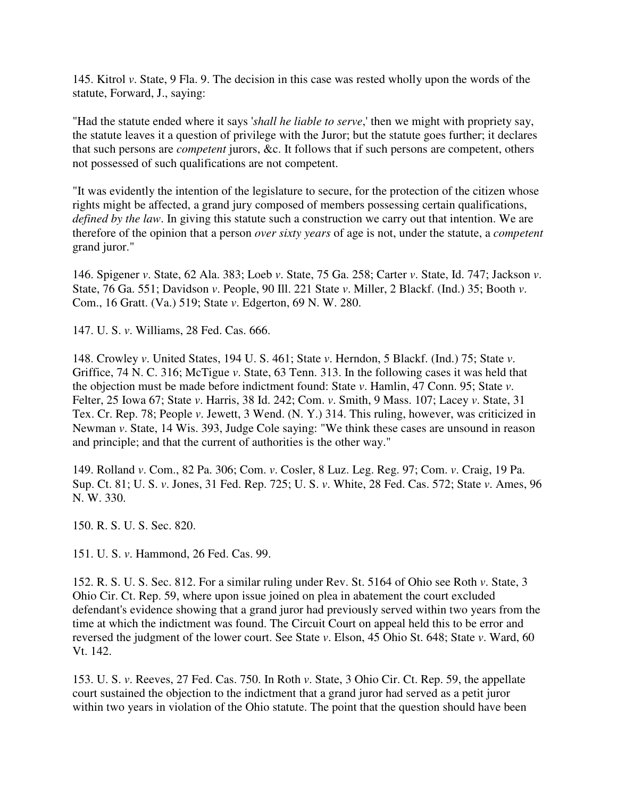145. Kitrol *v*. State, 9 Fla. 9. The decision in this case was rested wholly upon the words of the statute, Forward, J., saying:

"Had the statute ended where it says '*shall he liable to serve*,' then we might with propriety say, the statute leaves it a question of privilege with the Juror; but the statute goes further; it declares that such persons are *competent* jurors, &c. It follows that if such persons are competent, others not possessed of such qualifications are not competent.

"It was evidently the intention of the legislature to secure, for the protection of the citizen whose rights might be affected, a grand jury composed of members possessing certain qualifications, *defined by the law*. In giving this statute such a construction we carry out that intention. We are therefore of the opinion that a person *over sixty years* of age is not, under the statute, a *competent* grand juror."

146. Spigener *v*. State, 62 Ala. 383; Loeb *v*. State, 75 Ga. 258; Carter *v*. State, Id. 747; Jackson *v*. State, 76 Ga. 551; Davidson *v*. People, 90 Ill. 221 State *v*. Miller, 2 Blackf. (Ind.) 35; Booth *v*. Com., 16 Gratt. (Va.) 519; State *v*. Edgerton, 69 N. W. 280.

147. U. S. *v*. Williams, 28 Fed. Cas. 666.

148. Crowley *v*. United States, 194 U. S. 461; State *v*. Herndon, 5 Blackf. (Ind.) 75; State *v*. Griffice, 74 N. C. 316; McTigue *v*. State, 63 Tenn. 313. In the following cases it was held that the objection must be made before indictment found: State *v*. Hamlin, 47 Conn. 95; State *v*. Felter, 25 Iowa 67; State *v*. Harris, 38 Id. 242; Com. *v*. Smith, 9 Mass. 107; Lacey *v*. State, 31 Tex. Cr. Rep. 78; People *v*. Jewett, 3 Wend. (N. Y.) 314. This ruling, however, was criticized in Newman *v*. State, 14 Wis. 393, Judge Cole saying: "We think these cases are unsound in reason and principle; and that the current of authorities is the other way."

149. Rolland *v*. Com., 82 Pa. 306; Com. *v*. Cosler, 8 Luz. Leg. Reg. 97; Com. *v*. Craig, 19 Pa. Sup. Ct. 81; U. S. *v*. Jones, 31 Fed. Rep. 725; U. S. *v*. White, 28 Fed. Cas. 572; State *v*. Ames, 96 N. W. 330.

150. R. S. U. S. Sec. 820.

151. U. S. *v*. Hammond, 26 Fed. Cas. 99.

152. R. S. U. S. Sec. 812. For a similar ruling under Rev. St. 5164 of Ohio see Roth *v*. State, 3 Ohio Cir. Ct. Rep. 59, where upon issue joined on plea in abatement the court excluded defendant's evidence showing that a grand juror had previously served within two years from the time at which the indictment was found. The Circuit Court on appeal held this to be error and reversed the judgment of the lower court. See State *v*. Elson, 45 Ohio St. 648; State *v*. Ward, 60 Vt. 142.

153. U. S. *v*. Reeves, 27 Fed. Cas. 750. In Roth *v*. State, 3 Ohio Cir. Ct. Rep. 59, the appellate court sustained the objection to the indictment that a grand juror had served as a petit juror within two years in violation of the Ohio statute. The point that the question should have been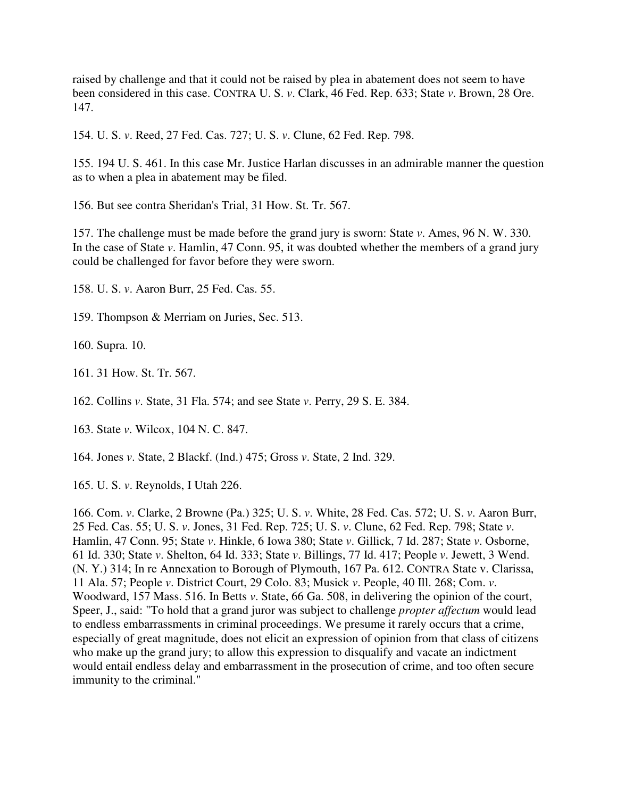raised by challenge and that it could not be raised by plea in abatement does not seem to have been considered in this case. CONTRA U. S. *v*. Clark, 46 Fed. Rep. 633; State *v*. Brown, 28 Ore. 147.

154. U. S. *v*. Reed, 27 Fed. Cas. 727; U. S. *v*. Clune, 62 Fed. Rep. 798.

155. 194 U. S. 461. In this case Mr. Justice Harlan discusses in an admirable manner the question as to when a plea in abatement may be filed.

156. But see contra Sheridan's Trial, 31 How. St. Tr. 567.

157. The challenge must be made before the grand jury is sworn: State *v*. Ames, 96 N. W. 330. In the case of State *v*. Hamlin, 47 Conn. 95, it was doubted whether the members of a grand jury could be challenged for favor before they were sworn.

158. U. S. *v*. Aaron Burr, 25 Fed. Cas. 55.

159. Thompson & Merriam on Juries, Sec. 513.

160. Supra. 10.

161. 31 How. St. Tr. 567.

162. Collins *v*. State, 31 Fla. 574; and see State *v*. Perry, 29 S. E. 384.

163. State *v*. Wilcox, 104 N. C. 847.

164. Jones *v*. State, 2 Blackf. (Ind.) 475; Gross *v*. State, 2 Ind. 329.

165. U. S. *v*. Reynolds, I Utah 226.

166. Com. *v*. Clarke, 2 Browne (Pa.) 325; U. S. *v*. White, 28 Fed. Cas. 572; U. S. *v*. Aaron Burr, 25 Fed. Cas. 55; U. S. *v*. Jones, 31 Fed. Rep. 725; U. S. *v*. Clune, 62 Fed. Rep. 798; State *v*. Hamlin, 47 Conn. 95; State *v*. Hinkle, 6 Iowa 380; State *v*. Gillick, 7 Id. 287; State *v*. Osborne, 61 Id. 330; State *v*. Shelton, 64 Id. 333; State *v*. Billings, 77 Id. 417; People *v*. Jewett, 3 Wend. (N. Y.) 314; In re Annexation to Borough of Plymouth, 167 Pa. 612. CONTRA State v. Clarissa, 11 Ala. 57; People *v*. District Court, 29 Colo. 83; Musick *v*. People, 40 Ill. 268; Com. *v*. Woodward, 157 Mass. 516. In Betts *v*. State, 66 Ga. 508, in delivering the opinion of the court, Speer, J., said: "To hold that a grand juror was subject to challenge *propter affectum* would lead to endless embarrassments in criminal proceedings. We presume it rarely occurs that a crime, especially of great magnitude, does not elicit an expression of opinion from that class of citizens who make up the grand jury; to allow this expression to disqualify and vacate an indictment would entail endless delay and embarrassment in the prosecution of crime, and too often secure immunity to the criminal."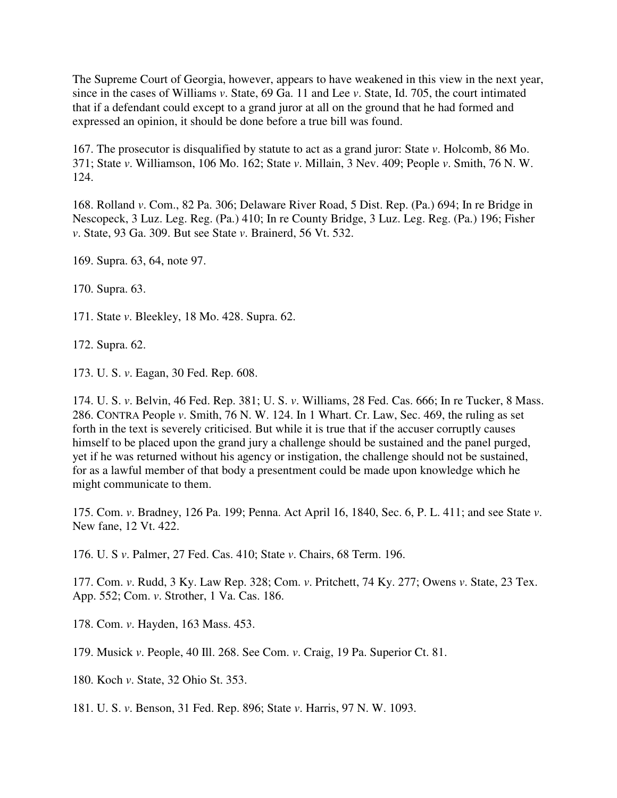The Supreme Court of Georgia, however, appears to have weakened in this view in the next year, since in the cases of Williams *v*. State, 69 Ga. 11 and Lee *v*. State, Id. 705, the court intimated that if a defendant could except to a grand juror at all on the ground that he had formed and expressed an opinion, it should be done before a true bill was found.

167. The prosecutor is disqualified by statute to act as a grand juror: State *v*. Holcomb, 86 Mo. 371; State *v*. Williamson, 106 Mo. 162; State *v*. Millain, 3 Nev. 409; People *v*. Smith, 76 N. W. 124.

168. Rolland *v*. Com., 82 Pa. 306; Delaware River Road, 5 Dist. Rep. (Pa.) 694; In re Bridge in Nescopeck, 3 Luz. Leg. Reg. (Pa.) 410; In re County Bridge, 3 Luz. Leg. Reg. (Pa.) 196; Fisher *v*. State, 93 Ga. 309. But see State *v*. Brainerd, 56 Vt. 532.

169. Supra. 63, 64, note 97.

170. Supra. 63.

171. State *v*. Bleekley, 18 Mo. 428. Supra. 62.

172. Supra. 62.

173. U. S. *v*. Eagan, 30 Fed. Rep. 608.

174. U. S. *v*. Belvin, 46 Fed. Rep. 381; U. S. *v*. Williams, 28 Fed. Cas. 666; In re Tucker, 8 Mass. 286. CONTRA People *v*. Smith, 76 N. W. 124. In 1 Whart. Cr. Law, Sec. 469, the ruling as set forth in the text is severely criticised. But while it is true that if the accuser corruptly causes himself to be placed upon the grand jury a challenge should be sustained and the panel purged, yet if he was returned without his agency or instigation, the challenge should not be sustained, for as a lawful member of that body a presentment could be made upon knowledge which he might communicate to them.

175. Com. *v*. Bradney, 126 Pa. 199; Penna. Act April 16, 1840, Sec. 6, P. L. 411; and see State *v*. New fane, 12 Vt. 422.

176. U. S *v*. Palmer, 27 Fed. Cas. 410; State *v*. Chairs, 68 Term. 196.

177. Com. *v*. Rudd, 3 Ky. Law Rep. 328; Com. *v*. Pritchett, 74 Ky. 277; Owens *v*. State, 23 Tex. App. 552; Com. *v*. Strother, 1 Va. Cas. 186.

178. Com. *v*. Hayden, 163 Mass. 453.

179. Musick *v*. People, 40 Ill. 268. See Com. *v*. Craig, 19 Pa. Superior Ct. 81.

180. Koch *v*. State, 32 Ohio St. 353.

181. U. S. *v*. Benson, 31 Fed. Rep. 896; State *v*. Harris, 97 N. W. 1093.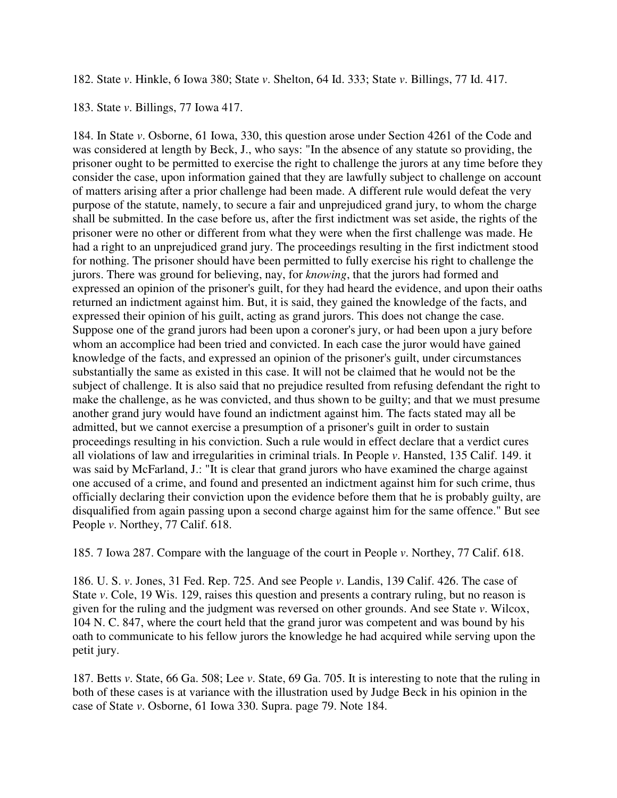182. State *v*. Hinkle, 6 Iowa 380; State *v*. Shelton, 64 Id. 333; State *v*. Billings, 77 Id. 417.

183. State *v*. Billings, 77 Iowa 417.

184. In State *v*. Osborne, 61 Iowa, 330, this question arose under Section 4261 of the Code and was considered at length by Beck, J., who says: "In the absence of any statute so providing, the prisoner ought to be permitted to exercise the right to challenge the jurors at any time before they consider the case, upon information gained that they are lawfully subject to challenge on account of matters arising after a prior challenge had been made. A different rule would defeat the very purpose of the statute, namely, to secure a fair and unprejudiced grand jury, to whom the charge shall be submitted. In the case before us, after the first indictment was set aside, the rights of the prisoner were no other or different from what they were when the first challenge was made. He had a right to an unprejudiced grand jury. The proceedings resulting in the first indictment stood for nothing. The prisoner should have been permitted to fully exercise his right to challenge the jurors. There was ground for believing, nay, for *knowing*, that the jurors had formed and expressed an opinion of the prisoner's guilt, for they had heard the evidence, and upon their oaths returned an indictment against him. But, it is said, they gained the knowledge of the facts, and expressed their opinion of his guilt, acting as grand jurors. This does not change the case. Suppose one of the grand jurors had been upon a coroner's jury, or had been upon a jury before whom an accomplice had been tried and convicted. In each case the juror would have gained knowledge of the facts, and expressed an opinion of the prisoner's guilt, under circumstances substantially the same as existed in this case. It will not be claimed that he would not be the subject of challenge. It is also said that no prejudice resulted from refusing defendant the right to make the challenge, as he was convicted, and thus shown to be guilty; and that we must presume another grand jury would have found an indictment against him. The facts stated may all be admitted, but we cannot exercise a presumption of a prisoner's guilt in order to sustain proceedings resulting in his conviction. Such a rule would in effect declare that a verdict cures all violations of law and irregularities in criminal trials. In People *v*. Hansted, 135 Calif. 149. it was said by McFarland, J.: "It is clear that grand jurors who have examined the charge against one accused of a crime, and found and presented an indictment against him for such crime, thus officially declaring their conviction upon the evidence before them that he is probably guilty, are disqualified from again passing upon a second charge against him for the same offence." But see People *v*. Northey, 77 Calif. 618.

185. 7 Iowa 287. Compare with the language of the court in People *v*. Northey, 77 Calif. 618.

186. U. S. *v*. Jones, 31 Fed. Rep. 725. And see People *v*. Landis, 139 Calif. 426. The case of State *v*. Cole, 19 Wis. 129, raises this question and presents a contrary ruling, but no reason is given for the ruling and the judgment was reversed on other grounds. And see State *v*. Wilcox, 104 N. C. 847, where the court held that the grand juror was competent and was bound by his oath to communicate to his fellow jurors the knowledge he had acquired while serving upon the petit jury.

187. Betts *v*. State, 66 Ga. 508; Lee *v*. State, 69 Ga. 705. It is interesting to note that the ruling in both of these cases is at variance with the illustration used by Judge Beck in his opinion in the case of State *v*. Osborne, 61 Iowa 330. Supra. page 79. Note 184.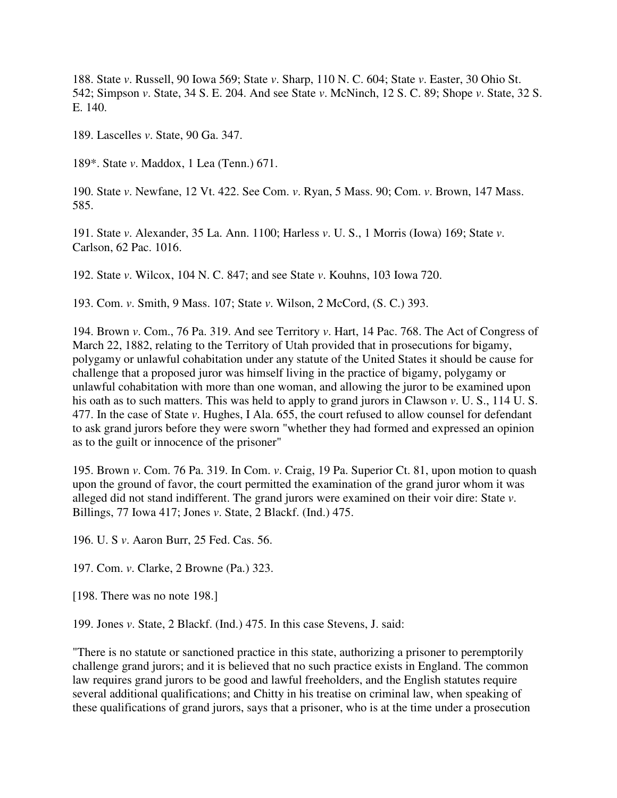188. State *v*. Russell, 90 Iowa 569; State *v*. Sharp, 110 N. C. 604; State *v*. Easter, 30 Ohio St. 542; Simpson *v*. State, 34 S. E. 204. And see State *v*. McNinch, 12 S. C. 89; Shope *v*. State, 32 S. E. 140.

189. Lascelles *v*. State, 90 Ga. 347.

189\*. State *v*. Maddox, 1 Lea (Tenn.) 671.

190. State *v*. Newfane, 12 Vt. 422. See Com. *v*. Ryan, 5 Mass. 90; Com. *v*. Brown, 147 Mass. 585.

191. State *v*. Alexander, 35 La. Ann. 1100; Harless *v*. U. S., 1 Morris (Iowa) 169; State *v*. Carlson, 62 Pac. 1016.

192. State *v*. Wilcox, 104 N. C. 847; and see State *v*. Kouhns, 103 Iowa 720.

193. Com. *v*. Smith, 9 Mass. 107; State *v*. Wilson, 2 McCord, (S. C.) 393.

194. Brown *v*. Com., 76 Pa. 319. And see Territory *v*. Hart, 14 Pac. 768. The Act of Congress of March 22, 1882, relating to the Territory of Utah provided that in prosecutions for bigamy, polygamy or unlawful cohabitation under any statute of the United States it should be cause for challenge that a proposed juror was himself living in the practice of bigamy, polygamy or unlawful cohabitation with more than one woman, and allowing the juror to be examined upon his oath as to such matters. This was held to apply to grand jurors in Clawson *v*. U. S., 114 U. S. 477. In the case of State *v*. Hughes, I Ala. 655, the court refused to allow counsel for defendant to ask grand jurors before they were sworn "whether they had formed and expressed an opinion as to the guilt or innocence of the prisoner"

195. Brown *v*. Com. 76 Pa. 319. In Com. *v*. Craig, 19 Pa. Superior Ct. 81, upon motion to quash upon the ground of favor, the court permitted the examination of the grand juror whom it was alleged did not stand indifferent. The grand jurors were examined on their voir dire: State *v*. Billings, 77 Iowa 417; Jones *v*. State, 2 Blackf. (Ind.) 475.

196. U. S *v*. Aaron Burr, 25 Fed. Cas. 56.

197. Com. *v*. Clarke, 2 Browne (Pa.) 323.

[198. There was no note 198.]

199. Jones *v*. State, 2 Blackf. (Ind.) 475. In this case Stevens, J. said:

"There is no statute or sanctioned practice in this state, authorizing a prisoner to peremptorily challenge grand jurors; and it is believed that no such practice exists in England. The common law requires grand jurors to be good and lawful freeholders, and the English statutes require several additional qualifications; and Chitty in his treatise on criminal law, when speaking of these qualifications of grand jurors, says that a prisoner, who is at the time under a prosecution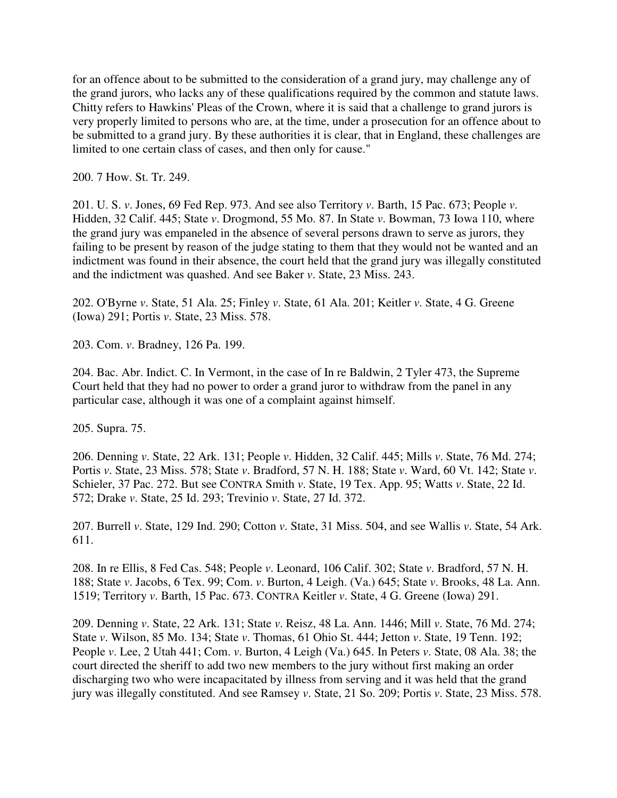for an offence about to be submitted to the consideration of a grand jury, may challenge any of the grand jurors, who lacks any of these qualifications required by the common and statute laws. Chitty refers to Hawkins' Pleas of the Crown, where it is said that a challenge to grand jurors is very properly limited to persons who are, at the time, under a prosecution for an offence about to be submitted to a grand jury. By these authorities it is clear, that in England, these challenges are limited to one certain class of cases, and then only for cause."

200. 7 How. St. Tr. 249.

201. U. S. *v*. Jones, 69 Fed Rep. 973. And see also Territory *v*. Barth, 15 Pac. 673; People *v*. Hidden, 32 Calif. 445; State *v*. Drogmond, 55 Mo. 87. In State *v*. Bowman, 73 Iowa 110, where the grand jury was empaneled in the absence of several persons drawn to serve as jurors, they failing to be present by reason of the judge stating to them that they would not be wanted and an indictment was found in their absence, the court held that the grand jury was illegally constituted and the indictment was quashed. And see Baker *v*. State, 23 Miss. 243.

202. O'Byrne *v*. State, 51 Ala. 25; Finley *v*. State, 61 Ala. 201; Keitler *v*. State, 4 G. Greene (Iowa) 291; Portis *v*. State, 23 Miss. 578.

203. Com. *v*. Bradney, 126 Pa. 199.

204. Bac. Abr. Indict. C. In Vermont, in the case of In re Baldwin, 2 Tyler 473, the Supreme Court held that they had no power to order a grand juror to withdraw from the panel in any particular case, although it was one of a complaint against himself.

205. Supra. 75.

206. Denning *v*. State, 22 Ark. 131; People *v*. Hidden, 32 Calif. 445; Mills *v*. State, 76 Md. 274; Portis *v*. State, 23 Miss. 578; State *v*. Bradford, 57 N. H. 188; State *v*. Ward, 60 Vt. 142; State *v*. Schieler, 37 Pac. 272. But see CONTRA Smith *v*. State, 19 Tex. App. 95; Watts *v*. State, 22 Id. 572; Drake *v*. State, 25 Id. 293; Trevinio *v*. State, 27 Id. 372.

207. Burrell *v*. State, 129 Ind. 290; Cotton *v*. State, 31 Miss. 504, and see Wallis *v*. State, 54 Ark. 611.

208. In re Ellis, 8 Fed Cas. 548; People *v*. Leonard, 106 Calif. 302; State *v*. Bradford, 57 N. H. 188; State *v*. Jacobs, 6 Tex. 99; Com. *v*. Burton, 4 Leigh. (Va.) 645; State *v*. Brooks, 48 La. Ann. 1519; Territory *v*. Barth, 15 Pac. 673. CONTRA Keitler *v*. State, 4 G. Greene (Iowa) 291.

209. Denning *v*. State, 22 Ark. 131; State *v*. Reisz, 48 La. Ann. 1446; Mill *v*. State, 76 Md. 274; State *v*. Wilson, 85 Mo. 134; State *v*. Thomas, 61 Ohio St. 444; Jetton *v*. State, 19 Tenn. 192; People *v*. Lee, 2 Utah 441; Com. *v*. Burton, 4 Leigh (Va.) 645. In Peters *v*. State, 08 Ala. 38; the court directed the sheriff to add two new members to the jury without first making an order discharging two who were incapacitated by illness from serving and it was held that the grand jury was illegally constituted. And see Ramsey *v*. State, 21 So. 209; Portis *v*. State, 23 Miss. 578.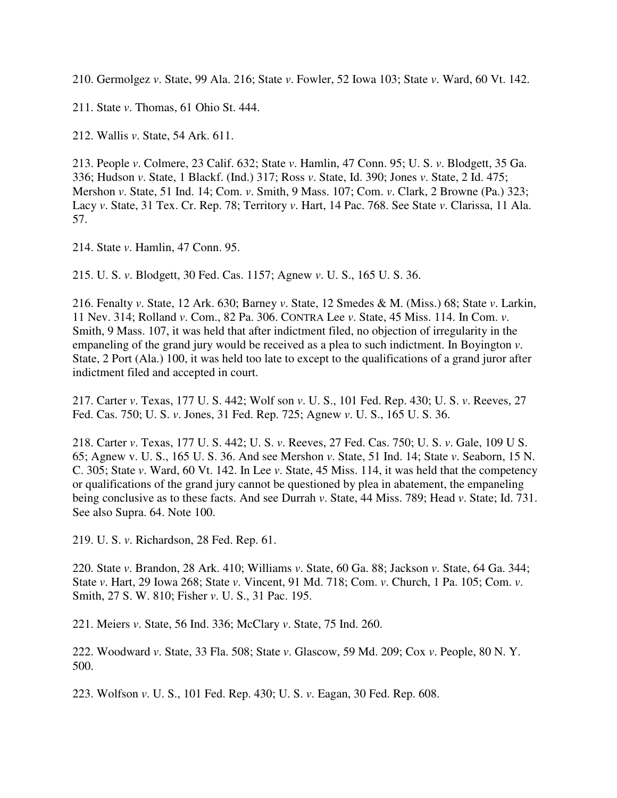210. Germolgez *v*. State, 99 Ala. 216; State *v*. Fowler, 52 Iowa 103; State *v*. Ward, 60 Vt. 142.

211. State *v*. Thomas, 61 Ohio St. 444.

212. Wallis *v*. State, 54 Ark. 611.

213. People *v*. Colmere, 23 Calif. 632; State *v*. Hamlin, 47 Conn. 95; U. S. *v*. Blodgett, 35 Ga. 336; Hudson *v*. State, 1 Blackf. (Ind.) 317; Ross *v*. State, Id. 390; Jones *v*. State, 2 Id. 475; Mershon *v*. State, 51 Ind. 14; Com. *v*. Smith, 9 Mass. 107; Com. *v*. Clark, 2 Browne (Pa.) 323; Lacy *v*. State, 31 Tex. Cr. Rep. 78; Territory *v*. Hart, 14 Pac. 768. See State *v*. Clarissa, 11 Ala. 57.

214. State *v*. Hamlin, 47 Conn. 95.

215. U. S. *v*. Blodgett, 30 Fed. Cas. 1157; Agnew *v*. U. S., 165 U. S. 36.

216. Fenalty *v*. State, 12 Ark. 630; Barney *v*. State, 12 Smedes & M. (Miss.) 68; State *v*. Larkin, 11 Nev. 314; Rolland *v*. Com., 82 Pa. 306. CONTRA Lee *v*. State, 45 Miss. 114. In Com. *v*. Smith, 9 Mass. 107, it was held that after indictment filed, no objection of irregularity in the empaneling of the grand jury would be received as a plea to such indictment. In Boyington *v*. State, 2 Port (Ala.) 100, it was held too late to except to the qualifications of a grand juror after indictment filed and accepted in court.

217. Carter *v*. Texas, 177 U. S. 442; Wolf son *v*. U. S., 101 Fed. Rep. 430; U. S. *v*. Reeves, 27 Fed. Cas. 750; U. S. *v*. Jones, 31 Fed. Rep. 725; Agnew *v*. U. S., 165 U. S. 36.

218. Carter *v*. Texas, 177 U. S. 442; U. S. *v*. Reeves, 27 Fed. Cas. 750; U. S. *v*. Gale, 109 U S. 65; Agnew v. U. S., 165 U. S. 36. And see Mershon *v*. State, 51 Ind. 14; State *v*. Seaborn, 15 N. C. 305; State *v*. Ward, 60 Vt. 142. In Lee *v*. State, 45 Miss. 114, it was held that the competency or qualifications of the grand jury cannot be questioned by plea in abatement, the empaneling being conclusive as to these facts. And see Durrah *v*. State, 44 Miss. 789; Head *v*. State; Id. 731. See also Supra. 64. Note 100.

219. U. S. *v*. Richardson, 28 Fed. Rep. 61.

220. State *v*. Brandon, 28 Ark. 410; Williams *v*. State, 60 Ga. 88; Jackson *v*. State, 64 Ga. 344; State *v*. Hart, 29 Iowa 268; State *v*. Vincent, 91 Md. 718; Com. *v*. Church, 1 Pa. 105; Com. *v*. Smith, 27 S. W. 810; Fisher *v*. U. S., 31 Pac. 195.

221. Meiers *v*. State, 56 Ind. 336; McClary *v*. State, 75 Ind. 260.

222. Woodward *v*. State, 33 Fla. 508; State *v*. Glascow, 59 Md. 209; Cox *v*. People, 80 N. Y. 500.

223. Wolfson *v*. U. S., 101 Fed. Rep. 430; U. S. *v*. Eagan, 30 Fed. Rep. 608.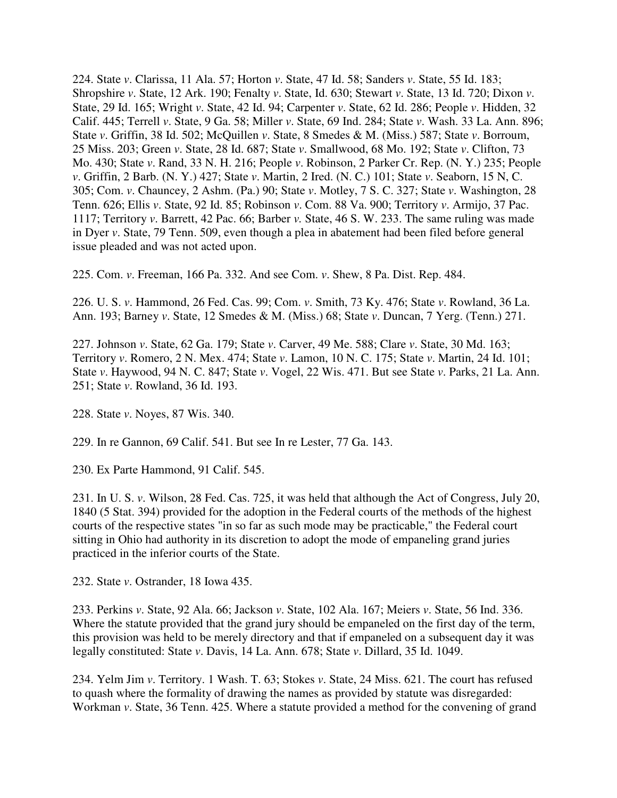224. State *v*. Clarissa, 11 Ala. 57; Horton *v*. State, 47 Id. 58; Sanders *v*. State, 55 Id. 183; Shropshire *v*. State, 12 Ark. 190; Fenalty *v*. State, Id. 630; Stewart *v*. State, 13 Id. 720; Dixon *v*. State, 29 Id. 165; Wright *v*. State, 42 Id. 94; Carpenter *v*. State, 62 Id. 286; People *v*. Hidden, 32 Calif. 445; Terrell *v*. State, 9 Ga. 58; Miller *v*. State, 69 Ind. 284; State *v*. Wash. 33 La. Ann. 896; State *v*. Griffin, 38 Id. 502; McQuillen *v*. State, 8 Smedes & M. (Miss.) 587; State *v*. Borroum, 25 Miss. 203; Green *v*. State, 28 Id. 687; State *v*. Smallwood, 68 Mo. 192; State *v*. Clifton, 73 Mo. 430; State *v*. Rand, 33 N. H. 216; People *v*. Robinson, 2 Parker Cr. Rep. (N. Y.) 235; People *v*. Griffin, 2 Barb. (N. Y.) 427; State *v*. Martin, 2 Ired. (N. C.) 101; State *v*. Seaborn, 15 N, C. 305; Com. *v*. Chauncey, 2 Ashm. (Pa.) 90; State *v*. Motley, 7 S. C. 327; State *v*. Washington, 28 Tenn. 626; Ellis *v*. State, 92 Id. 85; Robinson *v*. Com. 88 Va. 900; Territory *v*. Armijo, 37 Pac. 1117; Territory *v*. Barrett, 42 Pac. 66; Barber *v.* State, 46 S. W. 233. The same ruling was made in Dyer *v*. State, 79 Tenn. 509, even though a plea in abatement had been filed before general issue pleaded and was not acted upon.

225. Com. *v*. Freeman, 166 Pa. 332. And see Com. *v*. Shew, 8 Pa. Dist. Rep. 484.

226. U. S. *v*. Hammond, 26 Fed. Cas. 99; Com. *v*. Smith, 73 Ky. 476; State *v*. Rowland, 36 La. Ann. 193; Barney *v*. State, 12 Smedes & M. (Miss.) 68; State *v*. Duncan, 7 Yerg. (Tenn.) 271.

227. Johnson *v*. State, 62 Ga. 179; State *v*. Carver, 49 Me. 588; Clare *v*. State, 30 Md. 163; Territory *v*. Romero, 2 N. Mex. 474; State *v*. Lamon, 10 N. C. 175; State *v*. Martin, 24 Id. 101; State *v*. Haywood, 94 N. C. 847; State *v*. Vogel, 22 Wis. 471. But see State *v*. Parks, 21 La. Ann. 251; State *v*. Rowland, 36 Id. 193.

228. State *v*. Noyes, 87 Wis. 340.

229. In re Gannon, 69 Calif. 541. But see In re Lester, 77 Ga. 143.

230. Ex Parte Hammond, 91 Calif. 545.

231. In U. S. *v*. Wilson, 28 Fed. Cas. 725, it was held that although the Act of Congress, July 20, 1840 (5 Stat. 394) provided for the adoption in the Federal courts of the methods of the highest courts of the respective states "in so far as such mode may be practicable," the Federal court sitting in Ohio had authority in its discretion to adopt the mode of empaneling grand juries practiced in the inferior courts of the State.

232. State *v*. Ostrander, 18 Iowa 435.

233. Perkins *v*. State, 92 Ala. 66; Jackson *v*. State, 102 Ala. 167; Meiers *v*. State, 56 Ind. 336. Where the statute provided that the grand jury should be empaneled on the first day of the term, this provision was held to be merely directory and that if empaneled on a subsequent day it was legally constituted: State *v*. Davis, 14 La. Ann. 678; State *v*. Dillard, 35 Id. 1049.

234. Yelm Jim *v*. Territory. 1 Wash. T. 63; Stokes *v*. State, 24 Miss. 621. The court has refused to quash where the formality of drawing the names as provided by statute was disregarded: Workman *v*. State, 36 Tenn. 425. Where a statute provided a method for the convening of grand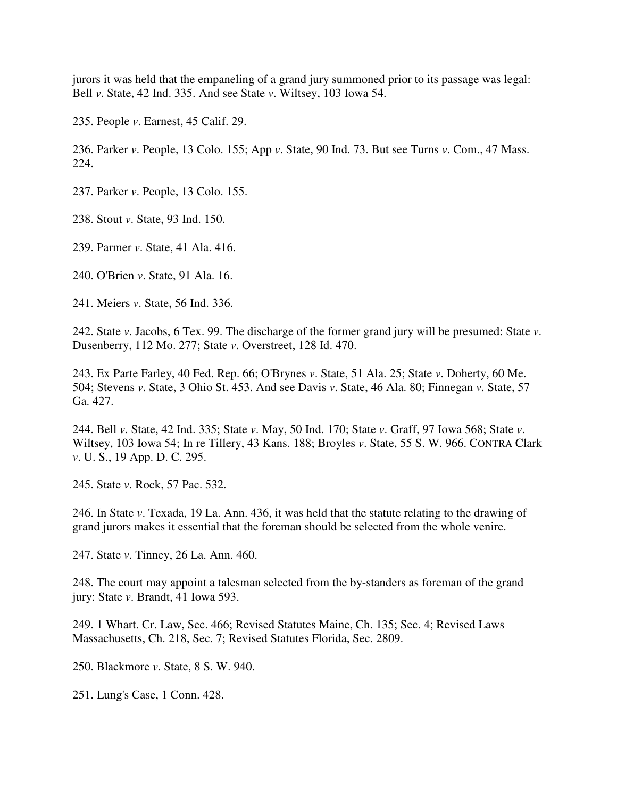jurors it was held that the empaneling of a grand jury summoned prior to its passage was legal: Bell *v*. State, 42 Ind. 335. And see State *v*. Wiltsey, 103 Iowa 54.

235. People *v*. Earnest, 45 Calif. 29.

236. Parker *v*. People, 13 Colo. 155; App *v*. State, 90 Ind. 73. But see Turns *v*. Com., 47 Mass. 224.

237. Parker *v*. People, 13 Colo. 155.

238. Stout *v*. State, 93 Ind. 150.

239. Parmer *v*. State, 41 Ala. 416.

240. O'Brien *v*. State, 91 Ala. 16.

241. Meiers *v*. State, 56 Ind. 336.

242. State *v*. Jacobs, 6 Tex. 99. The discharge of the former grand jury will be presumed: State *v*. Dusenberry, 112 Mo. 277; State *v*. Overstreet, 128 Id. 470.

243. Ex Parte Farley, 40 Fed. Rep. 66; O'Brynes *v*. State, 51 Ala. 25; State *v*. Doherty, 60 Me. 504; Stevens *v*. State, 3 Ohio St. 453. And see Davis *v*. State, 46 Ala. 80; Finnegan *v*. State, 57 Ga. 427.

244. Bell *v*. State, 42 Ind. 335; State *v*. May, 50 Ind. 170; State *v*. Graff, 97 Iowa 568; State *v*. Wiltsey, 103 Iowa 54; In re Tillery, 43 Kans. 188; Broyles *v*. State, 55 S. W. 966. CONTRA Clark *v*. U. S., 19 App. D. C. 295.

245. State *v*. Rock, 57 Pac. 532.

246. In State *v*. Texada, 19 La. Ann. 436, it was held that the statute relating to the drawing of grand jurors makes it essential that the foreman should be selected from the whole venire.

247. State *v*. Tinney, 26 La. Ann. 460.

248. The court may appoint a talesman selected from the by-standers as foreman of the grand jury: State *v*. Brandt, 41 Iowa 593.

249. 1 Whart. Cr. Law, Sec. 466; Revised Statutes Maine, Ch. 135; Sec. 4; Revised Laws Massachusetts, Ch. 218, Sec. 7; Revised Statutes Florida, Sec. 2809.

250. Blackmore *v*. State, 8 S. W. 940.

251. Lung's Case, 1 Conn. 428.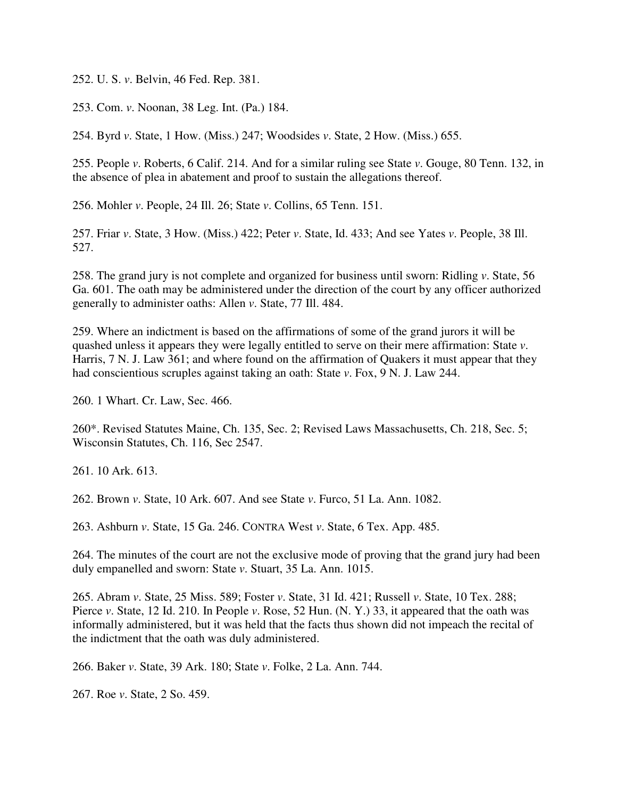252. U. S. *v*. Belvin, 46 Fed. Rep. 381.

253. Com. *v*. Noonan, 38 Leg. Int. (Pa.) 184.

254. Byrd *v*. State, 1 How. (Miss.) 247; Woodsides *v*. State, 2 How. (Miss.) 655.

255. People *v*. Roberts, 6 Calif. 214. And for a similar ruling see State *v*. Gouge, 80 Tenn. 132, in the absence of plea in abatement and proof to sustain the allegations thereof.

256. Mohler *v*. People, 24 Ill. 26; State *v*. Collins, 65 Tenn. 151.

257. Friar *v*. State, 3 How. (Miss.) 422; Peter *v*. State, Id. 433; And see Yates *v*. People, 38 Ill. 527.

258. The grand jury is not complete and organized for business until sworn: Ridling *v*. State, 56 Ga. 601. The oath may be administered under the direction of the court by any officer authorized generally to administer oaths: Allen *v*. State, 77 Ill. 484.

259. Where an indictment is based on the affirmations of some of the grand jurors it will be quashed unless it appears they were legally entitled to serve on their mere affirmation: State *v*. Harris, 7 N. J. Law 361; and where found on the affirmation of Quakers it must appear that they had conscientious scruples against taking an oath: State *v*. Fox, 9 N. J. Law 244.

260. 1 Whart. Cr. Law, Sec. 466.

260\*. Revised Statutes Maine, Ch. 135, Sec. 2; Revised Laws Massachusetts, Ch. 218, Sec. 5; Wisconsin Statutes, Ch. 116, Sec 2547.

261. 10 Ark. 613.

262. Brown *v*. State, 10 Ark. 607. And see State *v*. Furco, 51 La. Ann. 1082.

263. Ashburn *v*. State, 15 Ga. 246. CONTRA West *v*. State, 6 Tex. App. 485.

264. The minutes of the court are not the exclusive mode of proving that the grand jury had been duly empanelled and sworn: State *v*. Stuart, 35 La. Ann. 1015.

265. Abram *v*. State, 25 Miss. 589; Foster *v*. State, 31 Id. 421; Russell *v*. State, 10 Tex. 288; Pierce *v*. State, 12 Id. 210. In People *v*. Rose, 52 Hun. (N. Y.) 33, it appeared that the oath was informally administered, but it was held that the facts thus shown did not impeach the recital of the indictment that the oath was duly administered.

266. Baker *v*. State, 39 Ark. 180; State *v*. Folke, 2 La. Ann. 744.

267. Roe *v*. State, 2 So. 459.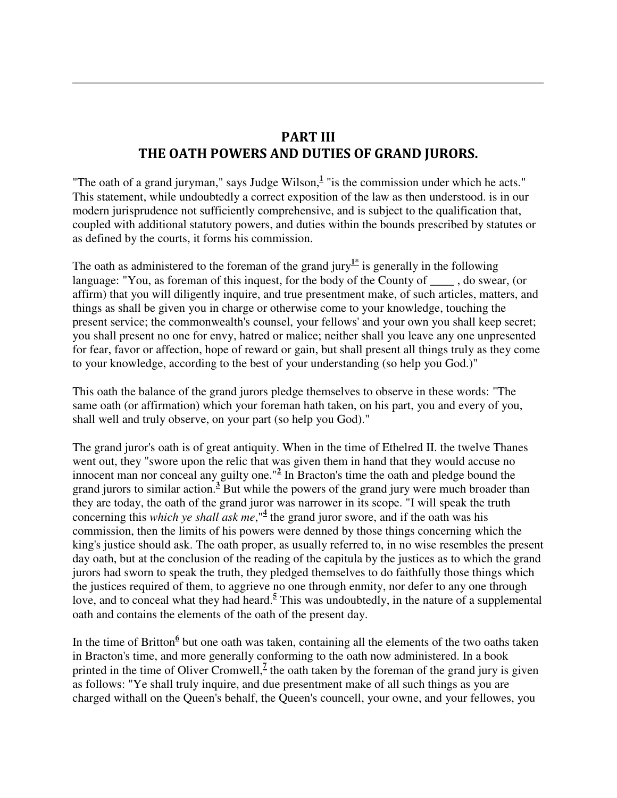## PART III THE OATH POWERS AND DUTIES OF GRAND JURORS.

"The oath of a grand juryman," says Judge Wilson,<sup>1</sup> "is the commission under which he acts." This statement, while undoubtedly a correct exposition of the law as then understood. is in our modern jurisprudence not sufficiently comprehensive, and is subject to the qualification that, coupled with additional statutory powers, and duties within the bounds prescribed by statutes or as defined by the courts, it forms his commission.

The oath as administered to the foreman of the grand jury<sup>1\*</sup> is generally in the following language: "You, as foreman of this inquest, for the body of the County of do swear, (or affirm) that you will diligently inquire, and true presentment make, of such articles, matters, and things as shall be given you in charge or otherwise come to your knowledge, touching the present service; the commonwealth's counsel, your fellows' and your own you shall keep secret; you shall present no one for envy, hatred or malice; neither shall you leave any one unpresented for fear, favor or affection, hope of reward or gain, but shall present all things truly as they come to your knowledge, according to the best of your understanding (so help you God.)"

This oath the balance of the grand jurors pledge themselves to observe in these words: "The same oath (or affirmation) which your foreman hath taken, on his part, you and every of you, shall well and truly observe, on your part (so help you God)."

The grand juror's oath is of great antiquity. When in the time of Ethelred II. the twelve Thanes went out, they "swore upon the relic that was given them in hand that they would accuse no innocent man nor conceal any guilty one."**<sup>2</sup>** In Bracton's time the oath and pledge bound the grand jurors to similar action.<sup>3</sup> But while the powers of the grand jury were much broader than they are today, the oath of the grand juror was narrower in its scope. "I will speak the truth concerning this *which ye shall ask me*,"<sup>4</sup> the grand juror swore, and if the oath was his commission, then the limits of his powers were denned by those things concerning which the king's justice should ask. The oath proper, as usually referred to, in no wise resembles the present day oath, but at the conclusion of the reading of the capitula by the justices as to which the grand jurors had sworn to speak the truth, they pledged themselves to do faithfully those things which the justices required of them, to aggrieve no one through enmity, nor defer to any one through love, and to conceal what they had heard.<sup>5</sup> This was undoubtedly, in the nature of a supplemental oath and contains the elements of the oath of the present day.

In the time of Britton<sup>6</sup> but one oath was taken, containing all the elements of the two oaths taken in Bracton's time, and more generally conforming to the oath now administered. In a book printed in the time of Oliver Cromwell, $<sup>7</sup>$  the oath taken by the foreman of the grand jury is given</sup> as follows: "Ye shall truly inquire, and due presentment make of all such things as you are charged withall on the Queen's behalf, the Queen's councell, your owne, and your fellowes, you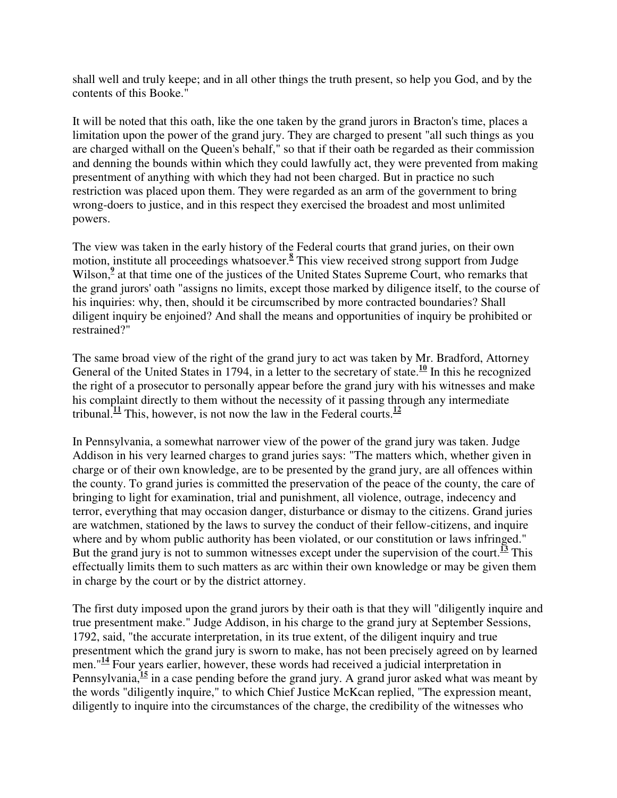shall well and truly keepe; and in all other things the truth present, so help you God, and by the contents of this Booke."

It will be noted that this oath, like the one taken by the grand jurors in Bracton's time, places a limitation upon the power of the grand jury. They are charged to present "all such things as you are charged withall on the Queen's behalf," so that if their oath be regarded as their commission and denning the bounds within which they could lawfully act, they were prevented from making presentment of anything with which they had not been charged. But in practice no such restriction was placed upon them. They were regarded as an arm of the government to bring wrong-doers to justice, and in this respect they exercised the broadest and most unlimited powers.

The view was taken in the early history of the Federal courts that grand juries, on their own motion, institute all proceedings whatsoever.**<sup>8</sup>** This view received strong support from Judge Wilson,<sup>9</sup> at that time one of the justices of the United States Supreme Court, who remarks that the grand jurors' oath "assigns no limits, except those marked by diligence itself, to the course of his inquiries: why, then, should it be circumscribed by more contracted boundaries? Shall diligent inquiry be enjoined? And shall the means and opportunities of inquiry be prohibited or restrained?"

The same broad view of the right of the grand jury to act was taken by Mr. Bradford, Attorney General of the United States in 1794, in a letter to the secretary of state.<sup>10</sup> In this he recognized the right of a prosecutor to personally appear before the grand jury with his witnesses and make his complaint directly to them without the necessity of it passing through any intermediate tribunal.<sup>11</sup> This, however, is not now the law in the Federal courts.<sup>12</sup>

In Pennsylvania, a somewhat narrower view of the power of the grand jury was taken. Judge Addison in his very learned charges to grand juries says: "The matters which, whether given in charge or of their own knowledge, are to be presented by the grand jury, are all offences within the county. To grand juries is committed the preservation of the peace of the county, the care of bringing to light for examination, trial and punishment, all violence, outrage, indecency and terror, everything that may occasion danger, disturbance or dismay to the citizens. Grand juries are watchmen, stationed by the laws to survey the conduct of their fellow-citizens, and inquire where and by whom public authority has been violated, or our constitution or laws infringed." But the grand jury is not to summon witnesses except under the supervision of the court.<sup>13</sup> This effectually limits them to such matters as arc within their own knowledge or may be given them in charge by the court or by the district attorney.

The first duty imposed upon the grand jurors by their oath is that they will "diligently inquire and true presentment make." Judge Addison, in his charge to the grand jury at September Sessions, 1792, said, "the accurate interpretation, in its true extent, of the diligent inquiry and true presentment which the grand jury is sworn to make, has not been precisely agreed on by learned men."**<sup>14</sup>** Four years earlier, however, these words had received a judicial interpretation in Pennsylvania,**<sup>15</sup>** in a case pending before the grand jury. A grand juror asked what was meant by the words "diligently inquire," to which Chief Justice McKcan replied, "The expression meant, diligently to inquire into the circumstances of the charge, the credibility of the witnesses who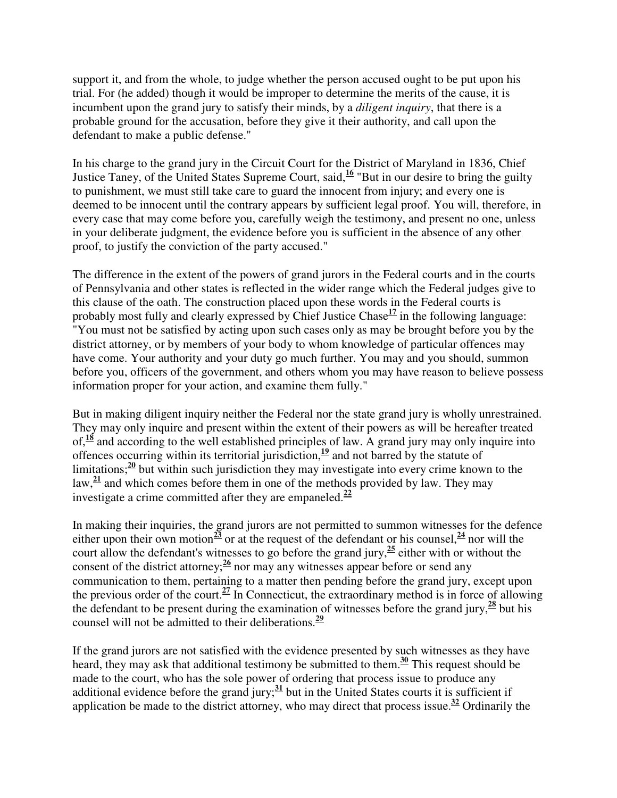support it, and from the whole, to judge whether the person accused ought to be put upon his trial. For (he added) though it would be improper to determine the merits of the cause, it is incumbent upon the grand jury to satisfy their minds, by a *diligent inquiry*, that there is a probable ground for the accusation, before they give it their authority, and call upon the defendant to make a public defense."

In his charge to the grand jury in the Circuit Court for the District of Maryland in 1836, Chief Justice Taney, of the United States Supreme Court, said,**<sup>16</sup>** "But in our desire to bring the guilty to punishment, we must still take care to guard the innocent from injury; and every one is deemed to be innocent until the contrary appears by sufficient legal proof. You will, therefore, in every case that may come before you, carefully weigh the testimony, and present no one, unless in your deliberate judgment, the evidence before you is sufficient in the absence of any other proof, to justify the conviction of the party accused."

The difference in the extent of the powers of grand jurors in the Federal courts and in the courts of Pennsylvania and other states is reflected in the wider range which the Federal judges give to this clause of the oath. The construction placed upon these words in the Federal courts is probably most fully and clearly expressed by Chief Justice Chase**<sup>17</sup>** in the following language: "You must not be satisfied by acting upon such cases only as may be brought before you by the district attorney, or by members of your body to whom knowledge of particular offences may have come. Your authority and your duty go much further. You may and you should, summon before you, officers of the government, and others whom you may have reason to believe possess information proper for your action, and examine them fully."

But in making diligent inquiry neither the Federal nor the state grand jury is wholly unrestrained. They may only inquire and present within the extent of their powers as will be hereafter treated of, $\frac{18}{18}$  and according to the well established principles of law. A grand jury may only inquire into offences occurring within its territorial jurisdiction,  $\frac{19}{12}$  and not barred by the statute of limitations;<sup>20</sup> but within such jurisdiction they may investigate into every crime known to the law,**<sup>21</sup>** and which comes before them in one of the methods provided by law. They may investigate a crime committed after they are empaneled.**<sup>22</sup>**

In making their inquiries, the grand jurors are not permitted to summon witnesses for the defence either upon their own motion<sup>23</sup> or at the request of the defendant or his counsel,<sup>24</sup> nor will the court allow the defendant's witnesses to go before the grand jury,**<sup>25</sup>** either with or without the consent of the district attorney;**<sup>26</sup>** nor may any witnesses appear before or send any communication to them, pertaining to a matter then pending before the grand jury, except upon the previous order of the court.**<sup>27</sup>** In Connecticut, the extraordinary method is in force of allowing the defendant to be present during the examination of witnesses before the grand jury,  $\frac{28}{2}$  but his counsel will not be admitted to their deliberations. **29**

If the grand jurors are not satisfied with the evidence presented by such witnesses as they have heard, they may ask that additional testimony be submitted to them.**<sup>30</sup>** This request should be made to the court, who has the sole power of ordering that process issue to produce any additional evidence before the grand jury;**<sup>31</sup>** but in the United States courts it is sufficient if application be made to the district attorney, who may direct that process issue.**<sup>32</sup>** Ordinarily the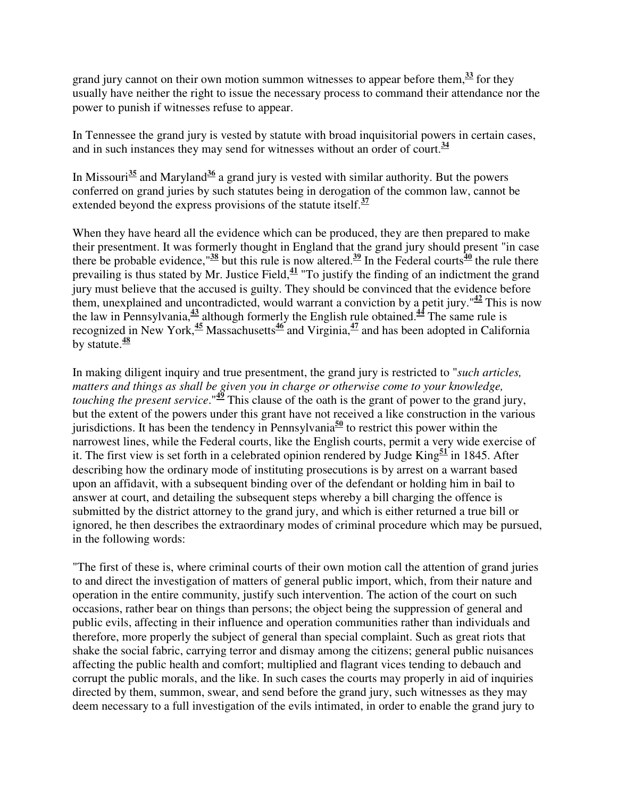grand jury cannot on their own motion summon witnesses to appear before them,  $\frac{33}{2}$  for they usually have neither the right to issue the necessary process to command their attendance nor the power to punish if witnesses refuse to appear.

In Tennessee the grand jury is vested by statute with broad inquisitorial powers in certain cases, and in such instances they may send for witnesses without an order of court.**<sup>34</sup>**

In Missouri<sup>35</sup> and Maryland<sup>36</sup> a grand jury is vested with similar authority. But the powers conferred on grand juries by such statutes being in derogation of the common law, cannot be extended beyond the express provisions of the statute itself.**<sup>37</sup>**

When they have heard all the evidence which can be produced, they are then prepared to make their presentment. It was formerly thought in England that the grand jury should present "in case there be probable evidence," $\frac{38}{36}$  but this rule is now altered.<sup>39</sup> In the Federal courts<sup>40</sup> the rule there prevailing is thus stated by Mr. Justice Field,**<sup>41</sup>** "To justify the finding of an indictment the grand jury must believe that the accused is guilty. They should be convinced that the evidence before them, unexplained and uncontradicted, would warrant a conviction by a petit jury.<sup> $42$ </sup> This is now the law in Pennsylvania,**<sup>43</sup>** although formerly the English rule obtained.**<sup>44</sup>** The same rule is recognized in New York,**<sup>45</sup>** Massachusetts**<sup>46</sup>** and Virginia,**<sup>47</sup>** and has been adopted in California by statute.**<sup>48</sup>**

In making diligent inquiry and true presentment, the grand jury is restricted to "*such articles, matters and things as shall be given you in charge or otherwise come to your knowledge, touching the present service*."**<sup>49</sup>** This clause of the oath is the grant of power to the grand jury, but the extent of the powers under this grant have not received a like construction in the various jurisdictions. It has been the tendency in Pennsylvania<sup>50</sup> to restrict this power within the narrowest lines, while the Federal courts, like the English courts, permit a very wide exercise of it. The first view is set forth in a celebrated opinion rendered by Judge King**<sup>51</sup>** in 1845. After describing how the ordinary mode of instituting prosecutions is by arrest on a warrant based upon an affidavit, with a subsequent binding over of the defendant or holding him in bail to answer at court, and detailing the subsequent steps whereby a bill charging the offence is submitted by the district attorney to the grand jury, and which is either returned a true bill or ignored, he then describes the extraordinary modes of criminal procedure which may be pursued, in the following words:

"The first of these is, where criminal courts of their own motion call the attention of grand juries to and direct the investigation of matters of general public import, which, from their nature and operation in the entire community, justify such intervention. The action of the court on such occasions, rather bear on things than persons; the object being the suppression of general and public evils, affecting in their influence and operation communities rather than individuals and therefore, more properly the subject of general than special complaint. Such as great riots that shake the social fabric, carrying terror and dismay among the citizens; general public nuisances affecting the public health and comfort; multiplied and flagrant vices tending to debauch and corrupt the public morals, and the like. In such cases the courts may properly in aid of inquiries directed by them, summon, swear, and send before the grand jury, such witnesses as they may deem necessary to a full investigation of the evils intimated, in order to enable the grand jury to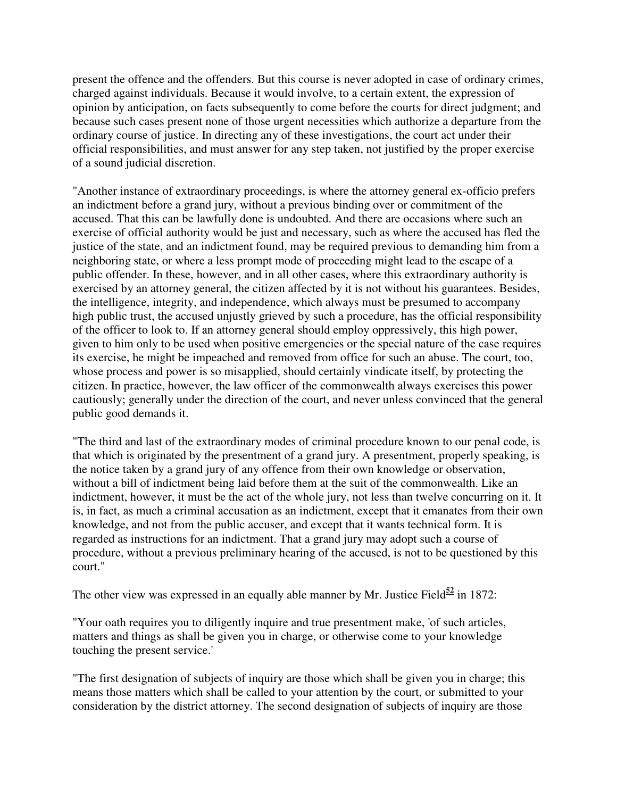present the offence and the offenders. But this course is never adopted in case of ordinary crimes, charged against individuals. Because it would involve, to a certain extent, the expression of opinion by anticipation, on facts subsequently to come before the courts for direct judgment; and because such cases present none of those urgent necessities which authorize a departure from the ordinary course of justice. In directing any of these investigations, the court act under their official responsibilities, and must answer for any step taken, not justified by the proper exercise of a sound judicial discretion.

"Another instance of extraordinary proceedings, is where the attorney general ex-officio prefers an indictment before a grand jury, without a previous binding over or commitment of the accused. That this can be lawfully done is undoubted. And there are occasions where such an exercise of official authority would be just and necessary, such as where the accused has fled the justice of the state, and an indictment found, may be required previous to demanding him from a neighboring state, or where a less prompt mode of proceeding might lead to the escape of a public offender. In these, however, and in all other cases, where this extraordinary authority is exercised by an attorney general, the citizen affected by it is not without his guarantees. Besides, the intelligence, integrity, and independence, which always must be presumed to accompany high public trust, the accused unjustly grieved by such a procedure, has the official responsibility of the officer to look to. If an attorney general should employ oppressively, this high power, given to him only to be used when positive emergencies or the special nature of the case requires its exercise, he might be impeached and removed from office for such an abuse. The court, too, whose process and power is so misapplied, should certainly vindicate itself, by protecting the citizen. In practice, however, the law officer of the commonwealth always exercises this power cautiously; generally under the direction of the court, and never unless convinced that the general public good demands it.

"The third and last of the extraordinary modes of criminal procedure known to our penal code, is that which is originated by the presentment of a grand jury. A presentment, properly speaking, is the notice taken by a grand jury of any offence from their own knowledge or observation, without a bill of indictment being laid before them at the suit of the commonwealth. Like an indictment, however, it must be the act of the whole jury, not less than twelve concurring on it. It is, in fact, as much a criminal accusation as an indictment, except that it emanates from their own knowledge, and not from the public accuser, and except that it wants technical form. It is regarded as instructions for an indictment. That a grand jury may adopt such a course of procedure, without a previous preliminary hearing of the accused, is not to be questioned by this court."

The other view was expressed in an equally able manner by Mr. Justice Field<sup> $52$ </sup> in 1872:

"Your oath requires you to diligently inquire and true presentment make, 'of such articles, matters and things as shall be given you in charge, or otherwise come to your knowledge touching the present service.'

"The first designation of subjects of inquiry are those which shall be given you in charge; this means those matters which shall be called to your attention by the court, or submitted to your consideration by the district attorney. The second designation of subjects of inquiry are those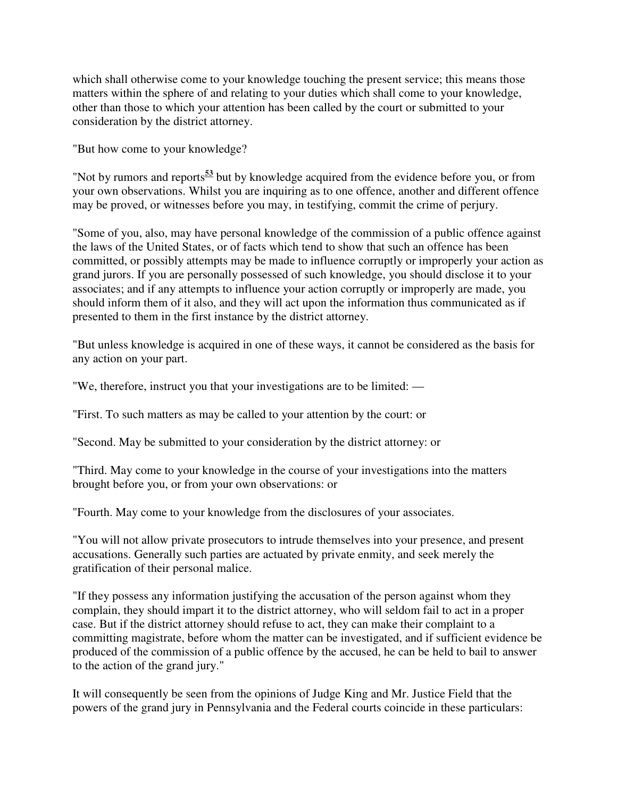which shall otherwise come to your knowledge touching the present service; this means those matters within the sphere of and relating to your duties which shall come to your knowledge, other than those to which your attention has been called by the court or submitted to your consideration by the district attorney.

"But how come to your knowledge?

"Not by rumors and reports**<sup>53</sup>** but by knowledge acquired from the evidence before you, or from your own observations. Whilst you are inquiring as to one offence, another and different offence may be proved, or witnesses before you may, in testifying, commit the crime of perjury.

"Some of you, also, may have personal knowledge of the commission of a public offence against the laws of the United States, or of facts which tend to show that such an offence has been committed, or possibly attempts may be made to influence corruptly or improperly your action as grand jurors. If you are personally possessed of such knowledge, you should disclose it to your associates; and if any attempts to influence your action corruptly or improperly are made, you should inform them of it also, and they will act upon the information thus communicated as if presented to them in the first instance by the district attorney.

"But unless knowledge is acquired in one of these ways, it cannot be considered as the basis for any action on your part.

"We, therefore, instruct you that your investigations are to be limited: —

"First. To such matters as may be called to your attention by the court: or

"Second. May be submitted to your consideration by the district attorney: or

"Third. May come to your knowledge in the course of your investigations into the matters brought before you, or from your own observations: or

"Fourth. May come to your knowledge from the disclosures of your associates.

"You will not allow private prosecutors to intrude themselves into your presence, and present accusations. Generally such parties are actuated by private enmity, and seek merely the gratification of their personal malice.

"If they possess any information justifying the accusation of the person against whom they complain, they should impart it to the district attorney, who will seldom fail to act in a proper case. But if the district attorney should refuse to act, they can make their complaint to a committing magistrate, before whom the matter can be investigated, and if sufficient evidence be produced of the commission of a public offence by the accused, he can be held to bail to answer to the action of the grand jury."

It will consequently be seen from the opinions of Judge King and Mr. Justice Field that the powers of the grand jury in Pennsylvania and the Federal courts coincide in these particulars: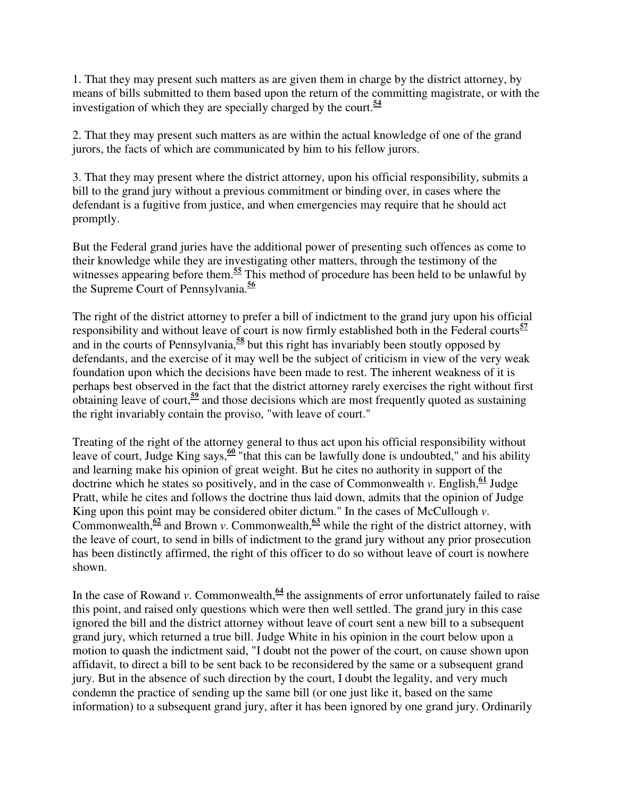1. That they may present such matters as are given them in charge by the district attorney, by means of bills submitted to them based upon the return of the committing magistrate, or with the investigation of which they are specially charged by the court.**<sup>54</sup>**

2. That they may present such matters as are within the actual knowledge of one of the grand jurors, the facts of which are communicated by him to his fellow jurors.

3. That they may present where the district attorney, upon his official responsibility, submits a bill to the grand jury without a previous commitment or binding over, in cases where the defendant is a fugitive from justice, and when emergencies may require that he should act promptly.

But the Federal grand juries have the additional power of presenting such offences as come to their knowledge while they are investigating other matters, through the testimony of the witnesses appearing before them.<sup>55</sup> This method of procedure has been held to be unlawful by the Supreme Court of Pennsylvania.**<sup>56</sup>**

The right of the district attorney to prefer a bill of indictment to the grand jury upon his official responsibility and without leave of court is now firmly established both in the Federal courts**<sup>57</sup>** and in the courts of Pennsylvania,**<sup>58</sup>** but this right has invariably been stoutly opposed by defendants, and the exercise of it may well be the subject of criticism in view of the very weak foundation upon which the decisions have been made to rest. The inherent weakness of it is perhaps best observed in the fact that the district attorney rarely exercises the right without first obtaining leave of court,**<sup>59</sup>** and those decisions which are most frequently quoted as sustaining the right invariably contain the proviso, "with leave of court."

Treating of the right of the attorney general to thus act upon his official responsibility without leave of court, Judge King says, <sup>60</sup> "that this can be lawfully done is undoubted," and his ability and learning make his opinion of great weight. But he cites no authority in support of the doctrine which he states so positively, and in the case of Commonwealth *v*. English,  $\frac{61}{61}$  Judge Pratt, while he cites and follows the doctrine thus laid down, admits that the opinion of Judge King upon this point may be considered obiter dictum." In the cases of McCullough *v*. Commonwealth, $\frac{62}{5}$  and Brown *v*. Commonwealth,  $\frac{63}{5}$  while the right of the district attorney, with the leave of court, to send in bills of indictment to the grand jury without any prior prosecution has been distinctly affirmed, the right of this officer to do so without leave of court is nowhere shown.

In the case of Rowand *v*. Commonwealth,  $\frac{64}{9}$  the assignments of error unfortunately failed to raise this point, and raised only questions which were then well settled. The grand jury in this case ignored the bill and the district attorney without leave of court sent a new bill to a subsequent grand jury, which returned a true bill. Judge White in his opinion in the court below upon a motion to quash the indictment said, "I doubt not the power of the court, on cause shown upon affidavit, to direct a bill to be sent back to be reconsidered by the same or a subsequent grand jury. But in the absence of such direction by the court, I doubt the legality, and very much condemn the practice of sending up the same bill (or one just like it, based on the same information) to a subsequent grand jury, after it has been ignored by one grand jury. Ordinarily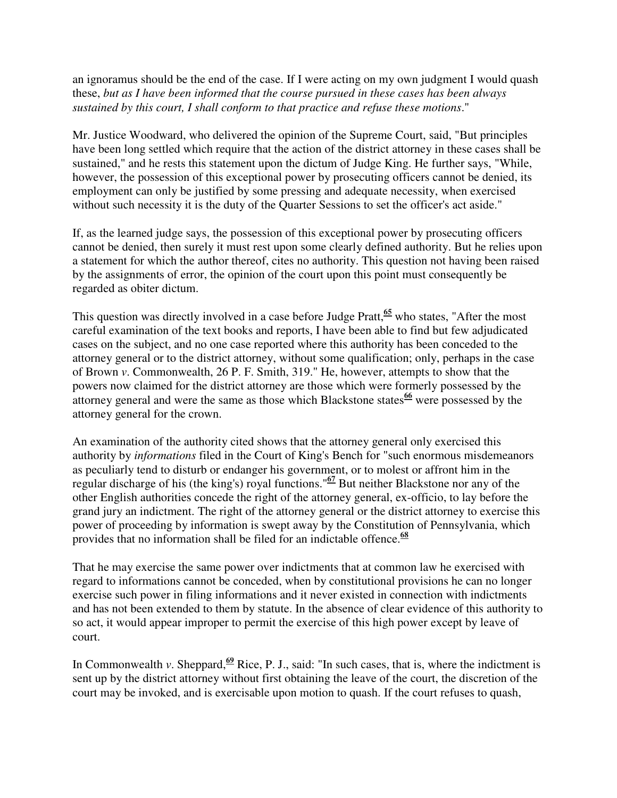an ignoramus should be the end of the case. If I were acting on my own judgment I would quash these, *but as I have been informed that the course pursued in these cases has been always sustained by this court, I shall conform to that practice and refuse these motions*."

Mr. Justice Woodward, who delivered the opinion of the Supreme Court, said, "But principles have been long settled which require that the action of the district attorney in these cases shall be sustained," and he rests this statement upon the dictum of Judge King. He further says, "While, however, the possession of this exceptional power by prosecuting officers cannot be denied, its employment can only be justified by some pressing and adequate necessity, when exercised without such necessity it is the duty of the Quarter Sessions to set the officer's act aside."

If, as the learned judge says, the possession of this exceptional power by prosecuting officers cannot be denied, then surely it must rest upon some clearly defined authority. But he relies upon a statement for which the author thereof, cites no authority. This question not having been raised by the assignments of error, the opinion of the court upon this point must consequently be regarded as obiter dictum.

This question was directly involved in a case before Judge Pratt,**<sup>65</sup>** who states, "After the most careful examination of the text books and reports, I have been able to find but few adjudicated cases on the subject, and no one case reported where this authority has been conceded to the attorney general or to the district attorney, without some qualification; only, perhaps in the case of Brown *v*. Commonwealth, 26 P. F. Smith, 319." He, however, attempts to show that the powers now claimed for the district attorney are those which were formerly possessed by the attorney general and were the same as those which Blackstone states<sup>66</sup> were possessed by the attorney general for the crown.

An examination of the authority cited shows that the attorney general only exercised this authority by *informations* filed in the Court of King's Bench for "such enormous misdemeanors as peculiarly tend to disturb or endanger his government, or to molest or affront him in the regular discharge of his (the king's) royal functions."**<sup>67</sup>** But neither Blackstone nor any of the other English authorities concede the right of the attorney general, ex-officio, to lay before the grand jury an indictment. The right of the attorney general or the district attorney to exercise this power of proceeding by information is swept away by the Constitution of Pennsylvania, which provides that no information shall be filed for an indictable offence.**<sup>68</sup>**

That he may exercise the same power over indictments that at common law he exercised with regard to informations cannot be conceded, when by constitutional provisions he can no longer exercise such power in filing informations and it never existed in connection with indictments and has not been extended to them by statute. In the absence of clear evidence of this authority to so act, it would appear improper to permit the exercise of this high power except by leave of court.

In Commonwealth *v*. Sheppard,<sup>69</sup> Rice, P. J., said: "In such cases, that is, where the indictment is sent up by the district attorney without first obtaining the leave of the court, the discretion of the court may be invoked, and is exercisable upon motion to quash. If the court refuses to quash,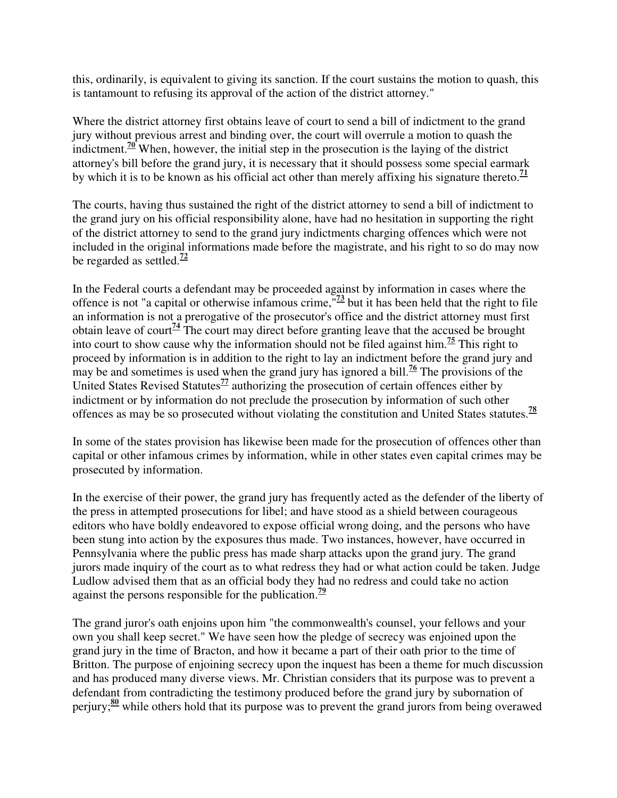this, ordinarily, is equivalent to giving its sanction. If the court sustains the motion to quash, this is tantamount to refusing its approval of the action of the district attorney."

Where the district attorney first obtains leave of court to send a bill of indictment to the grand jury without previous arrest and binding over, the court will overrule a motion to quash the indictment.**<sup>70</sup>** When, however, the initial step in the prosecution is the laying of the district attorney's bill before the grand jury, it is necessary that it should possess some special earmark by which it is to be known as his official act other than merely affixing his signature thereto.<sup>71</sup>

The courts, having thus sustained the right of the district attorney to send a bill of indictment to the grand jury on his official responsibility alone, have had no hesitation in supporting the right of the district attorney to send to the grand jury indictments charging offences which were not included in the original informations made before the magistrate, and his right to so do may now be regarded as settled.**<sup>72</sup>**

In the Federal courts a defendant may be proceeded against by information in cases where the offence is not "a capital or otherwise infamous crime,"**<sup>73</sup>** but it has been held that the right to file an information is not a prerogative of the prosecutor's office and the district attorney must first obtain leave of court<sup> $\frac{74}{4}$ </sup> The court may direct before granting leave that the accused be brought into court to show cause why the information should not be filed against him.<sup> $75$ </sup> This right to proceed by information is in addition to the right to lay an indictment before the grand jury and may be and sometimes is used when the grand jury has ignored a bill.**<sup>76</sup>** The provisions of the United States Revised Statutes<sup> $77$ </sup> authorizing the prosecution of certain offences either by indictment or by information do not preclude the prosecution by information of such other offences as may be so prosecuted without violating the constitution and United States statutes.**<sup>78</sup>**

In some of the states provision has likewise been made for the prosecution of offences other than capital or other infamous crimes by information, while in other states even capital crimes may be prosecuted by information.

In the exercise of their power, the grand jury has frequently acted as the defender of the liberty of the press in attempted prosecutions for libel; and have stood as a shield between courageous editors who have boldly endeavored to expose official wrong doing, and the persons who have been stung into action by the exposures thus made. Two instances, however, have occurred in Pennsylvania where the public press has made sharp attacks upon the grand jury. The grand jurors made inquiry of the court as to what redress they had or what action could be taken. Judge Ludlow advised them that as an official body they had no redress and could take no action against the persons responsible for the publication. **79**

The grand juror's oath enjoins upon him "the commonwealth's counsel, your fellows and your own you shall keep secret." We have seen how the pledge of secrecy was enjoined upon the grand jury in the time of Bracton, and how it became a part of their oath prior to the time of Britton. The purpose of enjoining secrecy upon the inquest has been a theme for much discussion and has produced many diverse views. Mr. Christian considers that its purpose was to prevent a defendant from contradicting the testimony produced before the grand jury by subornation of perjury;**<sup>80</sup>** while others hold that its purpose was to prevent the grand jurors from being overawed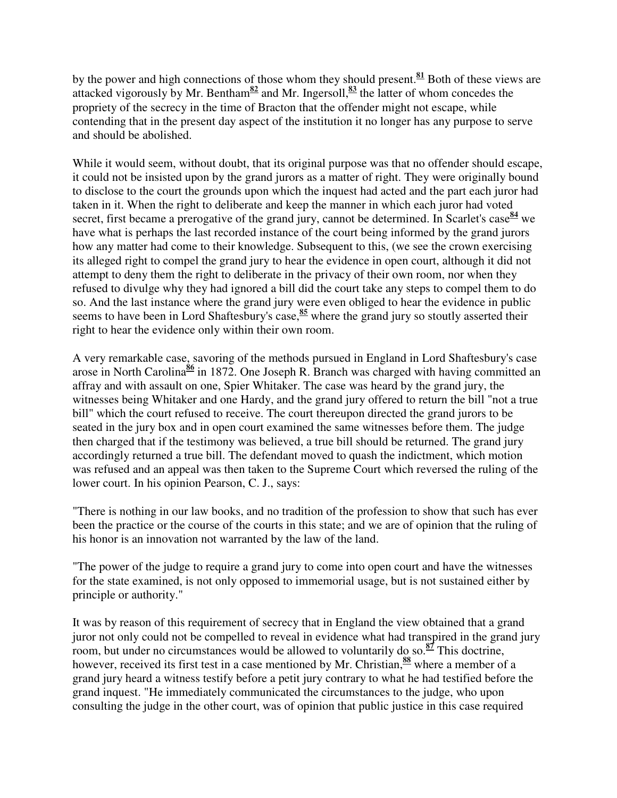by the power and high connections of those whom they should present.**<sup>81</sup>** Both of these views are attacked vigorously by Mr. Bentham<sup>82</sup> and Mr. Ingersoll,  $\frac{83}{2}$  the latter of whom concedes the propriety of the secrecy in the time of Bracton that the offender might not escape, while contending that in the present day aspect of the institution it no longer has any purpose to serve and should be abolished.

While it would seem, without doubt, that its original purpose was that no offender should escape, it could not be insisted upon by the grand jurors as a matter of right. They were originally bound to disclose to the court the grounds upon which the inquest had acted and the part each juror had taken in it. When the right to deliberate and keep the manner in which each juror had voted secret, first became a prerogative of the grand jury, cannot be determined. In Scarlet's case<sup>84</sup> we have what is perhaps the last recorded instance of the court being informed by the grand jurors how any matter had come to their knowledge. Subsequent to this, (we see the crown exercising its alleged right to compel the grand jury to hear the evidence in open court, although it did not attempt to deny them the right to deliberate in the privacy of their own room, nor when they refused to divulge why they had ignored a bill did the court take any steps to compel them to do so. And the last instance where the grand jury were even obliged to hear the evidence in public seems to have been in Lord Shaftesbury's case,<sup>85</sup> where the grand jury so stoutly asserted their right to hear the evidence only within their own room.

A very remarkable case, savoring of the methods pursued in England in Lord Shaftesbury's case arose in North Carolina**<sup>86</sup>** in 1872. One Joseph R. Branch was charged with having committed an affray and with assault on one, Spier Whitaker. The case was heard by the grand jury, the witnesses being Whitaker and one Hardy, and the grand jury offered to return the bill "not a true bill" which the court refused to receive. The court thereupon directed the grand jurors to be seated in the jury box and in open court examined the same witnesses before them. The judge then charged that if the testimony was believed, a true bill should be returned. The grand jury accordingly returned a true bill. The defendant moved to quash the indictment, which motion was refused and an appeal was then taken to the Supreme Court which reversed the ruling of the lower court. In his opinion Pearson, C. J., says:

"There is nothing in our law books, and no tradition of the profession to show that such has ever been the practice or the course of the courts in this state; and we are of opinion that the ruling of his honor is an innovation not warranted by the law of the land.

"The power of the judge to require a grand jury to come into open court and have the witnesses for the state examined, is not only opposed to immemorial usage, but is not sustained either by principle or authority."

It was by reason of this requirement of secrecy that in England the view obtained that a grand juror not only could not be compelled to reveal in evidence what had transpired in the grand jury room, but under no circumstances would be allowed to voluntarily do so.<sup>87</sup> This doctrine, however, received its first test in a case mentioned by Mr. Christian,  $\frac{88}{3}$  where a member of a grand jury heard a witness testify before a petit jury contrary to what he had testified before the grand inquest. "He immediately communicated the circumstances to the judge, who upon consulting the judge in the other court, was of opinion that public justice in this case required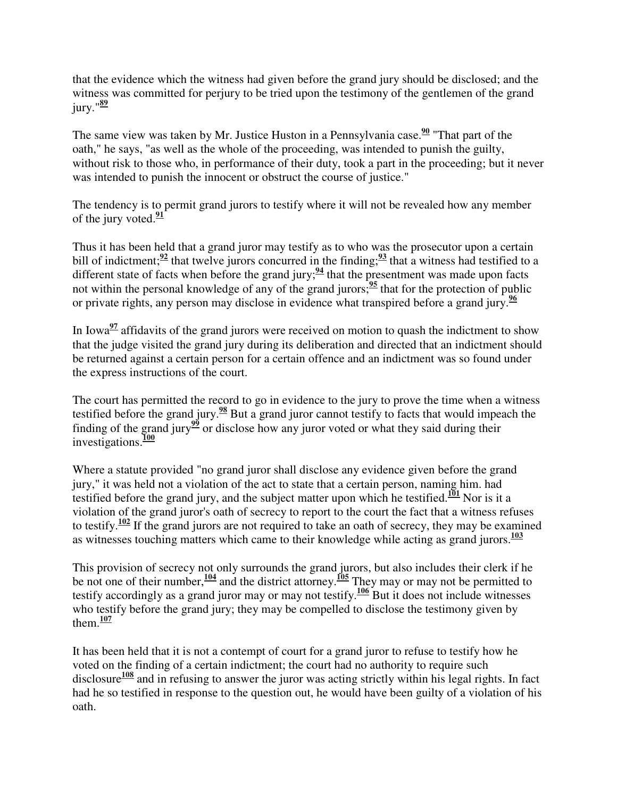that the evidence which the witness had given before the grand jury should be disclosed; and the witness was committed for perjury to be tried upon the testimony of the gentlemen of the grand jury."**<sup>89</sup>**

The same view was taken by Mr. Justice Huston in a Pennsylvania case.<sup>90</sup> "That part of the oath," he says, "as well as the whole of the proceeding, was intended to punish the guilty, without risk to those who, in performance of their duty, took a part in the proceeding; but it never was intended to punish the innocent or obstruct the course of justice."

The tendency is to permit grand jurors to testify where it will not be revealed how any member of the jury voted.**<sup>91</sup>**

Thus it has been held that a grand juror may testify as to who was the prosecutor upon a certain bill of indictment;<sup>92</sup> that twelve jurors concurred in the finding;<sup>93</sup> that a witness had testified to a different state of facts when before the grand jury; $\frac{94}{4}$  that the presentment was made upon facts not within the personal knowledge of any of the grand jurors;  $\frac{95}{2}$  that for the protection of public or private rights, any person may disclose in evidence what transpired before a grand jury.**<sup>96</sup>**

In Iowa<sup>97</sup> affidavits of the grand jurors were received on motion to quash the indictment to show that the judge visited the grand jury during its deliberation and directed that an indictment should be returned against a certain person for a certain offence and an indictment was so found under the express instructions of the court.

The court has permitted the record to go in evidence to the jury to prove the time when a witness testified before the grand jury.**<sup>98</sup>** But a grand juror cannot testify to facts that would impeach the finding of the grand jury<sup>99</sup> or disclose how any juror voted or what they said during their investigations.**<sup>100</sup>**

Where a statute provided "no grand juror shall disclose any evidence given before the grand jury," it was held not a violation of the act to state that a certain person, naming him. had testified before the grand jury, and the subject matter upon which he testified.<sup>101</sup> Nor is it a violation of the grand juror's oath of secrecy to report to the court the fact that a witness refuses to testify.**<sup>102</sup>** If the grand jurors are not required to take an oath of secrecy, they may be examined as witnesses touching matters which came to their knowledge while acting as grand jurors.**<sup>103</sup>**

This provision of secrecy not only surrounds the grand jurors, but also includes their clerk if he be not one of their number,**<sup>104</sup>** and the district attorney.**<sup>105</sup>** They may or may not be permitted to testify accordingly as a grand juror may or may not testify.**<sup>106</sup>** But it does not include witnesses who testify before the grand jury; they may be compelled to disclose the testimony given by them. $\frac{107}{102}$ 

It has been held that it is not a contempt of court for a grand juror to refuse to testify how he voted on the finding of a certain indictment; the court had no authority to require such disclosure**<sup>108</sup>** and in refusing to answer the juror was acting strictly within his legal rights. In fact had he so testified in response to the question out, he would have been guilty of a violation of his oath.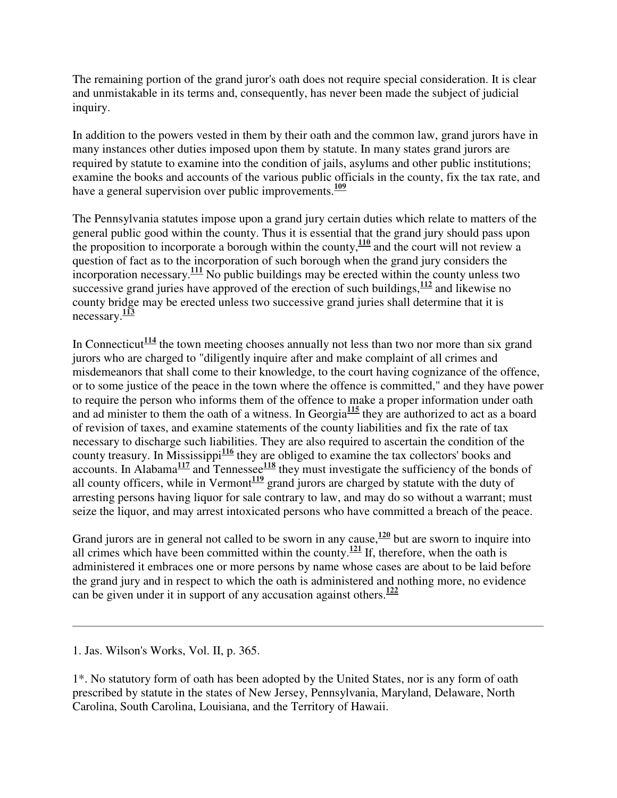The remaining portion of the grand juror's oath does not require special consideration. It is clear and unmistakable in its terms and, consequently, has never been made the subject of judicial inquiry.

In addition to the powers vested in them by their oath and the common law, grand jurors have in many instances other duties imposed upon them by statute. In many states grand jurors are required by statute to examine into the condition of jails, asylums and other public institutions; examine the books and accounts of the various public officials in the county, fix the tax rate, and have a general supervision over public improvements. **109**

The Pennsylvania statutes impose upon a grand jury certain duties which relate to matters of the general public good within the county. Thus it is essential that the grand jury should pass upon the proposition to incorporate a borough within the county,  $\frac{110}{2}$  and the court will not review a question of fact as to the incorporation of such borough when the grand jury considers the incorporation necessary.**<sup>111</sup>** No public buildings may be erected within the county unless two successive grand juries have approved of the erection of such buildings, <sup>112</sup> and likewise no county bridge may be erected unless two successive grand juries shall determine that it is necessary.<sup>113</sup>

In Connecticut<sup>114</sup> the town meeting chooses annually not less than two nor more than six grand jurors who are charged to "diligently inquire after and make complaint of all crimes and misdemeanors that shall come to their knowledge, to the court having cognizance of the offence, or to some justice of the peace in the town where the offence is committed," and they have power to require the person who informs them of the offence to make a proper information under oath and ad minister to them the oath of a witness. In Georgia**<sup>115</sup>** they are authorized to act as a board of revision of taxes, and examine statements of the county liabilities and fix the rate of tax necessary to discharge such liabilities. They are also required to ascertain the condition of the county treasury. In Mississippi<sup>116</sup> they are obliged to examine the tax collectors' books and accounts. In Alabama<sup>117</sup> and Tennessee<sup>118</sup> they must investigate the sufficiency of the bonds of all county officers, while in Vermont<sup> $119$ </sup> grand jurors are charged by statute with the duty of arresting persons having liquor for sale contrary to law, and may do so without a warrant; must seize the liquor, and may arrest intoxicated persons who have committed a breach of the peace.

Grand jurors are in general not called to be sworn in any cause, <sup>120</sup> but are sworn to inquire into all crimes which have been committed within the county.<sup> $121$ </sup> If, therefore, when the oath is administered it embraces one or more persons by name whose cases are about to be laid before the grand jury and in respect to which the oath is administered and nothing more, no evidence can be given under it in support of any accusation against others.**<sup>122</sup>**

1. Jas. Wilson's Works, Vol. II, p. 365.

1\*. No statutory form of oath has been adopted by the United States, nor is any form of oath prescribed by statute in the states of New Jersey, Pennsylvania, Maryland, Delaware, North Carolina, South Carolina, Louisiana, and the Territory of Hawaii.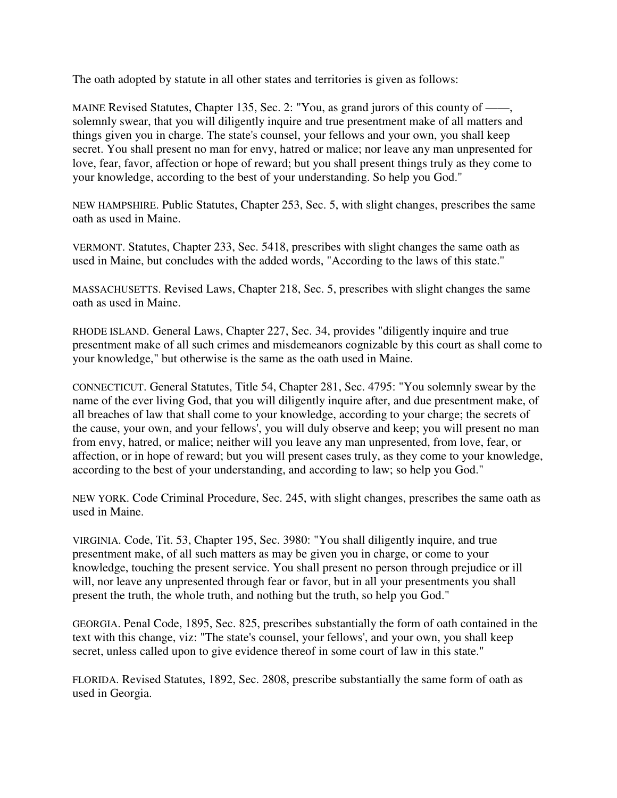The oath adopted by statute in all other states and territories is given as follows:

MAINE Revised Statutes, Chapter 135, Sec. 2: "You, as grand jurors of this county of ——, solemnly swear, that you will diligently inquire and true presentment make of all matters and things given you in charge. The state's counsel, your fellows and your own, you shall keep secret. You shall present no man for envy, hatred or malice; nor leave any man unpresented for love, fear, favor, affection or hope of reward; but you shall present things truly as they come to your knowledge, according to the best of your understanding. So help you God."

NEW HAMPSHIRE. Public Statutes, Chapter 253, Sec. 5, with slight changes, prescribes the same oath as used in Maine.

VERMONT. Statutes, Chapter 233, Sec. 5418, prescribes with slight changes the same oath as used in Maine, but concludes with the added words, "According to the laws of this state.''

MASSACHUSETTS. Revised Laws, Chapter 218, Sec. 5, prescribes with slight changes the same oath as used in Maine.

RHODE ISLAND. General Laws, Chapter 227, Sec. 34, provides "diligently inquire and true presentment make of all such crimes and misdemeanors cognizable by this court as shall come to your knowledge," but otherwise is the same as the oath used in Maine.

CONNECTICUT. General Statutes, Title 54, Chapter 281, Sec. 4795: "You solemnly swear by the name of the ever living God, that you will diligently inquire after, and due presentment make, of all breaches of law that shall come to your knowledge, according to your charge; the secrets of the cause, your own, and your fellows', you will duly observe and keep; you will present no man from envy, hatred, or malice; neither will you leave any man unpresented, from love, fear, or affection, or in hope of reward; but you will present cases truly, as they come to your knowledge, according to the best of your understanding, and according to law; so help you God."

NEW YORK. Code Criminal Procedure, Sec. 245, with slight changes, prescribes the same oath as used in Maine.

VIRGINIA. Code, Tit. 53, Chapter 195, Sec. 3980: "You shall diligently inquire, and true presentment make, of all such matters as may be given you in charge, or come to your knowledge, touching the present service. You shall present no person through prejudice or ill will, nor leave any unpresented through fear or favor, but in all your presentments you shall present the truth, the whole truth, and nothing but the truth, so help you God."

GEORGIA. Penal Code, 1895, Sec. 825, prescribes substantially the form of oath contained in the text with this change, viz: "The state's counsel, your fellows', and your own, you shall keep secret, unless called upon to give evidence thereof in some court of law in this state."

FLORIDA. Revised Statutes, 1892, Sec. 2808, prescribe substantially the same form of oath as used in Georgia.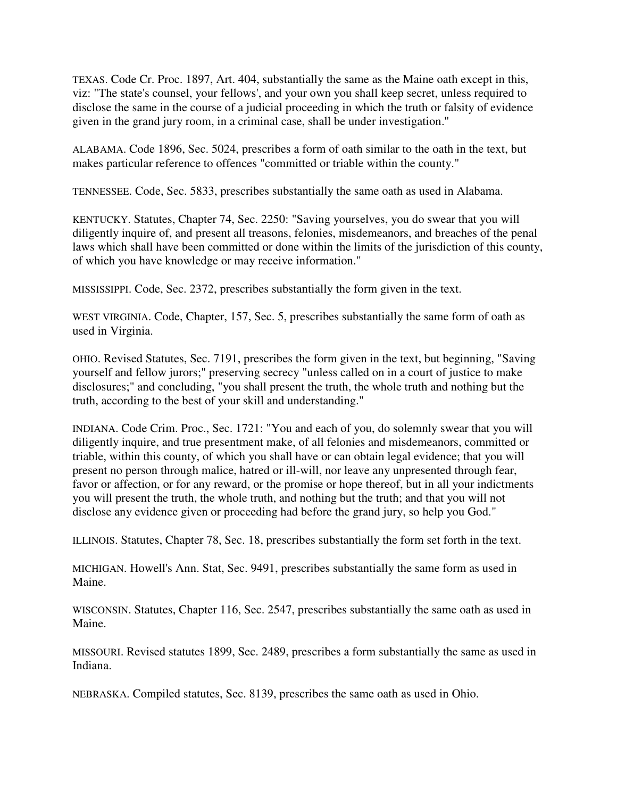TEXAS. Code Cr. Proc. 1897, Art. 404, substantially the same as the Maine oath except in this, viz: "The state's counsel, your fellows', and your own you shall keep secret, unless required to disclose the same in the course of a judicial proceeding in which the truth or falsity of evidence given in the grand jury room, in a criminal case, shall be under investigation.''

ALABAMA. Code 1896, Sec. 5024, prescribes a form of oath similar to the oath in the text, but makes particular reference to offences "committed or triable within the county."

TENNESSEE. Code, Sec. 5833, prescribes substantially the same oath as used in Alabama.

KENTUCKY. Statutes, Chapter 74, Sec. 2250: "Saving yourselves, you do swear that you will diligently inquire of, and present all treasons, felonies, misdemeanors, and breaches of the penal laws which shall have been committed or done within the limits of the jurisdiction of this county, of which you have knowledge or may receive information."

MISSISSIPPI. Code, Sec. 2372, prescribes substantially the form given in the text.

WEST VIRGINIA. Code, Chapter, 157, Sec. 5, prescribes substantially the same form of oath as used in Virginia.

OHIO. Revised Statutes, Sec. 7191, prescribes the form given in the text, but beginning, "Saving yourself and fellow jurors;" preserving secrecy "unless called on in a court of justice to make disclosures;" and concluding, "you shall present the truth, the whole truth and nothing but the truth, according to the best of your skill and understanding."

INDIANA. Code Crim. Proc., Sec. 1721: "You and each of you, do solemnly swear that you will diligently inquire, and true presentment make, of all felonies and misdemeanors, committed or triable, within this county, of which you shall have or can obtain legal evidence; that you will present no person through malice, hatred or ill-will, nor leave any unpresented through fear, favor or affection, or for any reward, or the promise or hope thereof, but in all your indictments you will present the truth, the whole truth, and nothing but the truth; and that you will not disclose any evidence given or proceeding had before the grand jury, so help you God."

ILLINOIS. Statutes, Chapter 78, Sec. 18, prescribes substantially the form set forth in the text.

MICHIGAN. Howell's Ann. Stat, Sec. 9491, prescribes substantially the same form as used in Maine.

WISCONSIN. Statutes, Chapter 116, Sec. 2547, prescribes substantially the same oath as used in Maine.

MISSOURI. Revised statutes 1899, Sec. 2489, prescribes a form substantially the same as used in Indiana.

NEBRASKA. Compiled statutes, Sec. 8139, prescribes the same oath as used in Ohio.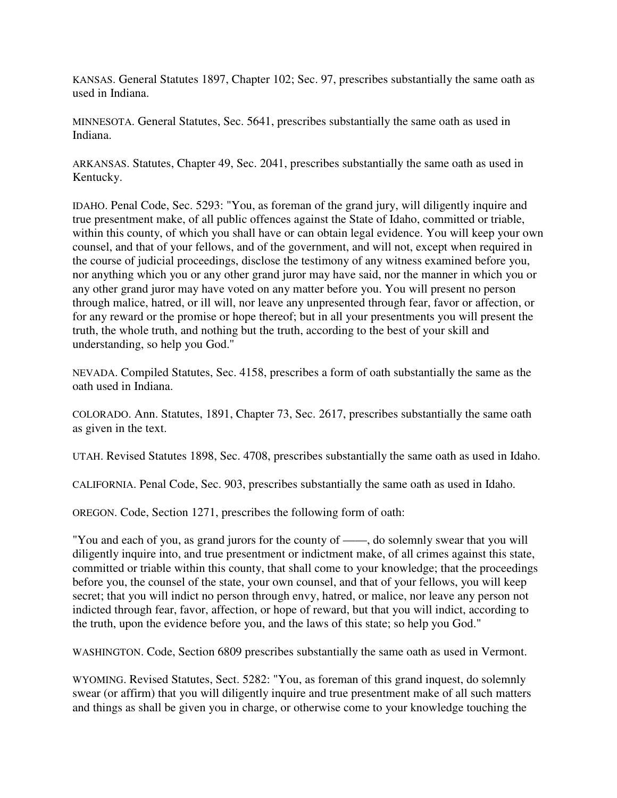KANSAS. General Statutes 1897, Chapter 102; Sec. 97, prescribes substantially the same oath as used in Indiana.

MINNESOTA. General Statutes, Sec. 5641, prescribes substantially the same oath as used in Indiana.

ARKANSAS. Statutes, Chapter 49, Sec. 2041, prescribes substantially the same oath as used in Kentucky.

IDAHO. Penal Code, Sec. 5293: "You, as foreman of the grand jury, will diligently inquire and true presentment make, of all public offences against the State of Idaho, committed or triable, within this county, of which you shall have or can obtain legal evidence. You will keep your own counsel, and that of your fellows, and of the government, and will not, except when required in the course of judicial proceedings, disclose the testimony of any witness examined before you, nor anything which you or any other grand juror may have said, nor the manner in which you or any other grand juror may have voted on any matter before you. You will present no person through malice, hatred, or ill will, nor leave any unpresented through fear, favor or affection, or for any reward or the promise or hope thereof; but in all your presentments you will present the truth, the whole truth, and nothing but the truth, according to the best of your skill and understanding, so help you God.''

NEVADA. Compiled Statutes, Sec. 4158, prescribes a form of oath substantially the same as the oath used in Indiana.

COLORADO. Ann. Statutes, 1891, Chapter 73, Sec. 2617, prescribes substantially the same oath as given in the text.

UTAH. Revised Statutes 1898, Sec. 4708, prescribes substantially the same oath as used in Idaho.

CALIFORNIA. Penal Code, Sec. 903, prescribes substantially the same oath as used in Idaho.

OREGON. Code, Section 1271, prescribes the following form of oath:

"You and each of you, as grand jurors for the county of ——, do solemnly swear that you will diligently inquire into, and true presentment or indictment make, of all crimes against this state, committed or triable within this county, that shall come to your knowledge; that the proceedings before you, the counsel of the state, your own counsel, and that of your fellows, you will keep secret; that you will indict no person through envy, hatred, or malice, nor leave any person not indicted through fear, favor, affection, or hope of reward, but that you will indict, according to the truth, upon the evidence before you, and the laws of this state; so help you God."

WASHINGTON. Code, Section 6809 prescribes substantially the same oath as used in Vermont.

WYOMING. Revised Statutes, Sect. 5282: "You, as foreman of this grand inquest, do solemnly swear (or affirm) that you will diligently inquire and true presentment make of all such matters and things as shall be given you in charge, or otherwise come to your knowledge touching the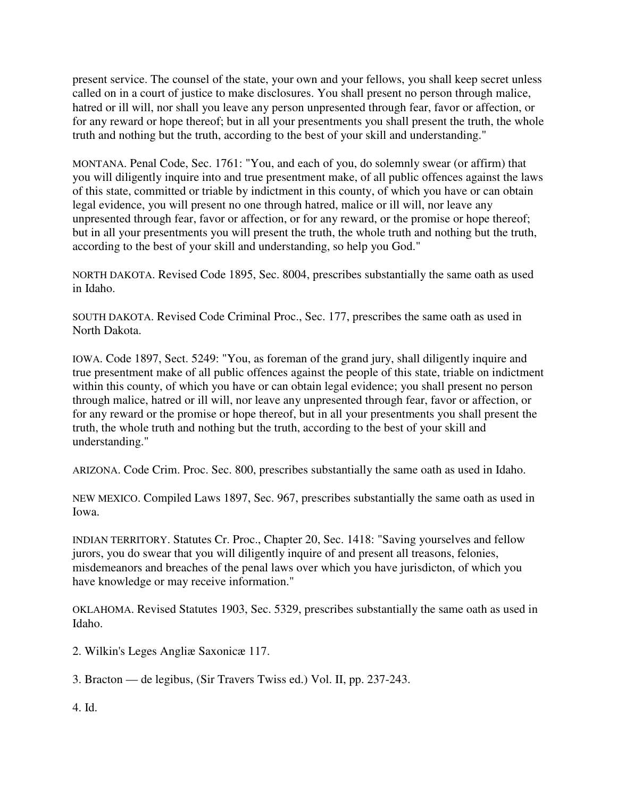present service. The counsel of the state, your own and your fellows, you shall keep secret unless called on in a court of justice to make disclosures. You shall present no person through malice, hatred or ill will, nor shall you leave any person unpresented through fear, favor or affection, or for any reward or hope thereof; but in all your presentments you shall present the truth, the whole truth and nothing but the truth, according to the best of your skill and understanding."

MONTANA. Penal Code, Sec. 1761: "You, and each of you, do solemnly swear (or affirm) that you will diligently inquire into and true presentment make, of all public offences against the laws of this state, committed or triable by indictment in this county, of which you have or can obtain legal evidence, you will present no one through hatred, malice or ill will, nor leave any unpresented through fear, favor or affection, or for any reward, or the promise or hope thereof; but in all your presentments you will present the truth, the whole truth and nothing but the truth, according to the best of your skill and understanding, so help you God."

NORTH DAKOTA. Revised Code 1895, Sec. 8004, prescribes substantially the same oath as used in Idaho.

SOUTH DAKOTA. Revised Code Criminal Proc., Sec. 177, prescribes the same oath as used in North Dakota.

IOWA. Code 1897, Sect. 5249: "You, as foreman of the grand jury, shall diligently inquire and true presentment make of all public offences against the people of this state, triable on indictment within this county, of which you have or can obtain legal evidence; you shall present no person through malice, hatred or ill will, nor leave any unpresented through fear, favor or affection, or for any reward or the promise or hope thereof, but in all your presentments you shall present the truth, the whole truth and nothing but the truth, according to the best of your skill and understanding."

ARIZONA. Code Crim. Proc. Sec. 800, prescribes substantially the same oath as used in Idaho.

NEW MEXICO. Compiled Laws 1897, Sec. 967, prescribes substantially the same oath as used in Iowa.

INDIAN TERRITORY. Statutes Cr. Proc., Chapter 20, Sec. 1418: "Saving yourselves and fellow jurors, you do swear that you will diligently inquire of and present all treasons, felonies, misdemeanors and breaches of the penal laws over which you have jurisdicton, of which you have knowledge or may receive information."

OKLAHOMA. Revised Statutes 1903, Sec. 5329, prescribes substantially the same oath as used in Idaho.

2. Wilkin's Leges Angliæ Saxonicæ 117.

3. Bracton — de legibus, (Sir Travers Twiss ed.) Vol. II, pp. 237-243.

4. Id.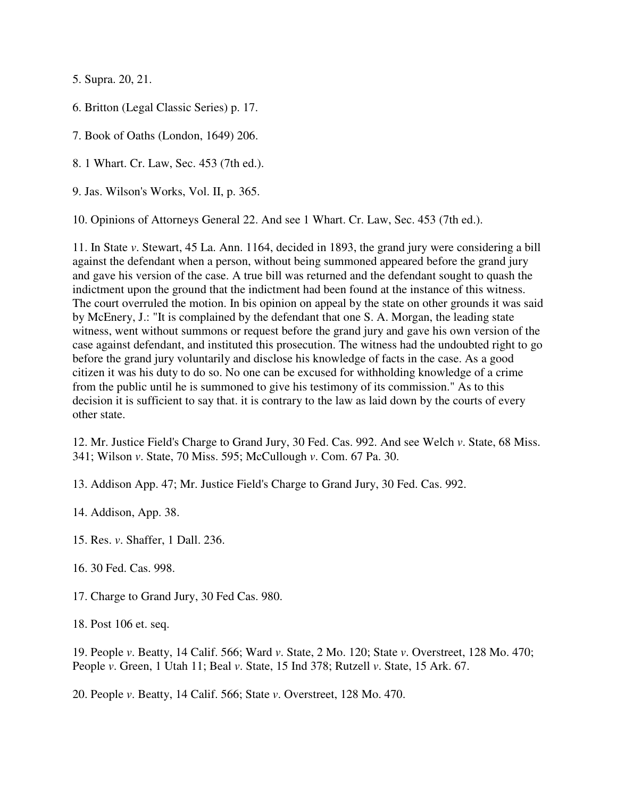5. Supra. 20, 21.

6. Britton (Legal Classic Series) p. 17.

7. Book of Oaths (London, 1649) 206.

8. 1 Whart. Cr. Law, Sec. 453 (7th ed.).

9. Jas. Wilson's Works, Vol. II, p. 365.

10. Opinions of Attorneys General 22. And see 1 Whart. Cr. Law, Sec. 453 (7th ed.).

11. In State *v*. Stewart, 45 La. Ann. 1164, decided in 1893, the grand jury were considering a bill against the defendant when a person, without being summoned appeared before the grand jury and gave his version of the case. A true bill was returned and the defendant sought to quash the indictment upon the ground that the indictment had been found at the instance of this witness. The court overruled the motion. In bis opinion on appeal by the state on other grounds it was said by McEnery, J.: "It is complained by the defendant that one S. A. Morgan, the leading state witness, went without summons or request before the grand jury and gave his own version of the case against defendant, and instituted this prosecution. The witness had the undoubted right to go before the grand jury voluntarily and disclose his knowledge of facts in the case. As a good citizen it was his duty to do so. No one can be excused for withholding knowledge of a crime from the public until he is summoned to give his testimony of its commission." As to this decision it is sufficient to say that. it is contrary to the law as laid down by the courts of every other state.

12. Mr. Justice Field's Charge to Grand Jury, 30 Fed. Cas. 992. And see Welch *v*. State, 68 Miss. 341; Wilson *v*. State, 70 Miss. 595; McCullough *v*. Com. 67 Pa. 30.

13. Addison App. 47; Mr. Justice Field's Charge to Grand Jury, 30 Fed. Cas. 992.

14. Addison, App. 38.

15. Res. *v*. Shaffer, 1 Dall. 236.

16. 30 Fed. Cas. 998.

17. Charge to Grand Jury, 30 Fed Cas. 980.

18. Post 106 et. seq.

19. People *v*. Beatty, 14 Calif. 566; Ward *v*. State, 2 Mo. 120; State *v*. Overstreet, 128 Mo. 470; People *v*. Green, 1 Utah 11; Beal *v*. State, 15 Ind 378; Rutzell *v*. State, 15 Ark. 67.

20. People *v*. Beatty, 14 Calif. 566; State *v*. Overstreet, 128 Mo. 470.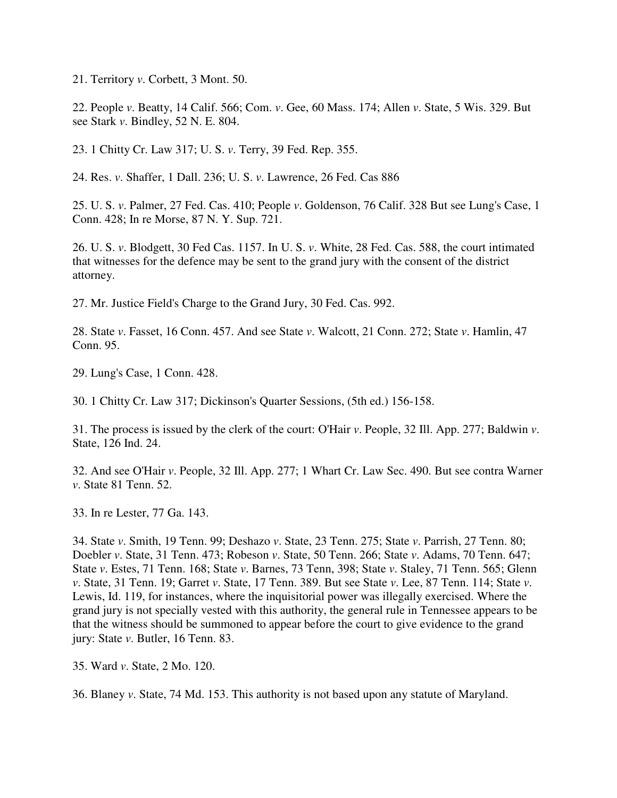21. Territory *v*. Corbett, 3 Mont. 50.

22. People *v*. Beatty, 14 Calif. 566; Com. *v*. Gee, 60 Mass. 174; Allen *v*. State, 5 Wis. 329. But see Stark *v*. Bindley, 52 N. E. 804.

23. 1 Chitty Cr. Law 317; U. S. *v*. Terry, 39 Fed. Rep. 355.

24. Res. *v*. Shaffer, 1 Dall. 236; U. S. *v*. Lawrence, 26 Fed. Cas 886

25. U. S. *v*. Palmer, 27 Fed. Cas. 410; People *v*. Goldenson, 76 Calif. 328 But see Lung's Case, 1 Conn. 428; In re Morse, 87 N. Y. Sup. 721.

26. U. S. *v*. Blodgett, 30 Fed Cas. 1157. In U. S. *v*. White, 28 Fed. Cas. 588, the court intimated that witnesses for the defence may be sent to the grand jury with the consent of the district attorney.

27. Mr. Justice Field's Charge to the Grand Jury, 30 Fed. Cas. 992.

28. State *v*. Fasset, 16 Conn. 457. And see State *v*. Walcott, 21 Conn. 272; State *v*. Hamlin, 47 Conn. 95.

29. Lung's Case, 1 Conn. 428.

30. 1 Chitty Cr. Law 317; Dickinson's Quarter Sessions, (5th ed.) 156-158.

31. The process is issued by the clerk of the court: O'Hair *v*. People, 32 Ill. App. 277; Baldwin *v*. State, 126 Ind. 24.

32. And see O'Hair *v*. People, 32 Ill. App. 277; 1 Whart Cr. Law Sec. 490. But see contra Warner *v*. State 81 Tenn. 52.

33. In re Lester, 77 Ga. 143.

34. State *v*. Smith, 19 Tenn. 99; Deshazo *v*. State, 23 Tenn. 275; State *v*. Parrish, 27 Tenn. 80; Doebler *v*. State, 31 Tenn. 473; Robeson *v*. State, 50 Tenn. 266; State *v*. Adams, 70 Tenn. 647; State *v*. Estes, 71 Tenn. 168; State *v*. Barnes, 73 Tenn, 398; State *v*. Staley, 71 Tenn. 565; Glenn *v*. State, 31 Tenn. 19; Garret *v*. State, 17 Tenn. 389. But see State *v*. Lee, 87 Tenn. 114; State *v*. Lewis, Id. 119, for instances, where the inquisitorial power was illegally exercised. Where the grand jury is not specially vested with this authority, the general rule in Tennessee appears to be that the witness should be summoned to appear before the court to give evidence to the grand jury: State *v*. Butler, 16 Tenn. 83.

35. Ward *v*. State, 2 Mo. 120.

36. Blaney *v*. State, 74 Md. 153. This authority is not based upon any statute of Maryland.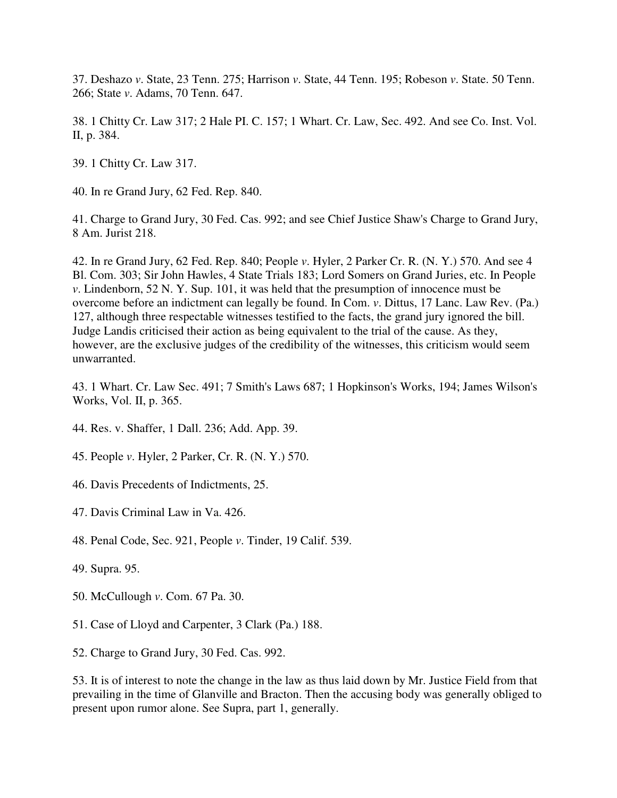37. Deshazo *v*. State, 23 Tenn. 275; Harrison *v*. State, 44 Tenn. 195; Robeson *v*. State. 50 Tenn. 266; State *v*. Adams, 70 Tenn. 647.

38. 1 Chitty Cr. Law 317; 2 Hale PI. C. 157; 1 Whart. Cr. Law, Sec. 492. And see Co. Inst. Vol. II, p. 384.

39. 1 Chitty Cr. Law 317.

40. In re Grand Jury, 62 Fed. Rep. 840.

41. Charge to Grand Jury, 30 Fed. Cas. 992; and see Chief Justice Shaw's Charge to Grand Jury, 8 Am. Jurist 218.

42. In re Grand Jury, 62 Fed. Rep. 840; People *v*. Hyler, 2 Parker Cr. R. (N. Y.) 570. And see 4 Bl. Com. 303; Sir John Hawles, 4 State Trials 183; Lord Somers on Grand Juries, etc. In People *v*. Lindenborn, 52 N. Y. Sup. 101, it was held that the presumption of innocence must be overcome before an indictment can legally be found. In Com. *v*. Dittus, 17 Lanc. Law Rev. (Pa.) 127, although three respectable witnesses testified to the facts, the grand jury ignored the bill. Judge Landis criticised their action as being equivalent to the trial of the cause. As they, however, are the exclusive judges of the credibility of the witnesses, this criticism would seem unwarranted.

43. 1 Whart. Cr. Law Sec. 491; 7 Smith's Laws 687; 1 Hopkinson's Works, 194; James Wilson's Works, Vol. II, p. 365.

44. Res. v. Shaffer, 1 Dall. 236; Add. App. 39.

45. People *v*. Hyler, 2 Parker, Cr. R. (N. Y.) 570.

46. Davis Precedents of Indictments, 25.

47. Davis Criminal Law in Va. 426.

48. Penal Code, Sec. 921, People *v*. Tinder, 19 Calif. 539.

49. Supra. 95.

- 50. McCullough *v*. Com. 67 Pa. 30.
- 51. Case of Lloyd and Carpenter, 3 Clark (Pa.) 188.

52. Charge to Grand Jury, 30 Fed. Cas. 992.

53. It is of interest to note the change in the law as thus laid down by Mr. Justice Field from that prevailing in the time of Glanville and Bracton. Then the accusing body was generally obliged to present upon rumor alone. See Supra, part 1, generally.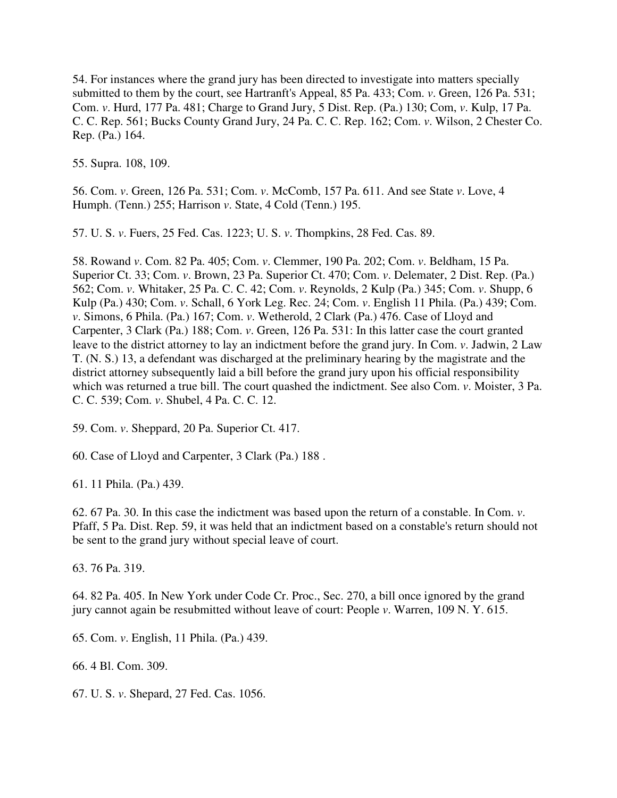54. For instances where the grand jury has been directed to investigate into matters specially submitted to them by the court, see Hartranft's Appeal, 85 Pa. 433; Com. *v*. Green, 126 Pa. 531; Com. *v*. Hurd, 177 Pa. 481; Charge to Grand Jury, 5 Dist. Rep. (Pa.) 130; Com, *v*. Kulp, 17 Pa. C. C. Rep. 561; Bucks County Grand Jury, 24 Pa. C. C. Rep. 162; Com. *v*. Wilson, 2 Chester Co. Rep. (Pa.) 164.

55. Supra. 108, 109.

56. Com. *v*. Green, 126 Pa. 531; Com. *v*. McComb, 157 Pa. 611. And see State *v*. Love, 4 Humph. (Tenn.) 255; Harrison *v*. State, 4 Cold (Tenn.) 195.

57. U. S. *v*. Fuers, 25 Fed. Cas. 1223; U. S. *v*. Thompkins, 28 Fed. Cas. 89.

58. Rowand *v*. Com. 82 Pa. 405; Com. *v*. Clemmer, 190 Pa. 202; Com. *v*. Beldham, 15 Pa. Superior Ct. 33; Com. *v*. Brown, 23 Pa. Superior Ct. 470; Com. *v*. Delemater, 2 Dist. Rep. (Pa.) 562; Com. *v*. Whitaker, 25 Pa. C. C. 42; Com. *v*. Reynolds, 2 Kulp (Pa.) 345; Com. *v*. Shupp, 6 Kulp (Pa.) 430; Com. *v*. Schall, 6 York Leg. Rec. 24; Com. *v*. English 11 Phila. (Pa.) 439; Com. *v*. Simons, 6 Phila. (Pa.) 167; Com. *v*. Wetherold, 2 Clark (Pa.) 476. Case of Lloyd and Carpenter, 3 Clark (Pa.) 188; Com. *v*. Green, 126 Pa. 531: In this latter case the court granted leave to the district attorney to lay an indictment before the grand jury. In Com. *v*. Jadwin, 2 Law T. (N. S.) 13, a defendant was discharged at the preliminary hearing by the magistrate and the district attorney subsequently laid a bill before the grand jury upon his official responsibility which was returned a true bill. The court quashed the indictment. See also Com. *v*. Moister, 3 Pa. C. C. 539; Com. *v*. Shubel, 4 Pa. C. C. 12.

59. Com. *v*. Sheppard, 20 Pa. Superior Ct. 417.

60. Case of Lloyd and Carpenter, 3 Clark (Pa.) 188 .

61. 11 Phila. (Pa.) 439.

62. 67 Pa. 30. In this case the indictment was based upon the return of a constable. In Com. *v*. Pfaff, 5 Pa. Dist. Rep. 59, it was held that an indictment based on a constable's return should not be sent to the grand jury without special leave of court.

63. 76 Pa. 319.

64. 82 Pa. 405. In New York under Code Cr. Proc., Sec. 270, a bill once ignored by the grand jury cannot again be resubmitted without leave of court: People *v*. Warren, 109 N. Y. 615.

65. Com. *v*. English, 11 Phila. (Pa.) 439.

66. 4 Bl. Com. 309.

67. U. S. *v*. Shepard, 27 Fed. Cas. 1056.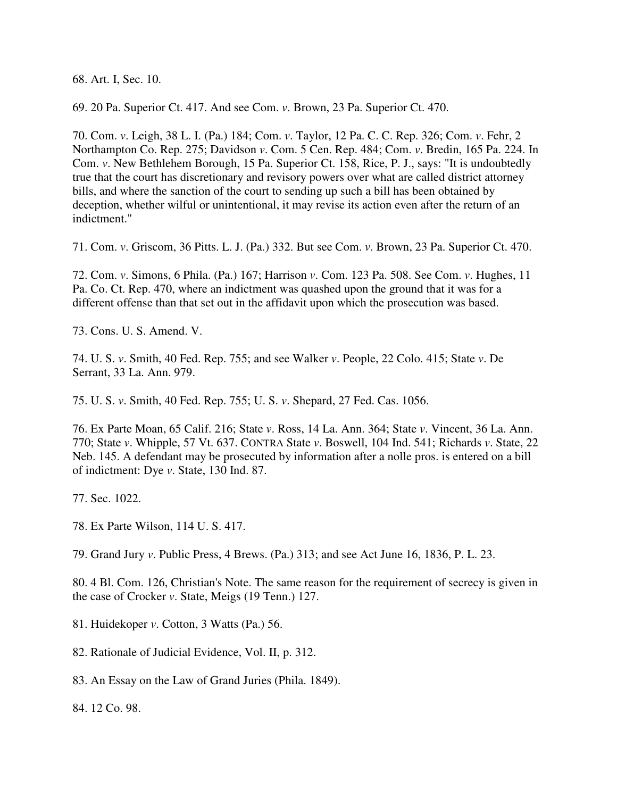68. Art. I, Sec. 10.

69. 20 Pa. Superior Ct. 417. And see Com. *v*. Brown, 23 Pa. Superior Ct. 470.

70. Com. *v*. Leigh, 38 L. I. (Pa.) 184; Com. *v*. Taylor, 12 Pa. C. C. Rep. 326; Com. *v*. Fehr, 2 Northampton Co. Rep. 275; Davidson *v*. Com. 5 Cen. Rep. 484; Com. *v*. Bredin, 165 Pa. 224. In Com. *v*. New Bethlehem Borough, 15 Pa. Superior Ct. 158, Rice, P. J., says: "It is undoubtedly true that the court has discretionary and revisory powers over what are called district attorney bills, and where the sanction of the court to sending up such a bill has been obtained by deception, whether wilful or unintentional, it may revise its action even after the return of an indictment."

71. Com. *v*. Griscom, 36 Pitts. L. J. (Pa.) 332. But see Com. *v*. Brown, 23 Pa. Superior Ct. 470.

72. Com. *v*. Simons, 6 Phila. (Pa.) 167; Harrison *v*. Com. 123 Pa. 508. See Com. *v*. Hughes, 11 Pa. Co. Ct. Rep. 470, where an indictment was quashed upon the ground that it was for a different offense than that set out in the affidavit upon which the prosecution was based.

73. Cons. U. S. Amend. V.

74. U. S. *v*. Smith, 40 Fed. Rep. 755; and see Walker *v*. People, 22 Colo. 415; State *v*. De Serrant, 33 La. Ann. 979.

75. U. S. *v*. Smith, 40 Fed. Rep. 755; U. S. *v*. Shepard, 27 Fed. Cas. 1056.

76. Ex Parte Moan, 65 Calif. 216; State *v*. Ross, 14 La. Ann. 364; State *v*. Vincent, 36 La. Ann. 770; State *v*. Whipple, 57 Vt. 637. CONTRA State *v*. Boswell, 104 Ind. 541; Richards *v*. State, 22 Neb. 145. A defendant may be prosecuted by information after a nolle pros. is entered on a bill of indictment: Dye *v*. State, 130 Ind. 87.

77. Sec. 1022.

78. Ex Parte Wilson, 114 U. S. 417.

79. Grand Jury *v*. Public Press, 4 Brews. (Pa.) 313; and see Act June 16, 1836, P. L. 23.

80. 4 Bl. Com. 126, Christian's Note. The same reason for the requirement of secrecy is given in the case of Crocker *v*. State, Meigs (19 Tenn.) 127.

81. Huidekoper *v*. Cotton, 3 Watts (Pa.) 56.

82. Rationale of Judicial Evidence, Vol. II, p. 312.

83. An Essay on the Law of Grand Juries (Phila. 1849).

84. 12 Co. 98.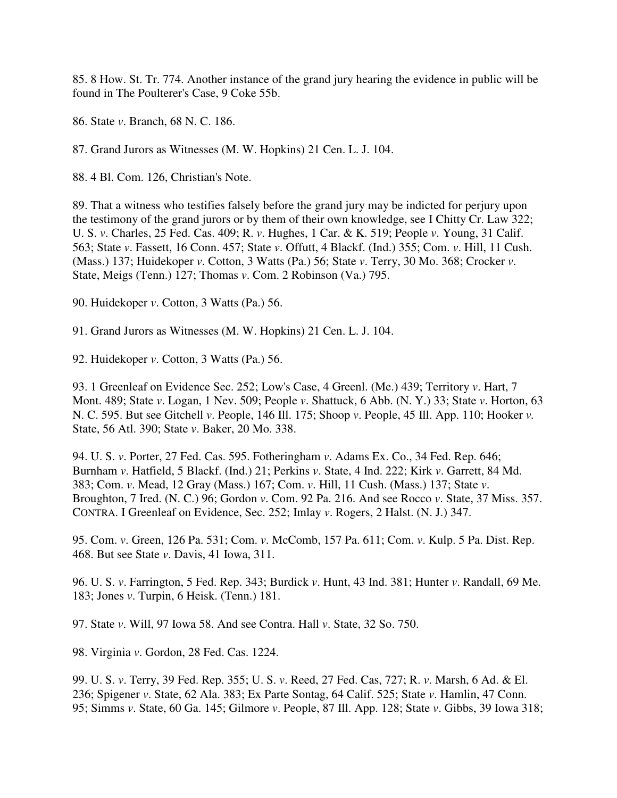85. 8 How. St. Tr. 774. Another instance of the grand jury hearing the evidence in public will be found in The Poulterer's Case, 9 Coke 55b.

86. State *v*. Branch, 68 N. C. 186.

87. Grand Jurors as Witnesses (M. W. Hopkins) 21 Cen. L. J. 104.

88. 4 Bl. Com. 126, Christian's Note.

89. That a witness who testifies falsely before the grand jury may be indicted for perjury upon the testimony of the grand jurors or by them of their own knowledge, see I Chitty Cr. Law 322; U. S. *v*. Charles, 25 Fed. Cas. 409; R. *v*. Hughes, 1 Car. & K. 519; People *v*. Young, 31 Calif. 563; State *v*. Fassett, 16 Conn. 457; State *v*. Offutt, 4 Blackf. (Ind.) 355; Com. *v*. Hill, 11 Cush. (Mass.) 137; Huidekoper *v*. Cotton, 3 Watts (Pa.) 56; State *v*. Terry, 30 Mo. 368; Crocker *v*. State, Meigs (Tenn.) 127; Thomas *v*. Com. 2 Robinson (Va.) 795.

90. Huidekoper *v*. Cotton, 3 Watts (Pa.) 56.

91. Grand Jurors as Witnesses (M. W. Hopkins) 21 Cen. L. J. 104.

92. Huidekoper *v*. Cotton, 3 Watts (Pa.) 56.

93. 1 Greenleaf on Evidence Sec. 252; Low's Case, 4 Greenl. (Me.) 439; Territory *v*. Hart, 7 Mont. 489; State *v*. Logan, 1 Nev. 509; People *v*. Shattuck, 6 Abb. (N. Y.) 33; State *v*. Horton, 63 N. C. 595. But see Gitchell *v*. People, 146 Ill. 175; Shoop *v*. People, 45 Ill. App. 110; Hooker *v.*  State, 56 Atl. 390; State *v*. Baker, 20 Mo. 338.

94. U. S. *v*. Porter, 27 Fed. Cas. 595. Fotheringham *v*. Adams Ex. Co., 34 Fed. Rep. 646; Burnham *v*. Hatfield, 5 Blackf. (Ind.) 21; Perkins *v*. State, 4 Ind. 222; Kirk *v*. Garrett, 84 Md. 383; Com. *v*. Mead, 12 Gray (Mass.) 167; Com. *v*. Hill, 11 Cush. (Mass.) 137; State *v*. Broughton, 7 Ired. (N. C.) 96; Gordon *v*. Com. 92 Pa. 216. And see Rocco *v*. State, 37 Miss. 357. CONTRA. I Greenleaf on Evidence, Sec. 252; Imlay *v*. Rogers, 2 Halst. (N. J.) 347.

95. Com. *v*. Green, 126 Pa. 531; Com. *v*. McComb, 157 Pa. 611; Com. *v*. Kulp. 5 Pa. Dist. Rep. 468. But see State *v*. Davis, 41 Iowa, 311.

96. U. S. *v*. Farrington, 5 Fed. Rep. 343; Burdick *v*. Hunt, 43 Ind. 381; Hunter *v*. Randall, 69 Me. 183; Jones *v*. Turpin, 6 Heisk. (Tenn.) 181.

97. State *v*. Will, 97 Iowa 58. And see Contra. Hall *v*. State, 32 So. 750.

98. Virginia *v*. Gordon, 28 Fed. Cas. 1224.

99. U. S. *v*. Terry, 39 Fed. Rep. 355; U. S. *v*. Reed, 27 Fed. Cas, 727; R. *v*. Marsh, 6 Ad. & El. 236; Spigener *v*. State, 62 Ala. 383; Ex Parte Sontag, 64 Calif. 525; State *v*. Hamlin, 47 Conn. 95; Simms *v*. State, 60 Ga. 145; Gilmore *v*. People, 87 Ill. App. 128; State *v*. Gibbs, 39 Iowa 318;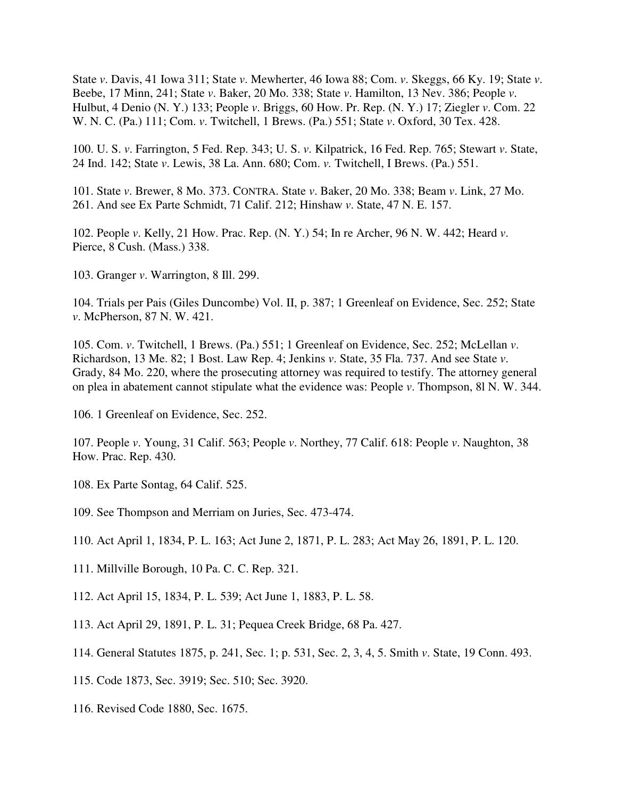State *v*. Davis, 41 Iowa 311; State *v*. Mewherter, 46 Iowa 88; Com. *v*. Skeggs, 66 Ky. 19; State *v*. Beebe, 17 Minn, 241; State *v*. Baker, 20 Mo. 338; State *v*. Hamilton, 13 Nev. 386; People *v*. Hulbut, 4 Denio (N. Y.) 133; People *v*. Briggs, 60 How. Pr. Rep. (N. Y.) 17; Ziegler *v*. Com. 22 W. N. C. (Pa.) 111; Com. *v*. Twitchell, 1 Brews. (Pa.) 551; State *v*. Oxford, 30 Tex. 428.

100. U. S. *v*. Farrington, 5 Fed. Rep. 343; U. S. *v*. Kilpatrick, 16 Fed. Rep. 765; Stewart *v*. State, 24 Ind. 142; State *v*. Lewis, 38 La. Ann. 680; Com. *v.* Twitchell, I Brews. (Pa.) 551.

101. State *v*. Brewer, 8 Mo. 373. CONTRA. State *v*. Baker, 20 Mo. 338; Beam *v*. Link, 27 Mo. 261. And see Ex Parte Schmidt, 71 Calif. 212; Hinshaw *v*. State, 47 N. E. 157.

102. People *v*. Kelly, 21 How. Prac. Rep. (N. Y.) 54; In re Archer, 96 N. W. 442; Heard *v*. Pierce, 8 Cush. (Mass.) 338.

103. Granger *v*. Warrington, 8 Ill. 299.

104. Trials per Pais (Giles Duncombe) Vol. II, p. 387; 1 Greenleaf on Evidence, Sec. 252; State *v*. McPherson, 87 N. W. 421.

105. Com. *v*. Twitchell, 1 Brews. (Pa.) 551; 1 Greenleaf on Evidence, Sec. 252; McLellan *v*. Richardson, 13 Me. 82; 1 Bost. Law Rep. 4; Jenkins *v*. State, 35 Fla. 737. And see State *v*. Grady, 84 Mo. 220, where the prosecuting attorney was required to testify. The attorney general on plea in abatement cannot stipulate what the evidence was: People *v*. Thompson, 8l N. W. 344.

106. 1 Greenleaf on Evidence, Sec. 252.

107. People *v*. Young, 31 Calif. 563; People *v*. Northey, 77 Calif. 618: People *v*. Naughton, 38 How. Prac. Rep. 430.

- 108. Ex Parte Sontag, 64 Calif. 525.
- 109. See Thompson and Merriam on Juries, Sec. 473-474.
- 110. Act April 1, 1834, P. L. 163; Act June 2, 1871, P. L. 283; Act May 26, 1891, P. L. 120.
- 111. Millville Borough, 10 Pa. C. C. Rep. 321.
- 112. Act April 15, 1834, P. L. 539; Act June 1, 1883, P. L. 58.
- 113. Act April 29, 1891, P. L. 31; Pequea Creek Bridge, 68 Pa. 427.
- 114. General Statutes 1875, p. 241, Sec. 1; p. 531, Sec. 2, 3, 4, 5. Smith *v*. State, 19 Conn. 493.
- 115. Code 1873, Sec. 3919; Sec. 510; Sec. 3920.
- 116. Revised Code 1880, Sec. 1675.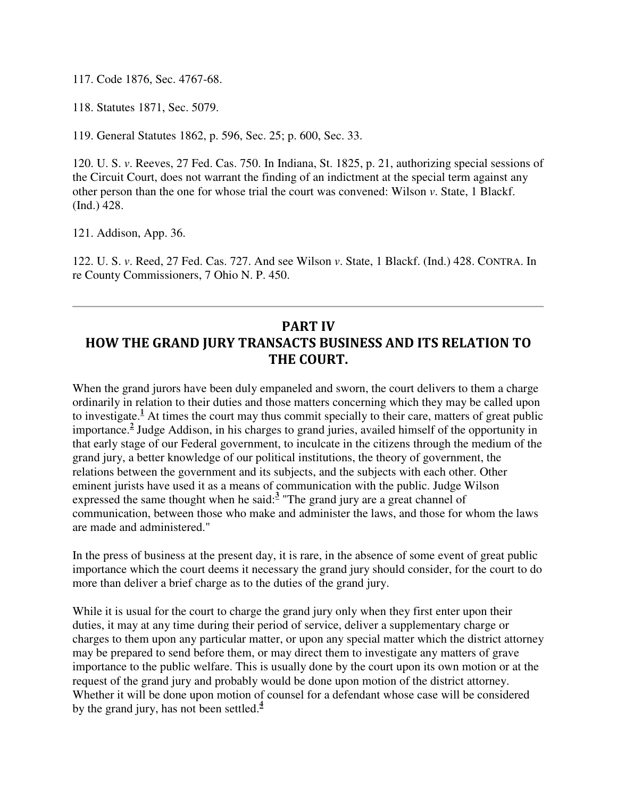117. Code 1876, Sec. 4767-68.

118. Statutes 1871, Sec. 5079.

119. General Statutes 1862, p. 596, Sec. 25; p. 600, Sec. 33.

120. U. S. *v*. Reeves, 27 Fed. Cas. 750. In Indiana, St. 1825, p. 21, authorizing special sessions of the Circuit Court, does not warrant the finding of an indictment at the special term against any other person than the one for whose trial the court was convened: Wilson *v*. State, 1 Blackf. (Ind.) 428.

121. Addison, App. 36.

122. U. S. *v*. Reed, 27 Fed. Cas. 727. And see Wilson *v*. State, 1 Blackf. (Ind.) 428. CONTRA. In re County Commissioners, 7 Ohio N. P. 450.

## PART IV HOW THE GRAND JURY TRANSACTS BUSINESS AND ITS RELATION TO THE COURT.

When the grand jurors have been duly empaneled and sworn, the court delivers to them a charge ordinarily in relation to their duties and those matters concerning which they may be called upon to investigate.<sup>1</sup> At times the court may thus commit specially to their care, matters of great public importance.**<sup>2</sup>** Judge Addison, in his charges to grand juries, availed himself of the opportunity in that early stage of our Federal government, to inculcate in the citizens through the medium of the grand jury, a better knowledge of our political institutions, the theory of government, the relations between the government and its subjects, and the subjects with each other. Other eminent jurists have used it as a means of communication with the public. Judge Wilson expressed the same thought when he said:<sup>3</sup> "The grand jury are a great channel of communication, between those who make and administer the laws, and those for whom the laws are made and administered."

In the press of business at the present day, it is rare, in the absence of some event of great public importance which the court deems it necessary the grand jury should consider, for the court to do more than deliver a brief charge as to the duties of the grand jury.

While it is usual for the court to charge the grand jury only when they first enter upon their duties, it may at any time during their period of service, deliver a supplementary charge or charges to them upon any particular matter, or upon any special matter which the district attorney may be prepared to send before them, or may direct them to investigate any matters of grave importance to the public welfare. This is usually done by the court upon its own motion or at the request of the grand jury and probably would be done upon motion of the district attorney. Whether it will be done upon motion of counsel for a defendant whose case will be considered by the grand jury, has not been settled.**<sup>4</sup>**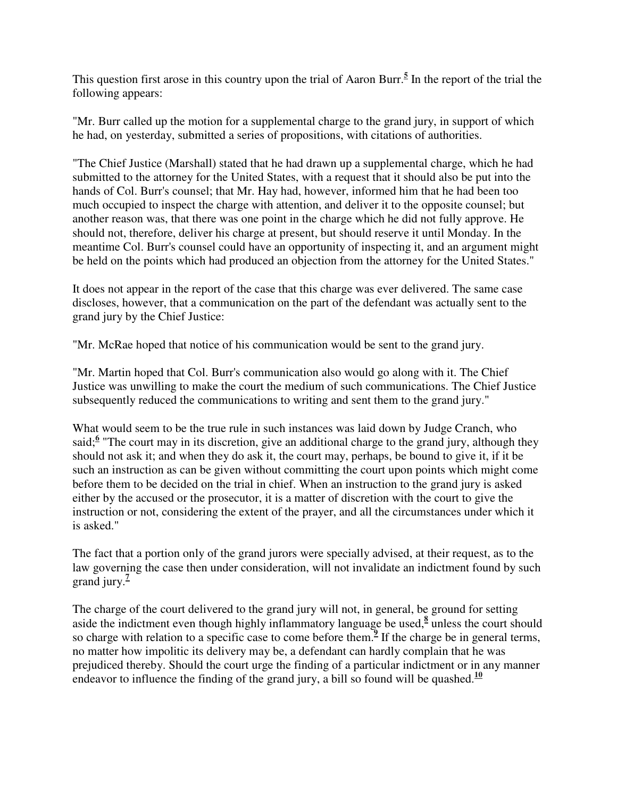This question first arose in this country upon the trial of Aaron Burr.**<sup>5</sup>** In the report of the trial the following appears:

"Mr. Burr called up the motion for a supplemental charge to the grand jury, in support of which he had, on yesterday, submitted a series of propositions, with citations of authorities.

"The Chief Justice (Marshall) stated that he had drawn up a supplemental charge, which he had submitted to the attorney for the United States, with a request that it should also be put into the hands of Col. Burr's counsel; that Mr. Hay had, however, informed him that he had been too much occupied to inspect the charge with attention, and deliver it to the opposite counsel; but another reason was, that there was one point in the charge which he did not fully approve. He should not, therefore, deliver his charge at present, but should reserve it until Monday. In the meantime Col. Burr's counsel could have an opportunity of inspecting it, and an argument might be held on the points which had produced an objection from the attorney for the United States."

It does not appear in the report of the case that this charge was ever delivered. The same case discloses, however, that a communication on the part of the defendant was actually sent to the grand jury by the Chief Justice:

"Mr. McRae hoped that notice of his communication would be sent to the grand jury.

"Mr. Martin hoped that Col. Burr's communication also would go along with it. The Chief Justice was unwilling to make the court the medium of such communications. The Chief Justice subsequently reduced the communications to writing and sent them to the grand jury."

What would seem to be the true rule in such instances was laid down by Judge Cranch, who said;<sup>6</sup> "The court may in its discretion, give an additional charge to the grand jury, although they should not ask it; and when they do ask it, the court may, perhaps, be bound to give it, if it be such an instruction as can be given without committing the court upon points which might come before them to be decided on the trial in chief. When an instruction to the grand jury is asked either by the accused or the prosecutor, it is a matter of discretion with the court to give the instruction or not, considering the extent of the prayer, and all the circumstances under which it is asked."

The fact that a portion only of the grand jurors were specially advised, at their request, as to the law governing the case then under consideration, will not invalidate an indictment found by such grand jury. $\frac{7}{7}$ 

The charge of the court delivered to the grand jury will not, in general, be ground for setting aside the indictment even though highly inflammatory language be used,<sup>8</sup> unless the court should so charge with relation to a specific case to come before them.**<sup>9</sup>** If the charge be in general terms, no matter how impolitic its delivery may be, a defendant can hardly complain that he was prejudiced thereby. Should the court urge the finding of a particular indictment or in any manner endeavor to influence the finding of the grand jury, a bill so found will be quashed.<sup>10</sup>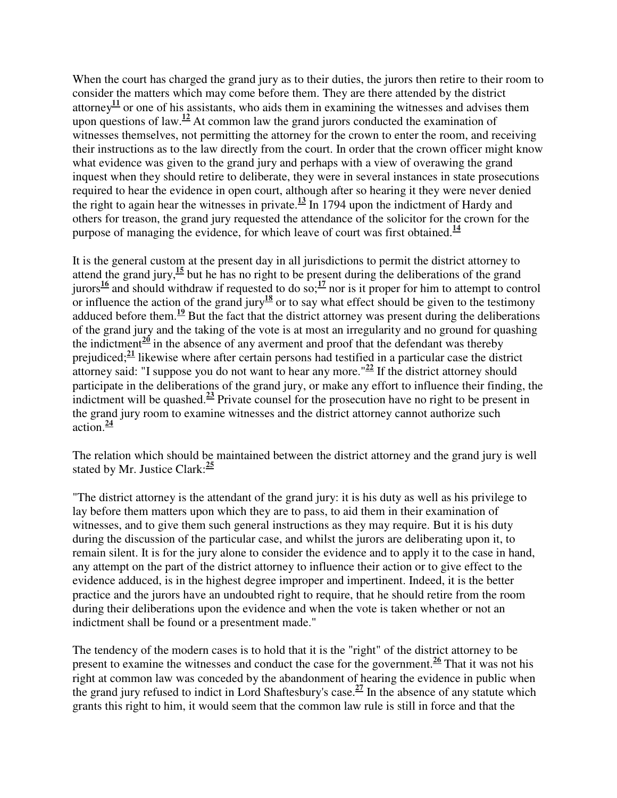When the court has charged the grand jury as to their duties, the jurors then retire to their room to consider the matters which may come before them. They are there attended by the district attorney<sup>11</sup> or one of his assistants, who aids them in examining the witnesses and advises them upon questions of law.<sup>12</sup> At common law the grand jurors conducted the examination of witnesses themselves, not permitting the attorney for the crown to enter the room, and receiving their instructions as to the law directly from the court. In order that the crown officer might know what evidence was given to the grand jury and perhaps with a view of overawing the grand inquest when they should retire to deliberate, they were in several instances in state prosecutions required to hear the evidence in open court, although after so hearing it they were never denied the right to again hear the witnesses in private.**<sup>13</sup>** In 1794 upon the indictment of Hardy and others for treason, the grand jury requested the attendance of the solicitor for the crown for the purpose of managing the evidence, for which leave of court was first obtained.<sup>14</sup>

It is the general custom at the present day in all jurisdictions to permit the district attorney to attend the grand jury,**<sup>15</sup>** but he has no right to be present during the deliberations of the grand jurors<sup>16</sup> and should withdraw if requested to do so;<sup>17</sup> nor is it proper for him to attempt to control or influence the action of the grand jury<sup>18</sup> or to say what effect should be given to the testimony adduced before them.**<sup>19</sup>** But the fact that the district attorney was present during the deliberations of the grand jury and the taking of the vote is at most an irregularity and no ground for quashing the indictment $\frac{20}{1}$  in the absence of any averment and proof that the defendant was thereby prejudiced;**<sup>21</sup>** likewise where after certain persons had testified in a particular case the district attorney said: "I suppose you do not want to hear any more."**<sup>22</sup>** If the district attorney should participate in the deliberations of the grand jury, or make any effort to influence their finding, the indictment will be quashed. $\frac{23}{2}$  Private counsel for the prosecution have no right to be present in the grand jury room to examine witnesses and the district attorney cannot authorize such action.**<sup>24</sup>**

The relation which should be maintained between the district attorney and the grand jury is well stated by Mr. Justice Clark:**<sup>25</sup>**

"The district attorney is the attendant of the grand jury: it is his duty as well as his privilege to lay before them matters upon which they are to pass, to aid them in their examination of witnesses, and to give them such general instructions as they may require. But it is his duty during the discussion of the particular case, and whilst the jurors are deliberating upon it, to remain silent. It is for the jury alone to consider the evidence and to apply it to the case in hand, any attempt on the part of the district attorney to influence their action or to give effect to the evidence adduced, is in the highest degree improper and impertinent. Indeed, it is the better practice and the jurors have an undoubted right to require, that he should retire from the room during their deliberations upon the evidence and when the vote is taken whether or not an indictment shall be found or a presentment made."

The tendency of the modern cases is to hold that it is the "right" of the district attorney to be present to examine the witnesses and conduct the case for the government. $\frac{26}{3}$  That it was not his right at common law was conceded by the abandonment of hearing the evidence in public when the grand jury refused to indict in Lord Shaftesbury's case.**<sup>27</sup>** In the absence of any statute which grants this right to him, it would seem that the common law rule is still in force and that the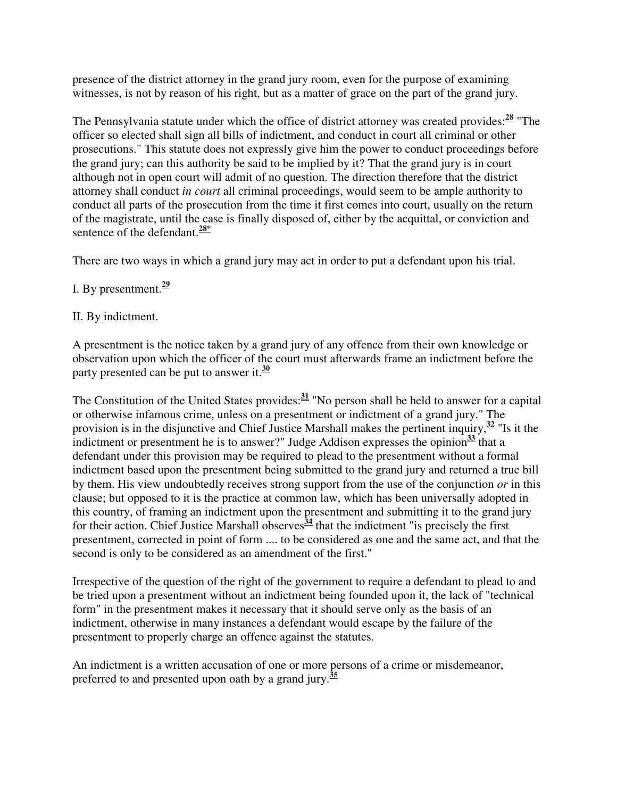presence of the district attorney in the grand jury room, even for the purpose of examining witnesses, is not by reason of his right, but as a matter of grace on the part of the grand jury.

The Pennsylvania statute under which the office of district attorney was created provides:**<sup>28</sup>** "The officer so elected shall sign all bills of indictment, and conduct in court all criminal or other prosecutions." This statute does not expressly give him the power to conduct proceedings before the grand jury; can this authority be said to be implied by it? That the grand jury is in court although not in open court will admit of no question. The direction therefore that the district attorney shall conduct *in court* all criminal proceedings, would seem to be ample authority to conduct all parts of the prosecution from the time it first comes into court, usually on the return of the magistrate, until the case is finally disposed of, either by the acquittal, or conviction and sentence of the defendant.**28\***

There are two ways in which a grand jury may act in order to put a defendant upon his trial.

- I. By presentment.**<sup>29</sup>**
- II. By indictment.

A presentment is the notice taken by a grand jury of any offence from their own knowledge or observation upon which the officer of the court must afterwards frame an indictment before the party presented can be put to answer it.**<sup>30</sup>**

The Constitution of the United States provides:**<sup>31</sup>** "No person shall be held to answer for a capital or otherwise infamous crime, unless on a presentment or indictment of a grand jury." The provision is in the disjunctive and Chief Justice Marshall makes the pertinent inquiry,**<sup>32</sup>** "Is it the indictment or presentment he is to answer?" Judge Addison expresses the opinion**<sup>33</sup>** that a defendant under this provision may be required to plead to the presentment without a formal indictment based upon the presentment being submitted to the grand jury and returned a true bill by them. His view undoubtedly receives strong support from the use of the conjunction *or* in this clause; but opposed to it is the practice at common law, which has been universally adopted in this country, of framing an indictment upon the presentment and submitting it to the grand jury for their action. Chief Justice Marshall observes<sup> $\frac{34}{4}$ </sup> that the indictment "is precisely the first" presentment, corrected in point of form .... to be considered as one and the same act, and that the second is only to be considered as an amendment of the first."

Irrespective of the question of the right of the government to require a defendant to plead to and be tried upon a presentment without an indictment being founded upon it, the lack of "technical form" in the presentment makes it necessary that it should serve only as the basis of an indictment, otherwise in many instances a defendant would escape by the failure of the presentment to properly charge an offence against the statutes.

An indictment is a written accusation of one or more persons of a crime or misdemeanor, preferred to and presented upon oath by a grand jury. **35**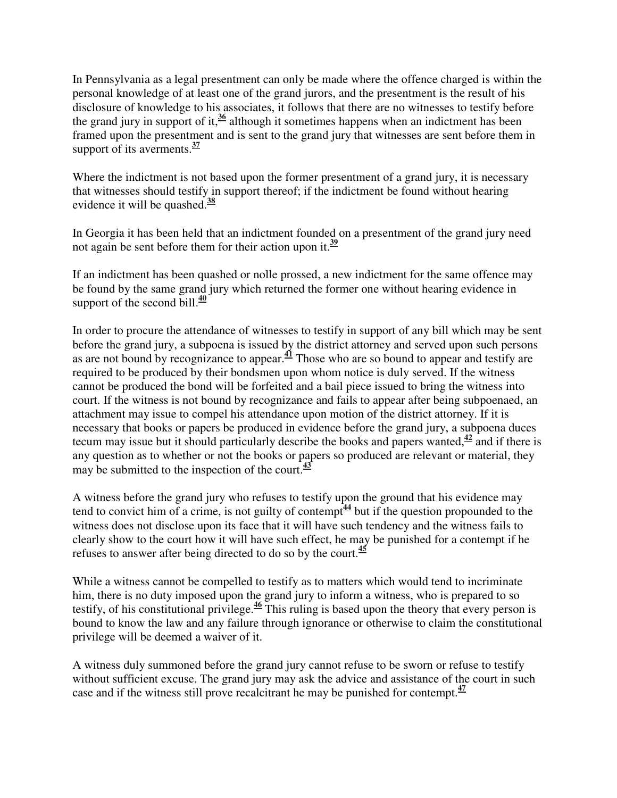In Pennsylvania as a legal presentment can only be made where the offence charged is within the personal knowledge of at least one of the grand jurors, and the presentment is the result of his disclosure of knowledge to his associates, it follows that there are no witnesses to testify before the grand jury in support of it,  $\frac{36}{9}$  although it sometimes happens when an indictment has been framed upon the presentment and is sent to the grand jury that witnesses are sent before them in support of its averments.**<sup>37</sup>**

Where the indictment is not based upon the former presentment of a grand jury, it is necessary that witnesses should testify in support thereof; if the indictment be found without hearing evidence it will be quashed.**<sup>38</sup>**

In Georgia it has been held that an indictment founded on a presentment of the grand jury need not again be sent before them for their action upon it.**<sup>39</sup>**

If an indictment has been quashed or nolle prossed, a new indictment for the same offence may be found by the same grand jury which returned the former one without hearing evidence in support of the second bill. $\frac{40}{2}$ 

In order to procure the attendance of witnesses to testify in support of any bill which may be sent before the grand jury, a subpoena is issued by the district attorney and served upon such persons as are not bound by recognizance to appear.**<sup>41</sup>** Those who are so bound to appear and testify are required to be produced by their bondsmen upon whom notice is duly served. If the witness cannot be produced the bond will be forfeited and a bail piece issued to bring the witness into court. If the witness is not bound by recognizance and fails to appear after being subpoenaed, an attachment may issue to compel his attendance upon motion of the district attorney. If it is necessary that books or papers be produced in evidence before the grand jury, a subpoena duces tecum may issue but it should particularly describe the books and papers wanted, $\frac{42}{12}$  and if there is any question as to whether or not the books or papers so produced are relevant or material, they may be submitted to the inspection of the court.**<sup>43</sup>**

A witness before the grand jury who refuses to testify upon the ground that his evidence may tend to convict him of a crime, is not guilty of contempt<sup> $\frac{44}{3}$ </sup> but if the question propounded to the witness does not disclose upon its face that it will have such tendency and the witness fails to clearly show to the court how it will have such effect, he may be punished for a contempt if he refuses to answer after being directed to do so by the court.**<sup>45</sup>**

While a witness cannot be compelled to testify as to matters which would tend to incriminate him, there is no duty imposed upon the grand jury to inform a witness, who is prepared to so testify, of his constitutional privilege.**<sup>46</sup>** This ruling is based upon the theory that every person is bound to know the law and any failure through ignorance or otherwise to claim the constitutional privilege will be deemed a waiver of it.

A witness duly summoned before the grand jury cannot refuse to be sworn or refuse to testify without sufficient excuse. The grand jury may ask the advice and assistance of the court in such case and if the witness still prove recalcitrant he may be punished for contempt.**<sup>47</sup>**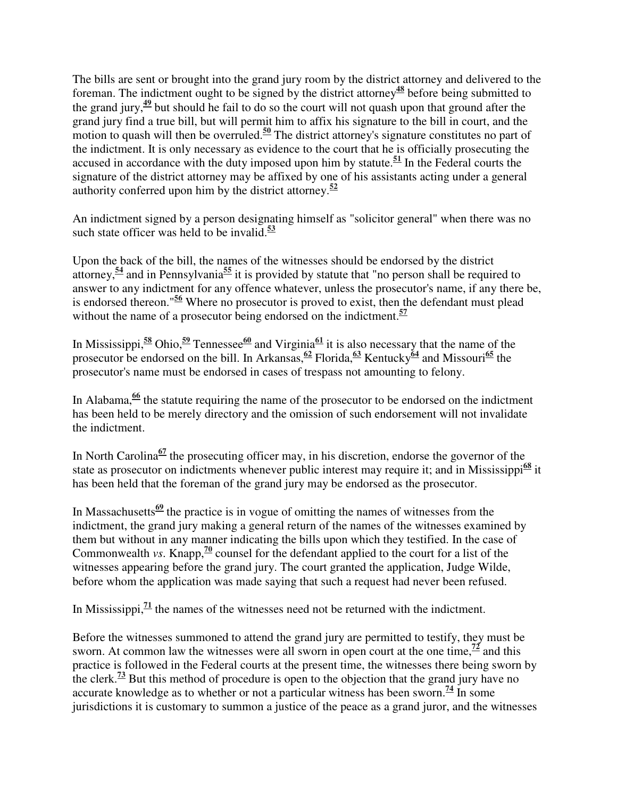The bills are sent or brought into the grand jury room by the district attorney and delivered to the foreman. The indictment ought to be signed by the district attorney**<sup>48</sup>** before being submitted to the grand jury,**<sup>49</sup>** but should he fail to do so the court will not quash upon that ground after the grand jury find a true bill, but will permit him to affix his signature to the bill in court, and the motion to quash will then be overruled.<sup>50</sup> The district attorney's signature constitutes no part of the indictment. It is only necessary as evidence to the court that he is officially prosecuting the accused in accordance with the duty imposed upon him by statute.**<sup>51</sup>** In the Federal courts the signature of the district attorney may be affixed by one of his assistants acting under a general authority conferred upon him by the district attorney.**<sup>52</sup>**

An indictment signed by a person designating himself as "solicitor general" when there was no such state officer was held to be invalid.**<sup>53</sup>**

Upon the back of the bill, the names of the witnesses should be endorsed by the district attorney,**<sup>54</sup>** and in Pennsylvania**<sup>55</sup>** it is provided by statute that "no person shall be required to answer to any indictment for any offence whatever, unless the prosecutor's name, if any there be, is endorsed thereon."**<sup>56</sup>** Where no prosecutor is proved to exist, then the defendant must plead without the name of a prosecutor being endorsed on the indictment.**<sup>57</sup>**

In Mississippi,  $\frac{58}{2}$  Ohio,  $\frac{59}{2}$  Tennessee<sup>60</sup> and Virginia<sup>61</sup> it is also necessary that the name of the prosecutor be endorsed on the bill. In Arkansas,**<sup>62</sup>** Florida,**<sup>63</sup>** Kentucky**<sup>64</sup>** and Missouri**<sup>65</sup>** the prosecutor's name must be endorsed in cases of trespass not amounting to felony.

In Alabama,**<sup>66</sup>** the statute requiring the name of the prosecutor to be endorsed on the indictment has been held to be merely directory and the omission of such endorsement will not invalidate the indictment.

In North Carolina**<sup>67</sup>** the prosecuting officer may, in his discretion, endorse the governor of the state as prosecutor on indictments whenever public interest may require it; and in Mississippi<sup>68</sup> it has been held that the foreman of the grand jury may be endorsed as the prosecutor.

In Massachusetts<sup> $69$ </sup> the practice is in vogue of omitting the names of witnesses from the indictment, the grand jury making a general return of the names of the witnesses examined by them but without in any manner indicating the bills upon which they testified. In the case of Commonwealth *vs*. Knapp,<sup>70</sup> counsel for the defendant applied to the court for a list of the witnesses appearing before the grand jury. The court granted the application, Judge Wilde, before whom the application was made saying that such a request had never been refused.

In Mississippi, $\frac{71}{1}$  the names of the witnesses need not be returned with the indictment.

Before the witnesses summoned to attend the grand jury are permitted to testify, they must be sworn. At common law the witnesses were all sworn in open court at the one time,  $\frac{72}{1}$  and this practice is followed in the Federal courts at the present time, the witnesses there being sworn by the clerk.**<sup>73</sup>** But this method of procedure is open to the objection that the grand jury have no accurate knowledge as to whether or not a particular witness has been sworn.<sup>74</sup> In some jurisdictions it is customary to summon a justice of the peace as a grand juror, and the witnesses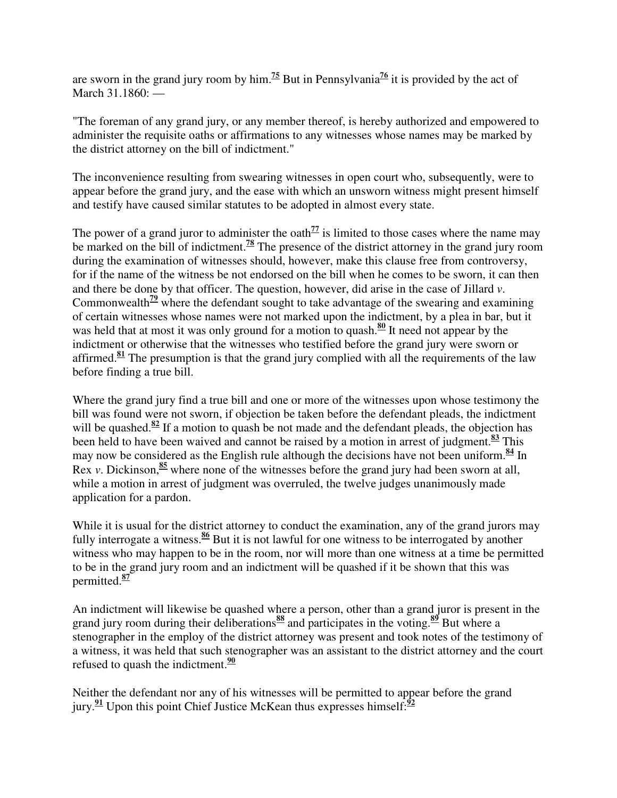are sworn in the grand jury room by him.**<sup>75</sup>** But in Pennsylvania**<sup>76</sup>** it is provided by the act of March 31.1860: —

"The foreman of any grand jury, or any member thereof, is hereby authorized and empowered to administer the requisite oaths or affirmations to any witnesses whose names may be marked by the district attorney on the bill of indictment."

The inconvenience resulting from swearing witnesses in open court who, subsequently, were to appear before the grand jury, and the ease with which an unsworn witness might present himself and testify have caused similar statutes to be adopted in almost every state.

The power of a grand juror to administer the oath<sup> $77$ </sup> is limited to those cases where the name may be marked on the bill of indictment.**<sup>78</sup>** The presence of the district attorney in the grand jury room during the examination of witnesses should, however, make this clause free from controversy, for if the name of the witness be not endorsed on the bill when he comes to be sworn, it can then and there be done by that officer. The question, however, did arise in the case of Jillard *v*. Commonwealth**<sup>79</sup>** where the defendant sought to take advantage of the swearing and examining of certain witnesses whose names were not marked upon the indictment, by a plea in bar, but it was held that at most it was only ground for a motion to quash.<sup>80</sup> It need not appear by the indictment or otherwise that the witnesses who testified before the grand jury were sworn or affirmed.**<sup>81</sup>** The presumption is that the grand jury complied with all the requirements of the law before finding a true bill.

Where the grand jury find a true bill and one or more of the witnesses upon whose testimony the bill was found were not sworn, if objection be taken before the defendant pleads, the indictment will be quashed.<sup>82</sup> If a motion to quash be not made and the defendant pleads, the objection has been held to have been waived and cannot be raised by a motion in arrest of judgment.**<sup>83</sup>** This may now be considered as the English rule although the decisions have not been uniform.**<sup>84</sup>** In Rex *v*. Dickinson,<sup>85</sup> where none of the witnesses before the grand jury had been sworn at all, while a motion in arrest of judgment was overruled, the twelve judges unanimously made application for a pardon.

While it is usual for the district attorney to conduct the examination, any of the grand jurors may fully interrogate a witness.**<sup>86</sup>** But it is not lawful for one witness to be interrogated by another witness who may happen to be in the room, nor will more than one witness at a time be permitted to be in the grand jury room and an indictment will be quashed if it be shown that this was permitted.**<sup>87</sup>**

An indictment will likewise be quashed where a person, other than a grand juror is present in the grand jury room during their deliberations**<sup>88</sup>** and participates in the voting.**<sup>89</sup>** But where a stenographer in the employ of the district attorney was present and took notes of the testimony of a witness, it was held that such stenographer was an assistant to the district attorney and the court refused to quash the indictment.**<sup>90</sup>**

Neither the defendant nor any of his witnesses will be permitted to appear before the grand jury.**<sup>91</sup>** Upon this point Chief Justice McKean thus expresses himself:**<sup>92</sup>**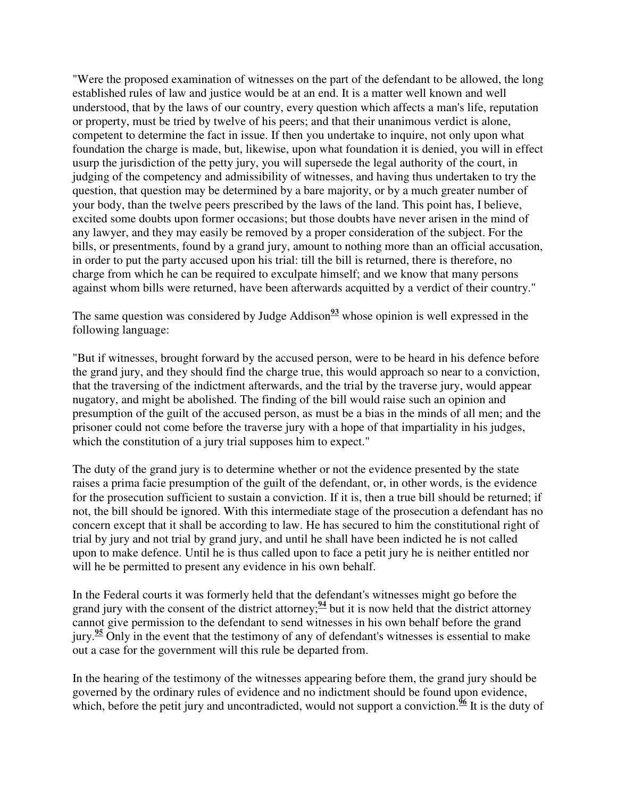"Were the proposed examination of witnesses on the part of the defendant to be allowed, the long established rules of law and justice would be at an end. It is a matter well known and well understood, that by the laws of our country, every question which affects a man's life, reputation or property, must be tried by twelve of his peers; and that their unanimous verdict is alone, competent to determine the fact in issue. If then you undertake to inquire, not only upon what foundation the charge is made, but, likewise, upon what foundation it is denied, you will in effect usurp the jurisdiction of the petty jury, you will supersede the legal authority of the court, in judging of the competency and admissibility of witnesses, and having thus undertaken to try the question, that question may be determined by a bare majority, or by a much greater number of your body, than the twelve peers prescribed by the laws of the land. This point has, I believe, excited some doubts upon former occasions; but those doubts have never arisen in the mind of any lawyer, and they may easily be removed by a proper consideration of the subject. For the bills, or presentments, found by a grand jury, amount to nothing more than an official accusation, in order to put the party accused upon his trial: till the bill is returned, there is therefore, no charge from which he can be required to exculpate himself; and we know that many persons against whom bills were returned, have been afterwards acquitted by a verdict of their country."

The same question was considered by Judge Addison<sup>93</sup> whose opinion is well expressed in the following language:

"But if witnesses, brought forward by the accused person, were to be heard in his defence before the grand jury, and they should find the charge true, this would approach so near to a conviction, that the traversing of the indictment afterwards, and the trial by the traverse jury, would appear nugatory, and might be abolished. The finding of the bill would raise such an opinion and presumption of the guilt of the accused person, as must be a bias in the minds of all men; and the prisoner could not come before the traverse jury with a hope of that impartiality in his judges, which the constitution of a jury trial supposes him to expect."

The duty of the grand jury is to determine whether or not the evidence presented by the state raises a prima facie presumption of the guilt of the defendant, or, in other words, is the evidence for the prosecution sufficient to sustain a conviction. If it is, then a true bill should be returned; if not, the bill should be ignored. With this intermediate stage of the prosecution a defendant has no concern except that it shall be according to law. He has secured to him the constitutional right of trial by jury and not trial by grand jury, and until he shall have been indicted he is not called upon to make defence. Until he is thus called upon to face a petit jury he is neither entitled nor will he be permitted to present any evidence in his own behalf.

In the Federal courts it was formerly held that the defendant's witnesses might go before the grand jury with the consent of the district attorney; $\frac{94}{7}$  but it is now held that the district attorney cannot give permission to the defendant to send witnesses in his own behalf before the grand jury.**<sup>95</sup>** Only in the event that the testimony of any of defendant's witnesses is essential to make out a case for the government will this rule be departed from.

In the hearing of the testimony of the witnesses appearing before them, the grand jury should be governed by the ordinary rules of evidence and no indictment should be found upon evidence, which, before the petit jury and uncontradicted, would not support a conviction.<sup> $\frac{6}{5}$ </sup> It is the duty of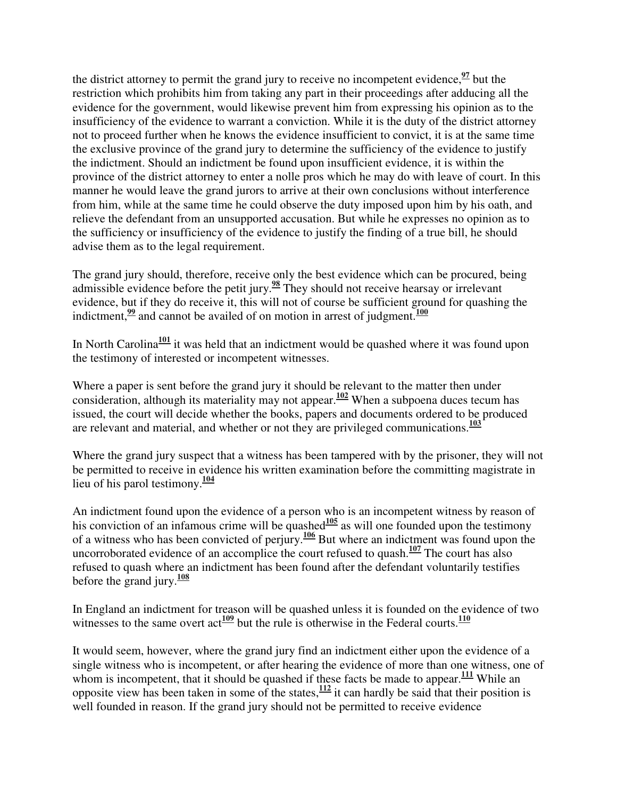the district attorney to permit the grand jury to receive no incompetent evidence,  $\frac{97}{2}$  but the restriction which prohibits him from taking any part in their proceedings after adducing all the evidence for the government, would likewise prevent him from expressing his opinion as to the insufficiency of the evidence to warrant a conviction. While it is the duty of the district attorney not to proceed further when he knows the evidence insufficient to convict, it is at the same time the exclusive province of the grand jury to determine the sufficiency of the evidence to justify the indictment. Should an indictment be found upon insufficient evidence, it is within the province of the district attorney to enter a nolle pros which he may do with leave of court. In this manner he would leave the grand jurors to arrive at their own conclusions without interference from him, while at the same time he could observe the duty imposed upon him by his oath, and relieve the defendant from an unsupported accusation. But while he expresses no opinion as to the sufficiency or insufficiency of the evidence to justify the finding of a true bill, he should advise them as to the legal requirement.

The grand jury should, therefore, receive only the best evidence which can be procured, being admissible evidence before the petit jury.**<sup>98</sup>** They should not receive hearsay or irrelevant evidence, but if they do receive it, this will not of course be sufficient ground for quashing the indictment, $\frac{99}{2}$  and cannot be availed of on motion in arrest of judgment.<sup>100</sup>

In North Carolina<sup>101</sup> it was held that an indictment would be quashed where it was found upon the testimony of interested or incompetent witnesses.

Where a paper is sent before the grand jury it should be relevant to the matter then under consideration, although its materiality may not appear.**<sup>102</sup>** When a subpoena duces tecum has issued, the court will decide whether the books, papers and documents ordered to be produced are relevant and material, and whether or not they are privileged communications.**<sup>103</sup>**

Where the grand jury suspect that a witness has been tampered with by the prisoner, they will not be permitted to receive in evidence his written examination before the committing magistrate in lieu of his parol testimony.**<sup>104</sup>**

An indictment found upon the evidence of a person who is an incompetent witness by reason of his conviction of an infamous crime will be quashed $\frac{105}{2}$  as will one founded upon the testimony of a witness who has been convicted of perjury.**<sup>106</sup>** But where an indictment was found upon the uncorroborated evidence of an accomplice the court refused to quash.**<sup>107</sup>** The court has also refused to quash where an indictment has been found after the defendant voluntarily testifies before the grand jury.**<sup>108</sup>**

In England an indictment for treason will be quashed unless it is founded on the evidence of two witnesses to the same overt  $\text{act}^{\frac{109}{100}}$  but the rule is otherwise in the Federal courts.<sup>110</sup>

It would seem, however, where the grand jury find an indictment either upon the evidence of a single witness who is incompetent, or after hearing the evidence of more than one witness, one of whom is incompetent, that it should be quashed if these facts be made to appear.<sup>111</sup> While an opposite view has been taken in some of the states,**<sup>112</sup>** it can hardly be said that their position is well founded in reason. If the grand jury should not be permitted to receive evidence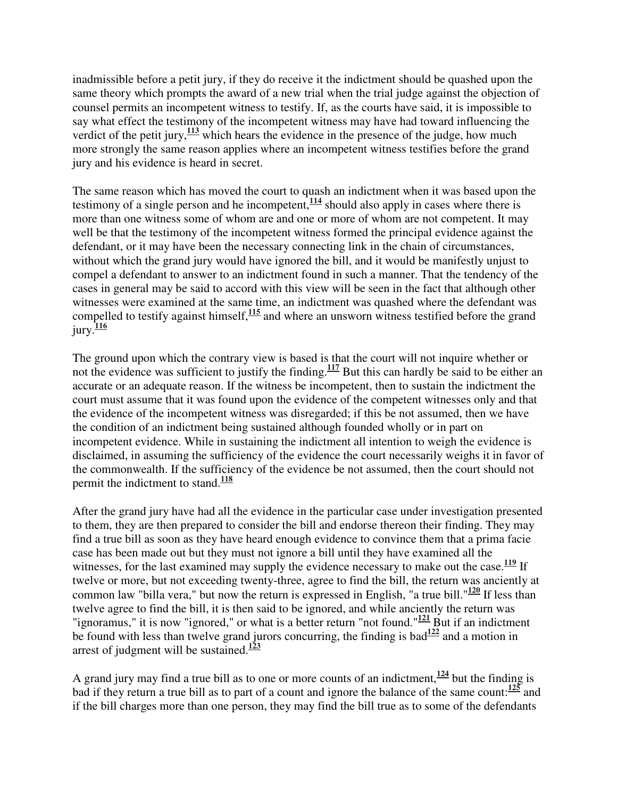inadmissible before a petit jury, if they do receive it the indictment should be quashed upon the same theory which prompts the award of a new trial when the trial judge against the objection of counsel permits an incompetent witness to testify. If, as the courts have said, it is impossible to say what effect the testimony of the incompetent witness may have had toward influencing the verdict of the petit jury,  $\frac{113}{2}$  which hears the evidence in the presence of the judge, how much more strongly the same reason applies where an incompetent witness testifies before the grand jury and his evidence is heard in secret.

The same reason which has moved the court to quash an indictment when it was based upon the testimony of a single person and he incompetent, $\frac{114}{114}$  should also apply in cases where there is more than one witness some of whom are and one or more of whom are not competent. It may well be that the testimony of the incompetent witness formed the principal evidence against the defendant, or it may have been the necessary connecting link in the chain of circumstances, without which the grand jury would have ignored the bill, and it would be manifestly unjust to compel a defendant to answer to an indictment found in such a manner. That the tendency of the cases in general may be said to accord with this view will be seen in the fact that although other witnesses were examined at the same time, an indictment was quashed where the defendant was compelled to testify against himself,**<sup>115</sup>** and where an unsworn witness testified before the grand jury.**<sup>116</sup>**

The ground upon which the contrary view is based is that the court will not inquire whether or not the evidence was sufficient to justify the finding.**<sup>117</sup>** But this can hardly be said to be either an accurate or an adequate reason. If the witness be incompetent, then to sustain the indictment the court must assume that it was found upon the evidence of the competent witnesses only and that the evidence of the incompetent witness was disregarded; if this be not assumed, then we have the condition of an indictment being sustained although founded wholly or in part on incompetent evidence. While in sustaining the indictment all intention to weigh the evidence is disclaimed, in assuming the sufficiency of the evidence the court necessarily weighs it in favor of the commonwealth. If the sufficiency of the evidence be not assumed, then the court should not permit the indictment to stand.**<sup>118</sup>**

After the grand jury have had all the evidence in the particular case under investigation presented to them, they are then prepared to consider the bill and endorse thereon their finding. They may find a true bill as soon as they have heard enough evidence to convince them that a prima facie case has been made out but they must not ignore a bill until they have examined all the witnesses, for the last examined may supply the evidence necessary to make out the case.<sup>119</sup> If twelve or more, but not exceeding twenty-three, agree to find the bill, the return was anciently at common law "billa vera," but now the return is expressed in English, "a true bill."**<sup>120</sup>** If less than twelve agree to find the bill, it is then said to be ignored, and while anciently the return was "ignoramus," it is now "ignored," or what is a better return "not found."<sup>121</sup> But if an indictment be found with less than twelve grand jurors concurring, the finding is bad $\frac{122}{2}$  and a motion in arrest of judgment will be sustained.**<sup>123</sup>**

A grand jury may find a true bill as to one or more counts of an indictment,  $\frac{124}{124}$  but the finding is bad if they return a true bill as to part of a count and ignore the balance of the same count:**<sup>125</sup>** and if the bill charges more than one person, they may find the bill true as to some of the defendants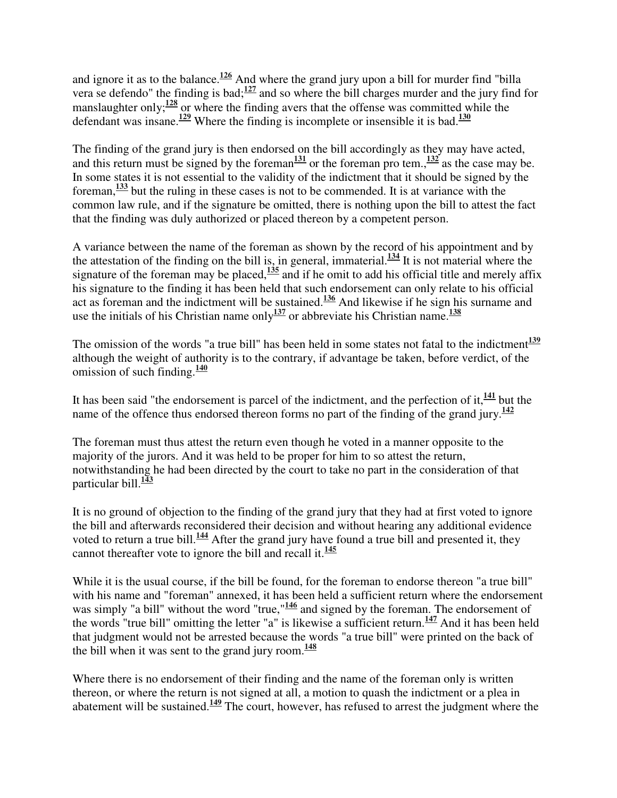and ignore it as to the balance.**<sup>126</sup>** And where the grand jury upon a bill for murder find "billa vera se defendo" the finding is bad;**<sup>127</sup>** and so where the bill charges murder and the jury find for manslaughter only;<sup>128</sup> or where the finding avers that the offense was committed while the defendant was insane.**<sup>129</sup>** Where the finding is incomplete or insensible it is bad.**<sup>130</sup>**

The finding of the grand jury is then endorsed on the bill accordingly as they may have acted, and this return must be signed by the foreman<sup>131</sup> or the foreman pro tem., $\frac{132}{132}$  as the case may be. In some states it is not essential to the validity of the indictment that it should be signed by the foreman,**<sup>133</sup>** but the ruling in these cases is not to be commended. It is at variance with the common law rule, and if the signature be omitted, there is nothing upon the bill to attest the fact that the finding was duly authorized or placed thereon by a competent person.

A variance between the name of the foreman as shown by the record of his appointment and by the attestation of the finding on the bill is, in general, immaterial.**<sup>134</sup>** It is not material where the signature of the foreman may be placed,<sup>135</sup> and if he omit to add his official title and merely affix his signature to the finding it has been held that such endorsement can only relate to his official act as foreman and the indictment will be sustained.<sup>136</sup> And likewise if he sign his surname and use the initials of his Christian name only $\frac{137}{27}$  or abbreviate his Christian name.<sup>138</sup>

The omission of the words "a true bill" has been held in some states not fatal to the indictment<sup>139</sup> although the weight of authority is to the contrary, if advantage be taken, before verdict, of the omission of such finding.**<sup>140</sup>**

It has been said "the endorsement is parcel of the indictment, and the perfection of it,**<sup>141</sup>** but the name of the offence thus endorsed thereon forms no part of the finding of the grand jury.<sup>142</sup>

The foreman must thus attest the return even though he voted in a manner opposite to the majority of the jurors. And it was held to be proper for him to so attest the return, notwithstanding he had been directed by the court to take no part in the consideration of that particular bill.**<sup>143</sup>**

It is no ground of objection to the finding of the grand jury that they had at first voted to ignore the bill and afterwards reconsidered their decision and without hearing any additional evidence voted to return a true bill.**<sup>144</sup>** After the grand jury have found a true bill and presented it, they cannot thereafter vote to ignore the bill and recall it.**<sup>145</sup>**

While it is the usual course, if the bill be found, for the foreman to endorse thereon "a true bill" with his name and "foreman" annexed, it has been held a sufficient return where the endorsement was simply "a bill" without the word "true,"<sup>146</sup> and signed by the foreman. The endorsement of the words "true bill" omitting the letter "a" is likewise a sufficient return.**<sup>147</sup>** And it has been held that judgment would not be arrested because the words "a true bill" were printed on the back of the bill when it was sent to the grand jury room. $\frac{148}{148}$ 

Where there is no endorsement of their finding and the name of the foreman only is written thereon, or where the return is not signed at all, a motion to quash the indictment or a plea in abatement will be sustained.**<sup>149</sup>** The court, however, has refused to arrest the judgment where the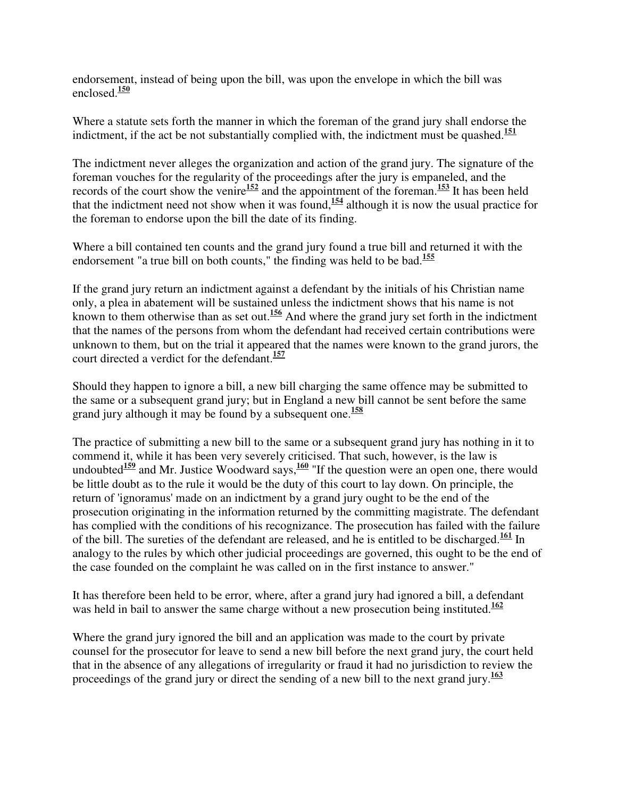endorsement, instead of being upon the bill, was upon the envelope in which the bill was enclosed.**<sup>150</sup>**

Where a statute sets forth the manner in which the foreman of the grand jury shall endorse the indictment, if the act be not substantially complied with, the indictment must be quashed.<sup>151</sup>

The indictment never alleges the organization and action of the grand jury. The signature of the foreman vouches for the regularity of the proceedings after the jury is empaneled, and the records of the court show the venire**<sup>152</sup>** and the appointment of the foreman.**<sup>153</sup>** It has been held that the indictment need not show when it was found, **<sup>154</sup>** although it is now the usual practice for the foreman to endorse upon the bill the date of its finding.

Where a bill contained ten counts and the grand jury found a true bill and returned it with the endorsement "a true bill on both counts," the finding was held to be bad.**<sup>155</sup>**

If the grand jury return an indictment against a defendant by the initials of his Christian name only, a plea in abatement will be sustained unless the indictment shows that his name is not known to them otherwise than as set out.**<sup>156</sup>** And where the grand jury set forth in the indictment that the names of the persons from whom the defendant had received certain contributions were unknown to them, but on the trial it appeared that the names were known to the grand jurors, the court directed a verdict for the defendant.**<sup>157</sup>**

Should they happen to ignore a bill, a new bill charging the same offence may be submitted to the same or a subsequent grand jury; but in England a new bill cannot be sent before the same grand jury although it may be found by a subsequent one. **158**

The practice of submitting a new bill to the same or a subsequent grand jury has nothing in it to commend it, while it has been very severely criticised. That such, however, is the law is undoubted<sup>159</sup> and Mr. Justice Woodward says,<sup>160</sup> "If the question were an open one, there would be little doubt as to the rule it would be the duty of this court to lay down. On principle, the return of 'ignoramus' made on an indictment by a grand jury ought to be the end of the prosecution originating in the information returned by the committing magistrate. The defendant has complied with the conditions of his recognizance. The prosecution has failed with the failure of the bill. The sureties of the defendant are released, and he is entitled to be discharged.**<sup>161</sup>** In analogy to the rules by which other judicial proceedings are governed, this ought to be the end of the case founded on the complaint he was called on in the first instance to answer."

It has therefore been held to be error, where, after a grand jury had ignored a bill, a defendant was held in bail to answer the same charge without a new prosecution being instituted.**<sup>162</sup>**

Where the grand jury ignored the bill and an application was made to the court by private counsel for the prosecutor for leave to send a new bill before the next grand jury, the court held that in the absence of any allegations of irregularity or fraud it had no jurisdiction to review the proceedings of the grand jury or direct the sending of a new bill to the next grand jury.**<sup>163</sup>**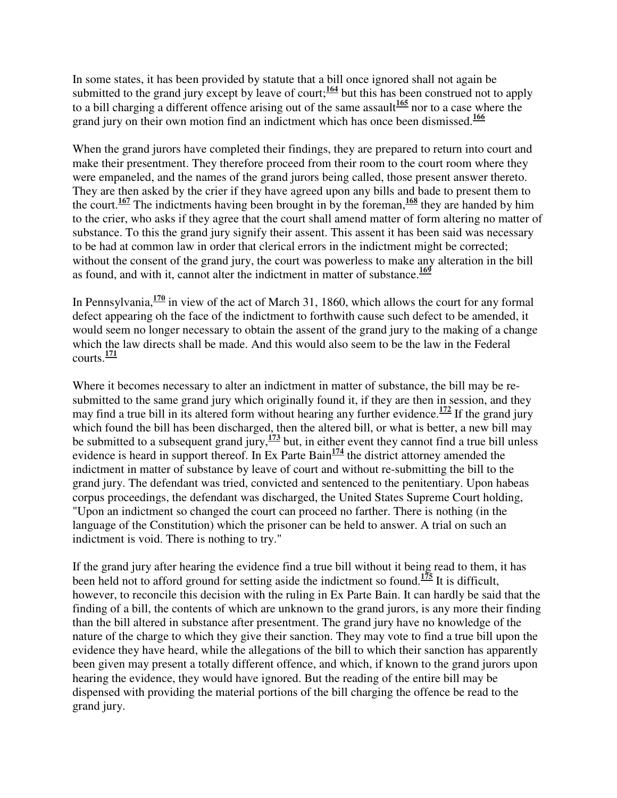In some states, it has been provided by statute that a bill once ignored shall not again be submitted to the grand jury except by leave of court;<sup>164</sup> but this has been construed not to apply to a bill charging a different offence arising out of the same assault<sup>165</sup> nor to a case where the grand jury on their own motion find an indictment which has once been dismissed.**<sup>166</sup>**

When the grand jurors have completed their findings, they are prepared to return into court and make their presentment. They therefore proceed from their room to the court room where they were empaneled, and the names of the grand jurors being called, those present answer thereto. They are then asked by the crier if they have agreed upon any bills and bade to present them to the court.**<sup>167</sup>** The indictments having been brought in by the foreman,**<sup>168</sup>** they are handed by him to the crier, who asks if they agree that the court shall amend matter of form altering no matter of substance. To this the grand jury signify their assent. This assent it has been said was necessary to be had at common law in order that clerical errors in the indictment might be corrected; without the consent of the grand jury, the court was powerless to make any alteration in the bill as found, and with it, cannot alter the indictment in matter of substance.**<sup>169</sup>**

In Pennsylvania,**<sup>170</sup>** in view of the act of March 31, 1860, which allows the court for any formal defect appearing oh the face of the indictment to forthwith cause such defect to be amended, it would seem no longer necessary to obtain the assent of the grand jury to the making of a change which the law directs shall be made. And this would also seem to be the law in the Federal courts.**<sup>171</sup>**

Where it becomes necessary to alter an indictment in matter of substance, the bill may be resubmitted to the same grand jury which originally found it, if they are then in session, and they may find a true bill in its altered form without hearing any further evidence.**<sup>172</sup>** If the grand jury which found the bill has been discharged, then the altered bill, or what is better, a new bill may be submitted to a subsequent grand jury,**<sup>173</sup>** but, in either event they cannot find a true bill unless evidence is heard in support thereof. In Ex Parte Bain<sup>174</sup> the district attorney amended the indictment in matter of substance by leave of court and without re-submitting the bill to the grand jury. The defendant was tried, convicted and sentenced to the penitentiary. Upon habeas corpus proceedings, the defendant was discharged, the United States Supreme Court holding, "Upon an indictment so changed the court can proceed no farther. There is nothing (in the language of the Constitution) which the prisoner can be held to answer. A trial on such an indictment is void. There is nothing to try."

If the grand jury after hearing the evidence find a true bill without it being read to them, it has been held not to afford ground for setting aside the indictment so found.<sup>175</sup> It is difficult, however, to reconcile this decision with the ruling in Ex Parte Bain. It can hardly be said that the finding of a bill, the contents of which are unknown to the grand jurors, is any more their finding than the bill altered in substance after presentment. The grand jury have no knowledge of the nature of the charge to which they give their sanction. They may vote to find a true bill upon the evidence they have heard, while the allegations of the bill to which their sanction has apparently been given may present a totally different offence, and which, if known to the grand jurors upon hearing the evidence, they would have ignored. But the reading of the entire bill may be dispensed with providing the material portions of the bill charging the offence be read to the grand jury.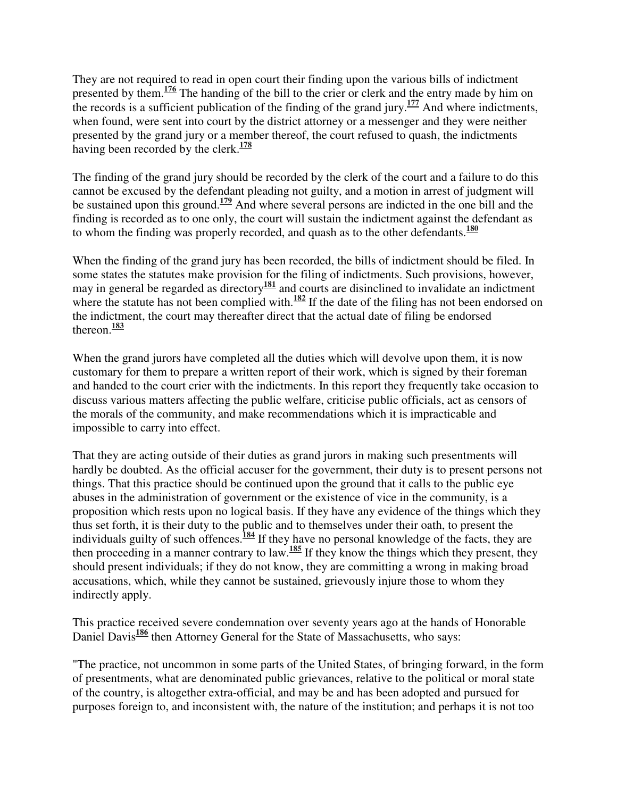They are not required to read in open court their finding upon the various bills of indictment presented by them.<sup>176</sup> The handing of the bill to the crier or clerk and the entry made by him on the records is a sufficient publication of the finding of the grand jury.**<sup>177</sup>** And where indictments, when found, were sent into court by the district attorney or a messenger and they were neither presented by the grand jury or a member thereof, the court refused to quash, the indictments having been recorded by the clerk.**<sup>178</sup>**

The finding of the grand jury should be recorded by the clerk of the court and a failure to do this cannot be excused by the defendant pleading not guilty, and a motion in arrest of judgment will be sustained upon this ground.**<sup>179</sup>** And where several persons are indicted in the one bill and the finding is recorded as to one only, the court will sustain the indictment against the defendant as to whom the finding was properly recorded, and quash as to the other defendants.**<sup>180</sup>**

When the finding of the grand jury has been recorded, the bills of indictment should be filed. In some states the statutes make provision for the filing of indictments. Such provisions, however, may in general be regarded as directory**<sup>181</sup>** and courts are disinclined to invalidate an indictment where the statute has not been complied with. $\frac{182}{15}$  If the date of the filing has not been endorsed on the indictment, the court may thereafter direct that the actual date of filing be endorsed thereon.**<sup>183</sup>**

When the grand jurors have completed all the duties which will devolve upon them, it is now customary for them to prepare a written report of their work, which is signed by their foreman and handed to the court crier with the indictments. In this report they frequently take occasion to discuss various matters affecting the public welfare, criticise public officials, act as censors of the morals of the community, and make recommendations which it is impracticable and impossible to carry into effect.

That they are acting outside of their duties as grand jurors in making such presentments will hardly be doubted. As the official accuser for the government, their duty is to present persons not things. That this practice should be continued upon the ground that it calls to the public eye abuses in the administration of government or the existence of vice in the community, is a proposition which rests upon no logical basis. If they have any evidence of the things which they thus set forth, it is their duty to the public and to themselves under their oath, to present the individuals guilty of such offences.<sup>184</sup> If they have no personal knowledge of the facts, they are then proceeding in a manner contrary to law.**<sup>185</sup>** If they know the things which they present, they should present individuals; if they do not know, they are committing a wrong in making broad accusations, which, while they cannot be sustained, grievously injure those to whom they indirectly apply.

This practice received severe condemnation over seventy years ago at the hands of Honorable Daniel Davis<sup>186</sup> then Attorney General for the State of Massachusetts, who says:

"The practice, not uncommon in some parts of the United States, of bringing forward, in the form of presentments, what are denominated public grievances, relative to the political or moral state of the country, is altogether extra-official, and may be and has been adopted and pursued for purposes foreign to, and inconsistent with, the nature of the institution; and perhaps it is not too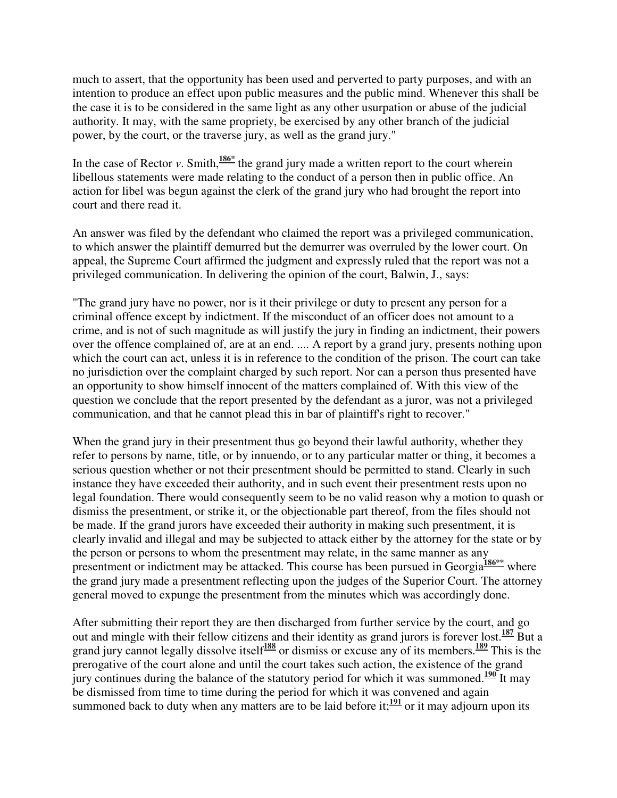much to assert, that the opportunity has been used and perverted to party purposes, and with an intention to produce an effect upon public measures and the public mind. Whenever this shall be the case it is to be considered in the same light as any other usurpation or abuse of the judicial authority. It may, with the same propriety, be exercised by any other branch of the judicial power, by the court, or the traverse jury, as well as the grand jury."

In the case of Rector *v*. Smith,  $\frac{186*}{180*}$  the grand jury made a written report to the court wherein libellous statements were made relating to the conduct of a person then in public office. An action for libel was begun against the clerk of the grand jury who had brought the report into court and there read it.

An answer was filed by the defendant who claimed the report was a privileged communication, to which answer the plaintiff demurred but the demurrer was overruled by the lower court. On appeal, the Supreme Court affirmed the judgment and expressly ruled that the report was not a privileged communication. In delivering the opinion of the court, Balwin, J., says:

"The grand jury have no power, nor is it their privilege or duty to present any person for a criminal offence except by indictment. If the misconduct of an officer does not amount to a crime, and is not of such magnitude as will justify the jury in finding an indictment, their powers over the offence complained of, are at an end. .... A report by a grand jury, presents nothing upon which the court can act, unless it is in reference to the condition of the prison. The court can take no jurisdiction over the complaint charged by such report. Nor can a person thus presented have an opportunity to show himself innocent of the matters complained of. With this view of the question we conclude that the report presented by the defendant as a juror, was not a privileged communication, and that he cannot plead this in bar of plaintiff's right to recover."

When the grand jury in their presentment thus go beyond their lawful authority, whether they refer to persons by name, title, or by innuendo, or to any particular matter or thing, it becomes a serious question whether or not their presentment should be permitted to stand. Clearly in such instance they have exceeded their authority, and in such event their presentment rests upon no legal foundation. There would consequently seem to be no valid reason why a motion to quash or dismiss the presentment, or strike it, or the objectionable part thereof, from the files should not be made. If the grand jurors have exceeded their authority in making such presentment, it is clearly invalid and illegal and may be subjected to attack either by the attorney for the state or by the person or persons to whom the presentment may relate, in the same manner as any presentment or indictment may be attacked. This course has been pursued in Georgia<sup>186\*\*</sup> where the grand jury made a presentment reflecting upon the judges of the Superior Court. The attorney general moved to expunge the presentment from the minutes which was accordingly done.

After submitting their report they are then discharged from further service by the court, and go out and mingle with their fellow citizens and their identity as grand jurors is forever lost.**<sup>187</sup>** But a grand jury cannot legally dissolve itself**<sup>188</sup>** or dismiss or excuse any of its members.**<sup>189</sup>** This is the prerogative of the court alone and until the court takes such action, the existence of the grand jury continues during the balance of the statutory period for which it was summoned.<sup>190</sup> It may be dismissed from time to time during the period for which it was convened and again summoned back to duty when any matters are to be laid before it; $\frac{191}{20}$  or it may adjourn upon its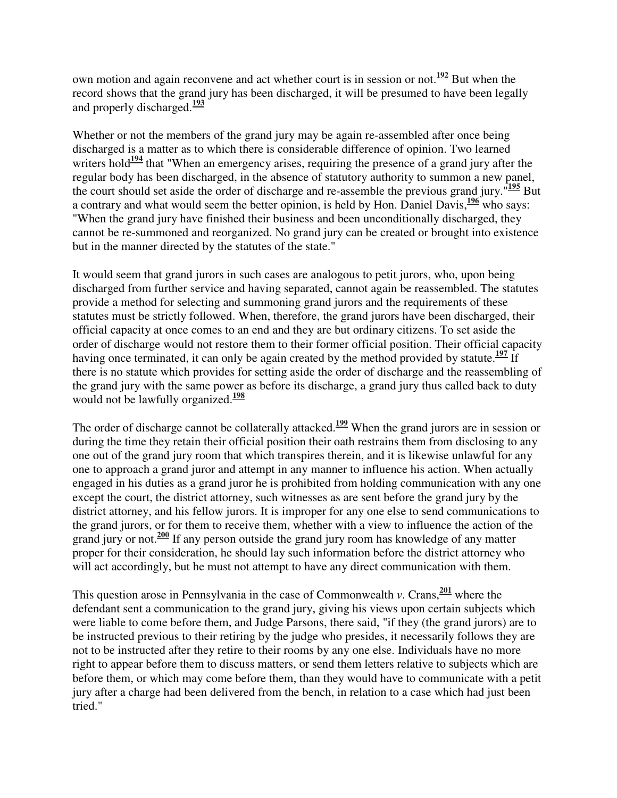own motion and again reconvene and act whether court is in session or not.**<sup>192</sup>** But when the record shows that the grand jury has been discharged, it will be presumed to have been legally and properly discharged.**<sup>193</sup>**

Whether or not the members of the grand jury may be again re-assembled after once being discharged is a matter as to which there is considerable difference of opinion. Two learned writers hold<sup>194</sup> that "When an emergency arises, requiring the presence of a grand jury after the regular body has been discharged, in the absence of statutory authority to summon a new panel, the court should set aside the order of discharge and re-assemble the previous grand jury."**<sup>195</sup>** But a contrary and what would seem the better opinion, is held by Hon. Daniel Davis,**<sup>196</sup>** who says: "When the grand jury have finished their business and been unconditionally discharged, they cannot be re-summoned and reorganized. No grand jury can be created or brought into existence but in the manner directed by the statutes of the state."

It would seem that grand jurors in such cases are analogous to petit jurors, who, upon being discharged from further service and having separated, cannot again be reassembled. The statutes provide a method for selecting and summoning grand jurors and the requirements of these statutes must be strictly followed. When, therefore, the grand jurors have been discharged, their official capacity at once comes to an end and they are but ordinary citizens. To set aside the order of discharge would not restore them to their former official position. Their official capacity having once terminated, it can only be again created by the method provided by statute.<sup>197</sup> If there is no statute which provides for setting aside the order of discharge and the reassembling of the grand jury with the same power as before its discharge, a grand jury thus called back to duty would not be lawfully organized.**<sup>198</sup>**

The order of discharge cannot be collaterally attacked.<sup>199</sup> When the grand jurors are in session or during the time they retain their official position their oath restrains them from disclosing to any one out of the grand jury room that which transpires therein, and it is likewise unlawful for any one to approach a grand juror and attempt in any manner to influence his action. When actually engaged in his duties as a grand juror he is prohibited from holding communication with any one except the court, the district attorney, such witnesses as are sent before the grand jury by the district attorney, and his fellow jurors. It is improper for any one else to send communications to the grand jurors, or for them to receive them, whether with a view to influence the action of the grand jury or not.**<sup>200</sup>** If any person outside the grand jury room has knowledge of any matter proper for their consideration, he should lay such information before the district attorney who will act accordingly, but he must not attempt to have any direct communication with them.

This question arose in Pennsylvania in the case of Commonwealth *v*. Crans,  $\frac{201}{20}$  where the defendant sent a communication to the grand jury, giving his views upon certain subjects which were liable to come before them, and Judge Parsons, there said, "if they (the grand jurors) are to be instructed previous to their retiring by the judge who presides, it necessarily follows they are not to be instructed after they retire to their rooms by any one else. Individuals have no more right to appear before them to discuss matters, or send them letters relative to subjects which are before them, or which may come before them, than they would have to communicate with a petit jury after a charge had been delivered from the bench, in relation to a case which had just been tried."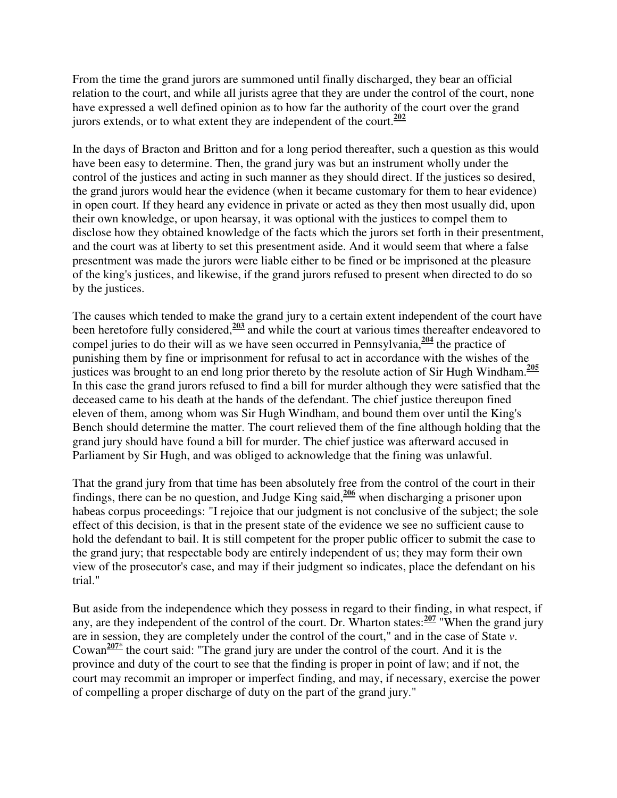From the time the grand jurors are summoned until finally discharged, they bear an official relation to the court, and while all jurists agree that they are under the control of the court, none have expressed a well defined opinion as to how far the authority of the court over the grand jurors extends, or to what extent they are independent of the court. $\frac{202}{ }$ 

In the days of Bracton and Britton and for a long period thereafter, such a question as this would have been easy to determine. Then, the grand jury was but an instrument wholly under the control of the justices and acting in such manner as they should direct. If the justices so desired, the grand jurors would hear the evidence (when it became customary for them to hear evidence) in open court. If they heard any evidence in private or acted as they then most usually did, upon their own knowledge, or upon hearsay, it was optional with the justices to compel them to disclose how they obtained knowledge of the facts which the jurors set forth in their presentment, and the court was at liberty to set this presentment aside. And it would seem that where a false presentment was made the jurors were liable either to be fined or be imprisoned at the pleasure of the king's justices, and likewise, if the grand jurors refused to present when directed to do so by the justices.

The causes which tended to make the grand jury to a certain extent independent of the court have been heretofore fully considered,**<sup>203</sup>** and while the court at various times thereafter endeavored to compel juries to do their will as we have seen occurred in Pennsylvania,**<sup>204</sup>** the practice of punishing them by fine or imprisonment for refusal to act in accordance with the wishes of the justices was brought to an end long prior thereto by the resolute action of Sir Hugh Windham.**<sup>205</sup>** In this case the grand jurors refused to find a bill for murder although they were satisfied that the deceased came to his death at the hands of the defendant. The chief justice thereupon fined eleven of them, among whom was Sir Hugh Windham, and bound them over until the King's Bench should determine the matter. The court relieved them of the fine although holding that the grand jury should have found a bill for murder. The chief justice was afterward accused in Parliament by Sir Hugh, and was obliged to acknowledge that the fining was unlawful.

That the grand jury from that time has been absolutely free from the control of the court in their findings, there can be no question, and Judge King said,**<sup>206</sup>** when discharging a prisoner upon habeas corpus proceedings: "I rejoice that our judgment is not conclusive of the subject; the sole effect of this decision, is that in the present state of the evidence we see no sufficient cause to hold the defendant to bail. It is still competent for the proper public officer to submit the case to the grand jury; that respectable body are entirely independent of us; they may form their own view of the prosecutor's case, and may if their judgment so indicates, place the defendant on his trial."

But aside from the independence which they possess in regard to their finding, in what respect, if any, are they independent of the control of the court. Dr. Wharton states:**<sup>207</sup>** "When the grand jury are in session, they are completely under the control of the court," and in the case of State *v*. Cowan**207\*** the court said: "The grand jury are under the control of the court. And it is the province and duty of the court to see that the finding is proper in point of law; and if not, the court may recommit an improper or imperfect finding, and may, if necessary, exercise the power of compelling a proper discharge of duty on the part of the grand jury."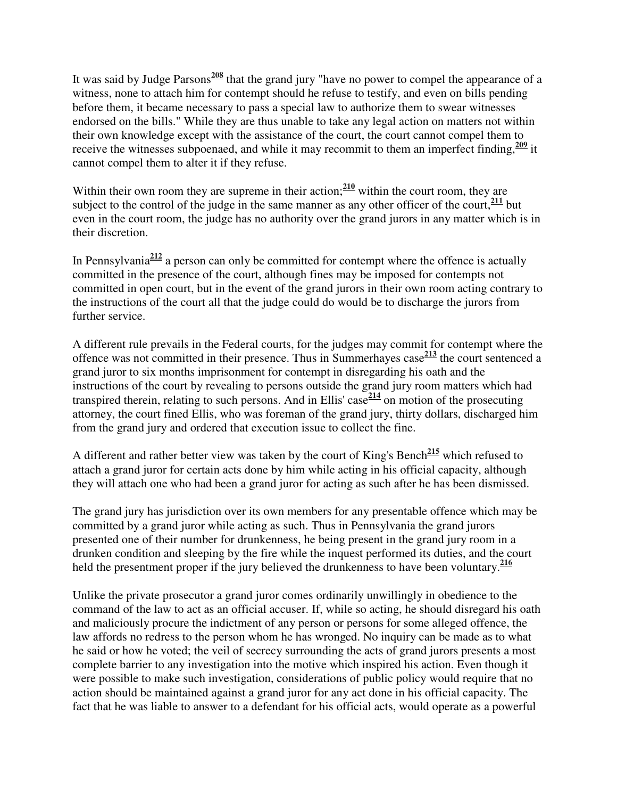It was said by Judge Parsons**<sup>208</sup>** that the grand jury "have no power to compel the appearance of a witness, none to attach him for contempt should he refuse to testify, and even on bills pending before them, it became necessary to pass a special law to authorize them to swear witnesses endorsed on the bills." While they are thus unable to take any legal action on matters not within their own knowledge except with the assistance of the court, the court cannot compel them to receive the witnesses subpoenaed, and while it may recommit to them an imperfect finding,**<sup>209</sup>** it cannot compel them to alter it if they refuse.

Within their own room they are supreme in their action;<sup>210</sup> within the court room, they are subject to the control of the judge in the same manner as any other officer of the court, $\frac{211}{10}$  but even in the court room, the judge has no authority over the grand jurors in any matter which is in their discretion.

In Pennsylvania**<sup>212</sup>** a person can only be committed for contempt where the offence is actually committed in the presence of the court, although fines may be imposed for contempts not committed in open court, but in the event of the grand jurors in their own room acting contrary to the instructions of the court all that the judge could do would be to discharge the jurors from further service.

A different rule prevails in the Federal courts, for the judges may commit for contempt where the offence was not committed in their presence. Thus in Summerhayes case**<sup>213</sup>** the court sentenced a grand juror to six months imprisonment for contempt in disregarding his oath and the instructions of the court by revealing to persons outside the grand jury room matters which had transpired therein, relating to such persons. And in Ellis' case**<sup>214</sup>** on motion of the prosecuting attorney, the court fined Ellis, who was foreman of the grand jury, thirty dollars, discharged him from the grand jury and ordered that execution issue to collect the fine.

A different and rather better view was taken by the court of King's Bench**<sup>215</sup>** which refused to attach a grand juror for certain acts done by him while acting in his official capacity, although they will attach one who had been a grand juror for acting as such after he has been dismissed.

The grand jury has jurisdiction over its own members for any presentable offence which may be committed by a grand juror while acting as such. Thus in Pennsylvania the grand jurors presented one of their number for drunkenness, he being present in the grand jury room in a drunken condition and sleeping by the fire while the inquest performed its duties, and the court held the presentment proper if the jury believed the drunkenness to have been voluntary.**<sup>216</sup>**

Unlike the private prosecutor a grand juror comes ordinarily unwillingly in obedience to the command of the law to act as an official accuser. If, while so acting, he should disregard his oath and maliciously procure the indictment of any person or persons for some alleged offence, the law affords no redress to the person whom he has wronged. No inquiry can be made as to what he said or how he voted; the veil of secrecy surrounding the acts of grand jurors presents a most complete barrier to any investigation into the motive which inspired his action. Even though it were possible to make such investigation, considerations of public policy would require that no action should be maintained against a grand juror for any act done in his official capacity. The fact that he was liable to answer to a defendant for his official acts, would operate as a powerful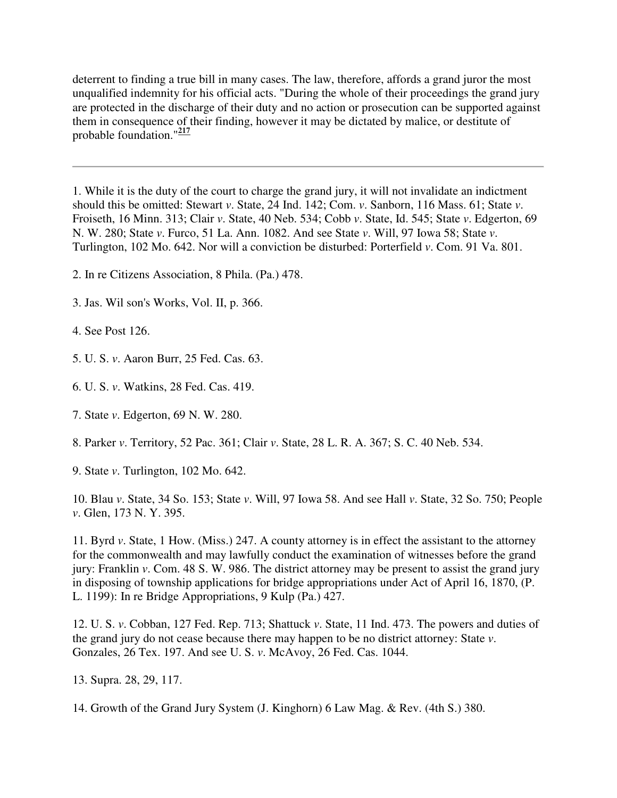deterrent to finding a true bill in many cases. The law, therefore, affords a grand juror the most unqualified indemnity for his official acts. "During the whole of their proceedings the grand jury are protected in the discharge of their duty and no action or prosecution can be supported against them in consequence of their finding, however it may be dictated by malice, or destitute of probable foundation."**<sup>217</sup>**

1. While it is the duty of the court to charge the grand jury, it will not invalidate an indictment should this be omitted: Stewart *v*. State, 24 Ind. 142; Com. *v*. Sanborn, 116 Mass. 61; State *v*. Froiseth, 16 Minn. 313; Clair *v*. State, 40 Neb. 534; Cobb *v*. State, Id. 545; State *v*. Edgerton, 69 N. W. 280; State *v*. Furco, 51 La. Ann. 1082. And see State *v*. Will, 97 Iowa 58; State *v*. Turlington, 102 Mo. 642. Nor will a conviction be disturbed: Porterfield *v*. Com. 91 Va. 801.

2. In re Citizens Association, 8 Phila. (Pa.) 478.

3. Jas. Wil son's Works, Vol. II, p. 366.

4. See Post 126.

5. U. S. *v*. Aaron Burr, 25 Fed. Cas. 63.

6. U. S. *v*. Watkins, 28 Fed. Cas. 419.

7. State *v*. Edgerton, 69 N. W. 280.

8. Parker *v*. Territory, 52 Pac. 361; Clair *v*. State, 28 L. R. A. 367; S. C. 40 Neb. 534.

9. State *v*. Turlington, 102 Mo. 642.

10. Blau *v*. State, 34 So. 153; State *v*. Will, 97 Iowa 58. And see Hall *v*. State, 32 So. 750; People *v*. Glen, 173 N. Y. 395.

11. Byrd *v*. State, 1 How. (Miss.) 247. A county attorney is in effect the assistant to the attorney for the commonwealth and may lawfully conduct the examination of witnesses before the grand jury: Franklin *v*. Com. 48 S. W. 986. The district attorney may be present to assist the grand jury in disposing of township applications for bridge appropriations under Act of April 16, 1870, (P. L. 1199): In re Bridge Appropriations, 9 Kulp (Pa.) 427.

12. U. S. *v*. Cobban, 127 Fed. Rep. 713; Shattuck *v*. State, 11 Ind. 473. The powers and duties of the grand jury do not cease because there may happen to be no district attorney: State *v*. Gonzales, 26 Tex. 197. And see U. S. *v*. McAvoy, 26 Fed. Cas. 1044.

13. Supra. 28, 29, 117.

14. Growth of the Grand Jury System (J. Kinghorn) 6 Law Mag. & Rev. (4th S.) 380.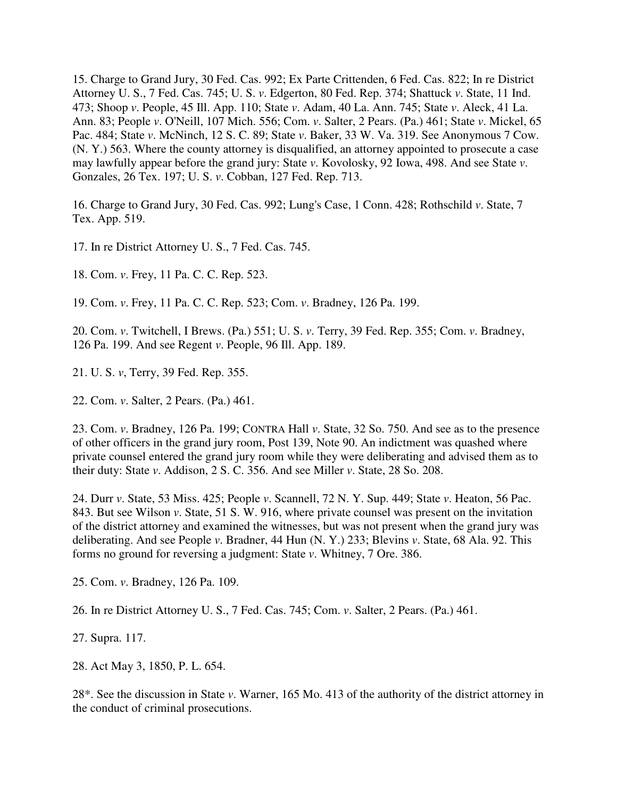15. Charge to Grand Jury, 30 Fed. Cas. 992; Ex Parte Crittenden, 6 Fed. Cas. 822; In re District Attorney U. S., 7 Fed. Cas. 745; U. S. *v*. Edgerton, 80 Fed. Rep. 374; Shattuck *v*. State, 11 Ind. 473; Shoop *v*. People, 45 Ill. App. 110; State *v*. Adam, 40 La. Ann. 745; State *v*. Aleck, 41 La. Ann. 83; People *v*. O'Neill, 107 Mich. 556; Com. *v*. Salter, 2 Pears. (Pa.) 461; State *v*. Mickel, 65 Pac. 484; State *v*. McNinch, 12 S. C. 89; State *v*. Baker, 33 W. Va. 319. See Anonymous 7 Cow. (N. Y.) 563. Where the county attorney is disqualified, an attorney appointed to prosecute a case may lawfully appear before the grand jury: State *v*. Kovolosky, 92 Iowa, 498. And see State *v*. Gonzales, 26 Tex. 197; U. S. *v*. Cobban, 127 Fed. Rep. 713.

16. Charge to Grand Jury, 30 Fed. Cas. 992; Lung's Case, 1 Conn. 428; Rothschild *v*. State, 7 Tex. App. 519.

17. In re District Attorney U. S., 7 Fed. Cas. 745.

18. Com. *v*. Frey, 11 Pa. C. C. Rep. 523.

19. Com. *v*. Frey, 11 Pa. C. C. Rep. 523; Com. *v*. Bradney, 126 Pa. 199.

20. Com. *v*. Twitchell, I Brews. (Pa.) 551; U. S. *v*. Terry, 39 Fed. Rep. 355; Com. *v*. Bradney, 126 Pa. 199. And see Regent *v*. People, 96 Ill. App. 189.

21. U. S. *v*, Terry, 39 Fed. Rep. 355.

22. Com. *v*. Salter, 2 Pears. (Pa.) 461.

23. Com. *v*. Bradney, 126 Pa. 199; CONTRA Hall *v*. State, 32 So. 750. And see as to the presence of other officers in the grand jury room, Post 139, Note 90. An indictment was quashed where private counsel entered the grand jury room while they were deliberating and advised them as to their duty: State *v*. Addison, 2 S. C. 356. And see Miller *v*. State, 28 So. 208.

24. Durr *v*. State, 53 Miss. 425; People *v*. Scannell, 72 N. Y. Sup. 449; State *v*. Heaton, 56 Pac. 843. But see Wilson *v*. State, 51 S. W. 916, where private counsel was present on the invitation of the district attorney and examined the witnesses, but was not present when the grand jury was deliberating. And see People *v*. Bradner, 44 Hun (N. Y.) 233; Blevins *v*. State, 68 Ala. 92. This forms no ground for reversing a judgment: State *v*. Whitney, 7 Ore. 386.

25. Com. *v*. Bradney, 126 Pa. 109.

26. In re District Attorney U. S., 7 Fed. Cas. 745; Com. *v*. Salter, 2 Pears. (Pa.) 461.

27. Supra. 117.

28. Act May 3, 1850, P. L. 654.

28\*. See the discussion in State *v*. Warner, 165 Mo. 413 of the authority of the district attorney in the conduct of criminal prosecutions.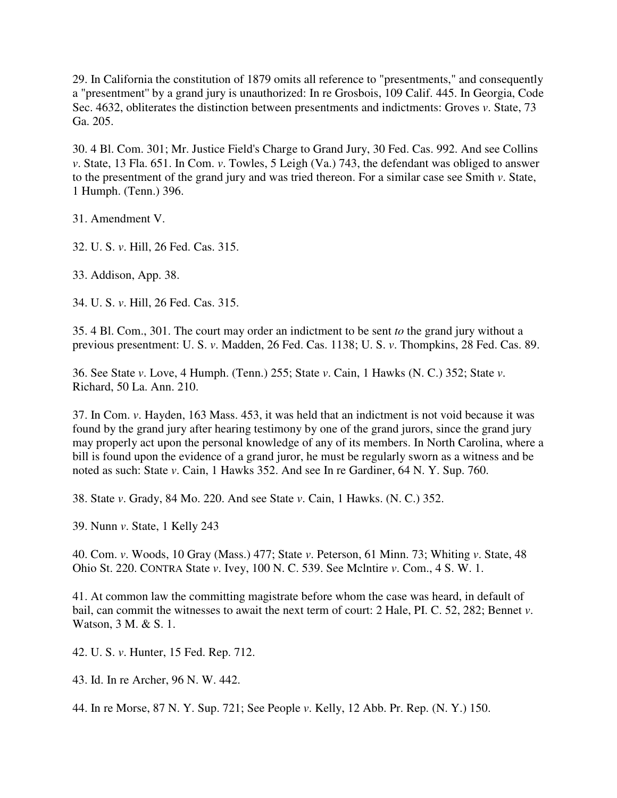29. In California the constitution of 1879 omits all reference to "presentments," and consequently a "presentment'' by a grand jury is unauthorized: In re Grosbois, 109 Calif. 445. In Georgia, Code Sec. 4632, obliterates the distinction between presentments and indictments: Groves *v*. State, 73 Ga. 205.

30. 4 Bl. Com. 301; Mr. Justice Field's Charge to Grand Jury, 30 Fed. Cas. 992. And see Collins *v*. State, 13 Fla. 651. In Com. *v*. Towles, 5 Leigh (Va.) 743, the defendant was obliged to answer to the presentment of the grand jury and was tried thereon. For a similar case see Smith *v*. State, 1 Humph. (Tenn.) 396.

31. Amendment V.

32. U. S. *v*. Hill, 26 Fed. Cas. 315.

33. Addison, App. 38.

34. U. S. *v*. Hill, 26 Fed. Cas. 315.

35. 4 Bl. Com., 301. The court may order an indictment to be sent *to* the grand jury without a previous presentment: U. S. *v*. Madden, 26 Fed. Cas. 1138; U. S. *v*. Thompkins, 28 Fed. Cas. 89.

36. See State *v*. Love, 4 Humph. (Tenn.) 255; State *v*. Cain, 1 Hawks (N. C.) 352; State *v*. Richard, 50 La. Ann. 210.

37. In Com. *v*. Hayden, 163 Mass. 453, it was held that an indictment is not void because it was found by the grand jury after hearing testimony by one of the grand jurors, since the grand jury may properly act upon the personal knowledge of any of its members. In North Carolina, where a bill is found upon the evidence of a grand juror, he must be regularly sworn as a witness and be noted as such: State *v*. Cain, 1 Hawks 352. And see In re Gardiner, 64 N. Y. Sup. 760.

38. State *v*. Grady, 84 Mo. 220. And see State *v*. Cain, 1 Hawks. (N. C.) 352.

39. Nunn *v*. State, 1 Kelly 243

40. Com. *v*. Woods, 10 Gray (Mass.) 477; State *v*. Peterson, 61 Minn. 73; Whiting *v*. State, 48 Ohio St. 220. CONTRA State *v*. Ivey, 100 N. C. 539. See Mclntire *v*. Com., 4 S. W. 1.

41. At common law the committing magistrate before whom the case was heard, in default of bail, can commit the witnesses to await the next term of court: 2 Hale, PI. C. 52, 282; Bennet *v*. Watson, 3 M. & S. 1.

42. U. S. *v*. Hunter, 15 Fed. Rep. 712.

43. Id. In re Archer, 96 N. W. 442.

44. In re Morse, 87 N. Y. Sup. 721; See People *v*. Kelly, 12 Abb. Pr. Rep. (N. Y.) 150.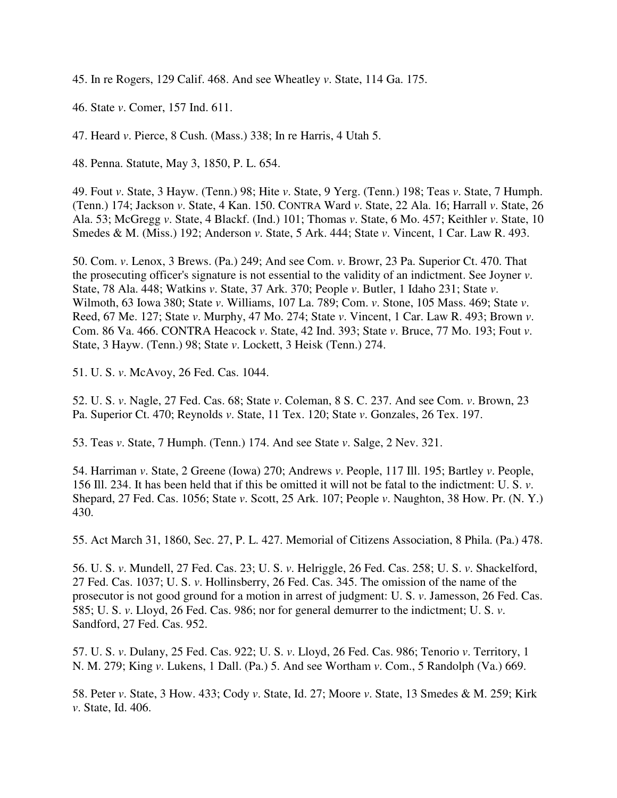45. In re Rogers, 129 Calif. 468. And see Wheatley *v*. State, 114 Ga. 175.

46. State *v*. Comer, 157 Ind. 611.

47. Heard *v*. Pierce, 8 Cush. (Mass.) 338; In re Harris, 4 Utah 5.

48. Penna. Statute, May 3, 1850, P. L. 654.

49. Fout *v*. State, 3 Hayw. (Tenn.) 98; Hite *v*. State, 9 Yerg. (Tenn.) 198; Teas *v*. State, 7 Humph. (Tenn.) 174; Jackson *v*. State, 4 Kan. 150. CONTRA Ward *v*. State, 22 Ala. 16; Harrall *v*. State, 26 Ala. 53; McGregg *v*. State, 4 Blackf. (Ind.) 101; Thomas *v*. State, 6 Mo. 457; Keithler *v*. State, 10 Smedes & M. (Miss.) 192; Anderson *v*. State, 5 Ark. 444; State *v*. Vincent, 1 Car. Law R. 493.

50. Com. *v*. Lenox, 3 Brews. (Pa.) 249; And see Com. *v*. Browr, 23 Pa. Superior Ct. 470. That the prosecuting officer's signature is not essential to the validity of an indictment. See Joyner *v*. State, 78 Ala. 448; Watkins *v*. State, 37 Ark. 370; People *v*. Butler, 1 Idaho 231; State *v*. Wilmoth, 63 Iowa 380; State *v*. Williams, 107 La. 789; Com. *v*. Stone, 105 Mass. 469; State *v*. Reed, 67 Me. 127; State *v*. Murphy, 47 Mo. 274; State *v*. Vincent, 1 Car. Law R. 493; Brown *v*. Com. 86 Va. 466. CONTRA Heacock *v*. State, 42 Ind. 393; State *v*. Bruce, 77 Mo. 193; Fout *v*. State, 3 Hayw. (Tenn.) 98; State *v*. Lockett, 3 Heisk (Tenn.) 274.

51. U. S. *v*. McAvoy, 26 Fed. Cas. 1044.

52. U. S. *v*. Nagle, 27 Fed. Cas. 68; State *v*. Coleman, 8 S. C. 237. And see Com. *v*. Brown, 23 Pa. Superior Ct. 470; Reynolds *v*. State, 11 Tex. 120; State *v*. Gonzales, 26 Tex. 197.

53. Teas *v*. State, 7 Humph. (Tenn.) 174. And see State *v*. Salge, 2 Nev. 321.

54. Harriman *v*. State, 2 Greene (Iowa) 270; Andrews *v*. People, 117 Ill. 195; Bartley *v*. People, 156 Ill. 234. It has been held that if this be omitted it will not be fatal to the indictment: U. S. *v*. Shepard, 27 Fed. Cas. 1056; State *v*. Scott, 25 Ark. 107; People *v*. Naughton, 38 How. Pr. (N. Y.) 430.

55. Act March 31, 1860, Sec. 27, P. L. 427. Memorial of Citizens Association, 8 Phila. (Pa.) 478.

56. U. S. *v*. Mundell, 27 Fed. Cas. 23; U. S. *v*. Helriggle, 26 Fed. Cas. 258; U. S. *v*. Shackelford, 27 Fed. Cas. 1037; U. S. *v*. Hollinsberry, 26 Fed. Cas. 345. The omission of the name of the prosecutor is not good ground for a motion in arrest of judgment: U. S. *v*. Jamesson, 26 Fed. Cas. 585; U. S. *v*. Lloyd, 26 Fed. Cas. 986; nor for general demurrer to the indictment; U. S. *v*. Sandford, 27 Fed. Cas. 952.

57. U. S. *v*. Dulany, 25 Fed. Cas. 922; U. S. *v*. Lloyd, 26 Fed. Cas. 986; Tenorio *v*. Territory, 1 N. M. 279; King *v*. Lukens, 1 Dall. (Pa.) 5. And see Wortham *v*. Com., 5 Randolph (Va.) 669.

58. Peter *v*. State, 3 How. 433; Cody *v*. State, Id. 27; Moore *v*. State, 13 Smedes & M. 259; Kirk *v*. State, Id. 406.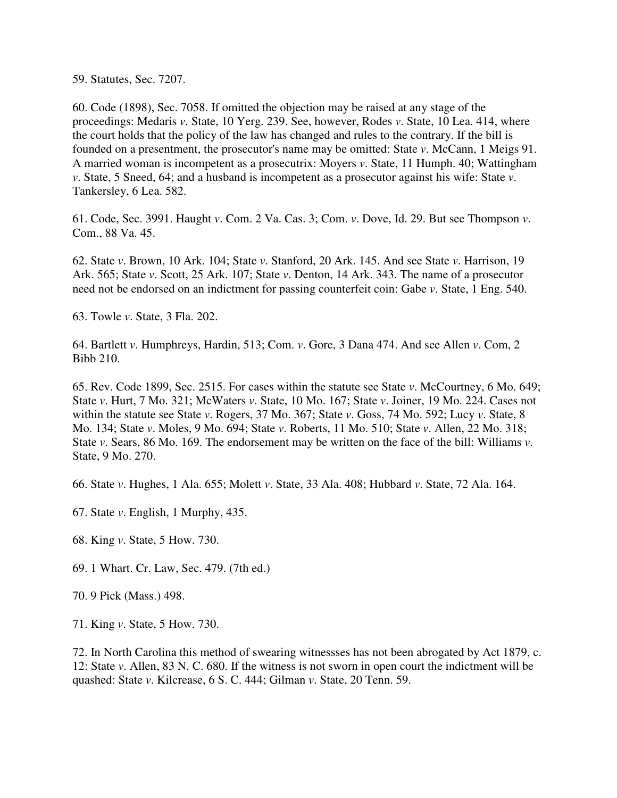59. Statutes, Sec. 7207.

60. Code (1898), Sec. 7058. If omitted the objection may be raised at any stage of the proceedings: Medaris *v*. State, 10 Yerg. 239. See, however, Rodes *v*. State, 10 Lea. 414, where the court holds that the policy of the law has changed and rules to the contrary. If the bill is founded on a presentment, the prosecutor's name may be omitted: State *v*. McCann, 1 Meigs 91. A married woman is incompetent as a prosecutrix: Moyers *v*. State, 11 Humph. 40; Wattingham *v*. State, 5 Sneed, 64; and a husband is incompetent as a prosecutor against his wife: State *v*. Tankersley, 6 Lea. 582.

61. Code, Sec. 3991. Haught *v*. Com. 2 Va. Cas. 3; Com. *v*. Dove, Id. 29. But see Thompson *v*. Com., 88 Va. 45.

62. State *v*. Brown, 10 Ark. 104; State *v*. Stanford, 20 Ark. 145. And see State *v*. Harrison, 19 Ark. 565; State *v*. Scott, 25 Ark. 107; State *v*. Denton, 14 Ark. 343. The name of a prosecutor need not be endorsed on an indictment for passing counterfeit coin: Gabe *v*. State, 1 Eng. 540.

63. Towle *v*. State, 3 Fla. 202.

64. Bartlett *v*. Humphreys, Hardin, 513; Com. *v*. Gore, 3 Dana 474. And see Allen *v*. Com, 2 Bibb 210.

65. Rev. Code 1899, Sec. 2515. For cases within the statute see State *v*. McCourtney, 6 Mo. 649; State *v*. Hurt, 7 Mo. 321; McWaters *v*. State, 10 Mo. 167; State *v*. Joiner, 19 Mo. 224. Cases not within the statute see State *v*. Rogers, 37 Mo. 367; State *v*. Goss, 74 Mo. 592; Lucy *v*. State, 8 Mo. 134; State *v*. Moles, 9 Mo. 694; State *v*. Roberts, 11 Mo. 510; State *v*. Allen, 22 Mo. 318; State *v*. Sears, 86 Mo. 169. The endorsement may be written on the face of the bill: Williams *v*. State, 9 Mo. 270.

66. State *v*. Hughes, 1 Ala. 655; Molett *v*. State, 33 Ala. 408; Hubbard *v*. State, 72 Ala. 164.

67. State *v*. English, 1 Murphy, 435.

68. King *v*. State, 5 How. 730.

69. 1 Whart. Cr. Law, Sec. 479. (7th ed.)

70. 9 Pick (Mass.) 498.

71. King *v*. State, 5 How. 730.

72. In North Carolina this method of swearing witnessses has not been abrogated by Act 1879, c. 12: State *v*. Allen, 83 N. C. 680. If the witness is not sworn in open court the indictment will be quashed: State *v*. Kilcrease, 6 S. C. 444; Gilman *v*. State, 20 Tenn. 59.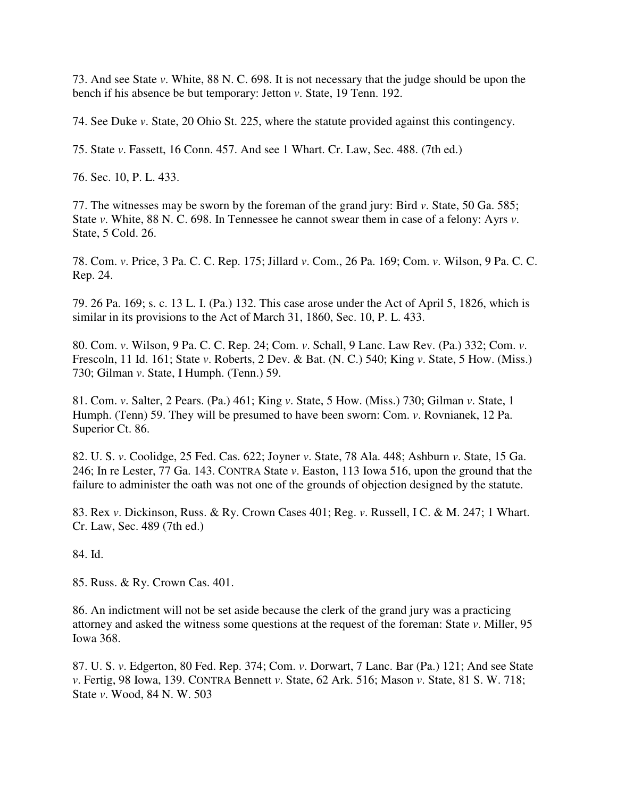73. And see State *v*. White, 88 N. C. 698. It is not necessary that the judge should be upon the bench if his absence be but temporary: Jetton *v*. State, 19 Tenn. 192.

74. See Duke *v*. State, 20 Ohio St. 225, where the statute provided against this contingency.

75. State *v*. Fassett, 16 Conn. 457. And see 1 Whart. Cr. Law, Sec. 488. (7th ed.)

76. Sec. 10, P. L. 433.

77. The witnesses may be sworn by the foreman of the grand jury: Bird *v*. State, 50 Ga. 585; State *v*. White, 88 N. C. 698. In Tennessee he cannot swear them in case of a felony: Ayrs *v*. State, 5 Cold. 26.

78. Com. *v*. Price, 3 Pa. C. C. Rep. 175; Jillard *v*. Com., 26 Pa. 169; Com. *v*. Wilson, 9 Pa. C. C. Rep. 24.

79. 26 Pa. 169; s. c. 13 L. I. (Pa.) 132. This case arose under the Act of April 5, 1826, which is similar in its provisions to the Act of March 31, 1860, Sec. 10, P. L. 433.

80. Com. *v*. Wilson, 9 Pa. C. C. Rep. 24; Com. *v*. Schall, 9 Lanc. Law Rev. (Pa.) 332; Com. *v*. Frescoln, 11 Id. 161; State *v*. Roberts, 2 Dev. & Bat. (N. C.) 540; King *v*. State, 5 How. (Miss.) 730; Gilman *v*. State, I Humph. (Tenn.) 59.

81. Com. *v*. Salter, 2 Pears. (Pa.) 461; King *v*. State, 5 How. (Miss.) 730; Gilman *v*. State, 1 Humph. (Tenn) 59. They will be presumed to have been sworn: Com. *v*. Rovnianek, 12 Pa. Superior Ct. 86.

82. U. S. *v*. Coolidge, 25 Fed. Cas. 622; Joyner *v*. State, 78 Ala. 448; Ashburn *v*. State, 15 Ga. 246; In re Lester, 77 Ga. 143. CONTRA State *v*. Easton, 113 Iowa 516, upon the ground that the failure to administer the oath was not one of the grounds of objection designed by the statute.

83. Rex *v*. Dickinson, Russ. & Ry. Crown Cases 401; Reg. *v*. Russell, I C. & M. 247; 1 Whart. Cr. Law, Sec. 489 (7th ed.)

84. Id.

85. Russ. & Ry. Crown Cas. 401.

86. An indictment will not be set aside because the clerk of the grand jury was a practicing attorney and asked the witness some questions at the request of the foreman: State *v*. Miller, 95 Iowa 368.

87. U. S. *v*. Edgerton, 80 Fed. Rep. 374; Com. *v*. Dorwart, 7 Lanc. Bar (Pa.) 121; And see State *v*. Fertig, 98 Iowa, 139. CONTRA Bennett *v*. State, 62 Ark. 516; Mason *v*. State, 81 S. W. 718; State *v*. Wood, 84 N. W. 503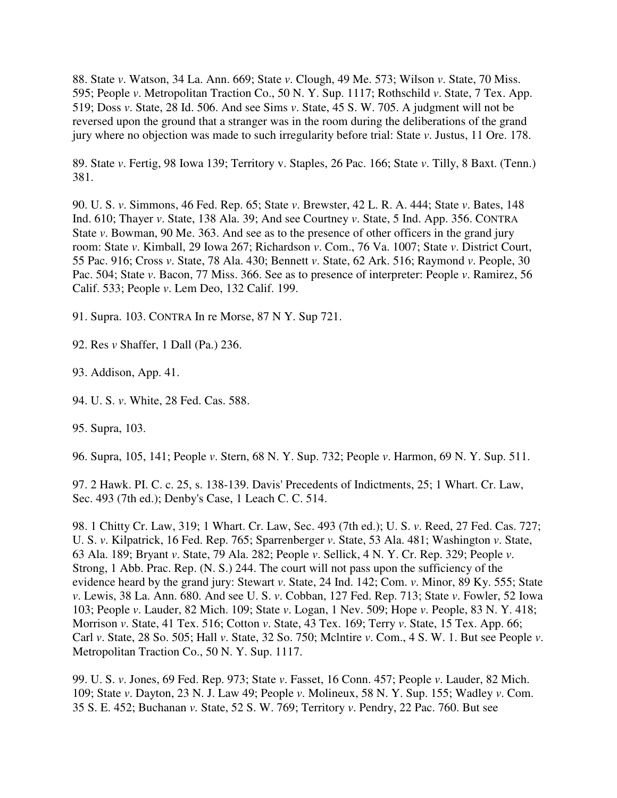88. State *v*. Watson, 34 La. Ann. 669; State *v*. Clough, 49 Me. 573; Wilson *v*. State, 70 Miss. 595; People *v*. Metropolitan Traction Co., 50 N. Y. Sup. 1117; Rothschild *v*. State, 7 Tex. App. 519; Doss *v*. State, 28 Id. 506. And see Sims *v*. State, 45 S. W. 705. A judgment will not be reversed upon the ground that a stranger was in the room during the deliberations of the grand jury where no objection was made to such irregularity before trial: State *v*. Justus, 11 Ore. 178.

89. State *v*. Fertig, 98 Iowa 139; Territory v. Staples, 26 Pac. 166; State *v*. Tilly, 8 Baxt. (Tenn.) 381.

90. U. S. *v*. Simmons, 46 Fed. Rep. 65; State *v*. Brewster, 42 L. R. A. 444; State *v*. Bates, 148 Ind. 610; Thayer *v*. State, 138 Ala. 39; And see Courtney *v*. State, 5 Ind. App. 356. CONTRA State *v*. Bowman, 90 Me. 363. And see as to the presence of other officers in the grand jury room: State *v*. Kimball, 29 Iowa 267; Richardson *v*. Com., 76 Va. 1007; State *v*. District Court, 55 Pac. 916; Cross *v*. State, 78 Ala. 430; Bennett *v*. State, 62 Ark. 516; Raymond *v*. People, 30 Pac. 504; State *v*. Bacon, 77 Miss. 366. See as to presence of interpreter: People *v*. Ramirez, 56 Calif. 533; People *v*. Lem Deo, 132 Calif. 199.

91. Supra. 103. CONTRA In re Morse, 87 N Y. Sup 721.

92. Res *v* Shaffer, 1 Dall (Pa.) 236.

93. Addison, App. 41.

94. U. S. *v*. White, 28 Fed. Cas. 588.

95. Supra, 103.

96. Supra, 105, 141; People *v*. Stern, 68 N. Y. Sup. 732; People *v*. Harmon, 69 N. Y. Sup. 511.

97. 2 Hawk. PI. C. c. 25, s. 138-139. Davis' Precedents of Indictments, 25; 1 Whart. Cr. Law, Sec. 493 (7th ed.); Denby's Case, 1 Leach C. C. 514.

98. 1 Chitty Cr. Law, 319; 1 Whart. Cr. Law, Sec. 493 (7th ed.); U. S. *v*. Reed, 27 Fed. Cas. 727; U. S. *v*. Kilpatrick, 16 Fed. Rep. 765; Sparrenberger *v*. State, 53 Ala. 481; Washington *v*. State, 63 Ala. 189; Bryant *v*. State, 79 Ala. 282; People *v*. Sellick, 4 N. Y. Cr. Rep. 329; People *v*. Strong, 1 Abb. Prac. Rep. (N. S.) 244. The court will not pass upon the sufficiency of the evidence heard by the grand jury: Stewart *v*. State, 24 Ind. 142; Com. *v*. Minor, 89 Ky. 555; State *v*. Lewis, 38 La. Ann. 680. And see U. S. *v*. Cobban, 127 Fed. Rep. 713; State *v*. Fowler, 52 Iowa 103; People *v*. Lauder, 82 Mich. 109; State *v*. Logan, 1 Nev. 509; Hope *v*. People, 83 N. Y. 418; Morrison *v*. State, 41 Tex. 516; Cotton *v*. State, 43 Tex. 169; Terry *v*. State, 15 Tex. App. 66; Carl *v*. State, 28 So. 505; Hall *v*. State, 32 So. 750; Mclntire *v*. Com., 4 S. W. 1. But see People *v*. Metropolitan Traction Co., 50 N. Y. Sup. 1117.

99. U. S. *v*. Jones, 69 Fed. Rep. 973; State *v*. Fasset, 16 Conn. 457; People *v*. Lauder, 82 Mich. 109; State *v*. Dayton, 23 N. J. Law 49; People *v*. Molineux, 58 N. Y. Sup. 155; Wadley *v*. Com. 35 S. E. 452; Buchanan *v.* State, 52 S. W. 769; Territory *v*. Pendry, 22 Pac. 760. But see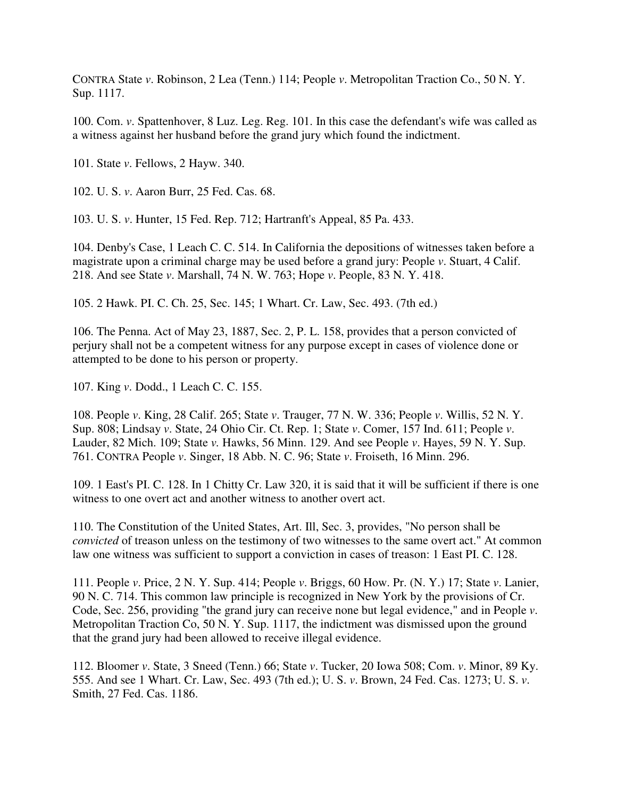CONTRA State *v*. Robinson, 2 Lea (Tenn.) 114; People *v*. Metropolitan Traction Co., 50 N. Y. Sup. 1117.

100. Com. *v*. Spattenhover, 8 Luz. Leg. Reg. 101. In this case the defendant's wife was called as a witness against her husband before the grand jury which found the indictment.

101. State *v*. Fellows, 2 Hayw. 340.

102. U. S. *v*. Aaron Burr, 25 Fed. Cas. 68.

103. U. S. *v*. Hunter, 15 Fed. Rep. 712; Hartranft's Appeal, 85 Pa. 433.

104. Denby's Case, 1 Leach C. C. 514. In California the depositions of witnesses taken before a magistrate upon a criminal charge may be used before a grand jury: People *v*. Stuart, 4 Calif. 218. And see State *v*. Marshall, 74 N. W. 763; Hope *v*. People, 83 N. Y. 418.

105. 2 Hawk. PI. C. Ch. 25, Sec. 145; 1 Whart. Cr. Law, Sec. 493. (7th ed.)

106. The Penna. Act of May 23, 1887, Sec. 2, P. L. 158, provides that a person convicted of perjury shall not be a competent witness for any purpose except in cases of violence done or attempted to be done to his person or property.

107. King *v*. Dodd., 1 Leach C. C. 155.

108. People *v*. King, 28 Calif. 265; State *v*. Trauger, 77 N. W. 336; People *v*. Willis, 52 N. Y. Sup. 808; Lindsay *v*. State, 24 Ohio Cir. Ct. Rep. 1; State *v*. Comer, 157 Ind. 611; People *v*. Lauder, 82 Mich. 109; State *v.* Hawks, 56 Minn. 129. And see People *v*. Hayes, 59 N. Y. Sup. 761. CONTRA People *v*. Singer, 18 Abb. N. C. 96; State *v*. Froiseth, 16 Minn. 296.

109. 1 East's PI. C. 128. In 1 Chitty Cr. Law 320, it is said that it will be sufficient if there is one witness to one overt act and another witness to another overt act.

110. The Constitution of the United States, Art. Ill, Sec. 3, provides, "No person shall be *convicted* of treason unless on the testimony of two witnesses to the same overt act." At common law one witness was sufficient to support a conviction in cases of treason: 1 East PI. C. 128.

111. People *v*. Price, 2 N. Y. Sup. 414; People *v*. Briggs, 60 How. Pr. (N. Y.) 17; State *v*. Lanier, 90 N. C. 714. This common law principle is recognized in New York by the provisions of Cr. Code, Sec. 256, providing "the grand jury can receive none but legal evidence," and in People *v*. Metropolitan Traction Co, 50 N. Y. Sup. 1117, the indictment was dismissed upon the ground that the grand jury had been allowed to receive illegal evidence.

112. Bloomer *v*. State, 3 Sneed (Tenn.) 66; State *v*. Tucker, 20 Iowa 508; Com. *v*. Minor, 89 Ky. 555. And see 1 Whart. Cr. Law, Sec. 493 (7th ed.); U. S. *v*. Brown, 24 Fed. Cas. 1273; U. S. *v*. Smith, 27 Fed. Cas. 1186.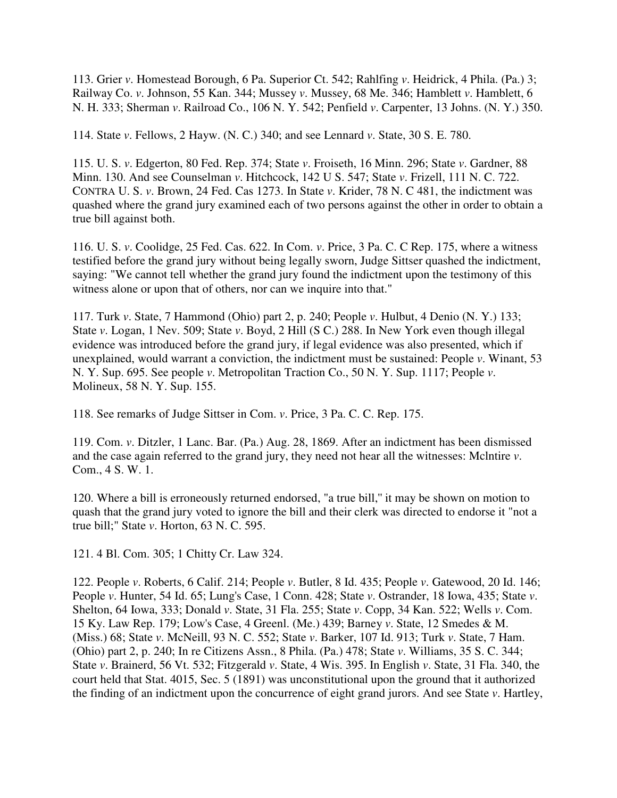113. Grier *v*. Homestead Borough, 6 Pa. Superior Ct. 542; Rahlfing *v*. Heidrick, 4 Phila. (Pa.) 3; Railway Co. *v*. Johnson, 55 Kan. 344; Mussey *v*. Mussey, 68 Me. 346; Hamblett *v*. Hamblett, 6 N. H. 333; Sherman *v*. Railroad Co., 106 N. Y. 542; Penfield *v*. Carpenter, 13 Johns. (N. Y.) 350.

114. State *v*. Fellows, 2 Hayw. (N. C.) 340; and see Lennard *v*. State, 30 S. E. 780.

115. U. S. *v*. Edgerton, 80 Fed. Rep. 374; State *v*. Froiseth, 16 Minn. 296; State *v*. Gardner, 88 Minn. 130. And see Counselman *v*. Hitchcock, 142 U S. 547; State *v*. Frizell, 111 N. C. 722. CONTRA U. S. *v*. Brown, 24 Fed. Cas 1273. In State *v*. Krider, 78 N. C 481, the indictment was quashed where the grand jury examined each of two persons against the other in order to obtain a true bill against both.

116. U. S. *v*. Coolidge, 25 Fed. Cas. 622. In Com. *v*. Price, 3 Pa. C. C Rep. 175, where a witness testified before the grand jury without being legally sworn, Judge Sittser quashed the indictment, saying: "We cannot tell whether the grand jury found the indictment upon the testimony of this witness alone or upon that of others, nor can we inquire into that."

117. Turk *v*. State, 7 Hammond (Ohio) part 2, p. 240; People *v*. Hulbut, 4 Denio (N. Y.) 133; State *v*. Logan, 1 Nev. 509; State *v*. Boyd, 2 Hill (S C.) 288. In New York even though illegal evidence was introduced before the grand jury, if legal evidence was also presented, which if unexplained, would warrant a conviction, the indictment must be sustained: People *v*. Winant, 53 N. Y. Sup. 695. See people *v*. Metropolitan Traction Co., 50 N. Y. Sup. 1117; People *v*. Molineux, 58 N. Y. Sup. 155.

118. See remarks of Judge Sittser in Com. *v*. Price, 3 Pa. C. C. Rep. 175.

119. Com. *v*. Ditzler, 1 Lanc. Bar. (Pa.) Aug. 28, 1869. After an indictment has been dismissed and the case again referred to the grand jury, they need not hear all the witnesses: Mclntire *v*. Com., 4 S. W. 1.

120. Where a bill is erroneously returned endorsed, "a true bill,'' it may be shown on motion to quash that the grand jury voted to ignore the bill and their clerk was directed to endorse it "not a true bill;" State *v*. Horton, 63 N. C. 595.

121. 4 Bl. Com. 305; 1 Chitty Cr. Law 324.

122. People *v*. Roberts, 6 Calif. 214; People *v*. Butler, 8 Id. 435; People *v*. Gatewood, 20 Id. 146; People *v*. Hunter, 54 Id. 65; Lung's Case, 1 Conn. 428; State *v*. Ostrander, 18 Iowa, 435; State *v*. Shelton, 64 Iowa, 333; Donald *v*. State, 31 Fla. 255; State *v*. Copp, 34 Kan. 522; Wells *v*. Com. 15 Ky. Law Rep. 179; Low's Case, 4 Greenl. (Me.) 439; Barney *v*. State, 12 Smedes & M. (Miss.) 68; State *v*. McNeill, 93 N. C. 552; State *v*. Barker, 107 Id. 913; Turk *v*. State, 7 Ham. (Ohio) part 2, p. 240; In re Citizens Assn., 8 Phila. (Pa.) 478; State *v*. Williams, 35 S. C. 344; State *v*. Brainerd, 56 Vt. 532; Fitzgerald *v*. State, 4 Wis. 395. In English *v*. State, 31 Fla. 340, the court held that Stat. 4015, Sec. 5 (1891) was unconstitutional upon the ground that it authorized the finding of an indictment upon the concurrence of eight grand jurors. And see State *v*. Hartley,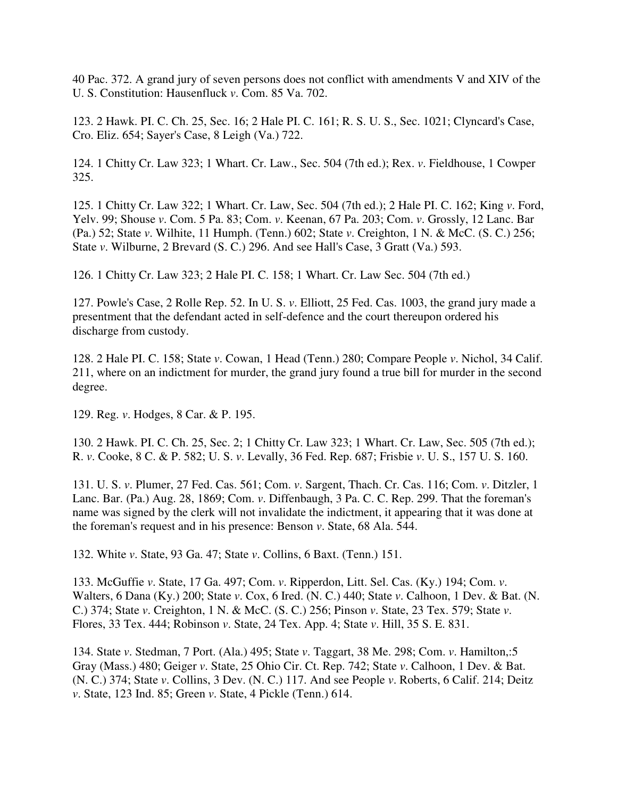40 Pac. 372. A grand jury of seven persons does not conflict with amendments V and XIV of the U. S. Constitution: Hausenfluck *v*. Com. 85 Va. 702.

123. 2 Hawk. PI. C. Ch. 25, Sec. 16; 2 Hale PI. C. 161; R. S. U. S., Sec. 1021; Clyncard's Case, Cro. Eliz. 654; Sayer's Case, 8 Leigh (Va.) 722.

124. 1 Chitty Cr. Law 323; 1 Whart. Cr. Law., Sec. 504 (7th ed.); Rex. *v*. Fieldhouse, 1 Cowper 325.

125. 1 Chitty Cr. Law 322; 1 Whart. Cr. Law, Sec. 504 (7th ed.); 2 Hale PI. C. 162; King *v*. Ford, Yelv. 99; Shouse *v*. Com. 5 Pa. 83; Com. *v*. Keenan, 67 Pa. 203; Com. *v*. Grossly, 12 Lanc. Bar (Pa.) 52; State *v*. Wilhite, 11 Humph. (Tenn.) 602; State *v*. Creighton, 1 N. & McC. (S. C.) 256; State *v*. Wilburne, 2 Brevard (S. C.) 296. And see Hall's Case, 3 Gratt (Va.) 593.

126. 1 Chitty Cr. Law 323; 2 Hale PI. C. 158; 1 Whart. Cr. Law Sec. 504 (7th ed.)

127. Powle's Case, 2 Rolle Rep. 52. In U. S. *v*. Elliott, 25 Fed. Cas. 1003, the grand jury made a presentment that the defendant acted in self-defence and the court thereupon ordered his discharge from custody.

128. 2 Hale PI. C. 158; State *v*. Cowan, 1 Head (Tenn.) 280; Compare People *v*. Nichol, 34 Calif. 211, where on an indictment for murder, the grand jury found a true bill for murder in the second degree.

129. Reg. *v*. Hodges, 8 Car. & P. 195.

130. 2 Hawk. PI. C. Ch. 25, Sec. 2; 1 Chitty Cr. Law 323; 1 Whart. Cr. Law, Sec. 505 (7th ed.); R. *v*. Cooke, 8 C. & P. 582; U. S. *v*. Levally, 36 Fed. Rep. 687; Frisbie *v*. U. S., 157 U. S. 160.

131. U. S. *v*. Plumer, 27 Fed. Cas. 561; Com. *v*. Sargent, Thach. Cr. Cas. 116; Com. *v*. Ditzler, 1 Lanc. Bar. (Pa.) Aug. 28, 1869; Com. *v*. Diffenbaugh, 3 Pa. C. C. Rep. 299. That the foreman's name was signed by the clerk will not invalidate the indictment, it appearing that it was done at the foreman's request and in his presence: Benson *v*. State, 68 Ala. 544.

132. White *v*. State, 93 Ga. 47; State *v*. Collins, 6 Baxt. (Tenn.) 151.

133. McGuffie *v*. State, 17 Ga. 497; Com. *v*. Ripperdon, Litt. Sel. Cas. (Ky.) 194; Com. *v*. Walters, 6 Dana (Ky.) 200; State *v*. Cox, 6 Ired. (N. C.) 440; State *v*. Calhoon, 1 Dev. & Bat. (N. C.) 374; State *v*. Creighton, 1 N. & McC. (S. C.) 256; Pinson *v*. State, 23 Tex. 579; State *v*. Flores, 33 Tex. 444; Robinson *v*. State, 24 Tex. App. 4; State *v*. Hill, 35 S. E. 831.

134. State *v*. Stedman, 7 Port. (Ala.) 495; State *v*. Taggart, 38 Me. 298; Com. *v*. Hamilton,:5 Gray (Mass.) 480; Geiger *v*. State, 25 Ohio Cir. Ct. Rep. 742; State *v*. Calhoon, 1 Dev. & Bat. (N. C.) 374; State *v*. Collins, 3 Dev. (N. C.) 117. And see People *v*. Roberts, 6 Calif. 214; Deitz *v*. State, 123 Ind. 85; Green *v*. State, 4 Pickle (Tenn.) 614.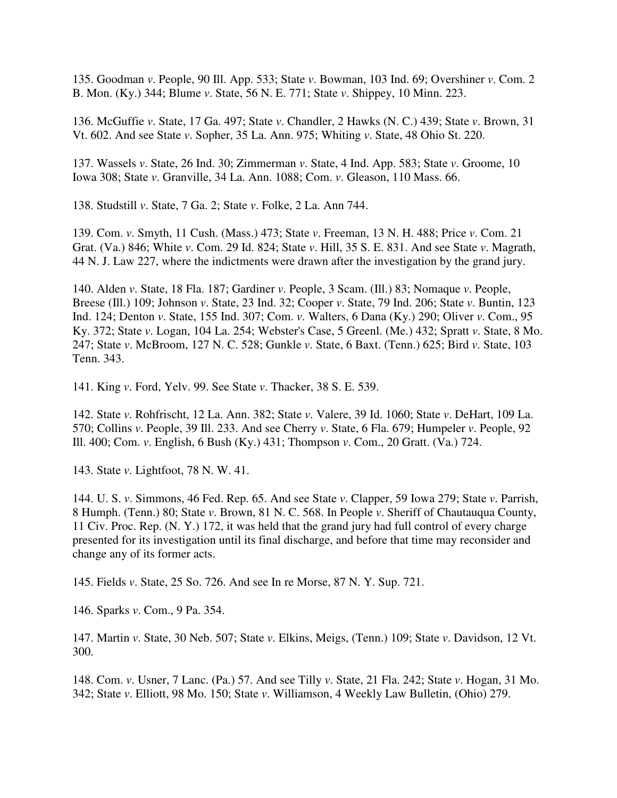135. Goodman *v*. People, 90 Ill. App. 533; State *v*. Bowman, 103 Ind. 69; Overshiner *v*. Com. 2 B. Mon. (Ky.) 344; Blume *v*. State, 56 N. E. 771; State *v*. Shippey, 10 Minn. 223.

136. McGuffie *v*. State, 17 Ga. 497; State *v*. Chandler, 2 Hawks (N. C.) 439; State *v*. Brown, 31 Vt. 602. And see State *v*. Sopher, 35 La. Ann. 975; Whiting *v*. State, 48 Ohio St. 220.

137. Wassels *v*. State, 26 Ind. 30; Zimmerman *v*. State, 4 Ind. App. 583; State *v*. Groome, 10 Iowa 308; State *v*. Granville, 34 La. Ann. 1088; Com. *v*. Gleason, 110 Mass. 66.

138. Studstill *v*. State, 7 Ga. 2; State *v*. Folke, 2 La. Ann 744.

139. Com. *v*. Smyth, 11 Cush. (Mass.) 473; State *v*. Freeman, 13 N. H. 488; Price *v*. Com. 21 Grat. (Va.) 846; White *v*. Com. 29 Id. 824; State *v*. Hill, 35 S. E. 831. And see State *v*. Magrath, 44 N. J. Law 227, where the indictments were drawn after the investigation by the grand jury.

140. Alden *v*. State, 18 Fla. 187; Gardiner *v*. People, 3 Scam. (Ill.) 83; Nomaque *v*. People, Breese (Ill.) 109; Johnson *v*. State, 23 Ind. 32; Cooper *v*. State, 79 Ind. 206; State *v*. Buntin, 123 Ind. 124; Denton *v*. State, 155 Ind. 307; Com. *v*. Walters, 6 Dana (Ky.) 290; Oliver *v*. Com., 95 Ky. 372; State *v*. Logan, 104 La. 254; Webster's Case, 5 Greenl. (Me.) 432; Spratt *v*. State, 8 Mo. 247; State *v*. McBroom, 127 N. C. 528; Gunkle *v*. State, 6 Baxt. (Tenn.) 625; Bird *v*. State, 103 Tenn. 343.

141. King *v*. Ford, Yelv. 99. See State *v*. Thacker, 38 S. E. 539.

142. State *v*. Rohfrischt, 12 La. Ann. 382; State *v*. Valere, 39 Id. 1060; State *v*. DeHart, 109 La. 570; Collins *v*. People, 39 Ill. 233. And see Cherry *v*. State, 6 Fla. 679; Humpeler *v*. People, 92 Ill. 400; Com. *v*. English, 6 Bush (Ky.) 431; Thompson *v*. Com., 20 Gratt. (Va.) 724.

143. State *v*. Lightfoot, 78 N. W. 41.

144. U. S. *v*. Simmons, 46 Fed. Rep. 65. And see State *v*. Clapper, 59 Iowa 279; State *v*. Parrish, 8 Humph. (Tenn.) 80; State *v*. Brown, 81 N. C. 568. In People *v*. Sheriff of Chautauqua County, 11 Civ. Proc. Rep. (N. Y.) 172, it was held that the grand jury had full control of every charge presented for its investigation until its final discharge, and before that time may reconsider and change any of its former acts.

145. Fields *v*. State, 25 So. 726. And see In re Morse, 87 N. Y. Sup. 721.

146. Sparks *v*. Com., 9 Pa. 354.

147. Martin *v*. State, 30 Neb. 507; State *v*. Elkins, Meigs, (Tenn.) 109; State *v*. Davidson, 12 Vt. 300.

148. Com. *v*. Usner, 7 Lanc. (Pa.) 57. And see Tilly *v*. State, 21 Fla. 242; State *v*. Hogan, 31 Mo. 342; State *v*. Elliott, 98 Mo. 150; State *v*. Williamson, 4 Weekly Law Bulletin, (Ohio) 279.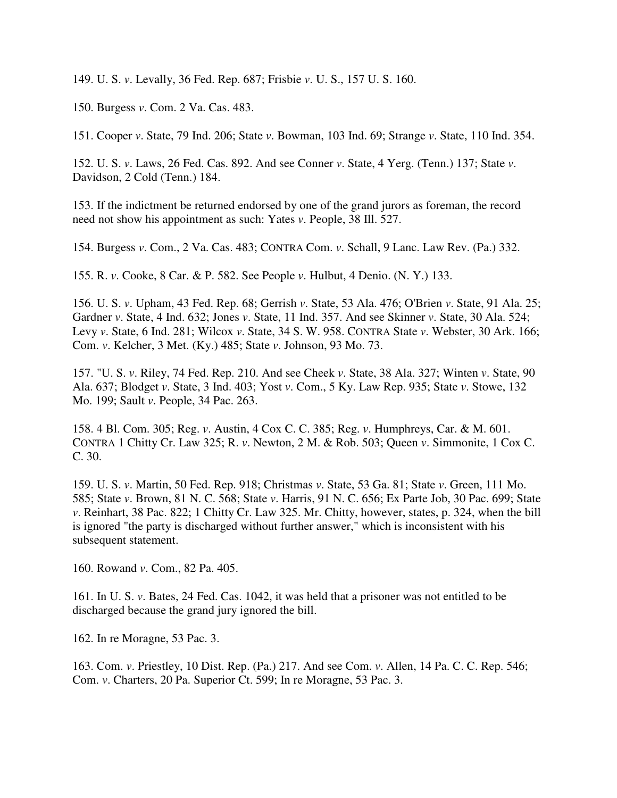149. U. S. *v*. Levally, 36 Fed. Rep. 687; Frisbie *v*. U. S., 157 U. S. 160.

150. Burgess *v*. Com. 2 Va. Cas. 483.

151. Cooper *v*. State, 79 Ind. 206; State *v*. Bowman, 103 Ind. 69; Strange *v*. State, 110 Ind. 354.

152. U. S. *v*. Laws, 26 Fed. Cas. 892. And see Conner *v*. State, 4 Yerg. (Tenn.) 137; State *v*. Davidson, 2 Cold (Tenn.) 184.

153. If the indictment be returned endorsed by one of the grand jurors as foreman, the record need not show his appointment as such: Yates *v*. People, 38 Ill. 527.

154. Burgess *v*. Com., 2 Va. Cas. 483; CONTRA Com. *v*. Schall, 9 Lanc. Law Rev. (Pa.) 332.

155. R. *v*. Cooke, 8 Car. & P. 582. See People *v*. Hulbut, 4 Denio. (N. Y.) 133.

156. U. S. *v*. Upham, 43 Fed. Rep. 68; Gerrish *v*. State, 53 Ala. 476; O'Brien *v*. State, 91 Ala. 25; Gardner *v*. State, 4 Ind. 632; Jones *v*. State, 11 Ind. 357. And see Skinner *v*. State, 30 Ala. 524; Levy *v*. State, 6 Ind. 281; Wilcox *v*. State, 34 S. W. 958. CONTRA State *v*. Webster, 30 Ark. 166; Com. *v*. Kelcher, 3 Met. (Ky.) 485; State *v*. Johnson, 93 Mo. 73.

157. "U. S. *v*. Riley, 74 Fed. Rep. 210. And see Cheek *v*. State, 38 Ala. 327; Winten *v*. State, 90 Ala. 637; Blodget *v*. State, 3 Ind. 403; Yost *v*. Com., 5 Ky. Law Rep. 935; State *v*. Stowe, 132 Mo. 199; Sault *v*. People, 34 Pac. 263.

158. 4 Bl. Com. 305; Reg. *v*. Austin, 4 Cox C. C. 385; Reg. *v*. Humphreys, Car. & M. 601. CONTRA 1 Chitty Cr. Law 325; R. *v*. Newton, 2 M. & Rob. 503; Queen *v*. Simmonite, 1 Cox C. C. 30.

159. U. S. *v*. Martin, 50 Fed. Rep. 918; Christmas *v*. State, 53 Ga. 81; State *v*. Green, 111 Mo. 585; State *v*. Brown, 81 N. C. 568; State *v*. Harris, 91 N. C. 656; Ex Parte Job, 30 Pac. 699; State *v*. Reinhart, 38 Pac. 822; 1 Chitty Cr. Law 325. Mr. Chitty, however, states, p. 324, when the bill is ignored "the party is discharged without further answer," which is inconsistent with his subsequent statement.

160. Rowand *v*. Com., 82 Pa. 405.

161. In U. S. *v*. Bates, 24 Fed. Cas. 1042, it was held that a prisoner was not entitled to be discharged because the grand jury ignored the bill.

162. In re Moragne, 53 Pac. 3.

163. Com. *v*. Priestley, 10 Dist. Rep. (Pa.) 217. And see Com. *v*. Allen, 14 Pa. C. C. Rep. 546; Com. *v*. Charters, 20 Pa. Superior Ct. 599; In re Moragne, 53 Pac. 3.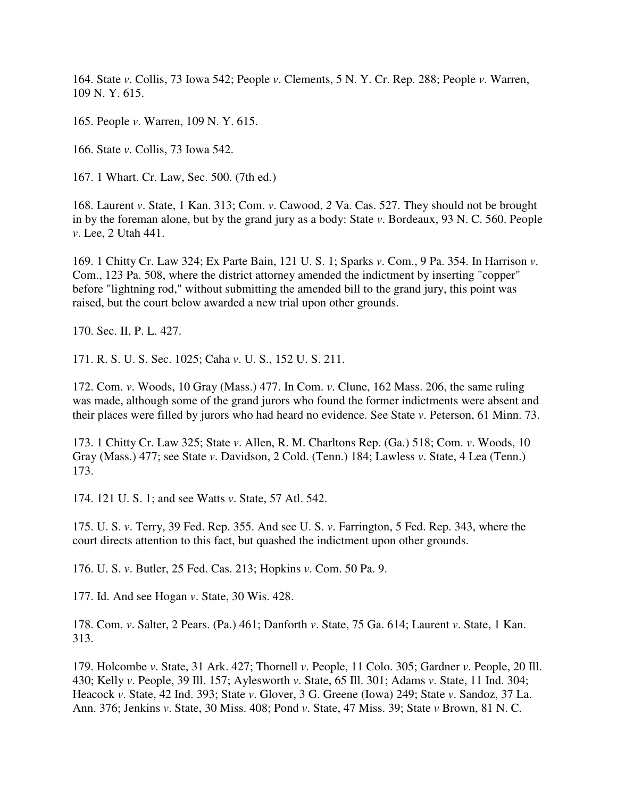164. State *v*. Collis, 73 Iowa 542; People *v*. Clements, 5 N. Y. Cr. Rep. 288; People *v*. Warren, 109 N. Y. 615.

165. People *v*. Warren, 109 N. Y. 615.

166. State *v*. Collis, 73 Iowa 542.

167. 1 Whart. Cr. Law, Sec. 500. (7th ed.)

168. Laurent *v*. State, 1 Kan. 313; Com. *v*. Cawood, *2* Va. Cas. 527. They should not be brought in by the foreman alone, but by the grand jury as a body: State *v*. Bordeaux, 93 N. C. 560. People *v*. Lee, 2 Utah 441.

169. 1 Chitty Cr. Law 324; Ex Parte Bain, 121 U. S. 1; Sparks *v*. Com., 9 Pa. 354. In Harrison *v*. Com., 123 Pa. 508, where the district attorney amended the indictment by inserting "copper" before "lightning rod," without submitting the amended bill to the grand jury, this point was raised, but the court below awarded a new trial upon other grounds.

170. Sec. II, P. L. 427.

171. R. S. U. S. Sec. 1025; Caha *v*. U. S., 152 U. S. 211.

172. Com. *v*. Woods, 10 Gray (Mass.) 477. In Com. *v*. Clune, 162 Mass. 206, the same ruling was made, although some of the grand jurors who found the former indictments were absent and their places were filled by jurors who had heard no evidence. See State *v*. Peterson, 61 Minn. 73.

173. 1 Chitty Cr. Law 325; State *v*. Allen, R. M. Charltons Rep. (Ga.) 518; Com. *v*. Woods, 10 Gray (Mass.) 477; see State *v*. Davidson, 2 Cold. (Tenn.) 184; Lawless *v*. State, 4 Lea (Tenn.) 173.

174. 121 U. S. 1; and see Watts *v*. State, 57 Atl. 542.

175. U. S. *v*. Terry, 39 Fed. Rep. 355. And see U. S. *v*. Farrington, 5 Fed. Rep. 343, where the court directs attention to this fact, but quashed the indictment upon other grounds.

176. U. S. *v*. Butler, 25 Fed. Cas. 213; Hopkins *v*. Com. 50 Pa. 9.

177. Id. And see Hogan *v*. State, 30 Wis. 428.

178. Com. *v*. Salter, 2 Pears. (Pa.) 461; Danforth *v*. State, 75 Ga. 614; Laurent *v*. State, 1 Kan. 313.

179. Holcombe *v*. State, 31 Ark. 427; Thornell *v*. People, 11 Colo. 305; Gardner *v*. People, 20 Ill. 430; Kelly *v*. People, 39 Ill. 157; Aylesworth *v*. State, 65 Ill. 301; Adams *v*. State, 11 Ind. 304; Heacock *v*. State, 42 Ind. 393; State *v*. Glover, 3 G. Greene (Iowa) 249; State *v*. Sandoz, 37 La. Ann. 376; Jenkins *v*. State, 30 Miss. 408; Pond *v*. State, 47 Miss. 39; State *v* Brown, 81 N. C.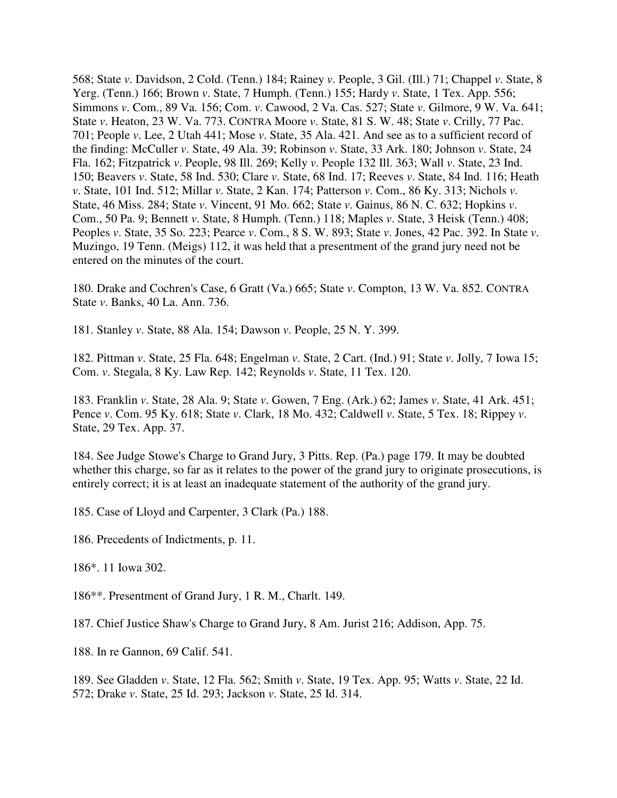568; State *v*. Davidson, 2 Cold. (Tenn.) 184; Rainey *v*. People, 3 Gil. (Ill.) 71; Chappel *v*. State, 8 Yerg. (Tenn.) 166; Brown *v*. State, 7 Humph. (Tenn.) 155; Hardy *v*. State, 1 Tex. App. 556; Simmons *v*. Com., 89 Va. 156; Com. *v*. Cawood, 2 Va. Cas. 527; State *v*. Gilmore, 9 W. Va. 641; State *v*. Heaton, 23 W. Va. 773. CONTRA Moore *v*. State, 81 S. W. 48; State *v*. Crilly, 77 Pac. 701; People *v*. Lee, 2 Utah 441; Mose *v*. State, 35 Ala. 421. And see as to a sufficient record of the finding: McCuller *v*. State, 49 Ala. 39; Robinson *v*. State, 33 Ark. 180; Johnson *v*. State, 24 Fla. 162; Fitzpatrick *v*. People, 98 Ill. 269; Kelly *v*. People 132 Ill. 363; Wall *v*. State, 23 Ind. 150; Beavers *v*. State, 58 Ind. 530; Clare *v*. State, 68 Ind. 17; Reeves *v*. State, 84 Ind. 116; Heath *v*. State, 101 Ind. 512; Millar *v*. State, 2 Kan. 174; Patterson *v*. Com., 86 Ky. 313; Nichols *v*. State, 46 Miss. 284; State *v*. Vincent, 91 Mo. 662; State *v*. Gainus, 86 N. C. 632; Hopkins *v*. Com., 50 Pa. 9; Bennett *v*. State, 8 Humph. (Tenn.) 118; Maples *v*. State, 3 Heisk (Tenn.) 408; Peoples *v*. State, 35 So. 223; Pearce *v*. Com., 8 S. W. 893; State *v*. Jones, 42 Pac. 392. In State *v*. Muzingo, 19 Tenn. (Meigs) 112, it was held that a presentment of the grand jury need not be entered on the minutes of the court.

180. Drake and Cochren's Case, 6 Gratt (Va.) 665; State *v*. Compton, 13 W. Va. 852. CONTRA State *v*. Banks, 40 La. Ann. 736.

181. Stanley *v*. State, 88 Ala. 154; Dawson *v*. People, 25 N. Y. 399.

182. Pittman *v*. State, 25 Fla. 648; Engelman *v*. State, 2 Cart. (Ind.) 91; State *v*. Jolly, 7 Iowa 15; Com. *v*. Stegala, 8 Ky. Law Rep. 142; Reynolds *v*. State, 11 Tex. 120.

183. Franklin *v*. State, 28 Ala. 9; State *v*. Gowen, 7 Eng. (Ark.) 62; James *v*. State, 41 Ark. 451; Pence *v*. Com. 95 Ky. 618; State *v*. Clark, 18 Mo. 432; Caldwell *v*. State, 5 Tex. 18; Rippey *v*. State, 29 Tex. App. 37.

184. See Judge Stowe's Charge to Grand Jury, 3 Pitts. Rep. (Pa.) page 179. It may be doubted whether this charge, so far as it relates to the power of the grand jury to originate prosecutions, is entirely correct; it is at least an inadequate statement of the authority of the grand jury.

185. Case of Lloyd and Carpenter, 3 Clark (Pa.) 188.

186. Precedents of Indictments, p. 11.

186\*. 11 Iowa 302.

186\*\*. Presentment of Grand Jury, 1 R. M., Charlt. 149.

187. Chief Justice Shaw's Charge to Grand Jury, 8 Am. Jurist 216; Addison, App. 75.

188. In re Gannon, 69 Calif. 541.

189. See Gladden *v*. State, 12 Fla. 562; Smith *v*. State, 19 Tex. App. 95; Watts *v*. State, 22 Id. 572; Drake *v*. State, 25 Id. 293; Jackson *v*. State, 25 Id. 314.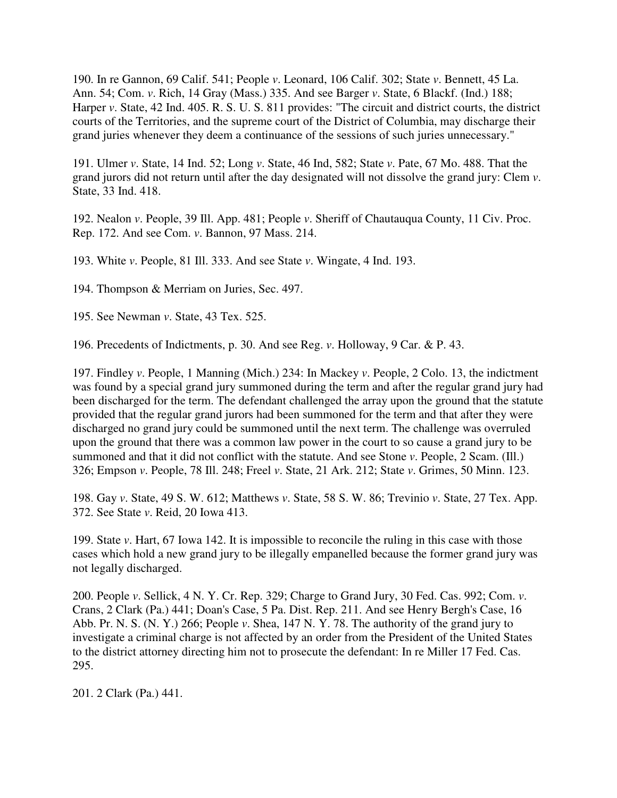190. In re Gannon, 69 Calif. 541; People *v*. Leonard, 106 Calif. 302; State *v*. Bennett, 45 La. Ann. 54; Com. *v*. Rich, 14 Gray (Mass.) 335. And see Barger *v*. State, 6 Blackf. (Ind.) 188; Harper *v*. State, 42 Ind. 405. R. S. U. S. 811 provides: "The circuit and district courts, the district courts of the Territories, and the supreme court of the District of Columbia, may discharge their grand juries whenever they deem a continuance of the sessions of such juries unnecessary."

191. Ulmer *v*. State, 14 Ind. 52; Long *v*. State, 46 Ind, 582; State *v*. Pate, 67 Mo. 488. That the grand jurors did not return until after the day designated will not dissolve the grand jury: Clem *v*. State, 33 Ind. 418.

192. Nealon *v*. People, 39 Ill. App. 481; People *v*. Sheriff of Chautauqua County, 11 Civ. Proc. Rep. 172. And see Com. *v*. Bannon, 97 Mass. 214.

193. White *v*. People, 81 Ill. 333. And see State *v*. Wingate, 4 Ind. 193.

194. Thompson & Merriam on Juries, Sec. 497.

195. See Newman *v*. State, 43 Tex. 525.

196. Precedents of Indictments, p. 30. And see Reg. *v*. Holloway, 9 Car. & P. 43.

197. Findley *v*. People, 1 Manning (Mich.) 234: In Mackey *v*. People, 2 Colo. 13, the indictment was found by a special grand jury summoned during the term and after the regular grand jury had been discharged for the term. The defendant challenged the array upon the ground that the statute provided that the regular grand jurors had been summoned for the term and that after they were discharged no grand jury could be summoned until the next term. The challenge was overruled upon the ground that there was a common law power in the court to so cause a grand jury to be summoned and that it did not conflict with the statute. And see Stone *v*. People, 2 Scam. (Ill.) 326; Empson *v*. People, 78 Ill. 248; Freel *v*. State, 21 Ark. 212; State *v*. Grimes, 50 Minn. 123.

198. Gay *v*. State, 49 S. W. 612; Matthews *v*. State, 58 S. W. 86; Trevinio *v*. State, 27 Tex. App. 372. See State *v*. Reid, 20 Iowa 413.

199. State *v*. Hart, 67 Iowa 142. It is impossible to reconcile the ruling in this case with those cases which hold a new grand jury to be illegally empanelled because the former grand jury was not legally discharged.

200. People *v*. Sellick, 4 N. Y. Cr. Rep. 329; Charge to Grand Jury, 30 Fed. Cas. 992; Com. *v*. Crans, 2 Clark (Pa.) 441; Doan's Case, 5 Pa. Dist. Rep. 211. And see Henry Bergh's Case, 16 Abb. Pr. N. S. (N. Y.) 266; People *v*. Shea, 147 N. Y. 78. The authority of the grand jury to investigate a criminal charge is not affected by an order from the President of the United States to the district attorney directing him not to prosecute the defendant: In re Miller 17 Fed. Cas. 295.

201. 2 Clark (Pa.) 441.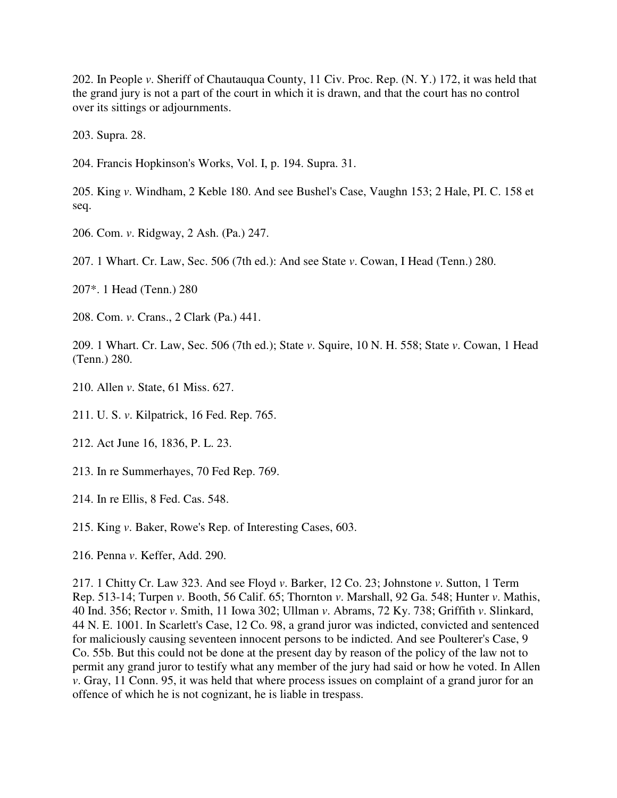202. In People *v*. Sheriff of Chautauqua County, 11 Civ. Proc. Rep. (N. Y.) 172, it was held that the grand jury is not a part of the court in which it is drawn, and that the court has no control over its sittings or adjournments.

203. Supra. 28.

204. Francis Hopkinson's Works, Vol. I, p. 194. Supra. 31.

205. King *v*. Windham, 2 Keble 180. And see Bushel's Case, Vaughn 153; 2 Hale, PI. C. 158 et seq.

206. Com. *v*. Ridgway, 2 Ash. (Pa.) 247.

207. 1 Whart. Cr. Law, Sec. 506 (7th ed.): And see State *v*. Cowan, I Head (Tenn.) 280.

207\*. 1 Head (Tenn.) 280

208. Com. *v*. Crans., 2 Clark (Pa.) 441.

209. 1 Whart. Cr. Law, Sec. 506 (7th ed.); State *v*. Squire, 10 N. H. 558; State *v*. Cowan, 1 Head (Tenn.) 280.

210. Allen *v*. State, 61 Miss. 627.

211. U. S. *v*. Kilpatrick, 16 Fed. Rep. 765.

- 212. Act June 16, 1836, P. L. 23.
- 213. In re Summerhayes, 70 Fed Rep. 769.
- 214. In re Ellis, 8 Fed. Cas. 548.
- 215. King *v*. Baker, Rowe's Rep. of Interesting Cases, 603.
- 216. Penna *v*. Keffer, Add. 290.

217. 1 Chitty Cr. Law 323. And see Floyd *v*. Barker, 12 Co. 23; Johnstone *v*. Sutton, 1 Term Rep. 513-14; Turpen *v*. Booth, 56 Calif. 65; Thornton *v*. Marshall, 92 Ga. 548; Hunter *v*. Mathis, 40 Ind. 356; Rector *v*. Smith, 11 Iowa 302; Ullman *v*. Abrams, 72 Ky. 738; Griffith *v*. Slinkard, 44 N. E. 1001. In Scarlett's Case, 12 Co. 98, a grand juror was indicted, convicted and sentenced for maliciously causing seventeen innocent persons to be indicted. And see Poulterer's Case, 9 Co. 55b. But this could not be done at the present day by reason of the policy of the law not to permit any grand juror to testify what any member of the jury had said or how he voted. In Allen *v*. Gray, 11 Conn. 95, it was held that where process issues on complaint of a grand juror for an offence of which he is not cognizant, he is liable in trespass.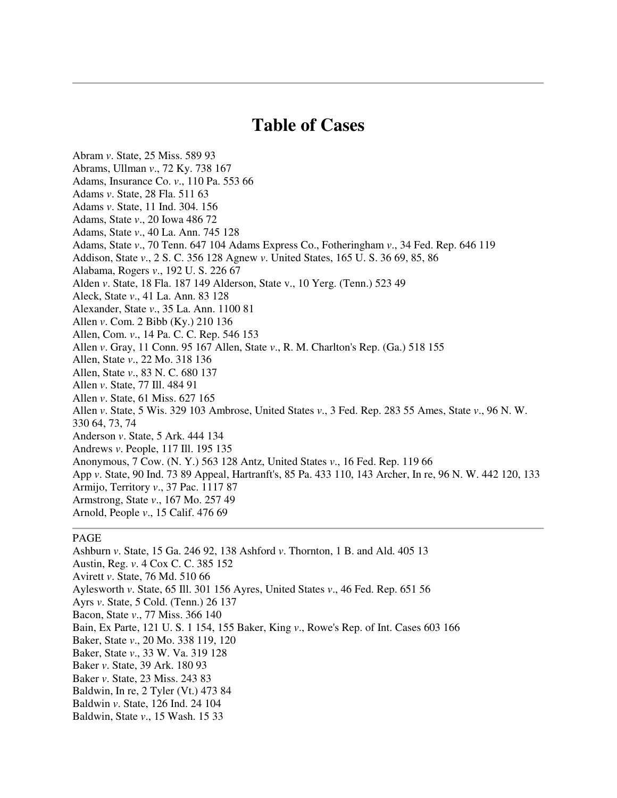## **Table of Cases**

Abram *v*. State, 25 Miss. 589 93 Abrams, Ullman *v*., 72 Ky. 738 167 Adams, Insurance Co. *v*., 110 Pa. 553 66 Adams *v*. State, 28 Fla. 511 63 Adams *v*. State, 11 Ind. 304. 156 Adams, State *v*., 20 Iowa 486 72 Adams, State *v*., 40 La. Ann. 745 128 Adams, State *v*., 70 Tenn. 647 104 Adams Express Co., Fotheringham *v*., 34 Fed. Rep. 646 119 Addison, State *v*., 2 S. C. 356 128 Agnew *v*. United States, 165 U. S. 36 69, 85, 86 Alabama, Rogers *v*., 192 U. S. 226 67 Alden *v*. State, 18 Fla. 187 149 Alderson, State v., 10 Yerg. (Tenn.) 523 49 Aleck, State *v*., 41 La. Ann. 83 128 Alexander, State *v*., 35 La. Ann. 1100 81 Allen *v*. Com. 2 Bibb (Ky.) 210 136 Allen, Com. *v*., 14 Pa. C. C. Rep. 546 153 Allen *v*. Gray, 11 Conn. 95 167 Allen, State *v*., R. M. Charlton's Rep. (Ga.) 518 155 Allen, State *v*., 22 Mo. 318 136 Allen, State *v*., 83 N. C. 680 137 Allen *v*. State, 77 Ill. 484 91 Allen *v*. State, 61 Miss. 627 165 Allen *v*. State, 5 Wis. 329 103 Ambrose, United States *v*., 3 Fed. Rep. 283 55 Ames, State *v*., 96 N. W. 330 64, 73, 74 Anderson *v*. State, 5 Ark. 444 134 Andrews *v*. People, 117 Ill. 195 135 Anonymous, 7 Cow. (N. Y.) 563 128 Antz, United States *v*., 16 Fed. Rep. 119 66 App *v*. State, 90 Ind. 73 89 Appeal, Hartranft's, 85 Pa. 433 110, 143 Archer, In re, 96 N. W. 442 120, 133 Armijo, Territory *v*., 37 Pac. 1117 87 Armstrong, State *v*., 167 Mo. 257 49 Arnold, People *v*., 15 Calif. 476 69

## PAGE

Ashburn *v*. State, 15 Ga. 246 92, 138 Ashford *v*. Thornton, 1 B. and Ald. 405 13 Austin, Reg. *v*. 4 Cox C. C. 385 152 Avirett *v*. State, 76 Md. 510 66 Aylesworth *v*. State, 65 Ill. 301 156 Ayres, United States *v*., 46 Fed. Rep. 651 56 Ayrs *v*. State, 5 Cold. (Tenn.) 26 137 Bacon, State *v*., 77 Miss. 366 140 Bain, Ex Parte, 121 U. S. 1 154, 155 Baker, King *v*., Rowe's Rep. of Int. Cases 603 166 Baker, State *v*., 20 Mo. 338 119, 120 Baker, State *v*., 33 W. Va. 319 128 Baker *v*. State, 39 Ark. 180 93 Baker *v*. State, 23 Miss. 243 83 Baldwin, In re, 2 Tyler (Vt.) 473 84 Baldwin *v*. State, 126 Ind. 24 104 Baldwin, State *v*., 15 Wash. 15 33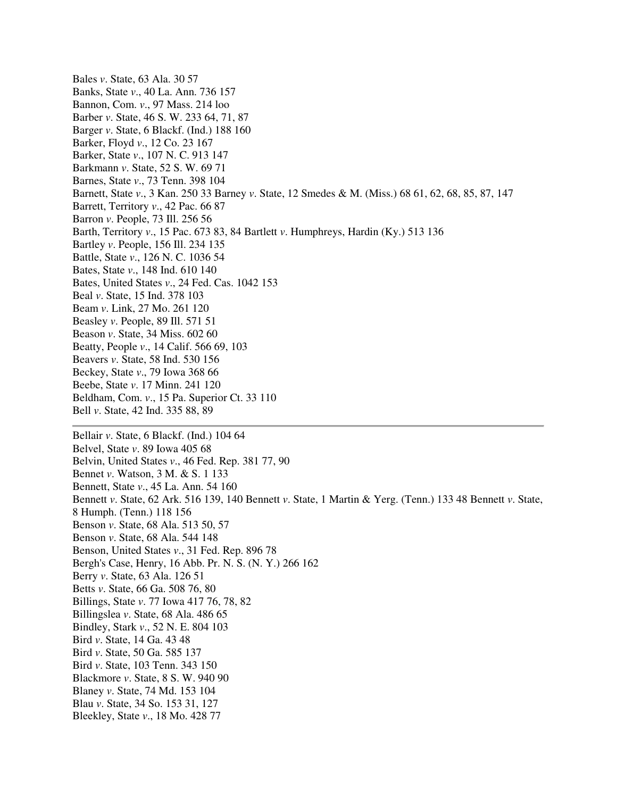Bales *v*. State, 63 Ala. 30 57 Banks, State *v*., 40 La. Ann. 736 157 Bannon, Com. *v*., 97 Mass. 214 loo Barber *v*. State, 46 S. W. 233 64, 71, 87 Barger *v*. State, 6 Blackf. (Ind.) 188 160 Barker, Floyd *v*., 12 Co. 23 167 Barker, State *v*., 107 N. C. 913 147 Barkmann *v*. State, 52 S. W. 69 71 Barnes, State *v*., 73 Tenn. 398 104 Barnett, State *v*., 3 Kan. 250 33 Barney *v*. State, 12 Smedes & M. (Miss.) 68 61, 62, 68, 85, 87, 147 Barrett, Territory *v*., 42 Pac. 66 87 Barron *v*. People, 73 Ill. 256 56 Barth, Territory *v*., 15 Pac. 673 83, 84 Bartlett *v*. Humphreys, Hardin (Ky.) 513 136 Bartley *v*. People, 156 Ill. 234 135 Battle, State *v*., 126 N. C. 1036 54 Bates, State *v*., 148 Ind. 610 140 Bates, United States *v*., 24 Fed. Cas. 1042 153 Beal *v*. State, 15 Ind. 378 103 Beam *v*. Link, 27 Mo. 261 120 Beasley *v*. People, 89 Ill. 571 51 Beason *v*. State, 34 Miss. 602 60 Beatty, People *v*., 14 Calif. 566 69, 103 Beavers *v*. State, 58 Ind. 530 156 Beckey, State *v*., 79 Iowa 368 66 Beebe, State *v*. 17 Minn. 241 120 Beldham, Com. *v*., 15 Pa. Superior Ct. 33 110 Bell *v*. State, 42 Ind. 335 88, 89 Bellair *v*. State, 6 Blackf. (Ind.) 104 64 Belvel, State *v*. 89 Iowa 405 68 Belvin, United States *v*., 46 Fed. Rep. 381 77, 90 Bennet *v*. Watson, 3 M. & S. 1 133 Bennett, State *v*., 45 La. Ann. 54 160 Bennett *v*. State, 62 Ark. 516 139, 140 Bennett *v*. State, 1 Martin & Yerg. (Tenn.) 133 48 Bennett *v*. State, 8 Humph. (Tenn.) 118 156 Benson *v*. State, 68 Ala. 513 50, 57 Benson *v*. State, 68 Ala. 544 148 Benson, United States *v*., 31 Fed. Rep. 896 78 Bergh's Case, Henry, 16 Abb. Pr. N. S. (N. Y.) 266 162 Berry *v*. State, 63 Ala. 126 51 Betts *v*. State, 66 Ga. 508 76, 80 Billings, State *v*. 77 Iowa 417 76, 78, 82 Billingslea *v*. State, 68 Ala. 486 65 Bindley, Stark *v*., 52 N. E. 804 103 Bird *v*. State, 14 Ga. 43 48 Bird *v*. State, 50 Ga. 585 137 Bird *v*. State, 103 Tenn. 343 150 Blackmore *v*. State, 8 S. W. 940 90 Blaney *v*. State, 74 Md. 153 104 Blau *v*. State, 34 So. 153 31, 127 Bleekley, State *v*., 18 Mo. 428 77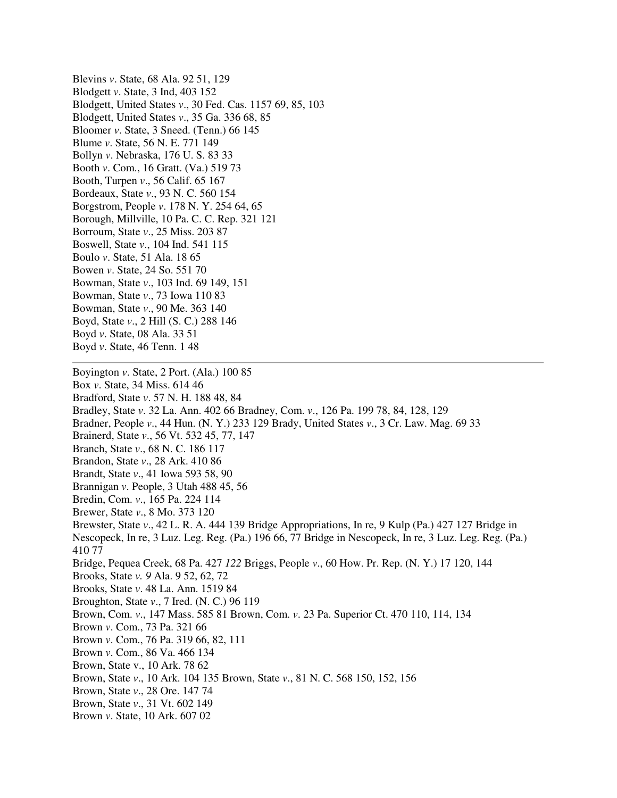Blevins *v*. State, 68 Ala. 92 51, 129 Blodgett *v*. State, 3 Ind, 403 152 Blodgett, United States *v*., 30 Fed. Cas. 1157 69, 85, 103 Blodgett, United States *v*., 35 Ga. 336 68, 85 Bloomer *v*. State, 3 Sneed. (Tenn.) 66 145 Blume *v*. State, 56 N. E. 771 149 Bollyn *v*. Nebraska, 176 U. S. 83 33 Booth *v*. Com., 16 Gratt. (Va.) 519 73 Booth, Turpen *v*., 56 Calif. 65 167 Bordeaux, State *v*., 93 N. C. 560 154 Borgstrom, People *v*. 178 N. Y. 254 64, 65 Borough, Millville, 10 Pa. C. C. Rep. 321 121 Borroum, State *v*., 25 Miss. 203 87 Boswell, State *v*., 104 Ind. 541 115 Boulo *v*. State, 51 Ala. 18 65 Bowen *v*. State, 24 So. 551 70 Bowman, State *v*., 103 Ind. 69 149, 151 Bowman, State *v*., 73 Iowa 110 83 Bowman, State *v*., 90 Me. 363 140 Boyd, State *v*., 2 Hill (S. C.) 288 146 Boyd *v*. State, 08 Ala. 33 51 Boyd *v*. State, 46 Tenn. 1 48 Boyington *v*. State, 2 Port. (Ala.) 100 85 Box *v*. State, 34 Miss. 614 46 Bradford, State *v*. 57 N. H. 188 48, 84

Bradley, State *v*. 32 La. Ann. 402 66 Bradney, Com. *v*., 126 Pa. 199 78, 84, 128, 129 Bradner, People *v*., 44 Hun. (N. Y.) 233 129 Brady, United States *v*., 3 Cr. Law. Mag. 69 33 Brainerd, State *v*., 56 Vt. 532 45, 77, 147 Branch, State *v*., 68 N. C. 186 117 Brandon, State *v*., 28 Ark. 410 86 Brandt, State *v*., 41 Iowa 593 58, 90 Brannigan *v*. People, 3 Utah 488 45, 56 Bredin, Com. *v*., 165 Pa. 224 114 Brewer, State *v*., 8 Mo. 373 120 Brewster, State *v*., 42 L. R. A. 444 139 Bridge Appropriations, In re, 9 Kulp (Pa.) 427 127 Bridge in Nescopeck, In re, 3 Luz. Leg. Reg. (Pa.) 196 66, 77 Bridge in Nescopeck, In re, 3 Luz. Leg. Reg. (Pa.) 410 77 Bridge, Pequea Creek, 68 Pa. 427 *122* Briggs, People *v*., 60 How. Pr. Rep. (N. Y.) 17 120, 144 Brooks, State *v. 9* Ala. 9 52, 62, 72 Brooks, State *v*. 48 La. Ann. 1519 84 Broughton, State *v*., 7 Ired. (N. C.) 96 119 Brown, Com. *v*., 147 Mass. 585 81 Brown, Com. *v*. 23 Pa. Superior Ct. 470 110, 114, 134 Brown *v*. Com., 73 Pa. 321 66 Brown *v*. Com., 76 Pa. 319 66, 82, 111 Brown *v*. Com., 86 Va. 466 134 Brown, State v., 10 Ark. 78 62 Brown, State *v*., 10 Ark. 104 135 Brown, State *v*., 81 N. C. 568 150, 152, 156 Brown, State *v*., 28 Ore. 147 74 Brown, State *v*., 31 Vt. 602 149 Brown *v*. State, 10 Ark. 607 02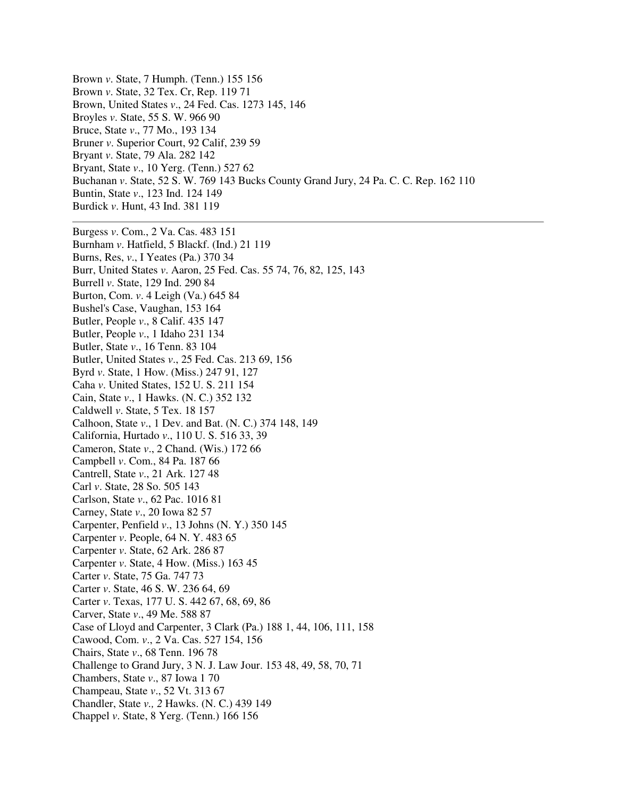Brown *v*. State, 7 Humph. (Tenn.) 155 156 Brown *v*. State, 32 Tex. Cr, Rep. 119 71 Brown, United States *v*., 24 Fed. Cas. 1273 145, 146 Broyles *v*. State, 55 S. W. 966 90 Bruce, State *v*., 77 Mo., 193 134 Bruner *v*. Superior Court, 92 Calif, 239 59 Bryant *v*. State, 79 Ala. 282 142 Bryant, State *v*., 10 Yerg. (Tenn.) 527 62 Buchanan *v*. State, 52 S. W. 769 143 Bucks County Grand Jury, 24 Pa. C. C. Rep. 162 110 Buntin, State *v*., 123 Ind. 124 149 Burdick *v*. Hunt, 43 Ind. 381 119 Burgess *v*. Com., 2 Va. Cas. 483 151 Burnham *v*. Hatfield, 5 Blackf. (Ind.) 21 119 Burns, Res, *v*., I Yeates (Pa.) 370 34 Burr, United States *v*. Aaron, 25 Fed. Cas. 55 74, 76, 82, 125, 143 Burrell *v*. State, 129 Ind. 290 84 Burton, Com. *v*. 4 Leigh (Va.) 645 84 Bushel's Case, Vaughan, 153 164 Butler, People *v*., 8 Calif. 435 147 Butler, People *v*., 1 Idaho 231 134 Butler, State *v*., 16 Tenn. 83 104 Butler, United States *v*., 25 Fed. Cas. 213 69, 156 Byrd *v*. State, 1 How. (Miss.) 247 91, 127 Caha *v*. United States, 152 U. S. 211 154 Cain, State *v*., 1 Hawks. (N. C.) 352 132 Caldwell *v*. State, 5 Tex. 18 157 Calhoon, State *v*., 1 Dev. and Bat. (N. C.) 374 148, 149 California, Hurtado *v*., 110 U. S. 516 33, 39 Cameron, State *v*., 2 Chand. (Wis.) 172 66 Campbell *v*. Com., 84 Pa. 187 66 Cantrell, State *v*., 21 Ark. 127 48 Carl *v*. State, 28 So. 505 143 Carlson, State *v*., 62 Pac. 1016 81 Carney, State *v*., 20 Iowa 82 57 Carpenter, Penfield *v*., 13 Johns (N. Y.) 350 145 Carpenter *v*. People, 64 N. Y. 483 65 Carpenter *v*. State, 62 Ark. 286 87 Carpenter *v*. State, 4 How. (Miss.) 163 45 Carter *v*. State, 75 Ga. 747 73 Carter *v*. State, 46 S. W. 236 64, 69 Carter *v*. Texas, 177 U. S. 442 67, 68, 69, 86 Carver, State *v*., 49 Me. 588 87 Case of Lloyd and Carpenter, 3 Clark (Pa.) 188 1, 44, 106, 111, 158 Cawood, Com. *v*., 2 Va. Cas. 527 154, 156 Chairs, State *v*., 68 Tenn. 196 78 Challenge to Grand Jury, 3 N. J. Law Jour. 153 48, 49, 58, 70, 71 Chambers, State *v*., 87 Iowa 1 70 Champeau, State *v*., 52 Vt. 313 67 Chandler, State *v., 2* Hawks. (N. C.) 439 149 Chappel *v*. State, 8 Yerg. (Tenn.) 166 156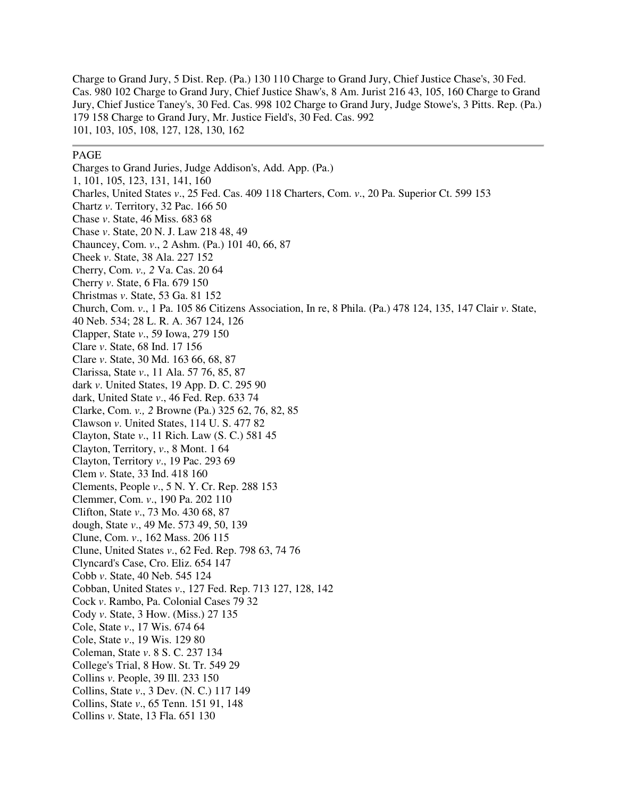Charge to Grand Jury, 5 Dist. Rep. (Pa.) 130 110 Charge to Grand Jury, Chief Justice Chase's, 30 Fed. Cas. 980 102 Charge to Grand Jury, Chief Justice Shaw's, 8 Am. Jurist 216 43, 105, 160 Charge to Grand Jury, Chief Justice Taney's, 30 Fed. Cas. 998 102 Charge to Grand Jury, Judge Stowe's, 3 Pitts. Rep. (Pa.) 179 158 Charge to Grand Jury, Mr. Justice Field's, 30 Fed. Cas. 992 101, 103, 105, 108, 127, 128, 130, 162

## PAGE

Charges to Grand Juries, Judge Addison's, Add. App. (Pa.) 1, 101, 105, 123, 131, 141, 160 Charles, United States *v*., 25 Fed. Cas. 409 118 Charters, Com. *v*., 20 Pa. Superior Ct. 599 153 Chartz *v*. Territory, 32 Pac. 166 50 Chase *v*. State, 46 Miss. 683 68 Chase *v*. State, 20 N. J. Law 218 48, 49 Chauncey, Com. *v*., 2 Ashm. (Pa.) 101 40, 66, 87 Cheek *v*. State, 38 Ala. 227 152 Cherry, Com. *v., 2* Va. Cas. 20 64 Cherry *v*. State, 6 Fla. 679 150 Christmas *v*. State, 53 Ga. 81 152 Church, Com. *v*., 1 Pa. 105 86 Citizens Association, In re, 8 Phila. (Pa.) 478 124, 135, 147 Clair *v*. State, 40 Neb. 534; 28 L. R. A. 367 124, 126 Clapper, State *v*., 59 Iowa, 279 150 Clare *v*. State, 68 Ind. 17 156 Clare *v*. State, 30 Md. 163 66, 68, 87 Clarissa, State *v*., 11 Ala. 57 76, 85, 87 dark *v*. United States, 19 App. D. C. 295 90 dark, United State *v*., 46 Fed. Rep. 633 74 Clarke, Com. *v., 2* Browne (Pa.) 325 62, 76, 82, 85 Clawson *v*. United States, 114 U. S. 477 82 Clayton, State *v*., 11 Rich. Law (S. C.) 581 45 Clayton, Territory, *v*., 8 Mont. 1 64 Clayton, Territory *v*., 19 Pac. 293 69 Clem *v*. State, 33 Ind. 418 160 Clements, People *v*., 5 N. Y. Cr. Rep. 288 153 Clemmer, Com. *v*., 190 Pa. 202 110 Clifton, State *v*., 73 Mo. 430 68, 87 dough, State *v*., 49 Me. 573 49, 50, 139 Clune, Com. *v*., 162 Mass. 206 115 Clune, United States *v*., 62 Fed. Rep. 798 63, 74 76 Clyncard's Case, Cro. Eliz. 654 147 Cobb *v*. State, 40 Neb. 545 124 Cobban, United States *v*., 127 Fed. Rep. 713 127, 128, 142 Cock *v*. Rambo, Pa. Colonial Cases 79 32 Cody *v*. State, 3 How. (Miss.) 27 135 Cole, State *v*., 17 Wis. 674 64 Cole, State *v*., 19 Wis. 129 80 Coleman, State *v*. 8 S. C. 237 134 College's Trial, 8 How. St. Tr. 549 29 Collins *v*. People, 39 Ill. 233 150 Collins, State *v*., 3 Dev. (N. C.) 117 149 Collins, State *v*., 65 Tenn. 151 91, 148 Collins *v*. State, 13 Fla. 651 130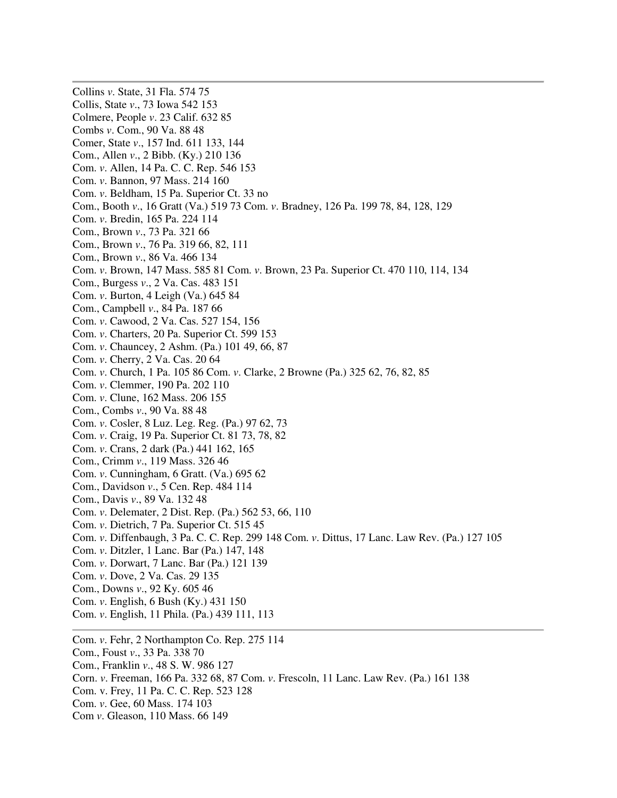Collins *v*. State, 31 Fla. 574 75 Collis, State *v*., 73 Iowa 542 153 Colmere, People *v*. 23 Calif. 632 85 Combs *v*. Com., 90 Va. 88 48 Comer, State *v*., 157 Ind. 611 133, 144 Com., Allen *v*., 2 Bibb. (Ky.) 210 136 Com. *v*. Allen, 14 Pa. C. C. Rep. 546 153 Com. *v*. Bannon, 97 Mass. 214 160 Com. *v*. Beldham, 15 Pa. Superior Ct. 33 no Com., Booth *v*., 16 Gratt (Va.) 519 73 Com. *v*. Bradney, 126 Pa. 199 78, 84, 128, 129 Com. *v*. Bredin, 165 Pa. 224 114 Com., Brown *v*., 73 Pa. 321 66 Com., Brown *v*., 76 Pa. 319 66, 82, 111 Com., Brown *v*., 86 Va. 466 134 Com. *v*. Brown, 147 Mass. 585 81 Com. *v*. Brown, 23 Pa. Superior Ct. 470 110, 114, 134 Com., Burgess *v*., 2 Va. Cas. 483 151 Com. *v*. Burton, 4 Leigh (Va.) 645 84 Com., Campbell *v*., 84 Pa. 187 66 Com. *v*. Cawood, 2 Va. Cas. 527 154, 156 Com. *v*. Charters, 20 Pa. Superior Ct. 599 153 Com. *v*. Chauncey, 2 Ashm. (Pa.) 101 49, 66, 87 Com. *v*. Cherry, 2 Va. Cas. 20 64 Com. *v*. Church, 1 Pa. 105 86 Com. *v*. Clarke, 2 Browne (Pa.) 325 62, 76, 82, 85 Com. *v*. Clemmer, 190 Pa. 202 110 Com. *v*. Clune, 162 Mass. 206 155 Com., Combs *v*., 90 Va. 88 48 Com. *v*. Cosler, 8 Luz. Leg. Reg. (Pa.) 97 62, 73 Com. *v*. Craig, 19 Pa. Superior Ct. 81 73, 78, 82 Com. *v*. Crans, 2 dark (Pa.) 441 162, 165 Com., Crimm *v*., 119 Mass. 326 46 Com. *v*. Cunningham, 6 Gratt. (Va.) 695 62 Com., Davidson *v*., 5 Cen. Rep. 484 114 Com., Davis *v*., 89 Va. 132 48 Com. *v*. Delemater, 2 Dist. Rep. (Pa.) 562 53, 66, 110 Com. *v*. Dietrich, 7 Pa. Superior Ct. 515 45 Com. *v*. Diffenbaugh, 3 Pa. C. C. Rep. 299 148 Com. *v*. Dittus, 17 Lanc. Law Rev. (Pa.) 127 105 Com. *v*. Ditzler, 1 Lanc. Bar (Pa.) 147, 148 Com. *v*. Dorwart, 7 Lanc. Bar (Pa.) 121 139 Com. *v*. Dove, 2 Va. Cas. 29 135 Com., Downs *v*., 92 Ky. 605 46 Com. *v*. English, 6 Bush (Ky.) 431 150 Com. *v*. English, 11 Phila. (Pa.) 439 111, 113 Com. *v*. Fehr, 2 Northampton Co. Rep. 275 114 Com., Foust *v*., 33 Pa. 338 70 Com., Franklin *v*., 48 S. W. 986 127 Corn. *v*. Freeman, 166 Pa. 332 68, 87 Com. *v*. Frescoln, 11 Lanc. Law Rev. (Pa.) 161 138

- Com. v. Frey, 11 Pa. C. C. Rep. 523 128
- Com. *v*. Gee, 60 Mass. 174 103
- Com *v*. Gleason, 110 Mass. 66 149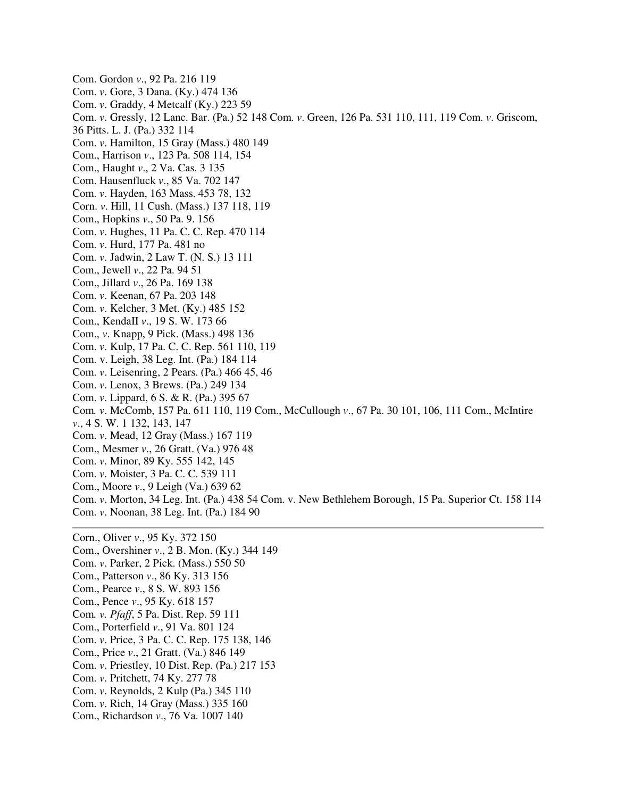Com. Gordon *v*., 92 Pa. 216 119 Com. *v*. Gore, 3 Dana. (Ky.) 474 136 Com. *v*. Graddy, 4 Metcalf (Ky.) 223 59 Com. *v*. Gressly, 12 Lanc. Bar. (Pa.) 52 148 Com. *v*. Green, 126 Pa. 531 110, 111, 119 Com. *v*. Griscom, 36 Pitts. L. J. (Pa.) 332 114 Com. *v*. Hamilton, 15 Gray (Mass.) 480 149 Com., Harrison *v*., 123 Pa. 508 114, 154 Com., Haught *v*., 2 Va. Cas. 3 135 Com. Hausenfluck *v*., 85 Va. 702 147 Com. *v*. Hayden, 163 Mass. 453 78, 132 Corn. *v*. Hill, 11 Cush. (Mass.) 137 118, 119 Com., Hopkins *v*., 50 Pa. 9. 156 Com. *v*. Hughes, 11 Pa. C. C. Rep. 470 114 Com. *v*. Hurd, 177 Pa. 481 no Com. *v*. Jadwin, 2 Law T. (N. S.) 13 111 Com., Jewell *v*., 22 Pa. 94 51 Com., Jillard *v*., 26 Pa. 169 138 Com. *v*. Keenan, 67 Pa. 203 148 Com. *v*. Kelcher, 3 Met. (Ky.) 485 152 Com., KendaII *v*., 19 S. W. 173 66 Com., *v*. Knapp, 9 Pick. (Mass.) 498 136 Com. *v*. Kulp, 17 Pa. C. C. Rep. 561 110, 119 Com. v. Leigh, 38 Leg. Int. (Pa.) 184 114 Com. *v*. Leisenring, 2 Pears. (Pa.) 466 45, 46 Com. *v*. Lenox, 3 Brews. (Pa.) 249 134 Com. *v*. Lippard, 6 S. & R. (Pa.) 395 67 Com*. v*. McComb, 157 Pa. 611 110, 119 Com., McCullough *v*., 67 Pa. 30 101, 106, 111 Com., McIntire *v*., 4 S. W. 1 132, 143, 147 Com. *v*. Mead, 12 Gray (Mass.) 167 119 Com., Mesmer *v*., 26 Gratt. (Va.) 976 48 Com. *v*. Minor, 89 Ky. 555 142, 145 Com. *v*. Moister, 3 Pa. C. C. 539 111 Com., Moore *v*., 9 Leigh (Va.) 639 62 Com. *v*. Morton, 34 Leg. Int. (Pa.) 438 54 Com. v. New Bethlehem Borough, 15 Pa. Superior Ct. 158 114 Com. *v*. Noonan, 38 Leg. Int. (Pa.) 184 90

Corn., Oliver *v*., 95 Ky. 372 150 Com., Overshiner *v*., 2 B. Mon. (Ky.) 344 149 Com. *v*. Parker, 2 Pick. (Mass.) 550 50 Com., Patterson *v*., 86 Ky. 313 156 Com., Pearce *v*., 8 S. W. 893 156 Com., Pence *v*., 95 Ky. 618 157 Com*. v. Pfaff*, 5 Pa. Dist. Rep. 59 111 Com., Porterfield *v*., 91 Va. 801 124 Com. *v*. Price, 3 Pa. C. C. Rep. 175 138, 146 Com., Price *v*., 21 Gratt. (Va.) 846 149 Com. *v*. Priestley, 10 Dist. Rep. (Pa.) 217 153 Com. *v*. Pritchett, 74 Ky. 277 78 Com. *v*. Reynolds, 2 Kulp (Pa.) 345 110 Com. *v*. Rich, 14 Gray (Mass.) 335 160 Com., Richardson *v*., 76 Va. 1007 140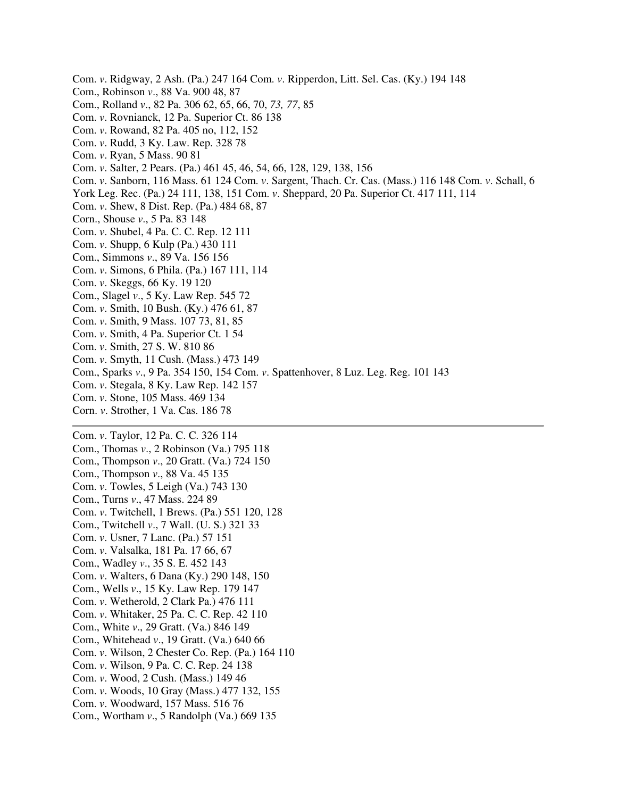Com. *v*. Ridgway, 2 Ash. (Pa.) 247 164 Com. *v*. Ripperdon, Litt. Sel. Cas. (Ky.) 194 148 Com., Robinson *v*., 88 Va. 900 48, 87 Com., Rolland *v*., 82 Pa. 306 62, 65, 66, 70, *73, 77*, 85 Com. *v*. Rovnianck, 12 Pa. Superior Ct. 86 138 Com. *v*. Rowand, 82 Pa. 405 no, 112, 152 Com. *v*. Rudd, 3 Ky. Law. Rep. 328 78 Com. *v*. Ryan, 5 Mass. 90 81 Com. *v*. Salter, 2 Pears. (Pa.) 461 45, 46, 54, 66, 128, 129, 138, 156 Com. *v*. Sanborn, 116 Mass. 61 124 Com. *v*. Sargent, Thach. Cr. Cas. (Mass.) 116 148 Com. *v*. Schall, 6 York Leg. Rec. (Pa.) 24 111, 138, 151 Com. *v*. Sheppard, 20 Pa. Superior Ct. 417 111, 114 Com. *v*. Shew, 8 Dist. Rep. (Pa.) 484 68, 87 Corn., Shouse *v*., 5 Pa. 83 148 Com. *v*. Shubel, 4 Pa. C. C. Rep. 12 111 Com. *v*. Shupp, 6 Kulp (Pa.) 430 111 Com., Simmons *v*., 89 Va. 156 156 Com. *v*. Simons, 6 Phila. (Pa.) 167 111, 114 Com. *v*. Skeggs, 66 Ky. 19 120 Com., Slagel *v*., 5 Ky. Law Rep. 545 72 Com. *v*. Smith, 10 Bush. (Ky.) 476 61, 87 Com. *v*. Smith, 9 Mass. 107 73, 81, 85 Com. *v*. Smith, 4 Pa. Superior Ct. 1 54 Com. *v*. Smith, 27 S. W. 810 86 Com. *v*. Smyth, 11 Cush. (Mass.) 473 149 Com., Sparks *v*., 9 Pa. 354 150, 154 Com. *v*. Spattenhover, 8 Luz. Leg. Reg. 101 143 Com. *v*. Stegala, 8 Ky. Law Rep. 142 157 Com. *v*. Stone, 105 Mass. 469 134 Corn. *v*. Strother, 1 Va. Cas. 186 78 Com. *v*. Taylor, 12 Pa. C. C. 326 114 Com., Thomas *v*., 2 Robinson (Va.) 795 118 Com., Thompson *v*., 20 Gratt. (Va.) 724 150 Com., Thompson *v*., 88 Va. 45 135

Com. *v*. Towles, 5 Leigh (Va.) 743 130 Com., Turns *v*., 47 Mass. 224 89 Com. *v*. Twitchell, 1 Brews. (Pa.) 551 120, 128 Com., Twitchell *v*., 7 Wall. (U. S.) 321 33 Com. *v*. Usner, 7 Lanc. (Pa.) 57 151 Com. *v*. Valsalka, 181 Pa. 17 66, 67 Com., Wadley *v*., 35 S. E. 452 143 Com. *v*. Walters, 6 Dana (Ky.) 290 148, 150 Com., Wells *v*., 15 Ky. Law Rep. 179 147 Com. *v*. Wetherold, 2 Clark Pa.) 476 111 Com. *v*. Whitaker, 25 Pa. C. C. Rep. 42 110 Com., White *v*., 29 Gratt. (Va.) 846 149 Com., Whitehead *v*., 19 Gratt. (Va.) 640 66 Com. *v*. Wilson, 2 Chester Co. Rep. (Pa.) 164 110 Com. *v*. Wilson, 9 Pa. C. C. Rep. 24 138 Com. *v*. Wood, 2 Cush. (Mass.) 149 46 Com. *v*. Woods, 10 Gray (Mass.) 477 132, 155 Com. *v*. Woodward, 157 Mass. 516 76

Com., Wortham *v*., 5 Randolph (Va.) 669 135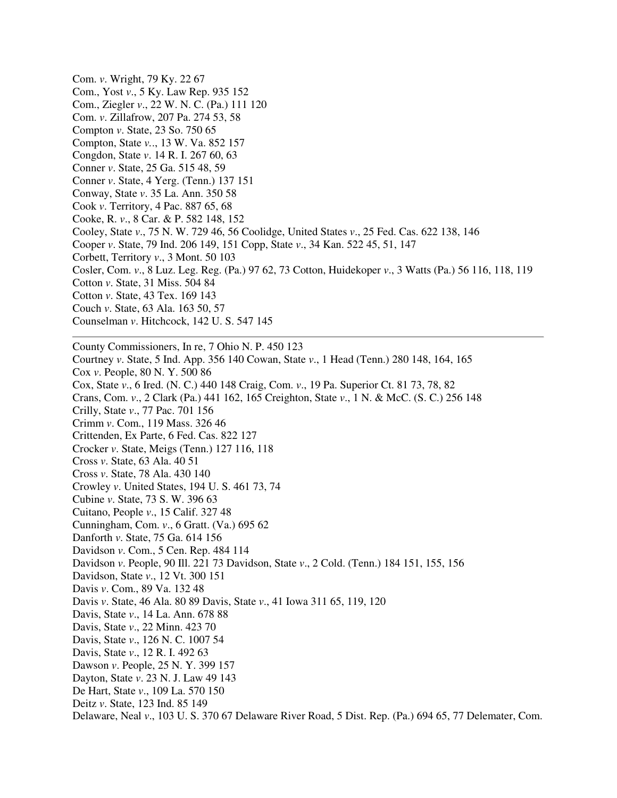Com. *v*. Wright, 79 Ky. 22 67 Com., Yost *v*., 5 Ky. Law Rep. 935 152 Com., Ziegler *v*., 22 W. N. C. (Pa.) 111 120 Com. *v*. Zillafrow, 207 Pa. 274 53, 58 Compton *v*. State, 23 So. 750 65 Compton, State *v.*., 13 W. Va. 852 157 Congdon, State *v*. 14 R. I. 267 60, 63 Conner *v*. State, 25 Ga. 515 48, 59 Conner *v*. State, 4 Yerg. (Tenn.) 137 151 Conway, State *v*. 35 La. Ann. 350 58 Cook *v*. Territory, 4 Pac. 887 65, 68 Cooke, R. *v*., 8 Car. & P. 582 148, 152 Cooley, State *v*., 75 N. W. 729 46, 56 Coolidge, United States *v*., 25 Fed. Cas. 622 138, 146 Cooper *v*. State, 79 Ind. 206 149, 151 Copp, State *v*., 34 Kan. 522 45, 51, 147 Corbett, Territory *v*., 3 Mont. 50 103 Cosler, Com. *v*., 8 Luz. Leg. Reg. (Pa.) 97 62, 73 Cotton, Huidekoper *v*., 3 Watts (Pa.) 56 116, 118, 119 Cotton *v*. State, 31 Miss. 504 84 Cotton *v*. State, 43 Tex. 169 143 Couch *v*. State, 63 Ala. 163 50, 57 Counselman *v*. Hitchcock, 142 U. S. 547 145 County Commissioners, In re, 7 Ohio N. P. 450 123 Courtney *v*. State, 5 Ind. App. 356 140 Cowan, State *v*., 1 Head (Tenn.) 280 148, 164, 165 Cox *v*. People, 80 N. Y. 500 86 Cox, State *v*., 6 Ired. (N. C.) 440 148 Craig, Com. *v*., 19 Pa. Superior Ct. 81 73, 78, 82 Crans, Com. *v*., 2 Clark (Pa.) 441 162, 165 Creighton, State *v*., 1 N. & McC. (S. C.) 256 148 Crilly, State *v*., 77 Pac. 701 156 Crimm *v*. Com., 119 Mass. 326 46 Crittenden, Ex Parte, 6 Fed. Cas. 822 127 Crocker *v*. State, Meigs (Tenn.) 127 116, 118 Cross *v*. State, 63 Ala. 40 51 Cross *v*. State, 78 Ala. 430 140 Crowley *v*. United States, 194 U. S. 461 73, 74 Cubine *v*. State, 73 S. W. 396 63 Cuitano, People *v*., 15 Calif. 327 48 Cunningham, Com. *v*., 6 Gratt. (Va.) 695 62 Danforth *v*. State, 75 Ga. 614 156 Davidson *v*. Com., 5 Cen. Rep. 484 114 Davidson *v*. People, 90 Ill. 221 73 Davidson, State *v*., 2 Cold. (Tenn.) 184 151, 155, 156 Davidson, State *v*., 12 Vt. 300 151 Davis *v*. Com., 89 Va. 132 48 Davis *v*. State, 46 Ala. 80 89 Davis, State *v*., 41 Iowa 311 65, 119, 120 Davis, State *v*., 14 La. Ann. 678 88 Davis, State *v*., 22 Minn. 423 70 Davis, State *v*., 126 N. C. 1007 54 Davis, State *v*., 12 R. I. 492 63 Dawson *v*. People, 25 N. Y. 399 157 Dayton, State *v*. 23 N. J. Law 49 143 De Hart, State *v*., 109 La. 570 150 Deitz *v*. State, 123 Ind. 85 149 Delaware, Neal *v*., 103 U. S. 370 67 Delaware River Road, 5 Dist. Rep. (Pa.) 694 65, 77 Delemater, Com.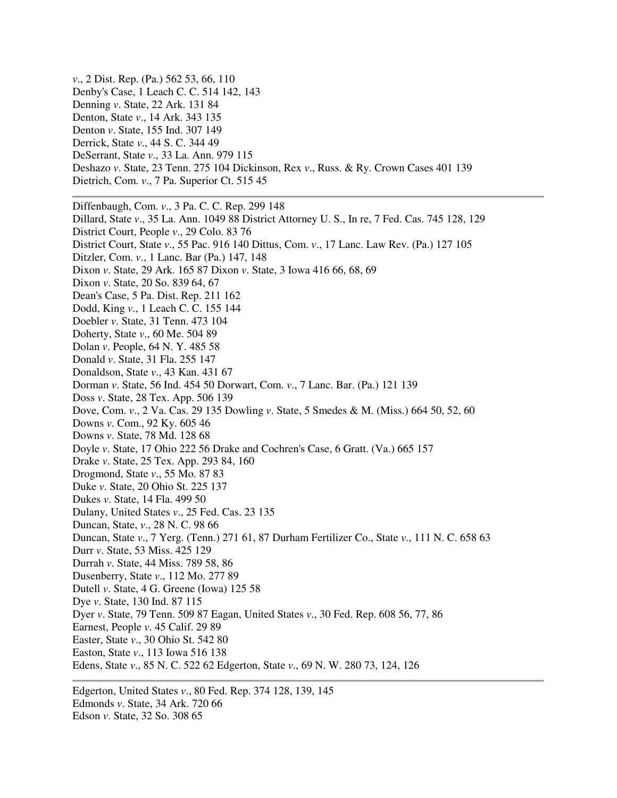*v*., 2 Dist. Rep. (Pa.) 562 53, 66, 110 Denby's Case, 1 Leach C. C. 514 142, 143 Denning *v*. State, 22 Ark. 131 84 Denton, State *v*., 14 Ark. 343 135 Denton *v*. State, 155 Ind. 307 149 Derrick, State *v*., 44 S. C. 344 49 DeSerrant, State *v*., 33 La. Ann. 979 115 Deshazo *v*. State, 23 Tenn. 275 104 Dickinson, Rex *v*., Russ. & Ry. Crown Cases 401 139 Dietrich, Com. *v*., 7 Pa. Superior Ct. 515 45

Diffenbaugh, Com. *v*., 3 Pa. C. C. Rep. 299 148 Dillard, State *v*., 35 La. Ann. 1049 88 District Attorney U. S., In re, 7 Fed. Cas. 745 128, 129 District Court, People *v*., 29 Colo. 83 76 District Court, State *v*., 55 Pac. 916 140 Dittus, Com. *v*., 17 Lanc. Law Rev. (Pa.) 127 105 Ditzler, Com. *v*., 1 Lanc. Bar (Pa.) 147, 148 Dixon *v*. State, 29 Ark. 165 87 Dixon *v*. State, 3 Iowa 416 66, 68, 69 Dixon *v*. State, 20 So. 839 64, 67 Dean's Case, 5 Pa. Dist. Rep. 211 162 Dodd, King *v*., 1 Leach C. C. 155 144 Doebler *v*. State, 31 Tenn. 473 104 Doherty, State *v*., 60 Me. 504 89 Dolan *v*. People, 64 N. Y. 485 58 Donald *v*. State, 31 Fla. 255 147 Donaldson, State *v*., 43 Kan. 431 67 Dorman *v*. State, 56 Ind. 454 50 Dorwart, Com. *v*., 7 Lanc. Bar. (Pa.) 121 139 Doss *v*. State, 28 Tex. App. 506 139 Dove, Com. *v*., 2 Va. Cas. 29 135 Dowling *v*. State, 5 Smedes & M. (Miss.) 664 50, 52, 60 Downs *v*. Com., 92 Ky. 605 46 Downs *v*. State, 78 Md. 128 68 Doyle *v*. State, 17 Ohio 222 56 Drake and Cochren's Case, 6 Gratt. (Va.) 665 157 Drake *v*. State, 25 Tex. App. 293 84, 160 Drogmond, State *v*., 55 Mo. 87 83 Duke *v*. State, 20 Ohio St. 225 137 Dukes *v*. State, 14 Fla. 499 50 Dulany, United States *v*., 25 Fed. Cas. 23 135 Duncan, State, *v*., 28 N. C. 98 66 Duncan, State *v*., 7 Yerg. (Tenn.) 271 61, 87 Durham Fertilizer Co., State *v*., 111 N. C. 658 63 Durr *v*. State, 53 Miss. 425 129 Durrah *v*. State, 44 Miss. 789 58, 86 Dusenberry, State *v*., 112 Mo. 277 89 Dutell *v*. State, 4 G. Greene (Iowa) 125 58 Dye *v*. State, 130 Ind. 87 115 Dyer *v*. State, 79 Tenn. 509 87 Eagan, United States *v*., 30 Fed. Rep. 608 56, 77, 86 Earnest, People *v*. 45 Calif. 29 89 Easter, State *v*., 30 Ohio St. 542 80 Easton, State *v*., 113 Iowa 516 138 Edens, State *v*., 85 N. C. 522 62 Edgerton, State *v*., 69 N. W. 280 73, 124, 126

Edgerton, United States *v*., 80 Fed. Rep. 374 128, 139, 145 Edmonds *v*. State, 34 Ark. 720 66 Edson *v*. State, 32 So. 308 65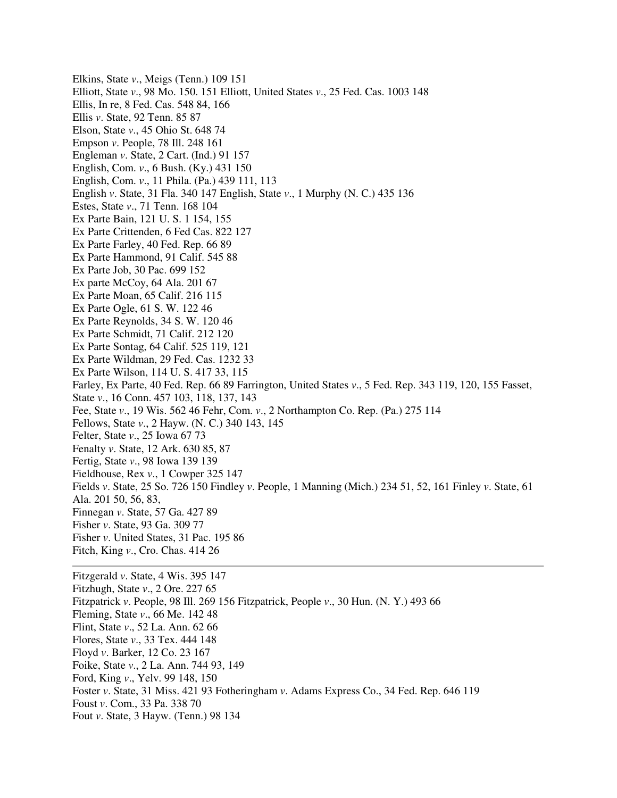Elkins, State *v*., Meigs (Tenn.) 109 151 Elliott, State *v*., 98 Mo. 150. 151 Elliott, United States *v*., 25 Fed. Cas. 1003 148 Ellis, In re, 8 Fed. Cas. 548 84, 166 Ellis *v*. State, 92 Tenn. 85 87 Elson, State *v*., 45 Ohio St. 648 74 Empson *v*. People, 78 Ill. 248 161 Engleman *v*. State, 2 Cart. (Ind.) 91 157 English, Com. *v*., 6 Bush. (Ky.) 431 150 English, Com. *v*., 11 Phila. (Pa.) 439 111, 113 English *v*. State, 31 Fla. 340 147 English, State *v*., 1 Murphy (N. C.) 435 136 Estes, State *v*., 71 Tenn. 168 104 Ex Parte Bain, 121 U. S. 1 154, 155 Ex Parte Crittenden, 6 Fed Cas. 822 127 Ex Parte Farley, 40 Fed. Rep. 66 89 Ex Parte Hammond, 91 Calif. 545 88 Ex Parte Job, 30 Pac. 699 152 Ex parte McCoy, 64 Ala. 201 67 Ex Parte Moan, 65 Calif. 216 115 Ex Parte Ogle, 61 S. W. 122 46 Ex Parte Reynolds, 34 S. W. 120 46 Ex Parte Schmidt, 71 Calif. 212 120 Ex Parte Sontag, 64 Calif. 525 119, 121 Ex Parte Wildman, 29 Fed. Cas. 1232 33 Ex Parte Wilson, 114 U. S. 417 33, 115 Farley, Ex Parte, 40 Fed. Rep. 66 89 Farrington, United States *v*., 5 Fed. Rep. 343 119, 120, 155 Fasset, State *v*., 16 Conn. 457 103, 118, 137, 143 Fee, State *v*., 19 Wis. 562 46 Fehr, Com. *v*., 2 Northampton Co. Rep. (Pa.) 275 114 Fellows, State *v*., 2 Hayw. (N. C.) 340 143, 145 Felter, State *v*., 25 Iowa 67 73 Fenalty *v*. State, 12 Ark. 630 85, 87 Fertig, State *v*., 98 Iowa 139 139 Fieldhouse, Rex *v*., 1 Cowper 325 147 Fields *v*. State, 25 So. 726 150 Findley *v*. People, 1 Manning (Mich.) 234 51, 52, 161 Finley *v*. State, 61 Ala. 201 50, 56, 83, Finnegan *v*. State, 57 Ga. 427 89 Fisher *v*. State, 93 Ga. 309 77 Fisher *v*. United States, 31 Pac. 195 86 Fitch, King *v*., Cro. Chas. 414 26 Fitzgerald *v*. State, 4 Wis. 395 147

Fitzhugh, State *v*., 2 Ore. 227 65 Fitzpatrick *v*. People, 98 Ill. 269 156 Fitzpatrick, People *v*., 30 Hun. (N. Y.) 493 66 Fleming, State *v*., 66 Me. 142 48 Flint, State *v*., 52 La. Ann. 62 66 Flores, State *v*., 33 Tex. 444 148 Floyd *v*. Barker, 12 Co. 23 167 Foike, State *v*., 2 La. Ann. 744 93, 149 Ford, King *v*., Yelv. 99 148, 150 Foster *v*. State, 31 Miss. 421 93 Fotheringham *v*. Adams Express Co., 34 Fed. Rep. 646 119 Foust *v*. Com., 33 Pa. 338 70 Fout *v*. State, 3 Hayw. (Tenn.) 98 134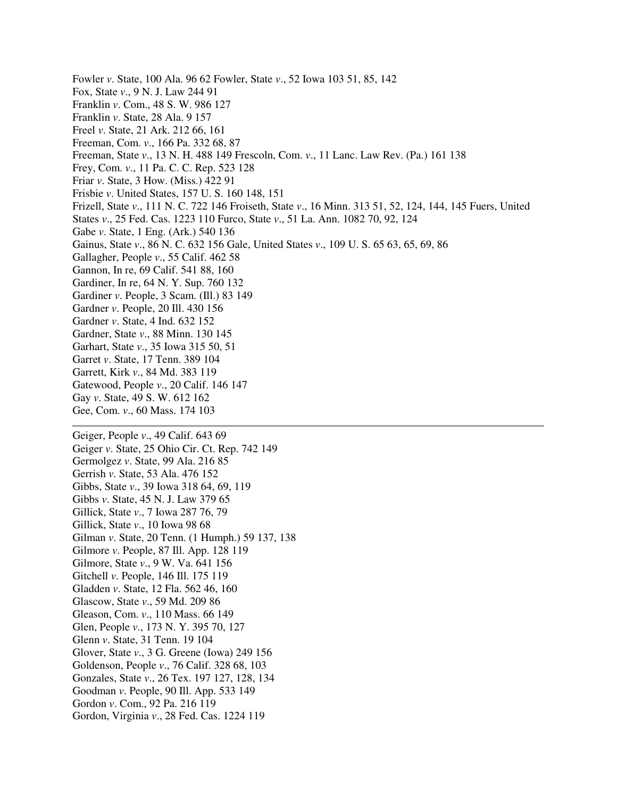Fowler *v*. State, 100 Ala. 96 62 Fowler, State *v*., 52 Iowa 103 51, 85, 142 Fox, State *v*., 9 N. J. Law 244 91 Franklin *v*. Com., 48 S. W. 986 127 Franklin *v*. State, 28 Ala. 9 157 Freel *v*. State, 21 Ark. 212 66, 161 Freeman, Com. *v*., 166 Pa. 332 68, 87 Freeman, State *v*., 13 N. H. 488 149 Frescoln, Com. *v*., 11 Lanc. Law Rev. (Pa.) 161 138 Frey, Com. *v*., 11 Pa. C. C. Rep. 523 128 Friar *v*. State, 3 How. (Miss.) 422 91 Frisbie *v*. United States, 157 U. S. 160 148, 151 Frizell, State *v*., 111 N. C. 722 146 Froiseth, State *v*., 16 Minn. 313 51, 52, 124, 144, 145 Fuers, United States *v*., 25 Fed. Cas. 1223 110 Furco, State *v*., 51 La. Ann. 1082 70, 92, 124 Gabe *v*. State, 1 Eng. (Ark.) 540 136 Gainus, State *v*., 86 N. C. 632 156 Gale, United States *v*., 109 U. S. 65 63, 65, 69, 86 Gallagher, People *v*., 55 Calif. 462 58 Gannon, In re, 69 Calif. 541 88, 160 Gardiner, In re, 64 N. Y. Sup. 760 132 Gardiner *v*. People, 3 Scam. (Ill.) 83 149 Gardner *v*. People, 20 Ill. 430 156 Gardner *v*. State, 4 Ind. 632 152 Gardner, State *v*., 88 Minn. 130 145 Garhart, State *v*., 35 Iowa 315 50, 51 Garret *v*. State, 17 Tenn. 389 104 Garrett, Kirk *v*., 84 Md. 383 119 Gatewood, People *v*., 20 Calif. 146 147 Gay *v*. State, 49 S. W. 612 162 Gee, Com. *v*., 60 Mass. 174 103 Geiger, People *v*., 49 Calif. 643 69 Geiger *v*. State, 25 Ohio Cir. Ct. Rep. 742 149 Germolgez *v*. State, 99 Ala. 216 85 Gerrish *v*. State, 53 Ala. 476 152 Gibbs, State *v*., 39 Iowa 318 64, 69, 119 Gibbs *v*. State, 45 N. J. Law 379 65 Gillick, State *v*., 7 Iowa 287 76, 79 Gillick, State *v*., 10 Iowa 98 68 Gilman *v*. State, 20 Tenn. (1 Humph.) 59 137, 138 Gilmore *v*. People, 87 Ill. App. 128 119 Gilmore, State *v*., 9 W. Va. 641 156 Gitchell *v*. People, 146 Ill. 175 119 Gladden *v*. State, 12 Fla. 562 46, 160 Glascow, State *v*., 59 Md. 209 86

Gleason, Com. *v*., 110 Mass. 66 149

Glen, People *v*., 173 N. Y. 395 70, 127

Glenn *v*. State, 31 Tenn. 19 104

Glover, State *v*., 3 G. Greene (Iowa) 249 156

- Goldenson, People *v*., 76 Calif. 328 68, 103
- Gonzales, State *v*., 26 Tex. 197 127, 128, 134
- Goodman *v*. People, 90 Ill. App. 533 149
- Gordon *v*. Com., 92 Pa. 216 119
- Gordon, Virginia *v*., 28 Fed. Cas. 1224 119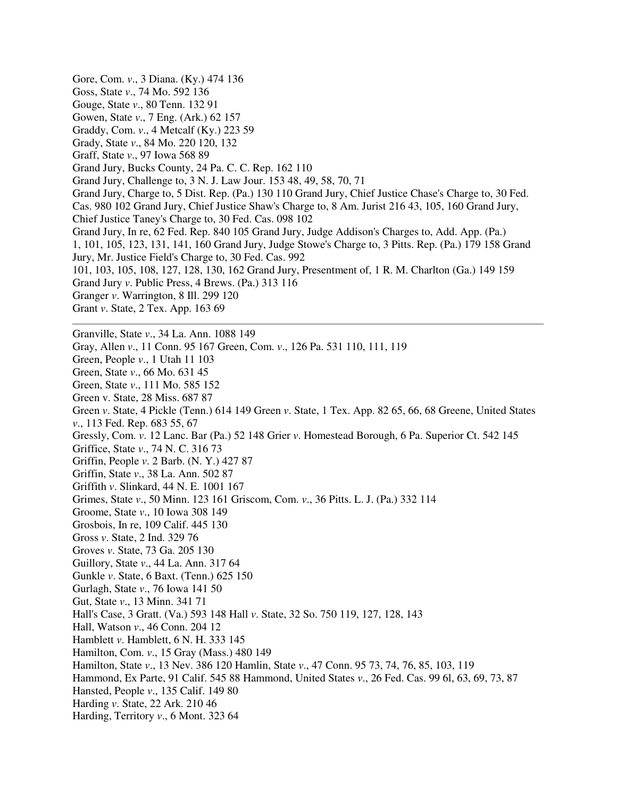Gore, Com. *v*., 3 Diana. (Ky.) 474 136 Goss, State *v*., 74 Mo. 592 136 Gouge, State *v*., 80 Tenn. 132 91 Gowen, State *v*., 7 Eng. (Ark.) 62 157 Graddy, Com. *v*., 4 Metcalf (Ky.) 223 59 Grady, State *v*., 84 Mo. 220 120, 132 Graff, State *v*., 97 Iowa 568 89 Grand Jury, Bucks County, 24 Pa. C. C. Rep. 162 110 Grand Jury, Challenge to, 3 N. J. Law Jour. 153 48, 49, 58, 70, 71 Grand Jury, Charge to, 5 Dist. Rep. (Pa.) 130 110 Grand Jury, Chief Justice Chase's Charge to, 30 Fed. Cas. 980 102 Grand Jury, Chief Justice Shaw's Charge to, 8 Am. Jurist 216 43, 105, 160 Grand Jury, Chief Justice Taney's Charge to, 30 Fed. Cas. 098 102 Grand Jury, In re, 62 Fed. Rep. 840 105 Grand Jury, Judge Addison's Charges to, Add. App. (Pa.) 1, 101, 105, 123, 131, 141, 160 Grand Jury, Judge Stowe's Charge to, 3 Pitts. Rep. (Pa.) 179 158 Grand Jury, Mr. Justice Field's Charge to, 30 Fed. Cas. 992 101, 103, 105, 108, 127, 128, 130, 162 Grand Jury, Presentment of, 1 R. M. Charlton (Ga.) 149 159 Grand Jury *v*. Public Press, 4 Brews. (Pa.) 313 116 Granger *v*. Warrington, 8 Ill. 299 120 Grant *v*. State, 2 Tex. App. 163 69 Granville, State *v*., 34 La. Ann. 1088 149 Gray, Allen *v*., 11 Conn. 95 167 Green, Com. *v*., 126 Pa. 531 110, 111, 119 Green, People *v*., 1 Utah 11 103 Green, State *v*., 66 Mo. 631 45 Green, State *v*., 111 Mo. 585 152 Green v. State, 28 Miss. 687 87 Green *v*. State, 4 Pickle (Tenn.) 614 149 Green *v*. State, 1 Tex. App. 82 65, 66, 68 Greene, United States *v*., 113 Fed. Rep. 683 55, 67 Gressly, Com. *v*. 12 Lanc. Bar (Pa.) 52 148 Grier *v*. Homestead Borough, 6 Pa. Superior Ct. 542 145 Griffice, State *v*., 74 N. C. 316 73 Griffin, People *v*. 2 Barb. (N. Y.) 427 87 Griffin, State *v*., 38 La. Ann. 502 87 Griffith *v*. Slinkard, 44 N. E. 1001 167 Grimes, State *v*., 50 Minn. 123 161 Griscom, Com. *v*., 36 Pitts. L. J. (Pa.) 332 114 Groome, State *v*., 10 Iowa 308 149 Grosbois, In re, 109 Calif. 445 130 Gross *v*. State, 2 Ind. 329 76 Groves *v*. State, 73 Ga. 205 130 Guillory, State *v*., 44 La. Ann. 317 64 Gunkle *v*. State, 6 Baxt. (Tenn.) 625 150 Gurlagh, State *v*., 76 Iowa 141 50 Gut, State *v*., 13 Minn. 341 71 Hall's Case, 3 Gratt. (Va.) 593 148 Hall *v*. State, 32 So. 750 119, 127, 128, 143 Hall, Watson *v*., 46 Conn. 204 12 Hamblett *v*. Hamblett, 6 N. H. 333 145 Hamilton, Com. *v*., 15 Gray (Mass.) 480 149 Hamilton, State *v*., 13 Nev. 386 120 Hamlin, State *v*., 47 Conn. 95 73, 74, 76, 85, 103, 119 Hammond, Ex Parte, 91 Calif. 545 88 Hammond, United States *v*., 26 Fed. Cas. 99 6l, 63, 69, 73, 87 Hansted, People *v*., 135 Calif. 149 80 Harding *v*. State, 22 Ark. 210 46 Harding, Territory *v*., 6 Mont. 323 64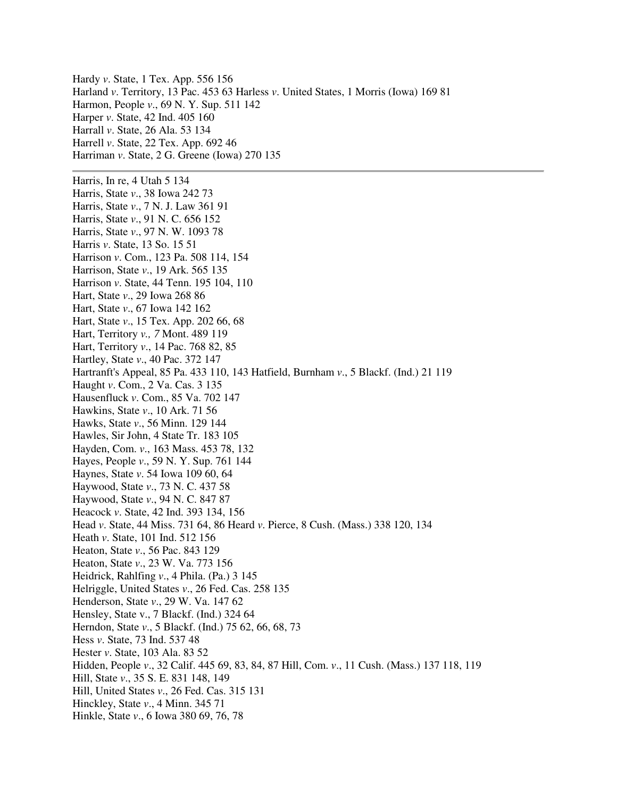Hardy *v*. State, 1 Tex. App. 556 156 Harland *v*. Territory, 13 Pac. 453 63 Harless *v*. United States, 1 Morris (Iowa) 169 81 Harmon, People *v*., 69 N. Y. Sup. 511 142 Harper *v*. State, 42 Ind. 405 160 Harrall *v*. State, 26 Ala. 53 134 Harrell *v*. State, 22 Tex. App. 692 46 Harriman *v*. State, 2 G. Greene (Iowa) 270 135 Harris, In re, 4 Utah 5 134 Harris, State *v*., 38 Iowa 242 73 Harris, State *v*., 7 N. J. Law 361 91 Harris, State *v*., 91 N. C. 656 152 Harris, State *v*., 97 N. W. 1093 78 Harris *v*. State, 13 So. 15 51 Harrison *v*. Com., 123 Pa. 508 114, 154 Harrison, State *v*., 19 Ark. 565 135 Harrison *v*. State, 44 Tenn. 195 104, 110 Hart, State *v*., 29 Iowa 268 86 Hart, State *v*., 67 Iowa 142 162 Hart, State *v*., 15 Tex. App. 202 66, 68 Hart, Territory *v., 7* Mont. 489 119 Hart, Territory *v*., 14 Pac. 768 82, 85 Hartley, State *v*., 40 Pac. 372 147 Hartranft's Appeal, 85 Pa. 433 110, 143 Hatfield, Burnham *v*., 5 Blackf. (Ind.) 21 119 Haught *v*. Com., 2 Va. Cas. 3 135 Hausenfluck *v*. Com., 85 Va. 702 147 Hawkins, State *v*., 10 Ark. 71 56 Hawks, State *v*., 56 Minn. 129 144 Hawles, Sir John, 4 State Tr. 183 105 Hayden, Com. *v*., 163 Mass. 453 78, 132 Hayes, People *v*., 59 N. Y. Sup. 761 144 Haynes, State *v*. 54 Iowa 109 60, 64 Haywood, State *v*., 73 N. C. 437 58 Haywood, State *v*., 94 N. C. 847 87 Heacock *v*. State, 42 Ind. 393 134, 156 Head *v*. State, 44 Miss. 731 64, 86 Heard *v*. Pierce, 8 Cush. (Mass.) 338 120, 134 Heath *v*. State, 101 Ind. 512 156 Heaton, State *v*., 56 Pac. 843 129 Heaton, State *v*., 23 W. Va. 773 156 Heidrick, Rahlfing *v*., 4 Phila. (Pa.) 3 145 Helriggle, United States *v*., 26 Fed. Cas. 258 135 Henderson, State *v*., 29 W. Va. 147 62 Hensley, State v., 7 Blackf. (Ind.) 324 64 Herndon, State *v*., 5 Blackf. (Ind.) 75 62, 66, 68, 73 Hess *v*. State, 73 Ind. 537 48 Hester *v*. State, 103 Ala. 83 52 Hidden, People *v*., 32 Calif. 445 69, 83, 84, 87 Hill, Com. *v*., 11 Cush. (Mass.) 137 118, 119 Hill, State *v*., 35 S. E. 831 148, 149 Hill, United States *v*., 26 Fed. Cas. 315 131 Hinckley, State *v*., 4 Minn. 345 71 Hinkle, State *v*., 6 Iowa 380 69, 76, 78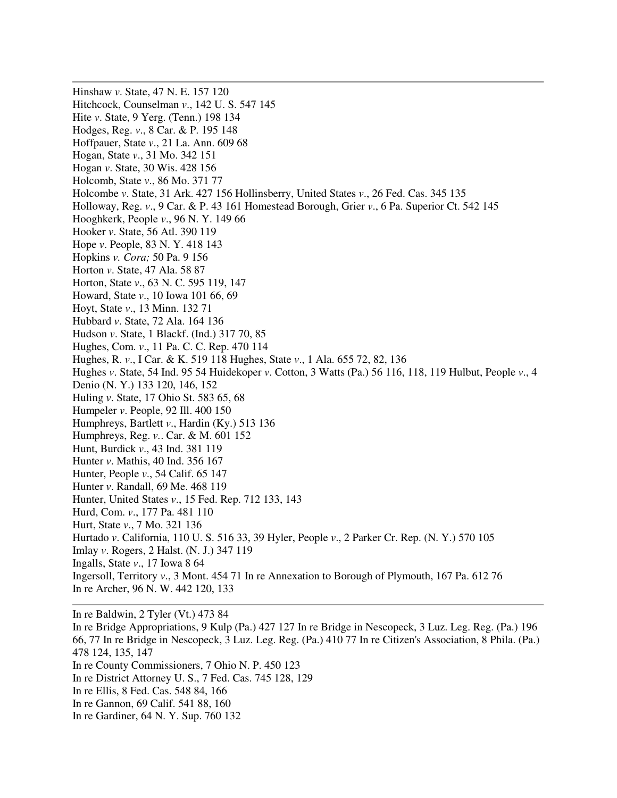Hinshaw *v*. State, 47 N. E. 157 120 Hitchcock, Counselman *v*., 142 U. S. 547 145 Hite *v*. State, 9 Yerg. (Tenn.) 198 134 Hodges, Reg. *v*., 8 Car. & P. 195 148 Hoffpauer, State *v*., 21 La. Ann. 609 68 Hogan, State *v*., 31 Mo. 342 151 Hogan *v*. State, 30 Wis. 428 156 Holcomb, State *v*., 86 Mo. 371 77 Holcombe *v*. State, 31 Ark. 427 156 Hollinsberry, United States *v*., 26 Fed. Cas. 345 135 Holloway, Reg. *v*., 9 Car. & P. 43 161 Homestead Borough, Grier *v*., 6 Pa. Superior Ct. 542 145 Hooghkerk, People *v*., 96 N. Y. 149 66 Hooker *v*. State, 56 Atl. 390 119 Hope *v*. People, 83 N. Y. 418 143 Hopkins *v. Cora;* 50 Pa. 9 156 Horton *v*. State, 47 Ala. 58 87 Horton, State *v*., 63 N. C. 595 119, 147 Howard, State *v*., 10 Iowa 101 66, 69 Hoyt, State *v*., 13 Minn. 132 71 Hubbard *v*. State, 72 Ala. 164 136 Hudson *v*. State, 1 Blackf. (Ind.) 317 70, 85 Hughes, Com. *v*., 11 Pa. C. C. Rep. 470 114 Hughes, R. *v*., I Car. & K. 519 118 Hughes, State *v*., 1 Ala. 655 72, 82, 136 Hughes *v*. State, 54 Ind. 95 54 Huidekoper *v*. Cotton, 3 Watts (Pa.) 56 116, 118, 119 Hulbut, People *v*., 4 Denio (N. Y.) 133 120, 146, 152 Huling *v*. State, 17 Ohio St. 583 65, 68 Humpeler *v*. People, 92 Ill. 400 150 Humphreys, Bartlett *v*., Hardin (Ky.) 513 136 Humphreys, Reg. *v.*. Car. & M. 601 152 Hunt, Burdick *v*., 43 Ind. 381 119 Hunter *v*. Mathis, 40 Ind. 356 167 Hunter, People *v*., 54 Calif. 65 147 Hunter *v*. Randall, 69 Me. 468 119 Hunter, United States *v*., 15 Fed. Rep. 712 133, 143 Hurd, Com. *v*., 177 Pa. 481 110 Hurt, State *v*., 7 Mo. 321 136 Hurtado *v*. California, 110 U. S. 516 33, 39 Hyler, People *v*., 2 Parker Cr. Rep. (N. Y.) 570 105 Imlay *v*. Rogers, 2 Halst. (N. J.) 347 119 Ingalls, State *v*., 17 Iowa 8 64 Ingersoll, Territory *v*., 3 Mont. 454 71 In re Annexation to Borough of Plymouth, 167 Pa. 612 76 In re Archer, 96 N. W. 442 120, 133

In re Baldwin, 2 Tyler (Vt.) 473 84 In re Bridge Appropriations, 9 Kulp (Pa.) 427 127 In re Bridge in Nescopeck, 3 Luz. Leg. Reg. (Pa.) 196 66, 77 In re Bridge in Nescopeck, 3 Luz. Leg. Reg. (Pa.) 410 77 In re Citizen's Association, 8 Phila. (Pa.) 478 124, 135, 147 In re County Commissioners, 7 Ohio N. P. 450 123 In re District Attorney U. S., 7 Fed. Cas. 745 128, 129 In re Ellis, 8 Fed. Cas. 548 84, 166 In re Gannon, 69 Calif. 541 88, 160 In re Gardiner, 64 N. Y. Sup. 760 132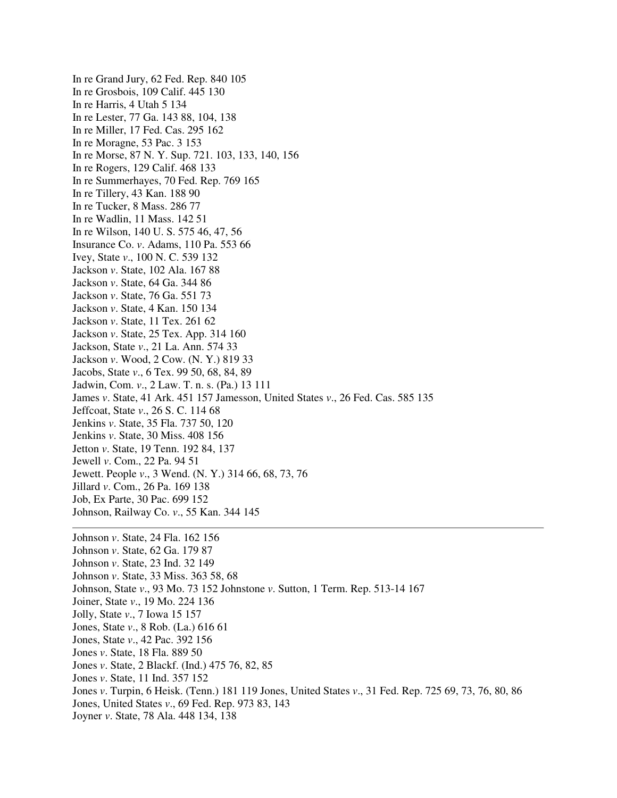In re Grand Jury, 62 Fed. Rep. 840 105 In re Grosbois, 109 Calif. 445 130 In re Harris, 4 Utah 5 134 In re Lester, 77 Ga. 143 88, 104, 138 In re Miller, 17 Fed. Cas. 295 162 In re Moragne, 53 Pac. 3 153 In re Morse, 87 N. Y. Sup. 721. 103, 133, 140, 156 In re Rogers, 129 Calif. 468 133 In re Summerhayes, 70 Fed. Rep. 769 165 In re Tillery, 43 Kan. 188 90 In re Tucker, 8 Mass. 286 77 In re Wadlin, 11 Mass. 142 51 In re Wilson, 140 U. S. 575 46, 47, 56 Insurance Co. *v*. Adams, 110 Pa. 553 66 Ivey, State *v*., 100 N. C. 539 132 Jackson *v*. State, 102 Ala. 167 88 Jackson *v*. State, 64 Ga. 344 86 Jackson *v*. State, 76 Ga. 551 73 Jackson *v*. State, 4 Kan. 150 134 Jackson *v*. State, 11 Tex. 261 62 Jackson *v*. State, 25 Tex. App. 314 160 Jackson, State *v*., 21 La. Ann. 574 33 Jackson *v*. Wood, 2 Cow. (N. Y.) 819 33 Jacobs, State *v*., 6 Tex. 99 50, 68, 84, 89 Jadwin, Com. *v*., 2 Law. T. n. s. (Pa.) 13 111 James *v*. State, 41 Ark. 451 157 Jamesson, United States *v*., 26 Fed. Cas. 585 135 Jeffcoat, State *v*., 26 S. C. 114 68 Jenkins *v*. State, 35 Fla. 737 50, 120 Jenkins *v*. State, 30 Miss. 408 156 Jetton *v*. State, 19 Tenn. 192 84, 137 Jewell *v*. Com., 22 Pa. 94 51 Jewett. People *v*., 3 Wend. (N. Y.) 314 66, 68, 73, 76 Jillard *v*. Com., 26 Pa. 169 138 Job, Ex Parte, 30 Pac. 699 152 Johnson, Railway Co. *v*., 55 Kan. 344 145 Johnson *v*. State, 24 Fla. 162 156 Johnson *v*. State, 62 Ga. 179 87 Johnson *v*. State, 23 Ind. 32 149 Johnson *v*. State, 33 Miss. 363 58, 68 Johnson, State *v*., 93 Mo. 73 152 Johnstone *v*. Sutton, 1 Term. Rep. 513-14 167 Joiner, State *v*., 19 Mo. 224 136 Jolly, State *v*., 7 Iowa 15 157 Jones, State *v*., 8 Rob. (La.) 616 61 Jones, State *v*., 42 Pac. 392 156 Jones *v*. State, 18 Fla. 889 50 Jones *v*. State, 2 Blackf. (Ind.) 475 76, 82, 85 Jones *v*. State, 11 Ind. 357 152 Jones *v*. Turpin, 6 Heisk. (Tenn.) 181 119 Jones, United States *v*., 31 Fed. Rep. 725 69, 73, 76, 80, 86

Jones, United States *v*., 69 Fed. Rep. 973 83, 143

Joyner *v*. State, 78 Ala. 448 134, 138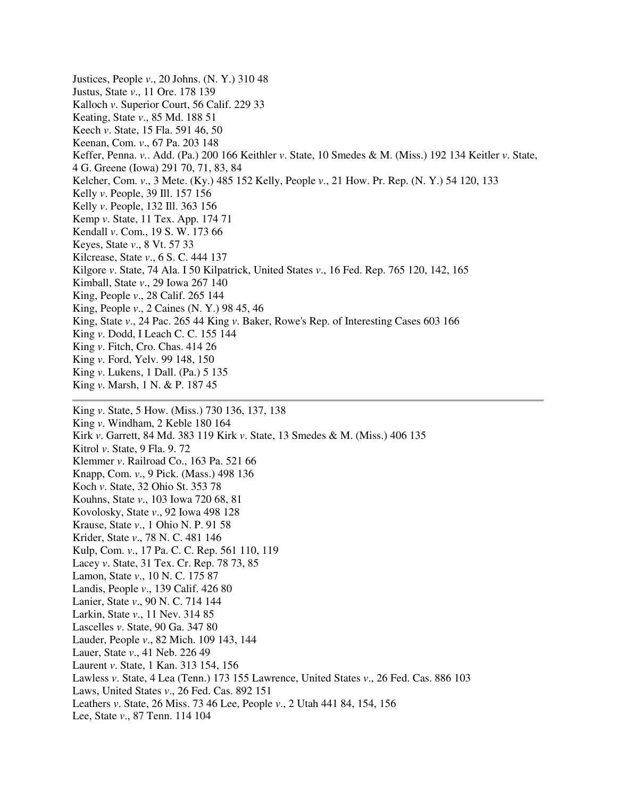Justices, People *v*., 20 Johns. (N. Y.) 310 48 Justus, State *v*., 11 Ore. 178 139 Kalloch *v*. Superior Court, 56 Calif. 229 33 Keating, State *v*., 85 Md. 188 51 Keech *v*. State, 15 Fla. 591 46, 50 Keenan, Com. *v*., 67 Pa. 203 148 Keffer, Penna. *v.*. Add. (Pa.) 200 166 Keithler *v*. State, 10 Smedes & M. (Miss.) 192 134 Keitler *v*. State, 4 G. Greene (Iowa) 291 70, 71, 83, 84 Kelcher, Com. *v*., 3 Mete. (Ky.) 485 152 Kelly, People *v*., 21 How. Pr. Rep. (N. Y.) 54 120, 133 Kelly *v*. People, 39 Ill. 157 156 Kelly *v*. People, 132 Ill. 363 156 Kemp *v*. State, 11 Tex. App. 174 71 Kendall *v*. Com., 19 S. W. 173 66 Keyes, State *v*., 8 Vt. 57 33 Kilcrease, State *v*., 6 S. C. 444 137 Kilgore *v*. State, 74 Ala. I 50 Kilpatrick, United States *v*., 16 Fed. Rep. 765 120, 142, 165 Kimball, State *v*., 29 Iowa 267 140 King, People *v*., 28 Calif. 265 144 King, People *v*., 2 Caines (N. Y.) 98 45, 46 King, State *v*., 24 Pac. 265 44 King *v*. Baker, Rowe's Rep. of Interesting Cases 603 166 King *v*. Dodd, I Leach C. C. 155 144 King *v*. Fitch, Cro. Chas. 414 26 King *v*. Ford, Yelv. 99 148, 150 King *v*. Lukens, 1 Dall. (Pa.) 5 135 King *v*. Marsh, 1 N. & P. 187 45 King *v*. State, 5 How. (Miss.) 730 136, 137, 138 King *v*. Windham, 2 Keble 180 164 Kirk *v*. Garrett, 84 Md. 383 119 Kirk *v*. State, 13 Smedes & M. (Miss.) 406 135 Kitrol *v*. State, 9 Fla. 9. 72 Klemmer *v*. Railroad Co., 163 Pa. 521 66 Knapp, Com. *v*., 9 Pick. (Mass.) 498 136 Koch *v*. State, 32 Ohio St. 353 78 Kouhns, State *v*., 103 Iowa 720 68, 81 Kovolosky, State *v*., 92 Iowa 498 128 Krause, State *v*., 1 Ohio N. P. 91 58 Krider, State *v*., 78 N. C. 481 146 Kulp, Com. *v*., 17 Pa. C. C. Rep. 561 110, 119 Lacey *v*. State, 31 Tex. Cr. Rep. 78 73, 85 Lamon, State *v*., 10 N. C. 175 87 Landis, People *v*., 139 Calif. 426 80 Lanier, State *v*., 90 N. C. 714 144 Larkin, State *v*., 11 Nev. 314 85 Lascelles *v*. State, 90 Ga. 347 80 Lauder, People *v*., 82 Mich. 109 143, 144 Lauer, State *v*., 41 Neb. 226 49

- Laurent *v*. State, 1 Kan. 313 154, 156
- Lawless *v*. State, 4 Lea (Tenn.) 173 155 Lawrence, United States *v*., 26 Fed. Cas. 886 103
- Laws, United States *v*., 26 Fed. Cas. 892 151
- Leathers *v*. State, 26 Miss. 73 46 Lee, People *v*., 2 Utah 441 84, 154, 156
- Lee, State *v*., 87 Tenn. 114 104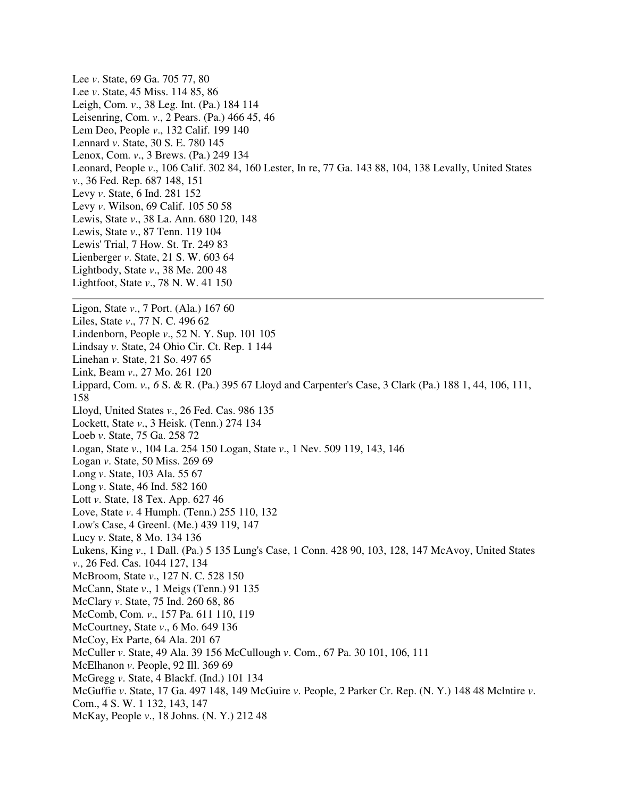Lee *v*. State, 69 Ga. 705 77, 80 Lee *v*. State, 45 Miss. 114 85, 86 Leigh, Com. *v*., 38 Leg. Int. (Pa.) 184 114 Leisenring, Com. *v*., 2 Pears. (Pa.) 466 45, 46 Lem Deo, People *v*., 132 Calif. 199 140 Lennard *v*. State, 30 S. E. 780 145 Lenox, Com. *v*., 3 Brews. (Pa.) 249 134 Leonard, People *v*., 106 Calif. 302 84, 160 Lester, In re, 77 Ga. 143 88, 104, 138 Levally, United States *v*., 36 Fed. Rep. 687 148, 151 Levy *v*. State, 6 Ind. 281 152 Levy *v*. Wilson, 69 Calif. 105 50 58 Lewis, State *v*., 38 La. Ann. 680 120, 148 Lewis, State *v*., 87 Tenn. 119 104 Lewis' Trial, 7 How. St. Tr. 249 83 Lienberger *v*. State, 21 S. W. 603 64 Lightbody, State *v*., 38 Me. 200 48 Lightfoot, State *v*., 78 N. W. 41 150 Ligon, State *v*., 7 Port. (Ala.) 167 60 Liles, State *v*., 77 N. C. 496 62 Lindenborn, People *v*., 52 N. Y. Sup. 101 105 Lindsay *v*. State, 24 Ohio Cir. Ct. Rep. 1 144 Linehan *v*. State, 21 So. 497 65 Link, Beam *v*., 27 Mo. 261 120 Lippard, Com. *v., 6* S. & R. (Pa.) 395 67 Lloyd and Carpenter's Case, 3 Clark (Pa.) 188 1, 44, 106, 111, 158 Lloyd, United States *v*., 26 Fed. Cas. 986 135 Lockett, State *v*., 3 Heisk. (Tenn.) 274 134 Loeb *v*. State, 75 Ga. 258 72 Logan, State *v*., 104 La. 254 150 Logan, State *v*., 1 Nev. 509 119, 143, 146 Logan *v*. State, 50 Miss. 269 69 Long *v*. State, 103 Ala. 55 67 Long *v*. State, 46 Ind. 582 160 Lott *v*. State, 18 Tex. App. 627 46 Love, State *v*. 4 Humph. (Tenn.) 255 110, 132 Low's Case, 4 Greenl. (Me.) 439 119, 147 Lucy *v*. State, 8 Mo. 134 136 Lukens, King *v*., 1 Dall. (Pa.) 5 135 Lung's Case, 1 Conn. 428 90, 103, 128, 147 McAvoy, United States *v*., 26 Fed. Cas. 1044 127, 134 McBroom, State *v*., 127 N. C. 528 150 McCann, State *v*., 1 Meigs (Tenn.) 91 135 McClary *v*. State, 75 Ind. 260 68, 86 McComb, Com. *v*., 157 Pa. 611 110, 119 McCourtney, State *v*., 6 Mo. 649 136 McCoy, Ex Parte, 64 Ala. 201 67 McCuller *v*. State, 49 Ala. 39 156 McCullough *v*. Com., 67 Pa. 30 101, 106, 111 McElhanon *v*. People, 92 Ill. 369 69 McGregg *v*. State, 4 Blackf. (Ind.) 101 134 McGuffie *v*. State, 17 Ga. 497 148, 149 McGuire *v*. People, 2 Parker Cr. Rep. (N. Y.) 148 48 Mclntire *v*. Com., 4 S. W. 1 132, 143, 147 McKay, People *v*., 18 Johns. (N. Y.) 212 48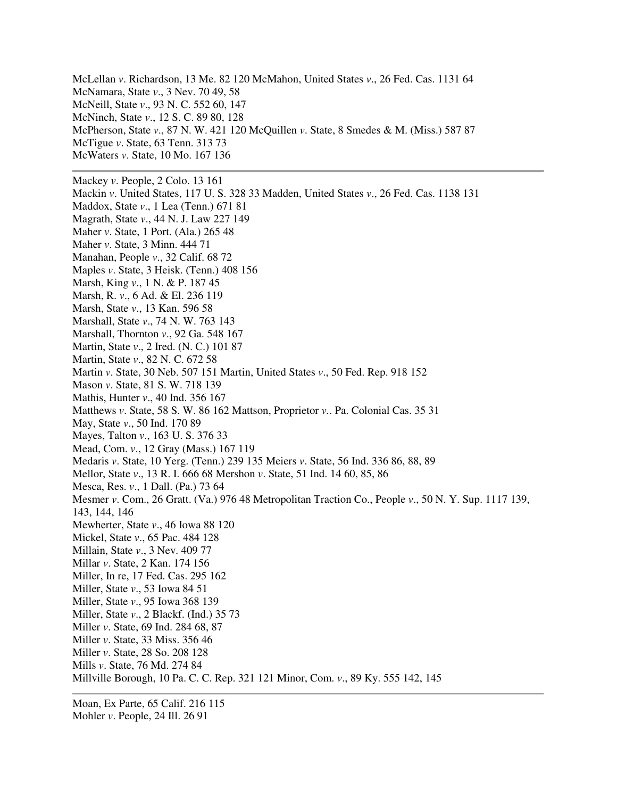McLellan *v*. Richardson, 13 Me. 82 120 McMahon, United States *v*., 26 Fed. Cas. 1131 64 McNamara, State *v*., 3 Nev. 70 49, 58 McNeill, State *v*., 93 N. C. 552 60, 147 McNinch, State *v*., 12 S. C. 89 80, 128 McPherson, State *v*., 87 N. W. 421 120 McQuillen *v*. State, 8 Smedes & M. (Miss.) 587 87 McTigue *v*. State, 63 Tenn. 313 73 McWaters *v*. State, 10 Mo. 167 136 Mackey *v*. People, 2 Colo. 13 161 Mackin *v*. United States, 117 U. S. 328 33 Madden, United States *v*., 26 Fed. Cas. 1138 131 Maddox, State *v*., 1 Lea (Tenn.) 671 81 Magrath, State *v*., 44 N. J. Law 227 149 Maher *v*. State, 1 Port. (Ala.) 265 48 Maher *v*. State, 3 Minn. 444 71 Manahan, People *v*., 32 Calif. 68 72 Maples *v*. State, 3 Heisk. (Tenn.) 408 156 Marsh, King *v*., 1 N. & P. 187 45 Marsh, R. *v*., 6 Ad. & El. 236 119 Marsh, State *v*., 13 Kan. 596 58 Marshall, State *v*., 74 N. W. 763 143 Marshall, Thornton *v*., 92 Ga. 548 167 Martin, State *v*., 2 Ired. (N. C.) 101 87 Martin, State *v*., 82 N. C. 672 58 Martin *v*. State, 30 Neb. 507 151 Martin, United States *v*., 50 Fed. Rep. 918 152 Mason *v*. State, 81 S. W. 718 139 Mathis, Hunter *v*., 40 Ind. 356 167 Matthews *v*. State, 58 S. W. 86 162 Mattson, Proprietor *v.*. Pa. Colonial Cas. 35 31 May, State *v*., 50 Ind. 170 89 Mayes, Talton *v*., 163 U. S. 376 33 Mead, Com. *v*., 12 Gray (Mass.) 167 119 Medaris *v*. State, 10 Yerg. (Tenn.) 239 135 Meiers *v*. State, 56 Ind. 336 86, 88, 89 Mellor, State *v*., 13 R. I. 666 68 Mershon *v*. State, 51 Ind. 14 60, 85, 86 Mesca, Res. *v*., 1 Dall. (Pa.) 73 64 Mesmer *v*. Com., 26 Gratt. (Va.) 976 48 Metropolitan Traction Co., People *v*., 50 N. Y. Sup. 1117 139, 143, 144, 146 Mewherter, State *v*., 46 Iowa 88 120 Mickel, State *v*., 65 Pac. 484 128 Millain, State *v*., 3 Nev. 409 77 Millar *v*. State, 2 Kan. 174 156 Miller, In re, 17 Fed. Cas. 295 162 Miller, State *v*., 53 Iowa 84 51 Miller, State *v*., 95 Iowa 368 139 Miller, State *v*., 2 Blackf. (Ind.) 35 73 Miller *v*. State, 69 Ind. 284 68, 87 Miller *v*. State, 33 Miss. 356 46 Miller *v*. State, 28 So. 208 128 Mills *v*. State, 76 Md. 274 84 Millville Borough, 10 Pa. C. C. Rep. 321 121 Minor, Com. *v*., 89 Ky. 555 142, 145

Moan, Ex Parte, 65 Calif. 216 115 Mohler *v*. People, 24 Ill. 26 91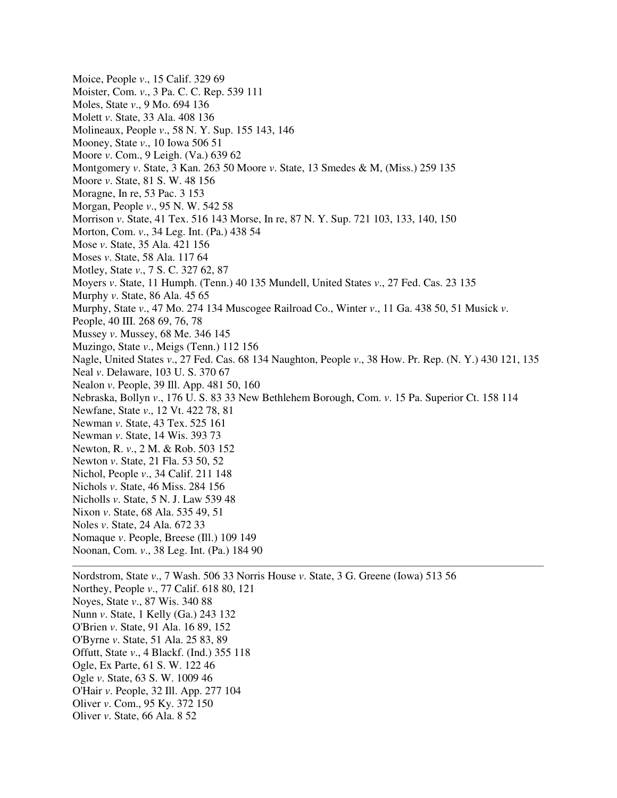Moice, People *v*., 15 Calif. 329 69 Moister, Com. *v*., 3 Pa. C. C. Rep. 539 111 Moles, State *v*., 9 Mo. 694 136 Molett *v*. State, 33 Ala. 408 136 Molineaux, People *v*., 58 N. Y. Sup. 155 143, 146 Mooney, State *v*., 10 Iowa 506 51 Moore *v*. Com., 9 Leigh. (Va.) 639 62 Montgomery *v*. State, 3 Kan. 263 50 Moore *v*. State, 13 Smedes & M, (Miss.) 259 135 Moore *v*. State, 81 S. W. 48 156 Moragne, In re, 53 Pac. 3 153 Morgan, People *v*., 95 N. W. 542 58 Morrison *v*. State, 41 Tex. 516 143 Morse, In re, 87 N. Y. Sup. 721 103, 133, 140, 150 Morton, Com. *v*., 34 Leg. Int. (Pa.) 438 54 Mose *v*. State, 35 Ala. 421 156 Moses *v*. State, 58 Ala. 117 64 Motley, State *v*., 7 S. C. 327 62, 87 Moyers *v*. State, 11 Humph. (Tenn.) 40 135 Mundell, United States *v*., 27 Fed. Cas. 23 135 Murphy *v*. State, 86 Ala. 45 65 Murphy, State *v*., 47 Mo. 274 134 Muscogee Railroad Co., Winter *v*., 11 Ga. 438 50, 51 Musick *v*. People, 40 III. 268 69, 76, 78 Mussey *v*. Mussey, 68 Me. 346 145 Muzingo, State *v*., Meigs (Tenn.) 112 156 Nagle, United States *v*., 27 Fed. Cas. 68 134 Naughton, People *v*., 38 How. Pr. Rep. (N. Y.) 430 121, 135 Neal *v*. Delaware, 103 U. S. 370 67 Nealon *v*. People, 39 Ill. App. 481 50, 160 Nebraska, Bollyn *v*., 176 U. S. 83 33 New Bethlehem Borough, Com. *v*. 15 Pa. Superior Ct. 158 114 Newfane, State *v*., 12 Vt. 422 78, 81 Newman *v*. State, 43 Tex. 525 161 Newman *v*. State, 14 Wis. 393 73 Newton, R. *v*., 2 M. & Rob. 503 152 Newton *v*. State, 21 Fla. 53 50, 52 Nichol, People *v*., 34 Calif. 211 148 Nichols *v*. State, 46 Miss. 284 156 Nicholls *v*. State, 5 N. J. Law 539 48 Nixon *v*. State, 68 Ala. 535 49, 51 Noles *v*. State, 24 Ala. 672 33 Nomaque *v*. People, Breese (Ill.) 109 149 Noonan, Com. *v*., 38 Leg. Int. (Pa.) 184 90 Nordstrom, State *v*., 7 Wash. 506 33 Norris House *v*. State, 3 G. Greene (Iowa) 513 56 Northey, People *v*., 77 Calif. 618 80, 121

Noyes, State *v*., 87 Wis. 340 88

- Nunn *v*. State, 1 Kelly (Ga.) 243 132
- O'Brien *v*. State, 91 Ala. 16 89, 152
- O'Byrne *v*. State, 51 Ala. 25 83, 89
- Offutt, State *v*., 4 Blackf. (Ind.) 355 118
- Ogle, Ex Parte, 61 S. W. 122 46
- Ogle *v*. State, 63 S. W. 1009 46
- O'Hair *v*. People, 32 Ill. App. 277 104
- Oliver *v*. Com., 95 Ky. 372 150
- Oliver *v*. State, 66 Ala. 8 52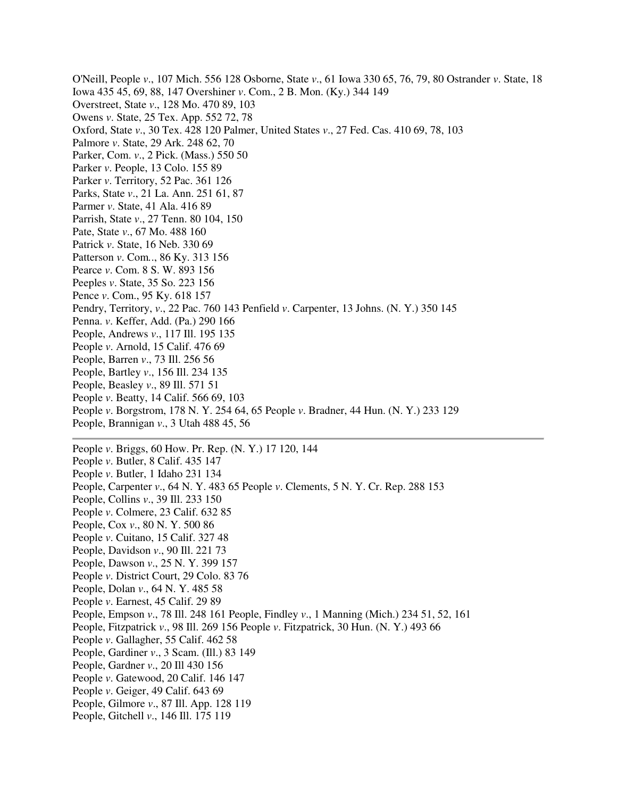O'Neill, People *v*., 107 Mich. 556 128 Osborne, State *v*., 61 Iowa 330 65, 76, 79, 80 Ostrander *v*. State, 18 Iowa 435 45, 69, 88, 147 Overshiner *v*. Com., 2 B. Mon. (Ky.) 344 149 Overstreet, State *v*., 128 Mo. 470 89, 103 Owens *v*. State, 25 Tex. App. 552 72, 78 Oxford, State *v*., 30 Tex. 428 120 Palmer, United States *v*., 27 Fed. Cas. 410 69, 78, 103 Palmore *v*. State, 29 Ark. 248 62, 70 Parker, Com. *v*., 2 Pick. (Mass.) 550 50 Parker *v*. People, 13 Colo. 155 89 Parker *v*. Territory, 52 Pac. 361 126 Parks, State *v*., 21 La. Ann. 251 61, 87 Parmer *v*. State, 41 Ala. 416 89 Parrish, State *v*., 27 Tenn. 80 104, 150 Pate, State *v*., 67 Mo. 488 160 Patrick *v*. State, 16 Neb. 330 69 Patterson *v*. Com*.*., 86 Ky. 313 156 Pearce *v*. Com. 8 S. W. 893 156 Peeples *v*. State, 35 So. 223 156 Pence *v*. Com., 95 Ky. 618 157 Pendry, Territory, *v*., 22 Pac. 760 143 Penfield *v*. Carpenter, 13 Johns. (N. Y.) 350 145 Penna. *v*. Keffer, Add. (Pa.) 290 166 People, Andrews *v*., 117 Ill. 195 135 People *v*. Arnold, 15 Calif. 476 69 People, Barren *v*., 73 Ill. 256 56 People, Bartley *v*., 156 Ill. 234 135 People, Beasley *v*., 89 Ill. 571 51 People *v*. Beatty, 14 Calif. 566 69, 103 People *v*. Borgstrom, 178 N. Y. 254 64, 65 People *v*. Bradner, 44 Hun. (N. Y.) 233 129 People, Brannigan *v*., 3 Utah 488 45, 56 People *v*. Briggs, 60 How. Pr. Rep. (N. Y.) 17 120, 144 People *v*. Butler, 8 Calif. 435 147 People *v*. Butler, 1 Idaho 231 134 People, Carpenter *v*., 64 N. Y. 483 65 People *v*. Clements, 5 N. Y. Cr. Rep. 288 153 People, Collins *v*., 39 Ill. 233 150 People *v*. Colmere, 23 Calif. 632 85 People, Cox *v*., 80 N. Y. 500 86 People *v*. Cuitano, 15 Calif. 327 48 People, Davidson *v*., 90 Ill. 221 73 People, Dawson *v*., 25 N. Y. 399 157 People *v*. District Court, 29 Colo. 83 76 People, Dolan *v*., 64 N. Y. 485 58

- People *v*. Earnest, 45 Calif. 29 89
- People, Empson *v*., 78 Ill. 248 161 People, Findley *v*., 1 Manning (Mich.) 234 51, 52, 161
- People, Fitzpatrick *v*., 98 Ill. 269 156 People *v*. Fitzpatrick, 30 Hun. (N. Y.) 493 66
- People *v*. Gallagher, 55 Calif. 462 58
- People, Gardiner *v*., 3 Scam. (Ill.) 83 149
- People, Gardner *v*., 20 Ill 430 156
- People *v*. Gatewood, 20 Calif. 146 147
- People *v*. Geiger, 49 Calif. 643 69
- People, Gilmore *v*., 87 Ill. App. 128 119
- People, Gitchell *v*., 146 Ill. 175 119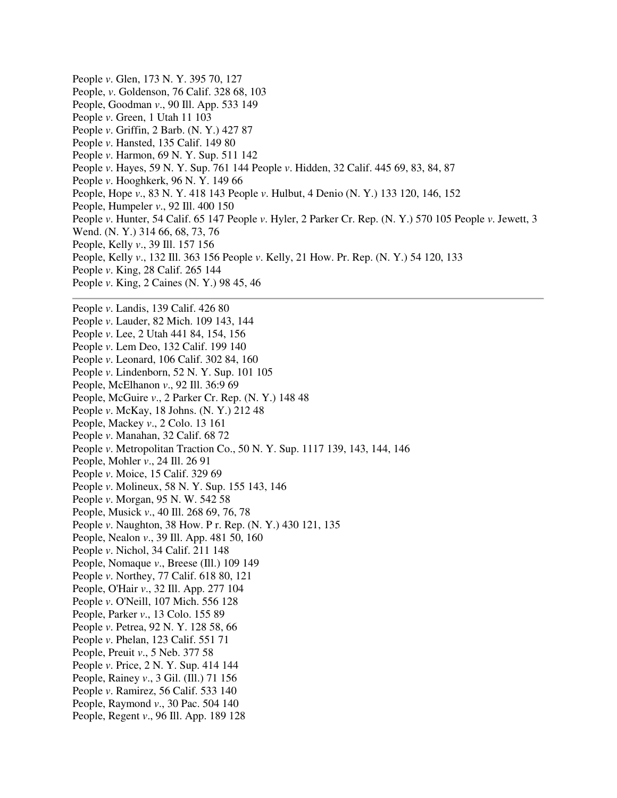People *v*. Glen, 173 N. Y. 395 70, 127 People, *v*. Goldenson, 76 Calif. 328 68, 103 People, Goodman *v*., 90 Ill. App. 533 149 People *v*. Green, 1 Utah 11 103 People *v*. Griffin, 2 Barb. (N. Y.) 427 87 People *v*. Hansted, 135 Calif. 149 80 People *v*. Harmon, 69 N. Y. Sup. 511 142 People *v*. Hayes, 59 N. Y. Sup. 761 144 People *v*. Hidden, 32 Calif. 445 69, 83, 84, 87 People *v*. Hooghkerk, 96 N. Y. 149 66 People, Hope *v*., 83 N. Y. 418 143 People *v*. Hulbut, 4 Denio (N. Y.) 133 120, 146, 152 People, Humpeler *v*., 92 Ill. 400 150 People *v*. Hunter, 54 Calif. 65 147 People *v*. Hyler, 2 Parker Cr. Rep. (N. Y.) 570 105 People *v*. Jewett, 3 Wend. (N. Y.) 314 66, 68, 73, 76 People, Kelly *v*., 39 Ill. 157 156 People, Kelly *v*., 132 Ill. 363 156 People *v*. Kelly, 21 How. Pr. Rep. (N. Y.) 54 120, 133 People *v*. King, 28 Calif. 265 144 People *v*. King, 2 Caines (N. Y.) 98 45, 46 People *v*. Landis, 139 Calif. 426 80 People *v*. Lauder, 82 Mich. 109 143, 144 People *v*. Lee, 2 Utah 441 84, 154, 156 People *v*. Lem Deo, 132 Calif. 199 140 People *v*. Leonard, 106 Calif. 302 84, 160 People *v*. Lindenborn, 52 N. Y. Sup. 101 105 People, McElhanon *v*., 92 Ill. 36:9 69 People, McGuire *v*., 2 Parker Cr. Rep. (N. Y.) 148 48 People *v*. McKay, 18 Johns. (N. Y.) 212 48 People, Mackey *v*., 2 Colo. 13 161 People *v*. Manahan, 32 Calif. 68 72 People *v*. Metropolitan Traction Co., 50 N. Y. Sup. 1117 139, 143, 144, 146 People, Mohler *v*., 24 Ill. 26 91 People *v*. Moice, 15 Calif. 329 69 People *v*. Molineux, 58 N. Y. Sup. 155 143, 146 People *v*. Morgan, 95 N. W. 542 58 People, Musick *v*., 40 Ill. 268 69, 76, 78 People *v*. Naughton, 38 How. P r. Rep. (N. Y.) 430 121, 135 People, Nealon *v*., 39 Ill. App. 481 50, 160 People *v*. Nichol, 34 Calif. 211 148 People, Nomaque *v*., Breese (Ill.) 109 149 People *v*. Northey, 77 Calif. 618 80, 121 People, O'Hair *v*., 32 Ill. App. 277 104 People *v*. O'Neill, 107 Mich. 556 128 People, Parker *v*., 13 Colo. 155 89 People *v*. Petrea, 92 N. Y. 128 58, 66 People *v*. Phelan, 123 Calif. 551 71 People, Preuit *v*., 5 Neb. 377 58 People *v*. Price, 2 N. Y. Sup. 414 144 People, Rainey *v*., 3 Gil. (Ill.) 71 156 People *v*. Ramirez, 56 Calif. 533 140 People, Raymond *v*., 30 Pac. 504 140 People, Regent *v*., 96 Ill. App. 189 128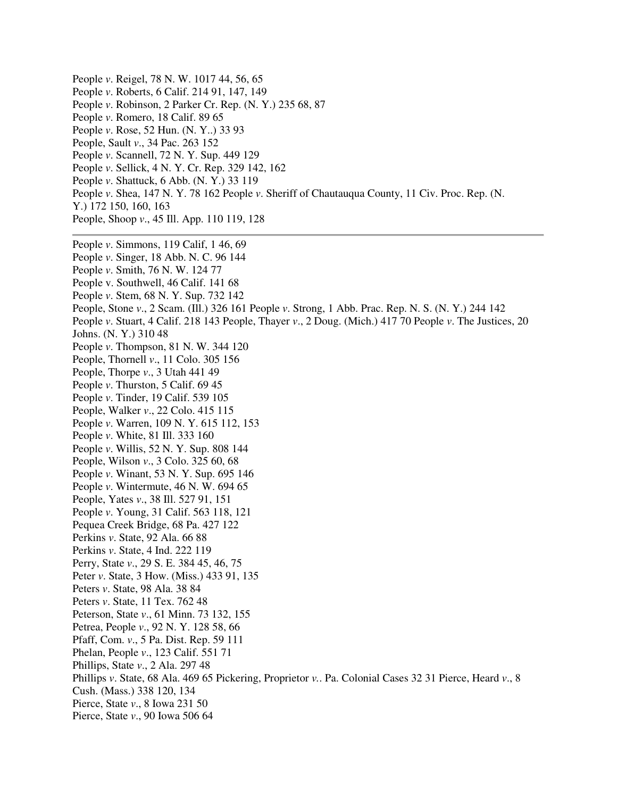People *v*. Reigel, 78 N. W. 1017 44, 56, 65 People *v*. Roberts, 6 Calif. 214 91, 147, 149 People *v*. Robinson, 2 Parker Cr. Rep. (N. Y.) 235 68, 87 People *v*. Romero, 18 Calif. 89 65 People *v*. Rose, 52 Hun. (N. Y..) 33 93 People, Sault *v*., 34 Pac. 263 152 People *v*. Scannell, 72 N. Y. Sup. 449 129 People *v*. Sellick, 4 N. Y. Cr. Rep. 329 142, 162 People *v*. Shattuck, 6 Abb. (N. Y.) 33 119 People *v*. Shea, 147 N. Y. 78 162 People *v*. Sheriff of Chautauqua County, 11 Civ. Proc. Rep. (N. Y.) 172 150, 160, 163 People, Shoop *v*., 45 Ill. App. 110 119, 128 People *v*. Simmons, 119 Calif, 1 46, 69 People *v*. Singer, 18 Abb. N. C. 96 144 People *v*. Smith, 76 N. W. 124 77 People v. Southwell, 46 Calif. 141 68 People *v*. Stem, 68 N. Y. Sup. 732 142 People, Stone *v*., 2 Scam. (Ill.) 326 161 People *v*. Strong, 1 Abb. Prac. Rep. N. S. (N. Y.) 244 142 People *v*. Stuart, 4 Calif. 218 143 People, Thayer *v*., 2 Doug. (Mich.) 417 70 People *v*. The Justices, 20 Johns. (N. Y.) 310 48 People *v*. Thompson, 81 N. W. 344 120 People, Thornell *v*., 11 Colo. 305 156 People, Thorpe *v*., 3 Utah 441 49 People *v*. Thurston, 5 Calif. 69 45 People *v*. Tinder, 19 Calif. 539 105 People, Walker *v*., 22 Colo. 415 115 People *v*. Warren, 109 N. Y. 615 112, 153 People *v*. White, 81 Ill. 333 160 People *v*. Willis, 52 N. Y. Sup. 808 144 People, Wilson *v*., 3 Colo. 325 60, 68 People *v*. Winant, 53 N. Y. Sup. 695 146 People *v*. Wintermute, 46 N. W. 694 65 People, Yates *v*., 38 Ill. 527 91, 151 People *v*. Young, 31 Calif. 563 118, 121 Pequea Creek Bridge, 68 Pa. 427 122 Perkins *v*. State, 92 Ala. 66 88 Perkins *v*. State, 4 Ind. 222 119 Perry, State *v*., 29 S. E. 384 45, 46, 75 Peter *v*. State, 3 How. (Miss.) 433 91, 135 Peters *v*. State, 98 Ala. 38 84 Peters *v*. State, 11 Tex. 762 48 Peterson, State *v*., 61 Minn. 73 132, 155 Petrea, People *v*., 92 N. Y. 128 58, 66 Pfaff, Com. *v*., 5 Pa. Dist. Rep. 59 111 Phelan, People *v*., 123 Calif. 551 71 Phillips, State *v*., 2 Ala. 297 48 Phillips *v*. State, 68 Ala. 469 65 Pickering, Proprietor *v.*. Pa. Colonial Cases 32 31 Pierce, Heard *v*., 8 Cush. (Mass.) 338 120, 134 Pierce, State *v*., 8 Iowa 231 50 Pierce, State *v*., 90 Iowa 506 64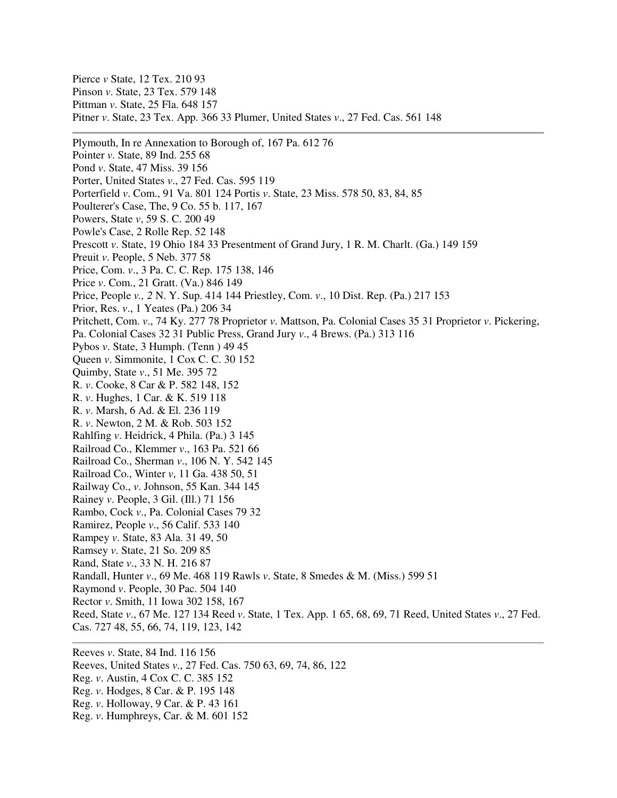Pierce *v* State, 12 Tex. 210 93 Pinson *v*. State, 23 Tex. 579 148 Pittman *v*. State, 25 Fla. 648 157 Pitner *v*. State, 23 Tex. App. 366 33 Plumer, United States *v*., 27 Fed. Cas. 561 148 Plymouth, In re Annexation to Borough of, 167 Pa. 612 76 Pointer *v*. State, 89 Ind. 255 68 Pond *v*. State, 47 Miss. 39 156 Porter, United States *v*., 27 Fed. Cas. 595 119 Porterfield *v*. Com., 91 Va. 801 124 Portis *v*. State, 23 Miss. 578 50, 83, 84, 85 Poulterer's Case, The, 9 Co. 55 b. 117, 167 Powers, State *v*, 59 S. C. 200 49 Powle's Case, 2 Rolle Rep. 52 148 Prescott *v*. State, 19 Ohio 184 33 Presentment of Grand Jury, 1 R. M. Charlt. (Ga.) 149 159 Preuit *v*. People, 5 Neb. 377 58 Price, Com. *v*., 3 Pa. C. C. Rep. 175 138, 146 Price *v*. Com., 21 Gratt. (Va.) 846 149 Price, People *v., 2* N. Y. Sup. 414 144 Priestley, Com. *v*., 10 Dist. Rep. (Pa.) 217 153 Prior, Res. *v*., 1 Yeates (Pa.) 206 34 Pritchett, Com. *v*., 74 Ky. 277 78 Proprietor *v*. Mattson, Pa. Colonial Cases 35 31 Proprietor *v*. Pickering, Pa. Colonial Cases 32 31 Public Press, Grand Jury *v*., 4 Brews. (Pa.) 313 116 Pybos *v*. State, 3 Humph. (Tenn ) 49 45 Queen *v*. Simmonite, 1 Cox C. C. 30 152 Quimby, State *v*., 51 Me. 395 72 R. *v*. Cooke, 8 Car & P. 582 148, 152 R. *v*. Hughes, 1 Car. & K. 519 118 R. *v*. Marsh, 6 Ad. & El. 236 119 R. *v*. Newton, 2 M. & Rob. 503 152

- Rahlfing *v*. Heidrick, 4 Phila. (Pa.) 3 145
- Railroad Co., Klemmer *v*., 163 Pa. 521 66 Railroad Co., Sherman *v*., 106 N. Y. 542 145
- Railroad Co., Winter *v*, 11 Ga. 438 50, 51
- Railway Co., *v*. Johnson, 55 Kan. 344 145
- Rainey *v*. People, 3 Gil. (Ill.) 71 156
- Rambo, Cock *v*., Pa. Colonial Cases 79 32
- Ramirez, People *v*., 56 Calif. 533 140
- Rampey *v*. State, 83 Ala. 31 49, 50
- Ramsey *v*. State, 21 So. 209 85
- Rand, State *v*., 33 N. H. 216 87
- Randall, Hunter *v*., 69 Me. 468 119 Rawls *v*. State, 8 Smedes & M. (Miss.) 599 51
- Raymond *v*. People, 30 Pac. 504 140
- Rector *v*. Smith, 11 Iowa 302 158, 167
- Reed, State *v*., 67 Me. 127 134 Reed *v*. State, 1 Tex. App. 1 65, 68, 69, 71 Reed, United States *v*., 27 Fed. Cas. 727 48, 55, 66, 74, 119, 123, 142
- 
- Reeves *v*. State, 84 Ind. 116 156
- Reeves, United States *v*., 27 Fed. Cas. 750 63, 69, 74, 86, 122
- Reg. *v*. Austin, 4 Cox C. C. 385 152
- Reg. *v*. Hodges, 8 Car. & P. 195 148
- Reg. *v*. Holloway, 9 Car. & P. 43 161
- Reg. *v*. Humphreys, Car. & M. 601 152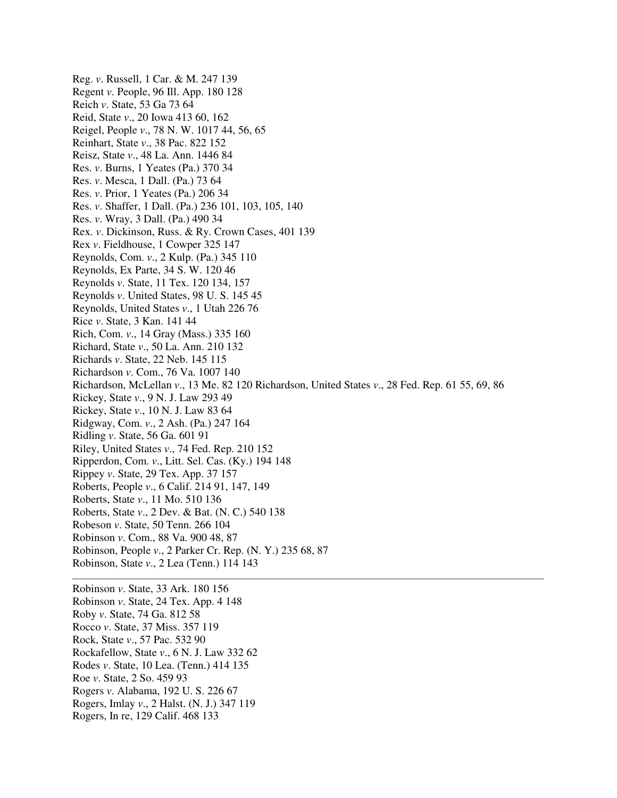Reg. *v*. Russell, 1 Car. & M. 247 139 Regent *v*. People, 96 Ill. App. 180 128 Reich *v*. State, 53 Ga 73 64 Reid, State *v*., 20 Iowa 413 60, 162 Reigel, People *v*., 78 N. W. 1017 44, 56, 65 Reinhart, State *v*., 38 Pac. 822 152 Reisz, State *v*., 48 La. Ann. 1446 84 Res. *v*. Burns, 1 Yeates (Pa.) 370 34 Res. *v*. Mesca, 1 Dall. (Pa.) 73 64 Res. *v*. Prior, 1 Yeates (Pa.) 206 34 Res. *v*. Shaffer, 1 Dall. (Pa.) 236 101, 103, 105, 140 Res. *v*. Wray, 3 Dall. (Pa.) 490 34 Rex. *v*. Dickinson, Russ. & Ry. Crown Cases, 401 139 Rex *v*. Fieldhouse, 1 Cowper 325 147 Reynolds, Com. *v*., 2 Kulp. (Pa.) 345 110 Reynolds, Ex Parte, 34 S. W. 120 46 Reynolds *v*. State, 11 Tex. 120 134, 157 Reynolds *v*. United States, 98 U. S. 145 45 Reynolds, United States *v*., 1 Utah 226 76 Rice *v*. State, 3 Kan. 141 44 Rich, Com. *v*., 14 Gray (Mass.) 335 160 Richard, State *v*., 50 La. Ann. 210 132 Richards *v*. State, 22 Neb. 145 115 Richardson *v*. Com., 76 Va. 1007 140 Richardson, McLellan *v*., 13 Me. 82 120 Richardson, United States *v*., 28 Fed. Rep. 61 55, 69, 86 Rickey, State *v*., 9 N. J. Law 293 49 Rickey, State *v*., 10 N. J. Law 83 64 Ridgway, Com. *v*., 2 Ash. (Pa.) 247 164 Ridling *v*. State, 56 Ga. 601 91 Riley, United States *v*., 74 Fed. Rep. 210 152 Ripperdon, Com. *v*., Litt. Sel. Cas. (Ky.) 194 148 Rippey *v*. State, 29 Tex. App. 37 157 Roberts, People *v*., 6 Calif. 214 91, 147, 149 Roberts, State *v*., 11 Mo. 510 136 Roberts, State *v*., 2 Dev. & Bat. (N. C.) 540 138 Robeson *v*. State, 50 Tenn. 266 104 Robinson *v*. Com., 88 Va. 900 48, 87 Robinson, People *v*., 2 Parker Cr. Rep. (N. Y.) 235 68, 87 Robinson, State *v*., 2 Lea (Tenn.) 114 143 Robinson *v*. State, 33 Ark. 180 156 Robinson *v*. State, 24 Tex. App. 4 148

Roby *v*. State, 74 Ga. 812 58

- Rocco *v*. State, 37 Miss. 357 119 Rock, State *v*., 57 Pac. 532 90
- Rockafellow, State *v*., 6 N. J. Law 332 62
- Rodes *v*. State, 10 Lea. (Tenn.) 414 135
- Roe *v*. State, 2 So. 459 93
- Rogers *v*. Alabama, 192 U. S. 226 67
- Rogers, Imlay *v*., 2 Halst. (N. J.) 347 119
- Rogers, In re, 129 Calif. 468 133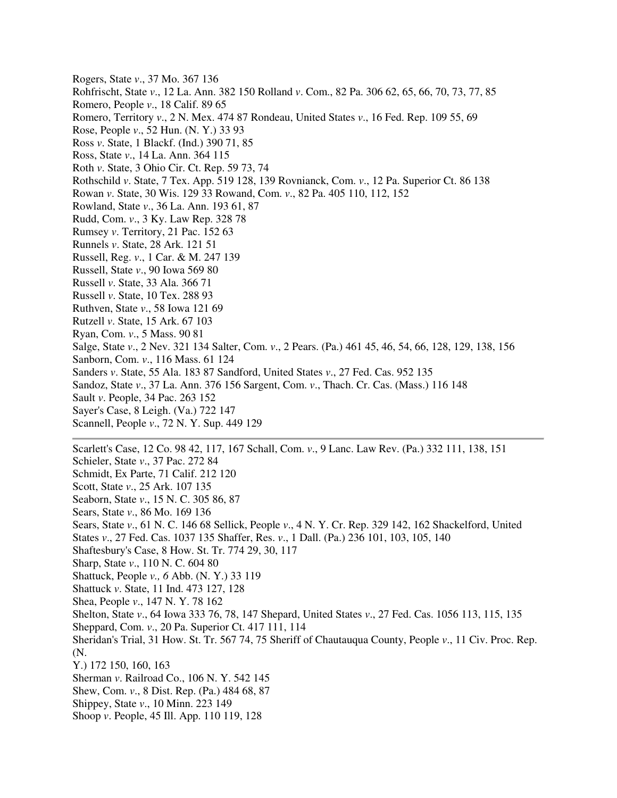Rogers, State *v*., 37 Mo. 367 136 Rohfrischt, State *v*., 12 La. Ann. 382 150 Rolland *v*. Com., 82 Pa. 306 62, 65, 66, 70, 73, 77, 85 Romero, People *v*., 18 Calif. 89 65 Romero, Territory *v*., 2 N. Mex. 474 87 Rondeau, United States *v*., 16 Fed. Rep. 109 55, 69 Rose, People *v*., 52 Hun. (N. Y.) 33 93 Ross *v*. State, 1 Blackf. (Ind.) 390 71, 85 Ross, State *v*., 14 La. Ann. 364 115 Roth *v*. State, 3 Ohio Cir. Ct. Rep. 59 73, 74 Rothschild *v*. State, 7 Tex. App. 519 128, 139 Rovnianck, Com. *v*., 12 Pa. Superior Ct. 86 138 Rowan *v*. State, 30 Wis. 129 33 Rowand, Com. *v*., 82 Pa. 405 110, 112, 152 Rowland, State *v*., 36 La. Ann. 193 61, 87 Rudd, Com. *v*., 3 Ky. Law Rep. 328 78 Rumsey *v*. Territory, 21 Pac. 152 63 Runnels *v*. State, 28 Ark. 121 51 Russell, Reg. *v*., 1 Car. & M. 247 139 Russell, State *v*., 90 Iowa 569 80 Russell *v*. State, 33 Ala. 366 71 Russell *v*. State, 10 Tex. 288 93 Ruthven, State *v*., 58 Iowa 121 69 Rutzell *v*. State, 15 Ark. 67 103 Ryan, Com. *v*., 5 Mass. 90 81 Salge, State *v*., 2 Nev. 321 134 Salter, Com. *v*., 2 Pears. (Pa.) 461 45, 46, 54, 66, 128, 129, 138, 156 Sanborn, Com. *v*., 116 Mass. 61 124 Sanders *v*. State, 55 Ala. 183 87 Sandford, United States *v*., 27 Fed. Cas. 952 135 Sandoz, State *v*., 37 La. Ann. 376 156 Sargent, Com. *v*., Thach. Cr. Cas. (Mass.) 116 148 Sault *v*. People, 34 Pac. 263 152 Sayer's Case, 8 Leigh. (Va.) 722 147 Scannell, People *v*., 72 N. Y. Sup. 449 129

Schieler, State *v*., 37 Pac. 272 84 Schmidt, Ex Parte, 71 Calif. 212 120 Scott, State *v*., 25 Ark. 107 135 Seaborn, State *v*., 15 N. C. 305 86, 87 Sears, State *v*., 86 Mo. 169 136 Sears, State *v*., 61 N. C. 146 68 Sellick, People *v*., 4 N. Y. Cr. Rep. 329 142, 162 Shackelford, United States *v*., 27 Fed. Cas. 1037 135 Shaffer, Res. *v*., 1 Dall. (Pa.) 236 101, 103, 105, 140 Shaftesbury's Case, 8 How. St. Tr. 774 29, 30, 117 Sharp, State *v*., 110 N. C. 604 80 Shattuck, People *v., 6* Abb. (N. Y.) 33 119 Shattuck *v*. State, 11 Ind. 473 127, 128 Shea, People *v*., 147 N. Y. 78 162 Shelton, State *v*., 64 Iowa 333 76, 78, 147 Shepard, United States *v*., 27 Fed. Cas. 1056 113, 115, 135 Sheppard, Com. *v*., 20 Pa. Superior Ct. 417 111, 114 Sheridan's Trial, 31 How. St. Tr. 567 74, 75 Sheriff of Chautauqua County, People *v*., 11 Civ. Proc. Rep. (N.

Scarlett's Case, 12 Co. 98 42, 117, 167 Schall, Com. *v*., 9 Lanc. Law Rev. (Pa.) 332 111, 138, 151

- Y.) 172 150, 160, 163
- Sherman *v*. Railroad Co., 106 N. Y. 542 145
- Shew, Com. *v*., 8 Dist. Rep. (Pa.) 484 68, 87
- Shippey, State *v*., 10 Minn. 223 149
- Shoop *v*. People, 45 Ill. App. 110 119, 128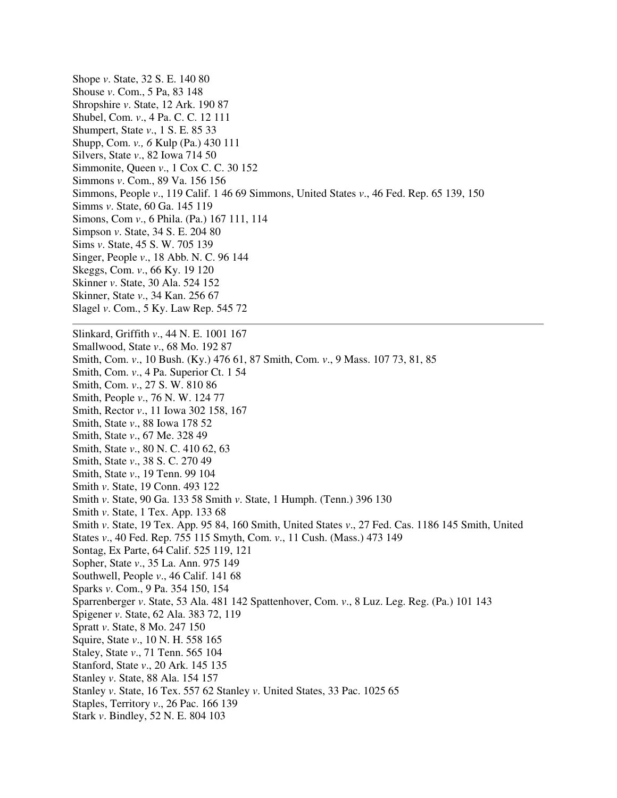Shope *v*. State, 32 S. E. 140 80 Shouse *v*. Com., 5 Pa, 83 148 Shropshire *v*. State, 12 Ark. 190 87 Shubel, Com. *v*., 4 Pa. C. C. 12 111 Shumpert, State *v*., 1 S. E. 85 33 Shupp, Com. *v., 6* Kulp (Pa.) 430 111 Silvers, State *v*., 82 Iowa 714 50 Simmonite, Queen *v*., 1 Cox C. C. 30 152 Simmons *v*. Com., 89 Va. 156 156 Simmons, People *v*., 119 Calif. 1 46 69 Simmons, United States *v*., 46 Fed. Rep. 65 139, 150 Simms *v*. State, 60 Ga. 145 119 Simons, Com *v*., 6 Phila. (Pa.) 167 111, 114 Simpson *v*. State, 34 S. E. 204 80 Sims *v*. State, 45 S. W. 705 139 Singer, People *v*., 18 Abb. N. C. 96 144 Skeggs, Com. *v*., 66 Ky. 19 120 Skinner *v*. State, 30 Ala. 524 152 Skinner, State *v*., 34 Kan. 256 67 Slagel *v*. Com., 5 Ky. Law Rep. 545 72 Slinkard, Griffith *v*., 44 N. E. 1001 167 Smallwood, State *v*., 68 Mo. 192 87 Smith, Com. *v*., 10 Bush. (Ky.) 476 61, 87 Smith, Com. *v*., 9 Mass. 107 73, 81, 85 Smith, Com. *v*., 4 Pa. Superior Ct. 1 54 Smith, Com. *v*., 27 S. W. 810 86 Smith, People *v*., 76 N. W. 124 77 Smith, Rector *v*., 11 Iowa 302 158, 167 Smith, State *v*., 88 Iowa 178 52 Smith, State *v*., 67 Me. 328 49 Smith, State *v*., 80 N. C. 410 62, 63 Smith, State *v*., 38 S. C. 270 49 Smith, State *v*., 19 Tenn. 99 104 Smith *v*. State, 19 Conn. 493 122 Smith *v*. State, 90 Ga. 133 58 Smith *v*. State, 1 Humph. (Tenn.) 396 130 Smith *v*. State, 1 Tex. App. 133 68 Smith *v*. State, 19 Tex. App. 95 84, 160 Smith, United States *v*., 27 Fed. Cas. 1186 145 Smith, United States *v*., 40 Fed. Rep. 755 115 Smyth, Com. *v*., 11 Cush. (Mass.) 473 149 Sontag, Ex Parte, 64 Calif. 525 119, 121 Sopher, State *v*., 35 La. Ann. 975 149 Southwell, People *v*., 46 Calif. 141 68 Sparks *v*. Com., 9 Pa. 354 150, 154 Sparrenberger *v*. State, 53 Ala. 481 142 Spattenhover, Com. *v*., 8 Luz. Leg. Reg. (Pa.) 101 143 Spigener *v*. State, 62 Ala. 383 72, 119 Spratt *v*. State, 8 Mo. 247 150 Squire, State *v*., 10 N. H. 558 165 Staley, State *v*., 71 Tenn. 565 104 Stanford, State *v*., 20 Ark. 145 135 Stanley *v*. State, 88 Ala. 154 157 Stanley *v*. State, 16 Tex. 557 62 Stanley *v*. United States, 33 Pac. 1025 65 Staples, Territory *v*., 26 Pac. 166 139 Stark *v*. Bindley, 52 N. E. 804 103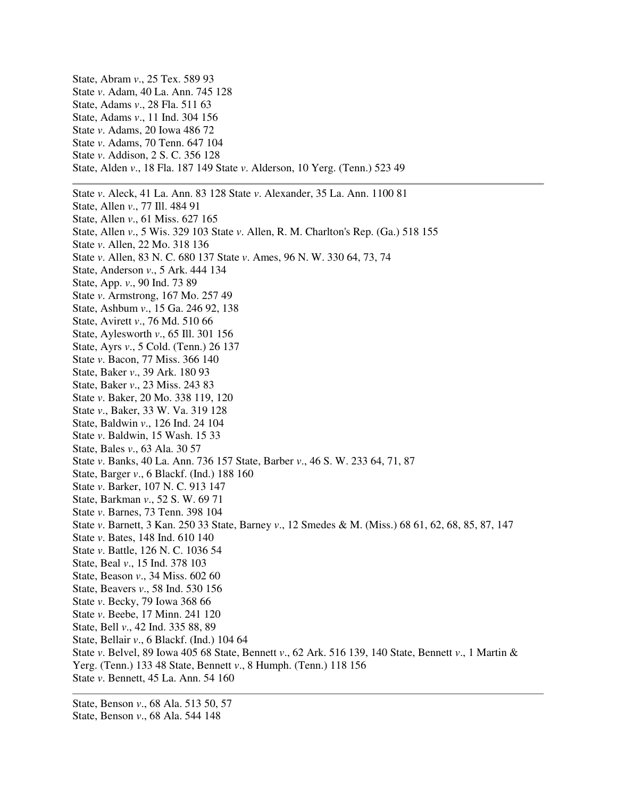State, Abram *v*., 25 Tex. 589 93 State *v*. Adam, 40 La. Ann. 745 128 State, Adams *v*., 28 Fla. 511 63 State, Adams *v*., 11 Ind. 304 156 State *v*. Adams, 20 Iowa 486 72 State *v*. Adams, 70 Tenn. 647 104 State *v*. Addison, 2 S. C. 356 128 State, Alden *v*., 18 Fla. 187 149 State *v*. Alderson, 10 Yerg. (Tenn.) 523 49 State *v*. Aleck, 41 La. Ann. 83 128 State *v*. Alexander, 35 La. Ann. 1100 81 State, Allen *v*., 77 Ill. 484 91 State, Allen *v*., 61 Miss. 627 165 State, Allen *v*., 5 Wis. 329 103 State *v*. Allen, R. M. Charlton's Rep. (Ga.) 518 155 State *v*. Allen, 22 Mo. 318 136 State *v*. Allen, 83 N. C. 680 137 State *v*. Ames, 96 N. W. 330 64, 73, 74 State, Anderson *v*., 5 Ark. 444 134 State, App. *v*., 90 Ind. 73 89 State *v*. Armstrong, 167 Mo. 257 49 State, Ashbum *v*., 15 Ga. 246 92, 138 State, Avirett *v*., 76 Md. 510 66 State, Aylesworth *v*., 65 Ill. 301 156 State, Ayrs *v*., 5 Cold. (Tenn.) 26 137 State *v*. Bacon, 77 Miss. 366 140 State, Baker *v*., 39 Ark. 180 93 State, Baker *v*., 23 Miss. 243 83 State *v*. Baker, 20 Mo. 338 119, 120 State *v*., Baker, 33 W. Va. 319 128 State, Baldwin *v*., 126 Ind. 24 104 State *v*. Baldwin, 15 Wash. 15 33 State, Bales *v*., 63 Ala. 30 57 State *v*. Banks, 40 La. Ann. 736 157 State, Barber *v*., 46 S. W. 233 64, 71, 87 State, Barger *v*., 6 Blackf. (Ind.) 188 160 State *v*. Barker, 107 N. C. 913 147 State, Barkman *v*., 52 S. W. 69 71 State *v*. Barnes, 73 Tenn. 398 104 State *v*. Barnett, 3 Kan. 250 33 State, Barney *v*., 12 Smedes & M. (Miss.) 68 61, 62, 68, 85, 87, 147 State *v*. Bates, 148 Ind. 610 140 State *v*. Battle, 126 N. C. 1036 54 State, Beal *v*., 15 Ind. 378 103 State, Beason *v*., 34 Miss. 602 60 State, Beavers *v*., 58 Ind. 530 156 State *v*. Becky, 79 Iowa 368 66 State *v*. Beebe, 17 Minn. 241 120 State, Bell *v*., 42 Ind. 335 88, 89 State, Bellair *v*., 6 Blackf. (Ind.) 104 64 State *v*. Belvel, 89 Iowa 405 68 State, Bennett *v*., 62 Ark. 516 139, 140 State, Bennett *v*., 1 Martin & Yerg. (Tenn.) 133 48 State, Bennett *v*., 8 Humph. (Tenn.) 118 156 State *v*. Bennett, 45 La. Ann. 54 160

State, Benson *v*., 68 Ala. 513 50, 57 State, Benson *v*., 68 Ala. 544 148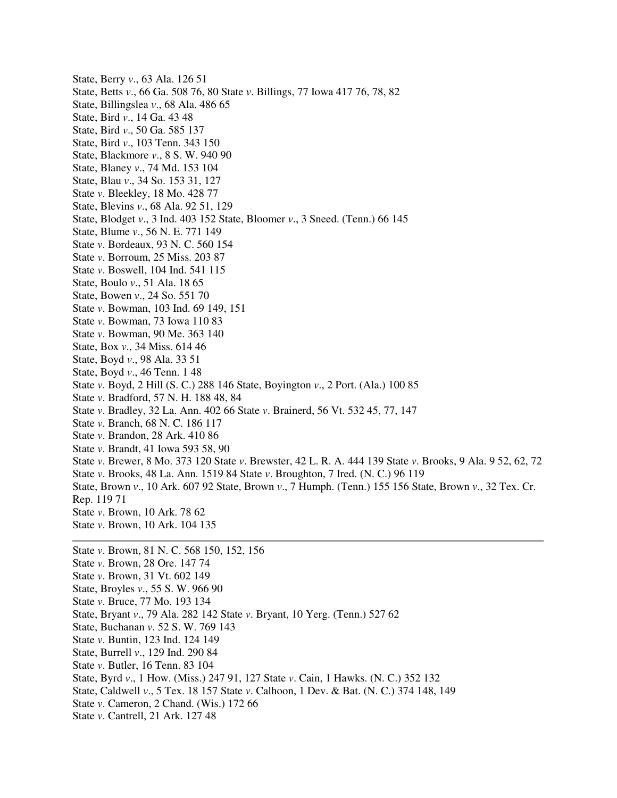State, Berry *v*., 63 Ala. 126 51 State, Betts *v*., 66 Ga. 508 76, 80 State *v*. Billings, 77 Iowa 417 76, 78, 82 State, Billingslea *v*., 68 Ala. 486 65 State, Bird *v*., 14 Ga. 43 48 State, Bird *v*., 50 Ga. 585 137 State, Bird *v*., 103 Tenn. 343 150 State, Blackmore *v*., 8 S. W. 940 90 State, Blaney *v*., 74 Md. 153 104 State, Blau *v*., 34 So. 153 31, 127 State *v*. Bleekley, 18 Mo. 428 77 State, Blevins *v*., 68 Ala. 92 51, 129 State, Blodget *v*., 3 Ind. 403 152 State, Bloomer *v*., 3 Sneed. (Tenn.) 66 145 State, Blume *v*., 56 N. E. 771 149 State *v*. Bordeaux, 93 N. C. 560 154 State *v*. Borroum, 25 Miss. 203 87 State *v*. Boswell, 104 Ind. 541 115 State, Boulo *v*., 51 Ala. 18 65 State, Bowen *v*., 24 So. 551 70 State *v*. Bowman, 103 Ind. 69 149, 151 State *v*. Bowman, 73 Iowa 110 83 State *v*. Bowman, 90 Me. 363 140 State, Box *v*., 34 Miss. 614 46 State, Boyd *v*., 98 Ala. 33 51 State, Boyd *v*., 46 Tenn. 1 48 State *v*. Boyd, 2 Hill (S. C.) 288 146 State, Boyington *v*., 2 Port. (Ala.) 100 85 State *v*. Bradford, 57 N. H. 188 48, 84 State *v*. Bradley, 32 La. Ann. 402 66 State *v*. Brainerd, 56 Vt. 532 45, 77, 147 State *v*. Branch, 68 N. C. 186 117 State *v*. Brandon, 28 Ark. 410 86 State *v*. Brandt, 41 Iowa 593 58, 90 State *v*. Brewer, 8 Mo. 373 120 State *v*. Brewster, 42 L. R. A. 444 139 State *v*. Brooks, 9 Ala. 9 52, 62, 72 State *v*. Brooks, 48 La. Ann. 1519 84 State *v*. Broughton, 7 Ired. (N. C.) 96 119 State, Brown *v*., 10 Ark. 607 92 State, Brown *v*., 7 Humph. (Tenn.) 155 156 State, Brown *v*., 32 Tex. Cr. Rep. 119 71 State *v*. Brown, 10 Ark. 78 62 State *v*. Brown, 10 Ark. 104 135 State *v*. Brown, 81 N. C. 568 150, 152, 156 State *v*. Brown, 28 Ore. 147 74 State *v*. Brown, 31 Vt. 602 149 State, Broyles *v*., 55 S. W. 966 90 State *v*. Bruce, 77 Mo. 193 134 State, Bryant *v*., 79 Ala. 282 142 State *v*. Bryant, 10 Yerg. (Tenn.) 527 62 State, Buchanan *v*. 52 S. W. 769 143 State *v*. Buntin, 123 Ind. 124 149 State, Burrell *v*., 129 Ind. 290 84

- State *v*. Butler, 16 Tenn. 83 104
- State, Byrd *v*., 1 How. (Miss.) 247 91, 127 State *v*. Cain, 1 Hawks. (N. C.) 352 132
- State, Caldwell *v*., 5 Tex. 18 157 State *v*. Calhoon, 1 Dev. & Bat. (N. C.) 374 148, 149
- State *v*. Cameron, 2 Chand. (Wis.) 172 66
- State *v*. Cantrell, 21 Ark. 127 48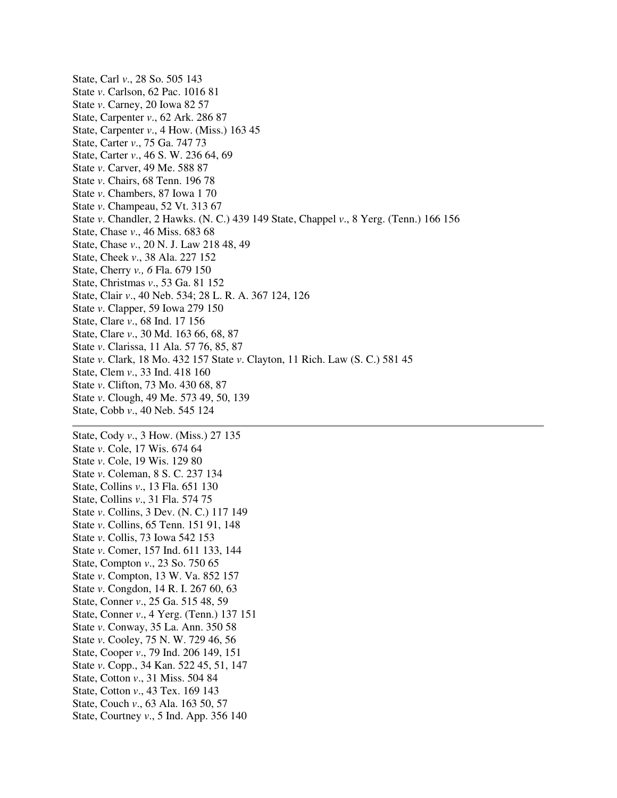State, Carl *v*., 28 So. 505 143 State *v*. Carlson, 62 Pac. 1016 81 State *v*. Carney, 20 Iowa 82 57 State, Carpenter *v*., 62 Ark. 286 87 State, Carpenter *v*., 4 How. (Miss.) 163 45 State, Carter *v*., 75 Ga. 747 73 State, Carter *v*., 46 S. W. 236 64, 69 State *v*. Carver, 49 Me. 588 87 State *v*. Chairs, 68 Tenn. 196 78 State *v*. Chambers, 87 Iowa 1 70 State *v*. Champeau, 52 Vt. 313 67 State *v*. Chandler, 2 Hawks. (N. C.) 439 149 State, Chappel *v*., 8 Yerg. (Tenn.) 166 156 State, Chase *v*., 46 Miss. 683 68 State, Chase *v*., 20 N. J. Law 218 48, 49 State, Cheek *v*., 38 Ala. 227 152 State, Cherry *v., 6* Fla. 679 150 State, Christmas *v*., 53 Ga. 81 152 State, Clair *v*., 40 Neb. 534; 28 L. R. A. 367 124, 126 State *v*. Clapper, 59 Iowa 279 150 State, Clare *v*., 68 Ind. 17 156 State, Clare *v*., 30 Md. 163 66, 68, 87 State *v*. Clarissa, 11 Ala. 57 76, 85, 87 State *v*. Clark, 18 Mo. 432 157 State *v*. Clayton, 11 Rich. Law (S. C.) 581 45 State, Clem *v*., 33 Ind. 418 160 State *v*. Clifton, 73 Mo. 430 68, 87 State *v*. Clough, 49 Me. 573 49, 50, 139 State, Cobb *v*., 40 Neb. 545 124

State, Cody *v*., 3 How. (Miss.) 27 135 State *v*. Cole, 17 Wis. 674 64 State *v*. Cole, 19 Wis. 129 80 State *v*. Coleman, 8 S. C. 237 134 State, Collins *v*., 13 Fla. 651 130 State, Collins *v*., 31 Fla. 574 75 State *v*. Collins, 3 Dev. (N. C.) 117 149 State *v*. Collins, 65 Tenn. 151 91, 148 State *v*. Collis, 73 Iowa 542 153 State *v*. Comer, 157 Ind. 611 133, 144 State, Compton *v*., 23 So. 750 65 State *v*. Compton, 13 W. Va. 852 157 State *v*. Congdon, 14 R. I. 267 60, 63 State, Conner *v*., 25 Ga. 515 48, 59 State, Conner *v*., 4 Yerg. (Tenn.) 137 151 State *v*. Conway, 35 La. Ann. 350 58 State *v*. Cooley, 75 N. W. 729 46, 56 State, Cooper *v*., 79 Ind. 206 149, 151 State *v*. Copp., 34 Kan. 522 45, 51, 147 State, Cotton *v*., 31 Miss. 504 84 State, Cotton *v*., 43 Tex. 169 143 State, Couch *v*., 63 Ala. 163 50, 57 State, Courtney *v*., 5 Ind. App. 356 140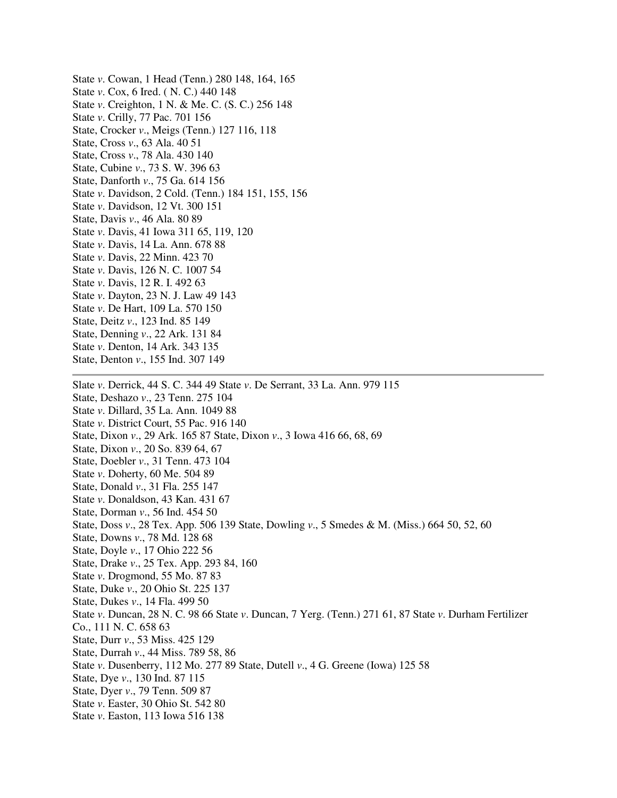State *v*. Cowan, 1 Head (Tenn.) 280 148, 164, 165 State *v*. Cox, 6 Ired. ( N. C.) 440 148 State *v*. Creighton, 1 N. & Me. C. (S. C.) 256 148 State *v*. Crilly, 77 Pac. 701 156 State, Crocker *v*., Meigs (Tenn.) 127 116, 118 State, Cross *v*., 63 Ala. 40 51 State, Cross *v*., 78 Ala. 430 140 State, Cubine *v*., 73 S. W. 396 63 State, Danforth *v*., 75 Ga. 614 156 State *v*. Davidson, 2 Cold. (Tenn.) 184 151, 155, 156 State *v*. Davidson, 12 Vt. 300 151 State, Davis *v*., 46 Ala. 80 89 State *v*. Davis, 41 Iowa 311 65, 119, 120 State *v*. Davis, 14 La. Ann. 678 88 State *v*. Davis, 22 Minn. 423 70 State *v*. Davis, 126 N. C. 1007 54 State *v*. Davis, 12 R. I. 492 63 State *v*. Dayton, 23 N. J. Law 49 143 State *v*. De Hart, 109 La. 570 150 State, Deitz *v*., 123 Ind. 85 149 State, Denning *v*., 22 Ark. 131 84 State *v*. Denton, 14 Ark. 343 135 State, Denton *v*., 155 Ind. 307 149 Slate *v*. Derrick, 44 S. C. 344 49 State *v*. De Serrant, 33 La. Ann. 979 115 State, Deshazo *v*., 23 Tenn. 275 104 State *v*. Dillard, 35 La. Ann. 1049 88 State *v*. District Court, 55 Pac. 916 140 State, Dixon *v*., 29 Ark. 165 87 State, Dixon *v*., 3 Iowa 416 66, 68, 69 State, Dixon *v*., 20 So. 839 64, 67 State, Doebler *v*., 31 Tenn. 473 104 State *v*. Doherty, 60 Me. 504 89 State, Donald *v*., 31 Fla. 255 147 State *v*. Donaldson, 43 Kan. 431 67 State, Dorman *v*., 56 Ind. 454 50 State, Doss *v*., 28 Tex. App. 506 139 State, Dowling *v*., 5 Smedes & M. (Miss.) 664 50, 52, 60 State, Downs *v*., 78 Md. 128 68 State, Doyle *v*., 17 Ohio 222 56 State, Drake *v*., 25 Tex. App. 293 84, 160 State *v*. Drogmond, 55 Mo. 87 83 State, Duke *v*., 20 Ohio St. 225 137 State, Dukes *v*., 14 Fla. 499 50 State *v*. Duncan, 28 N. C. 98 66 State *v*. Duncan, 7 Yerg. (Tenn.) 271 61, 87 State *v*. Durham Fertilizer Co., 111 N. C. 658 63 State, Durr *v*., 53 Miss. 425 129 State, Durrah *v*., 44 Miss. 789 58, 86 State *v*. Dusenberry, 112 Mo. 277 89 State, Dutell *v*., 4 G. Greene (Iowa) 125 58 State, Dye *v*., 130 Ind. 87 115 State, Dyer *v*., 79 Tenn. 509 87 State *v*. Easter, 30 Ohio St. 542 80 State *v*. Easton, 113 Iowa 516 138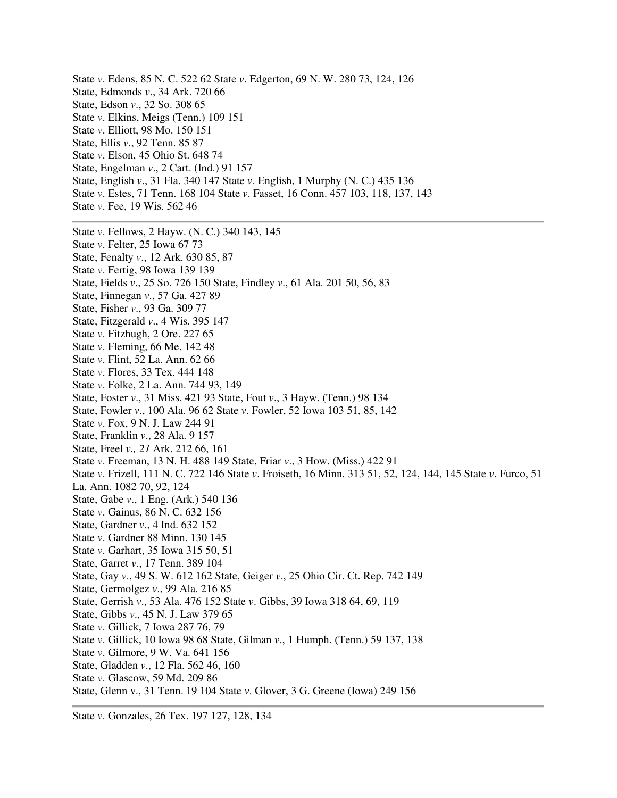State *v*. Edens, 85 N. C. 522 62 State *v*. Edgerton, 69 N. W. 280 73, 124, 126 State, Edmonds *v*., 34 Ark. 720 66 State, Edson *v*., 32 So. 308 65 State *v*. Elkins, Meigs (Tenn.) 109 151 State *v*. Elliott, 98 Mo. 150 151 State, Ellis *v*., 92 Tenn. 85 87 State *v*. Elson, 45 Ohio St. 648 74 State, Engelman *v*., 2 Cart. (Ind.) 91 157 State, English *v*., 31 Fla. 340 147 State *v*. English, 1 Murphy (N. C.) 435 136 State *v*. Estes, 71 Tenn. 168 104 State *v*. Fasset, 16 Conn. 457 103, 118, 137, 143 State *v*. Fee, 19 Wis. 562 46 State *v*. Fellows, 2 Hayw. (N. C.) 340 143, 145 State *v*. Felter, 25 Iowa 67 73 State, Fenalty *v*., 12 Ark. 630 85, 87 State *v*. Fertig, 98 Iowa 139 139 State, Fields *v*., 25 So. 726 150 State, Findley *v*., 61 Ala. 201 50, 56, 83 State, Finnegan *v*., 57 Ga. 427 89 State, Fisher *v*., 93 Ga. 309 77 State, Fitzgerald *v*., 4 Wis. 395 147 State *v*. Fitzhugh, 2 Ore. 227 65 State *v*. Fleming, 66 Me. 142 48 State *v*. Flint, 52 La. Ann. 62 66 State *v*. Flores, 33 Tex. 444 148 State *v*. Folke, 2 La. Ann. 744 93, 149 State, Foster *v*., 31 Miss. 421 93 State, Fout *v*., 3 Hayw. (Tenn.) 98 134 State, Fowler *v*., 100 Ala. 96 62 State *v*. Fowler, 52 Iowa 103 51, 85, 142 State *v*. Fox, 9 N. J. Law 244 91 State, Franklin *v*., 28 Ala. 9 157 State, Freel *v., 21* Ark. 212 66, 161 State *v*. Freeman, 13 N. H. 488 149 State, Friar *v*., 3 How. (Miss.) 422 91 State *v*. Frizell, 111 N. C. 722 146 State *v*. Froiseth, 16 Minn. 313 51, 52, 124, 144, 145 State *v*. Furco, 51 La. Ann. 1082 70, 92, 124 State, Gabe *v*., 1 Eng. (Ark.) 540 136 State *v*. Gainus, 86 N. C. 632 156 State, Gardner *v*., 4 Ind. 632 152 State *v*. Gardner 88 Minn. 130 145 State *v*. Garhart, 35 Iowa 315 50, 51 State, Garret *v*., 17 Tenn. 389 104 State, Gay *v*., 49 S. W. 612 162 State, Geiger *v*., 25 Ohio Cir. Ct. Rep. 742 149 State, Germolgez *v*., 99 Ala. 216 85 State, Gerrish *v*., 53 Ala. 476 152 State *v*. Gibbs, 39 Iowa 318 64, 69, 119 State, Gibbs *v*., 45 N. J. Law 379 65 State *v*. Gillick, 7 Iowa 287 76, 79 State *v*. Gillick, 10 Iowa 98 68 State, Gilman *v*., 1 Humph. (Tenn.) 59 137, 138 State *v*. Gilmore, 9 W. Va. 641 156 State, Gladden *v*., 12 Fla. 562 46, 160 State *v*. Glascow, 59 Md. 209 86 State, Glenn v., 31 Tenn. 19 104 State *v*. Glover, 3 G. Greene (Iowa) 249 156

State *v*. Gonzales, 26 Tex. 197 127, 128, 134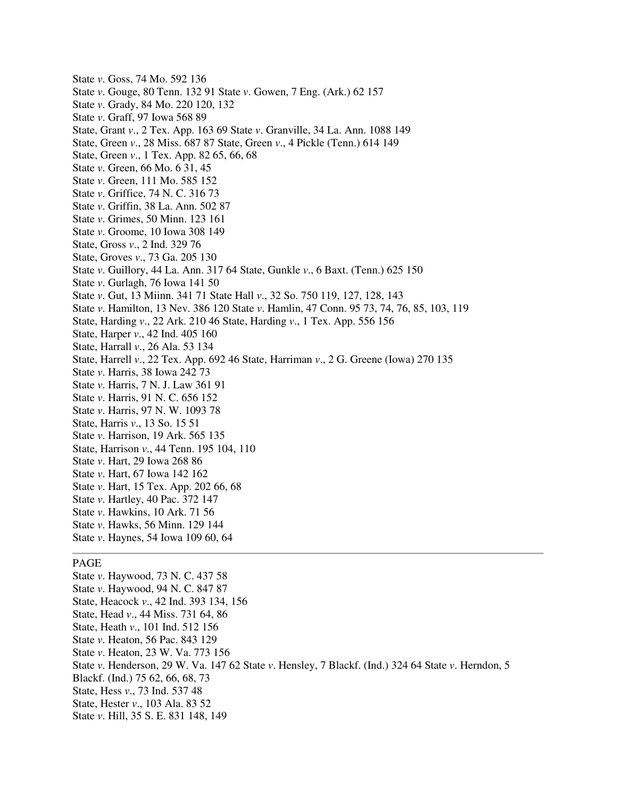- State *v*. Goss, 74 Mo. 592 136 State *v*. Gouge, 80 Tenn. 132 91 State *v*. Gowen, 7 Eng. (Ark.) 62 157 State *v*. Grady, 84 Mo. 220 120, 132 State *v*. Graff, 97 Iowa 568 89 State, Grant *v*., 2 Tex. App. 163 69 State *v*. Granville, 34 La. Ann. 1088 149 State, Green *v*., 28 Miss. 687 87 State, Green *v*., 4 Pickle (Tenn.) 614 149 State, Green *v*., 1 Tex. App. 82 65, 66, 68 State *v*. Green, 66 Mo. 6 31, 45 State *v*. Green, 111 Mo. 585 152 State *v*. Griffice, 74 N. C. 316 73 State *v*. Griffin, 38 La. Ann. 502 87 State *v*. Grimes, 50 Minn. 123 161 State *v*. Groome, 10 Iowa 308 149 State, Gross *v*., 2 Ind. 329 76 State, Groves *v*., 73 Ga. 205 130 State *v*. Guillory, 44 La. Ann. 317 64 State, Gunkle *v*., 6 Baxt. (Tenn.) 625 150 State *v*. Gurlagh, 76 Iowa 141 50 State *v*. Gut, 13 Miinn. 341 71 State Hall *v*., 32 So. 750 119, 127, 128, 143 State *v*. Hamilton, 13 Nev. 386 120 State *v*. Hamlin, 47 Conn. 95 73, 74, 76, 85, 103, 119 State, Harding *v*., 22 Ark. 210 46 State, Harding *v*., 1 Tex. App. 556 156 State, Harper *v*., 42 Ind. 405 160 State, Harrall *v*., 26 Ala. 53 134 State, Harrell *v*., 22 Tex. App. 692 46 State, Harriman *v*., 2 G. Greene (Iowa) 270 135 State *v*. Harris, 38 Iowa 242 73 State *v*. Harris, 7 N. J. Law 361 91 State *v*. Harris, 91 N. C. 656 152 State *v*. Harris, 97 N. W. 1093 78 State, Harris *v*., 13 So. 15 51 State *v*. Harrison, 19 Ark. 565 135 State, Harrison *v*., 44 Tenn. 195 104, 110 State *v*. Hart, 29 Iowa 268 86 State *v*. Hart, 67 Iowa 142 162 State *v*. Hart, 15 Tex. App. 202 66, 68 State *v*. Hartley, 40 Pac. 372 147 State *v*. Hawkins, 10 Ark. 71 56 State *v*. Hawks, 56 Minn. 129 144 State *v*. Haynes, 54 Iowa 109 60, 64 PAGE State *v*. Haywood, 73 N. C. 437 58 State *v*. Haywood, 94 N. C. 847 87 State, Heacock *v*., 42 Ind. 393 134, 156
- State, Head *v*., 44 Miss. 731 64, 86 State, Heath *v*., 101 Ind. 512 156
- State *v*. Heaton, 56 Pac. 843 129
- State *v*. Heaton, 23 W. Va. 773 156
- State *v*. Henderson, 29 W. Va. 147 62 State *v*. Hensley, 7 Blackf. (Ind.) 324 64 State *v*. Herndon, 5
- Blackf. (Ind.) 75 62, 66, 68, 73
- State, Hess *v*., 73 Ind. 537 48
- State, Hester *v*., 103 Ala. 83 52
- State *v*. Hill, 35 S. E. 831 148, 149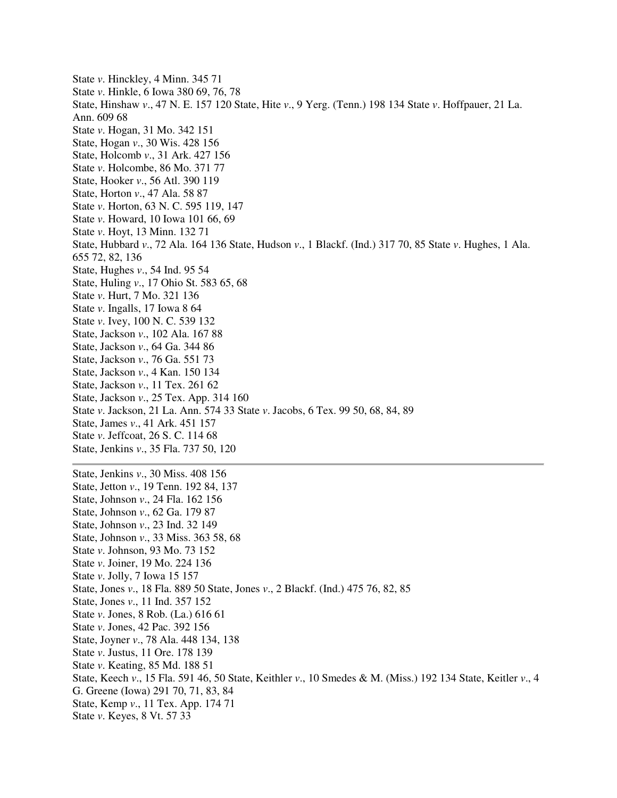State *v*. Hinckley, 4 Minn. 345 71 State *v*. Hinkle, 6 Iowa 380 69, 76, 78 State, Hinshaw *v*., 47 N. E. 157 120 State, Hite *v*., 9 Yerg. (Tenn.) 198 134 State *v*. Hoffpauer, 21 La. Ann. 609 68 State *v*. Hogan, 31 Mo. 342 151 State, Hogan *v*., 30 Wis. 428 156 State, Holcomb *v*., 31 Ark. 427 156 State *v*. Holcombe, 86 Mo. 371 77 State, Hooker *v*., 56 Atl. 390 119 State, Horton *v*., 47 Ala. 58 87 State *v*. Horton, 63 N. C. 595 119, 147 State *v*. Howard, 10 Iowa 101 66, 69 State *v*. Hoyt, 13 Minn. 132 71 State, Hubbard *v*., 72 Ala. 164 136 State, Hudson *v*., 1 Blackf. (Ind.) 317 70, 85 State *v*. Hughes, 1 Ala. 655 72, 82, 136 State, Hughes *v*., 54 Ind. 95 54 State, Huling *v*., 17 Ohio St. 583 65, 68 State *v*. Hurt, 7 Mo. 321 136 State *v*. Ingalls, 17 Iowa 8 64 State *v*. Ivey, 100 N. C. 539 132 State, Jackson *v*., 102 Ala. 167 88 State, Jackson *v*., 64 Ga. 344 86 State, Jackson *v*., 76 Ga. 551 73 State, Jackson *v*., 4 Kan. 150 134 State, Jackson *v*., 11 Tex. 261 62 State, Jackson *v*., 25 Tex. App. 314 160 State *v*. Jackson, 21 La. Ann. 574 33 State *v*. Jacobs, 6 Tex. 99 50, 68, 84, 89 State, James *v*., 41 Ark. 451 157 State *v*. Jeffcoat, 26 S. C. 114 68 State, Jenkins *v*., 35 Fla. 737 50, 120 State, Jenkins *v*., 30 Miss. 408 156 State, Jetton *v*., 19 Tenn. 192 84, 137 State, Johnson *v*., 24 Fla. 162 156 State, Johnson *v*., 62 Ga. 179 87 State, Johnson *v*., 23 Ind. 32 149 State, Johnson *v*., 33 Miss. 363 58, 68 State *v*. Johnson, 93 Mo. 73 152 State *v*. Joiner, 19 Mo. 224 136 State *v*. Jolly, 7 Iowa 15 157 State, Jones *v*., 18 Fla. 889 50 State, Jones *v*., 2 Blackf. (Ind.) 475 76, 82, 85 State, Jones *v*., 11 Ind. 357 152 State *v*. Jones, 8 Rob. (La.) 616 61 State *v*. Jones, 42 Pac. 392 156 State, Joyner *v*., 78 Ala. 448 134, 138 State *v*. Justus, 11 Ore. 178 139 State *v*. Keating, 85 Md. 188 51 State, Keech *v*., 15 Fla. 591 46, 50 State, Keithler *v*., 10 Smedes & M. (Miss.) 192 134 State, Keitler *v*., 4 G. Greene (Iowa) 291 70, 71, 83, 84 State, Kemp *v*., 11 Tex. App. 174 71 State *v*. Keyes, 8 Vt. 57 33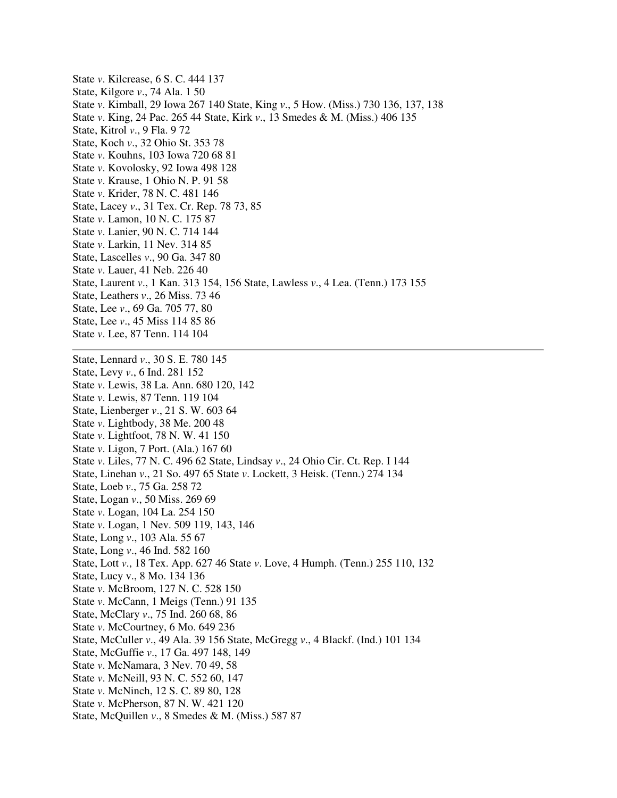State *v*. Kilcrease, 6 S. C. 444 137 State, Kilgore *v*., 74 Ala. 1 50 State *v*. Kimball, 29 Iowa 267 140 State, King *v*., 5 How. (Miss.) 730 136, 137, 138 State *v*. King, 24 Pac. 265 44 State, Kirk *v*., 13 Smedes & M. (Miss.) 406 135 State, Kitrol *v*., 9 Fla. 9 72 State, Koch *v*., 32 Ohio St. 353 78 State *v*. Kouhns, 103 Iowa 720 68 81 State *v*. Kovolosky, 92 Iowa 498 128 State *v*. Krause, 1 Ohio N. P. 91 58 State *v*. Krider, 78 N. C. 481 146 State, Lacey *v*., 31 Tex. Cr. Rep. 78 73, 85 State *v*. Lamon, 10 N. C. 175 87 State *v*. Lanier, 90 N. C. 714 144 State *v*. Larkin, 11 Nev. 314 85 State, Lascelles *v*., 90 Ga. 347 80 State *v*. Lauer, 41 Neb. 226 40 State, Laurent *v*., 1 Kan. 313 154, 156 State, Lawless *v*., 4 Lea. (Tenn.) 173 155 State, Leathers *v*., 26 Miss. 73 46 State, Lee *v*., 69 Ga. 705 77, 80 State, Lee *v*., 45 Miss 114 85 86 State *v*. Lee, 87 Tenn. 114 104 State, Lennard *v*., 30 S. E. 780 145 State, Levy *v*., 6 Ind. 281 152 State *v*. Lewis, 38 La. Ann. 680 120, 142 State *v*. Lewis, 87 Tenn. 119 104 State, Lienberger *v*., 21 S. W. 603 64 State *v*. Lightbody, 38 Me. 200 48 State *v*. Lightfoot, 78 N. W. 41 150 State *v*. Ligon, 7 Port. (Ala.) 167 60 State *v*. Liles, 77 N. C. 496 62 State, Lindsay *v*., 24 Ohio Cir. Ct. Rep. I 144

State, Linehan *v*., 21 So. 497 65 State *v*. Lockett, 3 Heisk. (Tenn.) 274 134

State, Loeb *v*., 75 Ga. 258 72

State, Logan *v*., 50 Miss. 269 69

State *v*. Logan, 104 La. 254 150

State *v*. Logan, 1 Nev. 509 119, 143, 146

State, Long *v*., 103 Ala. 55 67

State, Long *v*., 46 Ind. 582 160

State, Lott *v*., 18 Tex. App. 627 46 State *v*. Love, 4 Humph. (Tenn.) 255 110, 132

State, Lucy v., 8 Mo. 134 136

State *v*. McBroom, 127 N. C. 528 150

State *v*. McCann, 1 Meigs (Tenn.) 91 135

State, McClary *v*., 75 Ind. 260 68, 86

State *v*. McCourtney, 6 Mo. 649 236

State, McCuller *v*., 49 Ala. 39 156 State, McGregg *v*., 4 Blackf. (Ind.) 101 134

State, McGuffie *v*., 17 Ga. 497 148, 149

State *v*. McNamara, 3 Nev. 70 49, 58

State *v*. McNeill, 93 N. C. 552 60, 147

State *v*. McNinch, 12 S. C. 89 80, 128

State *v*. McPherson, 87 N. W. 421 120

State, McQuillen *v*., 8 Smedes & M. (Miss.) 587 87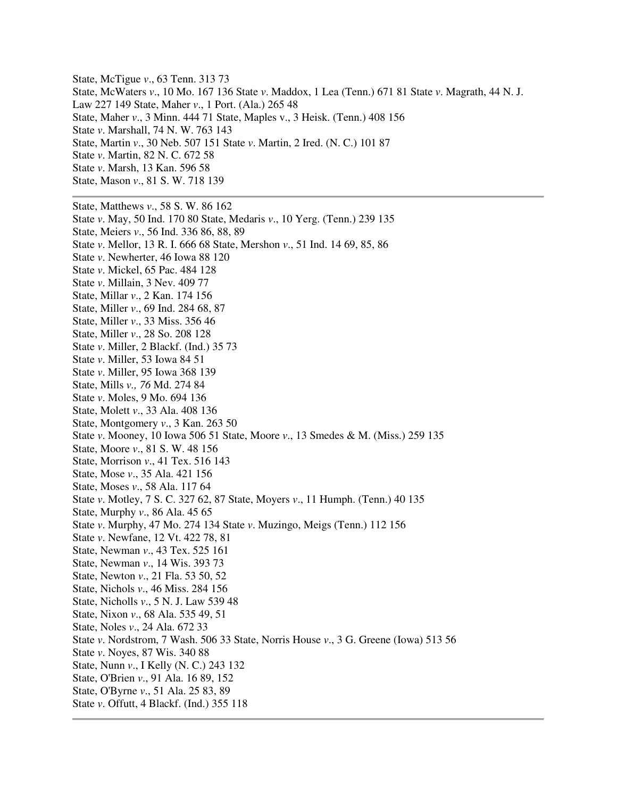State, McTigue *v*., 63 Tenn. 313 73 State, McWaters *v*., 10 Mo. 167 136 State *v*. Maddox, 1 Lea (Tenn.) 671 81 State *v*. Magrath, 44 N. J. Law 227 149 State, Maher *v*., 1 Port. (Ala.) 265 48 State, Maher *v*., 3 Minn. 444 71 State, Maples v., 3 Heisk. (Tenn.) 408 156 State *v*. Marshall, 74 N. W. 763 143 State, Martin *v*., 30 Neb. 507 151 State *v*. Martin, 2 Ired. (N. C.) 101 87 State *v*. Martin, 82 N. C. 672 58 State *v*. Marsh, 13 Kan. 596 58 State, Mason *v*., 81 S. W. 718 139 State, Matthews *v*., 58 S. W. 86 162

State *v*. May, 50 Ind. 170 80 State, Medaris *v*., 10 Yerg. (Tenn.) 239 135 State, Meiers *v*., 56 Ind. 336 86, 88, 89 State *v*. Mellor, 13 R. I. 666 68 State, Mershon *v*., 51 Ind. 14 69, 85, 86 State *v*. Newherter, 46 Iowa 88 120 State *v*. Mickel, 65 Pac. 484 128 State *v*. Millain, 3 Nev. 409 77 State, Millar *v*., 2 Kan. 174 156 State, Miller *v*., 69 Ind. 284 68, 87 State, Miller *v*., 33 Miss. 356 46 State, Miller *v*., 28 So. 208 128 State *v*. Miller, 2 Blackf. (Ind.) 35 73 State *v*. Miller, 53 Iowa 84 51 State *v*. Miller, 95 Iowa 368 139 State, Mills *v., 76* Md. 274 84 State *v*. Moles, 9 Mo. 694 136 State, Molett *v*., 33 Ala. 408 136 State, Montgomery *v*., 3 Kan. 263 50 State *v*. Mooney, 10 Iowa 506 51 State, Moore *v*., 13 Smedes & M. (Miss.) 259 135 State, Moore *v*., 81 S. W. 48 156 State, Morrison *v*., 41 Tex. 516 143 State, Mose *v*., 35 Ala. 421 156 State, Moses *v*., 58 Ala. 117 64 State *v*. Motley, 7 S. C. 327 62, 87 State, Moyers *v*., 11 Humph. (Tenn.) 40 135 State, Murphy *v*., 86 Ala. 45 65 State *v*. Murphy, 47 Mo. 274 134 State *v*. Muzingo, Meigs (Tenn.) 112 156 State *v*. Newfane, 12 Vt. 422 78, 81 State, Newman *v*., 43 Tex. 525 161 State, Newman *v*., 14 Wis. 393 73 State, Newton *v*., 21 Fla. 53 50, 52 State, Nichols *v*., 46 Miss. 284 156 State, Nicholls *v*., 5 N. J. Law 539 48 State, Nixon *v*., 68 Ala. 535 49, 51 State, Noles *v*., 24 Ala. 672 33 State *v*. Nordstrom, 7 Wash. 506 33 State, Norris House *v*., 3 G. Greene (Iowa) 513 56 State *v*. Noyes, 87 Wis. 340 88 State, Nunn *v*., I Kelly (N. C.) 243 132 State, O'Brien *v*., 91 Ala. 16 89, 152 State, O'Byrne *v*., 51 Ala. 25 83, 89 State *v*. Offutt, 4 Blackf. (Ind.) 355 118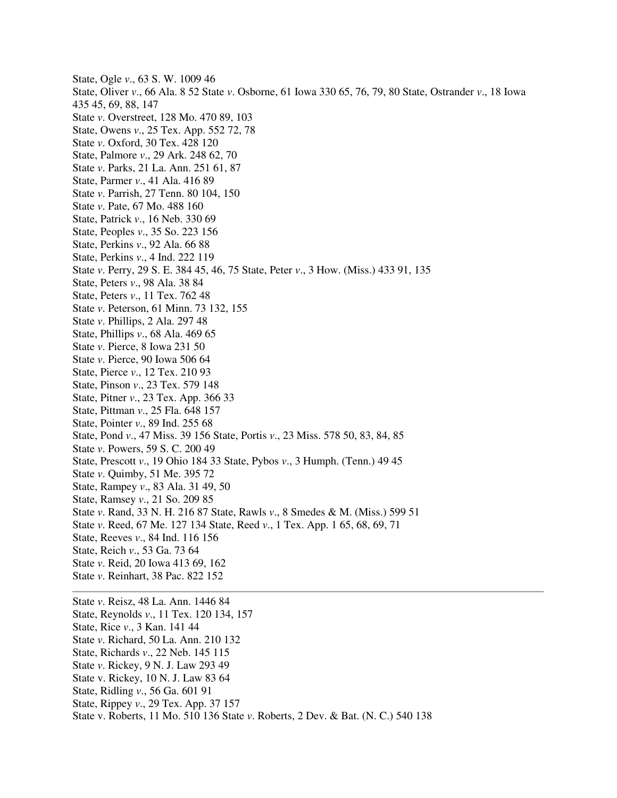State, Ogle *v*., 63 S. W. 1009 46 State, Oliver *v*., 66 Ala. 8 52 State *v*. Osborne, 61 Iowa 330 65, 76, 79, 80 State, Ostrander *v*., 18 Iowa 435 45, 69, 88, 147 State *v*. Overstreet, 128 Mo. 470 89, 103 State, Owens *v*., 25 Tex. App. 552 72, 78 State *v*. Oxford, 30 Tex. 428 120 State, Palmore *v*., 29 Ark. 248 62, 70 State *v*. Parks, 21 La. Ann. 251 61, 87 State, Parmer *v*., 41 Ala. 416 89 State *v*. Parrish, 27 Tenn. 80 104, 150 State *v*. Pate, 67 Mo. 488 160 State, Patrick *v*., 16 Neb. 330 69 State, Peoples *v*., 35 So. 223 156 State, Perkins *v*., 92 Ala. 66 88 State, Perkins *v*., 4 Ind. 222 119 State *v*. Perry, 29 S. E. 384 45, 46, 75 State, Peter *v*., 3 How. (Miss.) 433 91, 135 State, Peters *v*., 98 Ala. 38 84 State, Peters *v*., 11 Tex. 762 48 State *v*. Peterson, 61 Minn. 73 132, 155 State *v*. Phillips, 2 Ala. 297 48 State, Phillips *v*., 68 Ala. 469 65 State *v*. Pierce, 8 Iowa 231 50 State *v*. Pierce, 90 Iowa 506 64 State, Pierce *v*., 12 Tex. 210 93 State, Pinson *v*., 23 Tex. 579 148 State, Pitner *v*., 23 Tex. App. 366 33 State, Pittman *v*., 25 Fla. 648 157 State, Pointer *v*., 89 Ind. 255 68 State, Pond *v*., 47 Miss. 39 156 State, Portis *v*., 23 Miss. 578 50, 83, 84, 85 State *v*. Powers, 59 S. C. 200 49 State, Prescott *v*., 19 Ohio 184 33 State, Pybos *v*., 3 Humph. (Tenn.) 49 45 State *v*. Quimby, 51 Me. 395 72 State, Rampey *v*., 83 Ala. 31 49, 50 State, Ramsey *v*., 21 So. 209 85 State *v*. Rand, 33 N. H. 216 87 State, Rawls *v*., 8 Smedes & M. (Miss.) 599 51 State *v*. Reed, 67 Me. 127 134 State, Reed *v*., 1 Tex. App. 1 65, 68, 69, 71 State, Reeves *v*., 84 Ind. 116 156 State, Reich *v*., 53 Ga. 73 64 State *v*. Reid, 20 Iowa 413 69, 162 State *v*. Reinhart, 38 Pac. 822 152 State *v*. Reisz, 48 La. Ann. 1446 84 State, Reynolds *v*., 11 Tex. 120 134, 157 State, Rice *v*., 3 Kan. 141 44 State *v*. Richard, 50 La. Ann. 210 132

- State, Richards *v*., 22 Neb. 145 115
- State *v*. Rickey, 9 N. J. Law 293 49
- State v. Rickey, 10 N. J. Law 83 64
- State, Ridling *v*., 56 Ga. 601 91
- State, Rippey *v*., 29 Tex. App. 37 157
- State v. Roberts, 11 Mo. 510 136 State *v*. Roberts, 2 Dev. & Bat. (N. C.) 540 138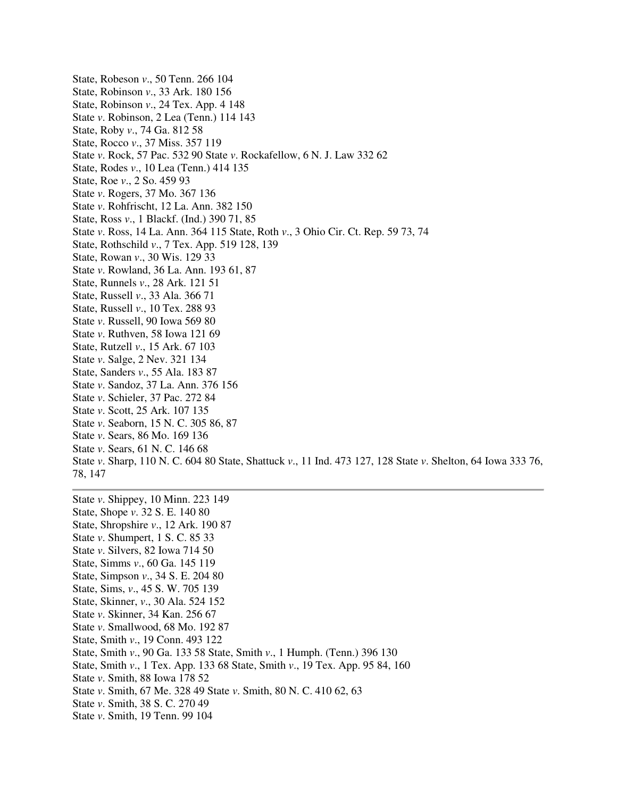State, Robeson *v*., 50 Tenn. 266 104 State, Robinson *v*., 33 Ark. 180 156 State, Robinson *v*., 24 Tex. App. 4 148 State *v*. Robinson, 2 Lea (Tenn.) 114 143 State, Roby *v*., 74 Ga. 812 58 State, Rocco *v*., 37 Miss. 357 119 State *v*. Rock, 57 Pac. 532 90 State *v*. Rockafellow, 6 N. J. Law 332 62 State, Rodes *v*., 10 Lea (Tenn.) 414 135 State, Roe *v*., 2 So. 459 93 State *v*. Rogers, 37 Mo. 367 136 State *v*. Rohfrischt, 12 La. Ann. 382 150 State, Ross *v*., 1 Blackf. (Ind.) 390 71, 85 State *v*. Ross, 14 La. Ann. 364 115 State, Roth *v*., 3 Ohio Cir. Ct. Rep. 59 73, 74 State, Rothschild *v*., 7 Tex. App. 519 128, 139 State, Rowan *v*., 30 Wis. 129 33 State *v*. Rowland, 36 La. Ann. 193 61, 87 State, Runnels *v*., 28 Ark. 121 51 State, Russell *v*., 33 Ala. 366 71 State, Russell *v*., 10 Tex. 288 93 State *v*. Russell, 90 Iowa 569 80 State *v*. Ruthven, 58 Iowa 121 69 State, Rutzell *v*., 15 Ark. 67 103 State *v*. Salge, 2 Nev. 321 134 State, Sanders *v*., 55 Ala. 183 87 State *v*. Sandoz, 37 La. Ann. 376 156 State *v*. Schieler, 37 Pac. 272 84 State *v*. Scott, 25 Ark. 107 135 State *v*. Seaborn, 15 N. C. 305 86, 87 State *v*. Sears, 86 Mo. 169 136 State *v*. Sears, 61 N. C. 146 68 State *v*. Sharp, 110 N. C. 604 80 State, Shattuck *v*., 11 Ind. 473 127, 128 State *v*. Shelton, 64 Iowa 333 76, 78, 147

State *v*. Shippey, 10 Minn. 223 149 State, Shope *v*. 32 S. E. 140 80 State, Shropshire *v*., 12 Ark. 190 87 State *v*. Shumpert, 1 S. C. 85 33 State *v*. Silvers, 82 Iowa 714 50 State, Simms *v*., 60 Ga. 145 119 State, Simpson *v*., 34 S. E. 204 80 State, Sims, *v*., 45 S. W. 705 139 State, Skinner, *v*., 30 Ala. 524 152 State *v*. Skinner, 34 Kan. 256 67 State *v*. Smallwood, 68 Mo. 192 87 State, Smith *v*., 19 Conn. 493 122 State, Smith *v*., 90 Ga. 133 58 State, Smith *v*., 1 Humph. (Tenn.) 396 130 State, Smith *v*., 1 Tex. App. 133 68 State, Smith *v*., 19 Tex. App. 95 84, 160 State *v*. Smith, 88 Iowa 178 52 State *v*. Smith, 67 Me. 328 49 State *v*. Smith, 80 N. C. 410 62, 63 State *v*. Smith, 38 S. C. 270 49 State *v*. Smith, 19 Tenn. 99 104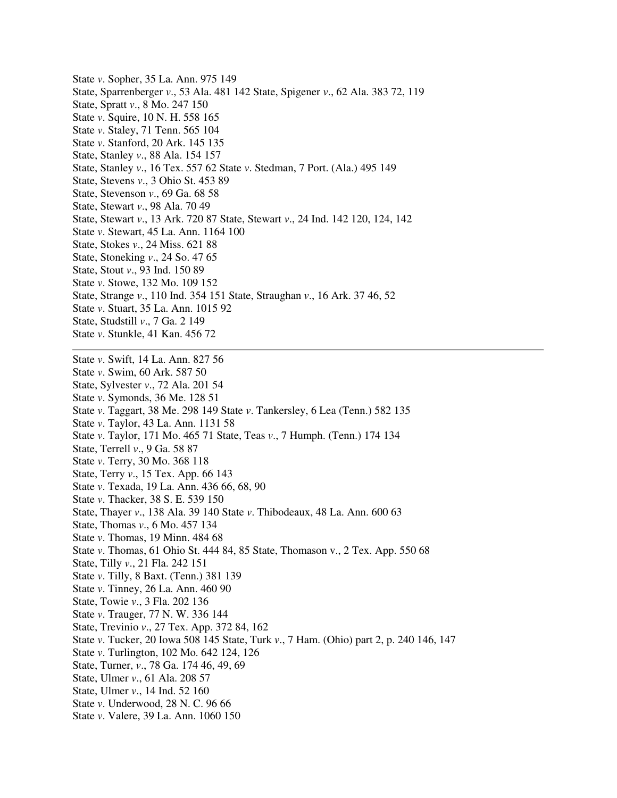State *v*. Sopher, 35 La. Ann. 975 149 State, Sparrenberger *v*., 53 Ala. 481 142 State, Spigener *v*., 62 Ala. 383 72, 119 State, Spratt *v*., 8 Mo. 247 150 State *v*. Squire, 10 N. H. 558 165 State *v*. Staley, 71 Tenn. 565 104 State *v*. Stanford, 20 Ark. 145 135 State, Stanley *v*., 88 Ala. 154 157 State, Stanley *v*., 16 Tex. 557 62 State *v*. Stedman, 7 Port. (Ala.) 495 149 State, Stevens *v*., 3 Ohio St. 453 89 State, Stevenson *v*., 69 Ga. 68 58 State, Stewart *v*., 98 Ala. 70 49 State, Stewart *v*., 13 Ark. 720 87 State, Stewart *v*., 24 Ind. 142 120, 124, 142 State *v*. Stewart, 45 La. Ann. 1164 100 State, Stokes *v*., 24 Miss. 621 88 State, Stoneking *v*., 24 So. 47 65 State, Stout *v*., 93 Ind. 150 89 State *v*. Stowe, 132 Mo. 109 152 State, Strange *v*., 110 Ind. 354 151 State, Straughan *v*., 16 Ark. 37 46, 52 State *v*. Stuart, 35 La. Ann. 1015 92 State, Studstill *v*., 7 Ga. 2 149 State *v*. Stunkle, 41 Kan. 456 72 State *v*. Swift, 14 La. Ann. 827 56 State *v*. Swim, 60 Ark. 587 50 State, Sylvester *v*., 72 Ala. 201 54 State *v*. Symonds, 36 Me. 128 51 State *v*. Taggart, 38 Me. 298 149 State *v*. Tankersley, 6 Lea (Tenn.) 582 135 State *v*. Taylor, 43 La. Ann. 1131 58 State *v*. Taylor, 171 Mo. 465 71 State, Teas *v*., 7 Humph. (Tenn.) 174 134 State, Terrell *v*., 9 Ga. 58 87 State *v*. Terry, 30 Mo. 368 118 State, Terry *v*., 15 Tex. App. 66 143 State *v*. Texada, 19 La. Ann. 436 66, 68, 90 State *v*. Thacker, 38 S. E. 539 150 State, Thayer *v*., 138 Ala. 39 140 State *v*. Thibodeaux, 48 La. Ann. 600 63 State, Thomas *v*., 6 Mo. 457 134 State *v*. Thomas, 19 Minn. 484 68 State *v*. Thomas, 61 Ohio St. 444 84, 85 State, Thomason v., 2 Tex. App. 550 68 State, Tilly *v*., 21 Fla. 242 151 State *v*. Tilly, 8 Baxt. (Tenn.) 381 139 State *v*. Tinney, 26 La. Ann. 460 90 State, Towie *v*., 3 Fla. 202 136 State *v*. Trauger, 77 N. W. 336 144 State, Trevinio *v*., 27 Tex. App. 372 84, 162 State *v*. Tucker, 20 Iowa 508 145 State, Turk *v*., 7 Ham. (Ohio) part 2, p. 240 146, 147 State *v*. Turlington, 102 Mo. 642 124, 126 State, Turner, *v*., 78 Ga. 174 46, 49, 69 State, Ulmer *v*., 61 Ala. 208 57 State, Ulmer *v*., 14 Ind. 52 160 State *v*. Underwood, 28 N. C. 96 66 State *v*. Valere, 39 La. Ann. 1060 150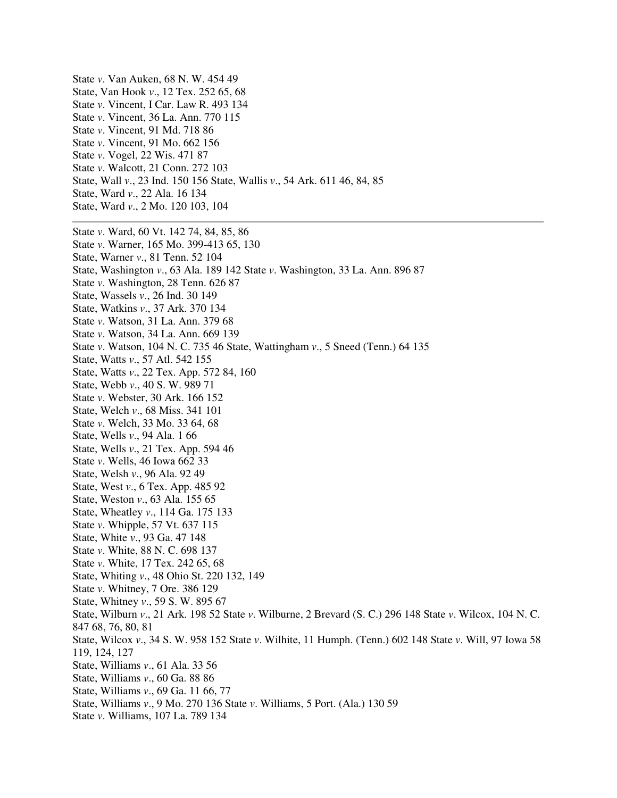State *v*. Van Auken, 68 N. W. 454 49 State, Van Hook *v*., 12 Tex. 252 65, 68 State *v*. Vincent, I Car. Law R. 493 134 State *v*. Vincent, 36 La. Ann. 770 115 State *v*. Vincent, 91 Md. 718 86 State *v*. Vincent, 91 Mo. 662 156 State *v*. Vogel, 22 Wis. 471 87 State *v*. Walcott, 21 Conn. 272 103 State, Wall *v*., 23 Ind. 150 156 State, Wallis *v*., 54 Ark. 611 46, 84, 85 State, Ward *v*., 22 Ala. 16 134 State, Ward *v*., 2 Mo. 120 103, 104 State *v*. Ward, 60 Vt. 142 74, 84, 85, 86 State *v*. Warner, 165 Mo. 399-413 65, 130 State, Warner *v*., 81 Tenn. 52 104 State, Washington *v*., 63 Ala. 189 142 State *v*. Washington, 33 La. Ann. 896 87 State *v*. Washington, 28 Tenn. 626 87 State, Wassels *v*., 26 Ind. 30 149 State, Watkins *v*., 37 Ark. 370 134 State *v*. Watson, 31 La. Ann. 379 68 State *v*. Watson, 34 La. Ann. 669 139 State *v*. Watson, 104 N. C. 735 46 State, Wattingham *v*., 5 Sneed (Tenn.) 64 135 State, Watts *v*., 57 Atl. 542 155 State, Watts *v*., 22 Tex. App. 572 84, 160 State, Webb *v*., 40 S. W. 989 71 State *v*. Webster, 30 Ark. 166 152 State, Welch *v*., 68 Miss. 341 101 State *v*. Welch, 33 Mo. 33 64, 68 State, Wells *v*., 94 Ala. 1 66 State, Wells *v*., 21 Tex. App. 594 46 State *v*. Wells, 46 Iowa 662 33 State, Welsh *v*., 96 Ala. 92 49 State, West *v*., 6 Tex. App. 485 92 State, Weston *v*., 63 Ala. 155 65 State, Wheatley *v*., 114 Ga. 175 133 State *v*. Whipple, 57 Vt. 637 115 State, White *v*., 93 Ga. 47 148 State *v*. White, 88 N. C. 698 137 State *v*. White, 17 Tex. 242 65, 68 State, Whiting *v*., 48 Ohio St. 220 132, 149 State *v*. Whitney, 7 Ore. 386 129 State, Whitney *v*., 59 S. W. 895 67 State, Wilburn *v*., 21 Ark. 198 52 State *v*. Wilburne, 2 Brevard (S. C.) 296 148 State *v*. Wilcox, 104 N. C. 847 68, 76, 80, 81 State, Wilcox *v*., 34 S. W. 958 152 State *v*. Wilhite, 11 Humph. (Tenn.) 602 148 State *v*. Will, 97 Iowa 58 119, 124, 127 State, Williams *v*., 61 Ala. 33 56 State, Williams *v*., 60 Ga. 88 86 State, Williams *v*., 69 Ga. 11 66, 77 State, Williams *v*., 9 Mo. 270 136 State *v*. Williams, 5 Port. (Ala.) 130 59 State *v*. Williams, 107 La. 789 134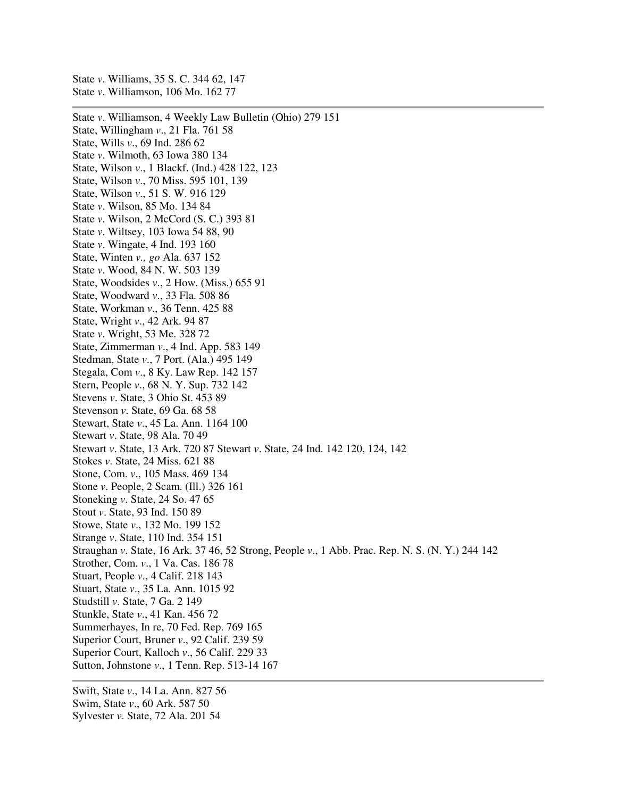State *v*. Williamson, 106 Mo. 162 77 State *v*. Williamson, 4 Weekly Law Bulletin (Ohio) 279 151 State, Willingham *v*., 21 Fla. 761 58 State, Wills *v*., 69 Ind. 286 62 State *v*. Wilmoth, 63 Iowa 380 134 State, Wilson *v*., 1 Blackf. (Ind.) 428 122, 123 State, Wilson *v*., 70 Miss. 595 101, 139 State, Wilson *v*., 51 S. W. 916 129 State *v*. Wilson, 85 Mo. 134 84 State *v*. Wilson, 2 McCord (S. C.) 393 81 State *v*. Wiltsey, 103 Iowa 54 88, 90 State *v*. Wingate, 4 Ind. 193 160 State, Winten *v., go* Ala. 637 152 State *v*. Wood, 84 N. W. 503 139 State, Woodsides *v*., 2 How. (Miss.) 655 91 State, Woodward *v*., 33 Fla. 508 86 State, Workman *v*., 36 Tenn. 425 88 State, Wright *v*., 42 Ark. 94 87 State *v*. Wright, 53 Me. 328 72 State, Zimmerman *v*., 4 Ind. App. 583 149 Stedman, State *v*., 7 Port. (Ala.) 495 149 Stegala, Com *v*., 8 Ky. Law Rep. 142 157 Stern, People *v*., 68 N. Y. Sup. 732 142 Stevens *v*. State, 3 Ohio St. 453 89 Stevenson *v*. State, 69 Ga. 68 58 Stewart, State *v*., 45 La. Ann. 1164 100 Stewart *v*. State, 98 Ala. 70 49 Stewart *v*. State, 13 Ark. 720 87 Stewart *v*. State, 24 Ind. 142 120, 124, 142 Stokes *v*. State, 24 Miss. 621 88 Stone, Com. *v*., 105 Mass. 469 134 Stone *v*. People, 2 Scam. (Ill.) 326 161 Stoneking *v*. State, 24 So. 47 65 Stout *v*. State, 93 Ind. 150 89 Stowe, State *v*., 132 Mo. 199 152 Strange *v*. State, 110 Ind. 354 151 Straughan *v*. State, 16 Ark. 37 46, 52 Strong, People *v*., 1 Abb. Prac. Rep. N. S. (N. Y.) 244 142 Strother, Com. *v*., 1 Va. Cas. 186 78 Stuart, People *v*., 4 Calif. 218 143 Stuart, State *v*., 35 La. Ann. 1015 92 Studstill *v*. State, 7 Ga. 2 149 Stunkle, State *v*., 41 Kan. 456 72 Summerhayes, In re, 70 Fed. Rep. 769 165 Superior Court, Bruner *v*., 92 Calif. 239 59 Superior Court, Kalloch *v*., 56 Calif. 229 33 Sutton, Johnstone *v*., 1 Tenn. Rep. 513-14 167

Swift, State *v*., 14 La. Ann. 827 56 Swim, State *v*., 60 Ark. 587 50 Sylvester *v*. State, 72 Ala. 201 54

State *v*. Williams, 35 S. C. 344 62, 147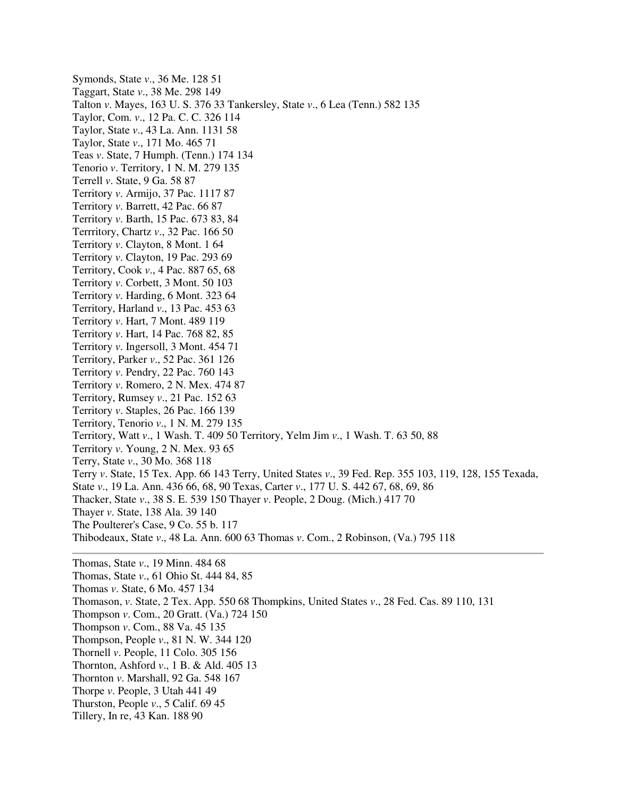Symonds, State *v*., 36 Me. 128 51 Taggart, State *v*., 38 Me. 298 149 Talton *v*. Mayes, 163 U. S. 376 33 Tankersley, State *v*., 6 Lea (Tenn.) 582 135 Taylor, Com. *v*., 12 Pa. C. C. 326 114 Taylor, State *v*., 43 La. Ann. 1131 58 Taylor, State *v*., 171 Mo. 465 71 Teas *v*. State, 7 Humph. (Tenn.) 174 134 Tenorio *v*. Territory, 1 N. M. 279 135 Terrell *v*. State, 9 Ga. 58 87 Territory *v*. Armijo, 37 Pac. 1117 87 Territory *v*. Barrett, 42 Pac. 66 87 Territory *v*. Barth, 15 Pac. 673 83, 84 Terrritory, Chartz *v*., 32 Pac. 166 50 Territory *v*. Clayton, 8 Mont. 1 64 Territory *v*. Clayton, 19 Pac. 293 69 Territory, Cook *v*., 4 Pac. 887 65, 68 Territory *v*. Corbett, 3 Mont. 50 103 Territory *v*. Harding, 6 Mont. 323 64 Territory, Harland *v*., 13 Pac. 453 63 Territory *v*. Hart, 7 Mont. 489 119 Territory *v*. Hart, 14 Pac. 768 82, 85 Territory *v*. Ingersoll, 3 Mont. 454 71 Territory, Parker *v*., 52 Pac. 361 126 Territory *v*. Pendry, 22 Pac. 760 143 Territory *v*. Romero, 2 N. Mex. 474 87 Territory, Rumsey *v*., 21 Pac. 152 63 Territory *v*. Staples, 26 Pac. 166 139 Territory, Tenorio *v*., 1 N. M. 279 135 Territory, Watt *v*., 1 Wash. T. 409 50 Territory, Yelm Jim *v*., 1 Wash. T. 63 50, 88 Territory *v*. Young, 2 N. Mex. 93 65 Terry, State *v*., 30 Mo. 368 118 Terry *v*. State, 15 Tex. App. 66 143 Terry, United States *v*., 39 Fed. Rep. 355 103, 119, 128, 155 Texada, State *v*., 19 La. Ann. 436 66, 68, 90 Texas, Carter *v*., 177 U. S. 442 67, 68, 69, 86 Thacker, State *v*., 38 S. E. 539 150 Thayer *v*. People, 2 Doug. (Mich.) 417 70 Thayer *v*. State, 138 Ala. 39 140 The Poulterer's Case, 9 Co. 55 b. 117 Thibodeaux, State *v*., 48 La. Ann. 600 63 Thomas *v*. Com., 2 Robinson, (Va.) 795 118

Thomas, State *v*., 19 Minn. 484 68 Thomas, State *v*., 61 Ohio St. 444 84, 85 Thomas *v*. State, 6 Mo. 457 134 Thomason, *v*. State, 2 Tex. App. 550 68 Thompkins, United States *v*., 28 Fed. Cas. 89 110, 131 Thompson *v*. Com., 20 Gratt. (Va.) 724 150 Thompson *v*. Com., 88 Va. 45 135 Thompson, People *v*., 81 N. W. 344 120 Thornell *v*. People, 11 Colo. 305 156 Thornton, Ashford *v*., 1 B. & Ald. 405 13 Thornton *v*. Marshall, 92 Ga. 548 167 Thorpe *v*. People, 3 Utah 441 49 Thurston, People *v*., 5 Calif. 69 45 Tillery, In re, 43 Kan. 188 90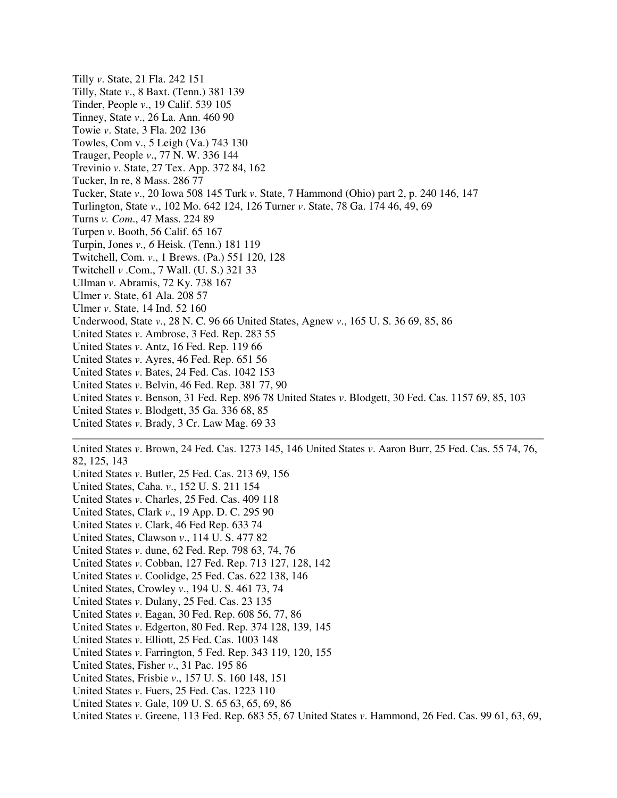Tilly *v*. State, 21 Fla. 242 151 Tilly, State *v*., 8 Baxt. (Tenn.) 381 139 Tinder, People *v*., 19 Calif. 539 105 Tinney, State *v*., 26 La. Ann. 460 90 Towie *v*. State, 3 Fla. 202 136 Towles, Com v., 5 Leigh (Va.) 743 130 Trauger, People *v*., 77 N. W. 336 144 Trevinio *v*. State, 27 Tex. App. 372 84, 162 Tucker, In re, 8 Mass. 286 77 Tucker, State *v*., 20 Iowa 508 145 Turk *v*. State, 7 Hammond (Ohio) part 2, p. 240 146, 147 Turlington, State *v*., 102 Mo. 642 124, 126 Turner *v*. State, 78 Ga. 174 46, 49, 69 Turns *v. Com*., 47 Mass. 224 89 Turpen *v*. Booth, 56 Calif. 65 167 Turpin, Jones *v., 6* Heisk. (Tenn.) 181 119 Twitchell, Com. *v*., 1 Brews. (Pa.) 551 120, 128 Twitchell *v* .Com., 7 Wall. (U. S.) 321 33 Ullman *v*. Abramis, 72 Ky. 738 167 Ulmer *v*. State, 61 Ala. 208 57 Ulmer *v*. State, 14 Ind. 52 160 Underwood, State *v*., 28 N. C. 96 66 United States, Agnew *v*., 165 U. S. 36 69, 85, 86 United States *v*. Ambrose, 3 Fed. Rep. 283 55 United States *v*. Antz, 16 Fed. Rep. 119 66 United States *v*. Ayres, 46 Fed. Rep. 651 56 United States *v*. Bates, 24 Fed. Cas. 1042 153 United States *v*. Belvin, 46 Fed. Rep. 381 77, 90 United States *v*. Benson, 31 Fed. Rep. 896 78 United States *v*. Blodgett, 30 Fed. Cas. 1157 69, 85, 103 United States *v*. Blodgett, 35 Ga. 336 68, 85 United States *v*. Brady, 3 Cr. Law Mag. 69 33

United States *v*. Brown, 24 Fed. Cas. 1273 145, 146 United States *v*. Aaron Burr, 25 Fed. Cas. 55 74, 76, 82, 125, 143

- United States *v*. Butler, 25 Fed. Cas. 213 69, 156
- United States, Caha. *v*., 152 U. S. 211 154
- United States *v*. Charles, 25 Fed. Cas. 409 118
- United States, Clark *v*., 19 App. D. C. 295 90
- United States *v*. Clark, 46 Fed Rep. 633 74
- United States, Clawson *v*., 114 U. S. 477 82
- United States *v*. dune, 62 Fed. Rep. 798 63, 74, 76
- United States *v*. Cobban, 127 Fed. Rep. 713 127, 128, 142
- United States *v*. Coolidge, 25 Fed. Cas. 622 138, 146
- United States, Crowley *v*., 194 U. S. 461 73, 74
- United States *v*. Dulany, 25 Fed. Cas. 23 135
- United States *v*. Eagan, 30 Fed. Rep. 608 56, 77, 86
- United States *v*. Edgerton, 80 Fed. Rep. 374 128, 139, 145
- United States *v*. Elliott, 25 Fed. Cas. 1003 148
- United States *v*. Farrington, 5 Fed. Rep. 343 119, 120, 155
- United States, Fisher *v*., 31 Pac. 195 86
- United States, Frisbie *v*., 157 U. S. 160 148, 151
- United States *v*. Fuers, 25 Fed. Cas. 1223 110
- United States *v*. Gale, 109 U. S. 65 63, 65, 69, 86
- United States *v*. Greene, 113 Fed. Rep. 683 55, 67 United States *v*. Hammond, 26 Fed. Cas. 99 61, 63, 69,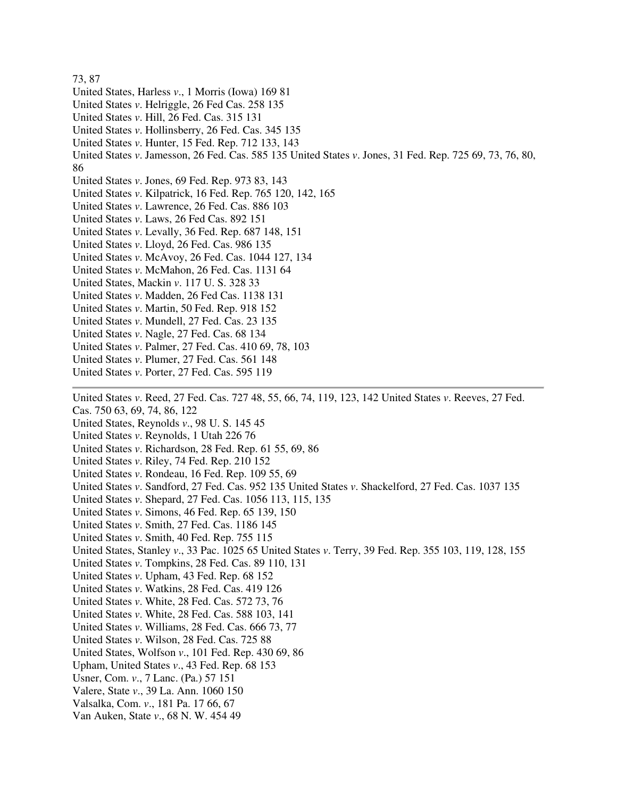## 73, 87 United States, Harless *v*., 1 Morris (Iowa) 169 81 United States *v*. Helriggle, 26 Fed Cas. 258 135 United States *v*. Hill, 26 Fed. Cas. 315 131 United States *v*. Hollinsberry, 26 Fed. Cas. 345 135 United States *v*. Hunter, 15 Fed. Rep. 712 133, 143 United States *v*. Jamesson, 26 Fed. Cas. 585 135 United States *v*. Jones, 31 Fed. Rep. 725 69, 73, 76, 80, 86 United States *v*. Jones, 69 Fed. Rep. 973 83, 143 United States *v*. Kilpatrick, 16 Fed. Rep. 765 120, 142, 165 United States *v*. Lawrence, 26 Fed. Cas. 886 103 United States *v*. Laws, 26 Fed Cas. 892 151 United States *v*. Levally, 36 Fed. Rep. 687 148, 151 United States *v*. Lloyd, 26 Fed. Cas. 986 135 United States *v*. McAvoy, 26 Fed. Cas. 1044 127, 134 United States *v*. McMahon, 26 Fed. Cas. 1131 64 United States, Mackin *v*. 117 U. S. 328 33 United States *v*. Madden, 26 Fed Cas. 1138 131 United States *v*. Martin, 50 Fed. Rep. 918 152 United States *v*. Mundell, 27 Fed. Cas. 23 135 United States *v*. Nagle, 27 Fed. Cas. 68 134 United States *v*. Palmer, 27 Fed. Cas. 410 69, 78, 103 United States *v*. Plumer, 27 Fed. Cas. 561 148 United States *v*. Porter, 27 Fed. Cas. 595 119 United States *v*. Reed, 27 Fed. Cas. 727 48, 55, 66, 74, 119, 123, 142 United States *v*. Reeves, 27 Fed. Cas. 750 63, 69, 74, 86, 122 United States, Reynolds *v*., 98 U. S. 145 45 United States *v*. Reynolds, 1 Utah 226 76 United States *v*. Richardson, 28 Fed. Rep. 61 55, 69, 86 United States *v*. Riley, 74 Fed. Rep. 210 152 United States *v*. Rondeau, 16 Fed. Rep. 109 55, 69 United States *v*. Sandford, 27 Fed. Cas. 952 135 United States *v*. Shackelford, 27 Fed. Cas. 1037 135 United States *v*. Shepard, 27 Fed. Cas. 1056 113, 115, 135 United States *v*. Simons, 46 Fed. Rep. 65 139, 150 United States *v*. Smith, 27 Fed. Cas. 1186 145 United States *v*. Smith, 40 Fed. Rep. 755 115 United States, Stanley *v*., 33 Pac. 1025 65 United States *v*. Terry, 39 Fed. Rep. 355 103, 119, 128, 155 United States *v*. Tompkins, 28 Fed. Cas. 89 110, 131 United States *v*. Upham, 43 Fed. Rep. 68 152 United States *v*. Watkins, 28 Fed. Cas. 419 126 United States *v*. White, 28 Fed. Cas. 572 73, 76 United States *v*. White, 28 Fed. Cas. 588 103, 141 United States *v*. Williams, 28 Fed. Cas. 666 73, 77

United States *v*. Wilson, 28 Fed. Cas. 725 88

United States, Wolfson *v*., 101 Fed. Rep. 430 69, 86

Upham, United States *v*., 43 Fed. Rep. 68 153

Usner, Com. *v*., 7 Lanc. (Pa.) 57 151

Valere, State *v*., 39 La. Ann. 1060 150

Valsalka, Com. *v*., 181 Pa. 17 66, 67

Van Auken, State *v*., 68 N. W. 454 49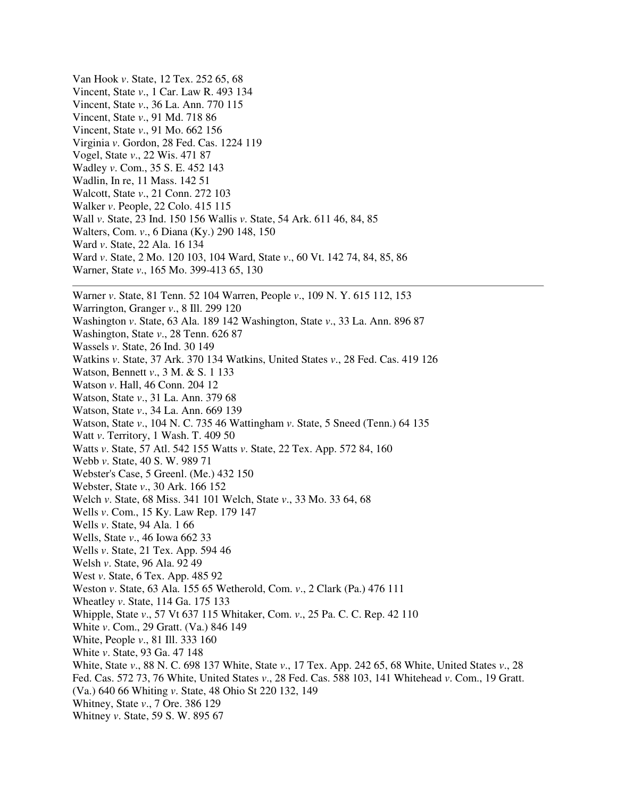Van Hook *v*. State, 12 Tex. 252 65, 68 Vincent, State *v*., 1 Car. Law R. 493 134 Vincent, State *v*., 36 La. Ann. 770 115 Vincent, State *v*., 91 Md. 718 86 Vincent, State *v*., 91 Mo. 662 156 Virginia *v*. Gordon, 28 Fed. Cas. 1224 119 Vogel, State *v*., 22 Wis. 471 87 Wadley *v*. Com., 35 S. E. 452 143 Wadlin, In re, 11 Mass. 142 51 Walcott, State *v*., 21 Conn. 272 103 Walker *v*. People, 22 Colo. 415 115 Wall *v*. State, 23 Ind. 150 156 Wallis *v*. State, 54 Ark. 611 46, 84, 85 Walters, Com. *v*., 6 Diana (Ky.) 290 148, 150 Ward *v*. State, 22 Ala. 16 134 Ward *v*. State, 2 Mo. 120 103, 104 Ward, State *v*., 60 Vt. 142 74, 84, 85, 86 Warner, State *v*., 165 Mo. 399-413 65, 130 Warner *v*. State, 81 Tenn. 52 104 Warren, People *v*., 109 N. Y. 615 112, 153 Warrington, Granger *v*., 8 Ill. 299 120 Washington *v*. State, 63 Ala. 189 142 Washington, State *v*., 33 La. Ann. 896 87 Washington, State *v*., 28 Tenn. 626 87 Wassels *v*. State, 26 Ind. 30 149 Watkins *v*. State, 37 Ark. 370 134 Watkins, United States *v*., 28 Fed. Cas. 419 126 Watson, Bennett *v*., 3 M. & S. 1 133 Watson *v*. Hall, 46 Conn. 204 12 Watson, State *v*., 31 La. Ann. 379 68 Watson, State *v*., 34 La. Ann. 669 139 Watson, State *v*., 104 N. C. 735 46 Wattingham *v*. State, 5 Sneed (Tenn.) 64 135 Watt *v*. Territory, 1 Wash. T. 409 50 Watts *v*. State, 57 Atl. 542 155 Watts *v*. State, 22 Tex. App. 572 84, 160 Webb *v*. State, 40 S. W. 989 71 Webster's Case, 5 Greenl. (Me.) 432 150 Webster, State *v*., 30 Ark. 166 152 Welch *v*. State, 68 Miss. 341 101 Welch, State *v*., 33 Mo. 33 64, 68 Wells *v*. Com., 15 Ky. Law Rep. 179 147 Wells *v*. State, 94 Ala. 1 66 Wells, State *v*., 46 Iowa 662 33 Wells *v*. State, 21 Tex. App. 594 46 Welsh *v*. State, 96 Ala. 92 49 West *v*. State, 6 Tex. App. 485 92 Weston *v*. State, 63 Ala. 155 65 Wetherold, Com. *v*., 2 Clark (Pa.) 476 111 Wheatley *v*. State, 114 Ga. 175 133 Whipple, State *v*., 57 Vt 637 115 Whitaker, Com. *v*., 25 Pa. C. C. Rep. 42 110 White *v*. Com., 29 Gratt. (Va.) 846 149 White, People *v*., 81 Ill. 333 160 White *v*. State, 93 Ga. 47 148 White, State *v*., 88 N. C. 698 137 White, State *v*., 17 Tex. App. 242 65, 68 White, United States *v*., 28 Fed. Cas. 572 73, 76 White, United States *v*., 28 Fed. Cas. 588 103, 141 Whitehead *v*. Com., 19 Gratt. (Va.) 640 66 Whiting *v*. State, 48 Ohio St 220 132, 149 Whitney, State *v*., 7 Ore. 386 129 Whitney *v*. State, 59 S. W. 895 67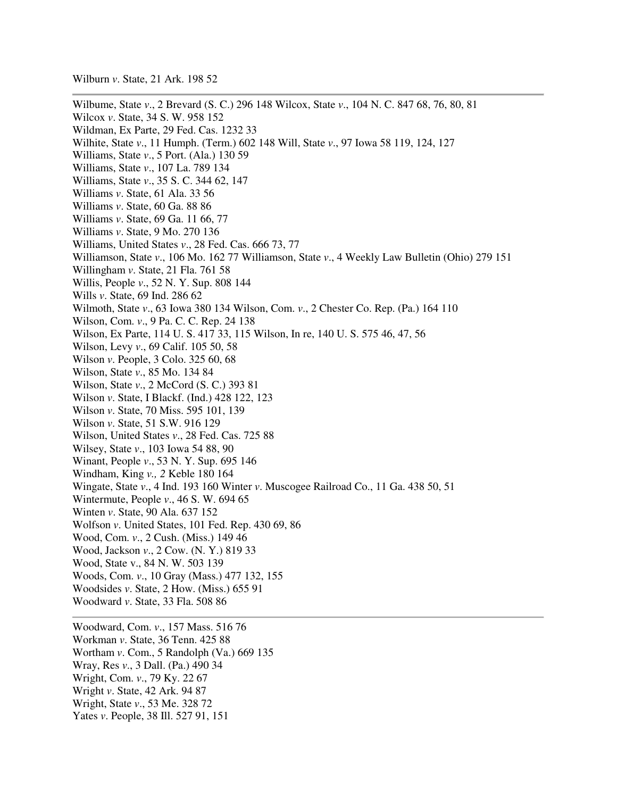Wilburn *v*. State, 21 Ark. 198 52

Wilbume, State *v*., 2 Brevard (S. C.) 296 148 Wilcox, State *v*., 104 N. C. 847 68, 76, 80, 81 Wilcox *v*. State, 34 S. W. 958 152 Wildman, Ex Parte, 29 Fed. Cas. 1232 33 Wilhite, State *v*., 11 Humph. (Term.) 602 148 Will, State *v*., 97 Iowa 58 119, 124, 127 Williams, State *v*., 5 Port. (Ala.) 130 59 Williams, State *v*., 107 La. 789 134 Williams, State *v*., 35 S. C. 344 62, 147 Williams *v*. State, 61 Ala. 33 56 Williams *v*. State, 60 Ga. 88 86 Williams *v*. State, 69 Ga. 11 66, 77 Williams *v*. State, 9 Mo. 270 136 Williams, United States *v*., 28 Fed. Cas. 666 73, 77 Williamson, State *v*., 106 Mo. 162 77 Williamson, State *v*., 4 Weekly Law Bulletin (Ohio) 279 151 Willingham *v*. State, 21 Fla. 761 58 Willis, People *v*., 52 N. Y. Sup. 808 144 Wills *v*. State, 69 Ind. 286 62 Wilmoth, State *v*., 63 Iowa 380 134 Wilson, Com. *v*., 2 Chester Co. Rep. (Pa.) 164 110 Wilson, Com. *v*., 9 Pa. C. C. Rep. 24 138 Wilson, Ex Parte, 114 U. S. 417 33, 115 Wilson, In re, 140 U. S. 575 46, 47, 56 Wilson, Levy *v*., 69 Calif. 105 50, 58 Wilson *v*. People, 3 Colo. 325 60, 68 Wilson, State *v*., 85 Mo. 134 84 Wilson, State *v*., 2 McCord (S. C.) 393 81 Wilson *v*. State, I Blackf. (Ind.) 428 122, 123 Wilson *v*. State, 70 Miss. 595 101, 139 Wilson *v*. State, 51 S.W. 916 129 Wilson, United States *v*., 28 Fed. Cas. 725 88 Wilsey, State *v*., 103 Iowa 54 88, 90 Winant, People *v*., 53 N. Y. Sup. 695 146 Windham, King *v., 2* Keble 180 164 Wingate, State *v*., 4 Ind. 193 160 Winter *v*. Muscogee Railroad Co., 11 Ga. 438 50, 51 Wintermute, People *v*., 46 S. W. 694 65 Winten *v*. State, 90 Ala. 637 152 Wolfson *v*. United States, 101 Fed. Rep. 430 69, 86 Wood, Com. *v*., 2 Cush. (Miss.) 149 46 Wood, Jackson *v*., 2 Cow. (N. Y.) 819 33 Wood, State v., 84 N. W. 503 139 Woods, Com. *v*., 10 Gray (Mass.) 477 132, 155 Woodsides *v*. State, 2 How. (Miss.) 655 91 Woodward *v*. State, 33 Fla. 508 86 Woodward, Com. *v*., 157 Mass. 516 76 Workman *v*. State, 36 Tenn. 425 88 Wortham *v*. Com., 5 Randolph (Va.) 669 135

Wray, Res *v*., 3 Dall. (Pa.) 490 34

Wright, Com. *v*., 79 Ky. 22 67

Wright *v*. State, 42 Ark. 94 87

Wright, State *v*., 53 Me. 328 72

Yates *v*. People, 38 Ill. 527 91, 151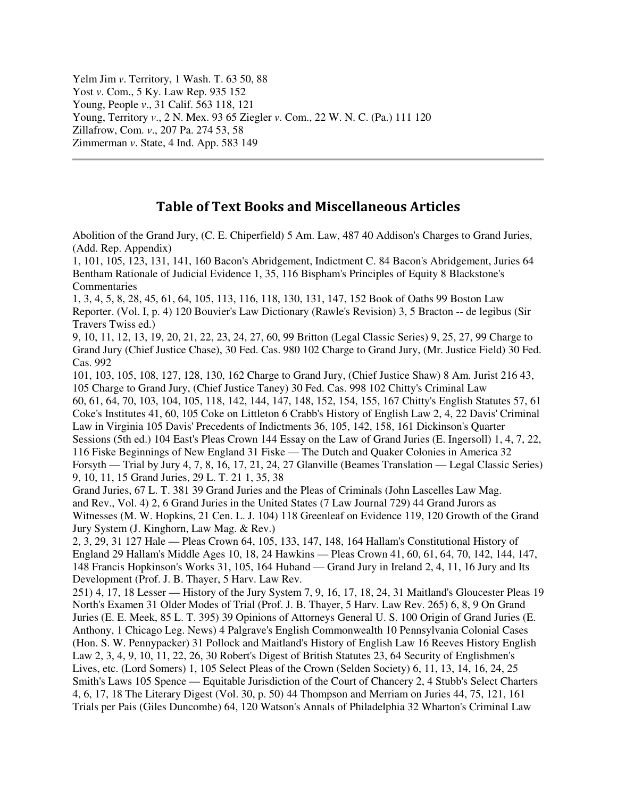Yelm Jim *v*. Territory, 1 Wash. T. 63 50, 88 Yost *v*. Com., 5 Ky. Law Rep. 935 152 Young, People *v*., 31 Calif. 563 118, 121 Young, Territory *v*., 2 N. Mex. 93 65 Ziegler *v*. Com., 22 W. N. C. (Pa.) 111 120 Zillafrow, Com. *v*., 207 Pa. 274 53, 58 Zimmerman *v*. State, 4 Ind. App. 583 149

## Table of Text Books and Miscellaneous Articles

Abolition of the Grand Jury, (C. E. Chiperfield) 5 Am. Law, 487 40 Addison's Charges to Grand Juries, (Add. Rep. Appendix)

1, 101, 105, 123, 131, 141, 160 Bacon's Abridgement, Indictment C. 84 Bacon's Abridgement, Juries 64 Bentham Rationale of Judicial Evidence 1, 35, 116 Bispham's Principles of Equity 8 Blackstone's **Commentaries** 

1, 3, 4, 5, 8, 28, 45, 61, 64, 105, 113, 116, 118, 130, 131, 147, 152 Book of Oaths 99 Boston Law Reporter. (Vol. I, p. 4) 120 Bouvier's Law Dictionary (Rawle's Revision) 3, 5 Bracton -- de legibus (Sir Travers Twiss ed.)

9, 10, 11, 12, 13, 19, 20, 21, 22, 23, 24, 27, 60, 99 Britton (Legal Classic Series) 9, 25, 27, 99 Charge to Grand Jury (Chief Justice Chase), 30 Fed. Cas. 980 102 Charge to Grand Jury, (Mr. Justice Field) 30 Fed. Cas. 992

101, 103, 105, 108, 127, 128, 130, 162 Charge to Grand Jury, (Chief Justice Shaw) 8 Am. Jurist 216 43, 105 Charge to Grand Jury, (Chief Justice Taney) 30 Fed. Cas. 998 102 Chitty's Criminal Law 60, 61, 64, 70, 103, 104, 105, 118, 142, 144, 147, 148, 152, 154, 155, 167 Chitty's English Statutes 57, 61 Coke's Institutes 41, 60, 105 Coke on Littleton 6 Crabb's History of English Law 2, 4, 22 Davis' Criminal Law in Virginia 105 Davis' Precedents of Indictments 36, 105, 142, 158, 161 Dickinson's Quarter Sessions (5th ed.) 104 East's Pleas Crown 144 Essay on the Law of Grand Juries (E. Ingersoll) 1, 4, 7, 22, 116 Fiske Beginnings of New England 31 Fiske — The Dutch and Quaker Colonies in America 32 Forsyth — Trial by Jury 4, 7, 8, 16, 17, 21, 24, 27 Glanville (Beames Translation — Legal Classic Series) 9, 10, 11, 15 Grand Juries, 29 L. T. 21 1, 35, 38

Grand Juries, 67 L. T. 381 39 Grand Juries and the Pleas of Criminals (John Lascelles Law Mag. and Rev., Vol. 4) 2, 6 Grand Juries in the United States (7 Law Journal 729) 44 Grand Jurors as Witnesses (M. W. Hopkins, 21 Cen. L. J. 104) 118 Greenleaf on Evidence 119, 120 Growth of the Grand Jury System (J. Kinghorn, Law Mag. & Rev.)

2, 3, 29, 31 127 Hale — Pleas Crown 64, 105, 133, 147, 148, 164 Hallam's Constitutional History of England 29 Hallam's Middle Ages 10, 18, 24 Hawkins — Pleas Crown 41, 60, 61, 64, 70, 142, 144, 147, 148 Francis Hopkinson's Works 31, 105, 164 Huband — Grand Jury in Ireland 2, 4, 11, 16 Jury and Its Development (Prof. J. B. Thayer, 5 Harv. Law Rev.

251) 4, 17, 18 Lesser — History of the Jury System 7, 9, 16, 17, 18, 24, 31 Maitland's Gloucester Pleas 19 North's Examen 31 Older Modes of Trial (Prof. J. B. Thayer, 5 Harv. Law Rev. 265) 6, 8, 9 On Grand Juries (E. E. Meek, 85 L. T. 395) 39 Opinions of Attorneys General U. S. 100 Origin of Grand Juries (E. Anthony, 1 Chicago Leg. News) 4 Palgrave's English Commonwealth 10 Pennsylvania Colonial Cases (Hon. S. W. Pennypacker) 31 Pollock and Maitland's History of English Law 16 Reeves History English Law 2, 3, 4, 9, 10, 11, 22, 26, 30 Robert's Digest of British Statutes 23, 64 Security of Englishmen's Lives, etc. (Lord Somers) 1, 105 Select Pleas of the Crown (Selden Society) 6, 11, 13, 14, 16, 24, 25 Smith's Laws 105 Spence — Equitable Jurisdiction of the Court of Chancery 2, 4 Stubb's Select Charters 4, 6, 17, 18 The Literary Digest (Vol. 30, p. 50) 44 Thompson and Merriam on Juries 44, 75, 121, 161 Trials per Pais (Giles Duncombe) 64, 120 Watson's Annals of Philadelphia 32 Wharton's Criminal Law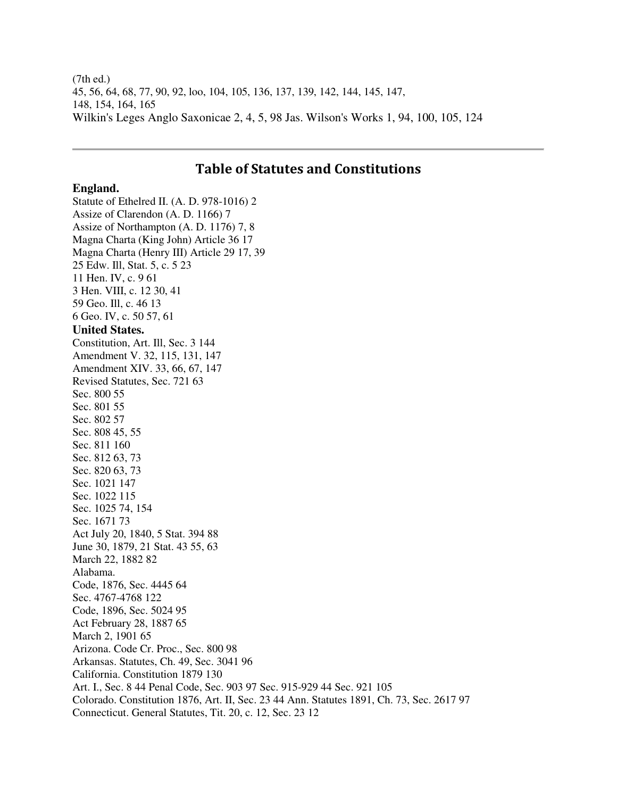(7th ed.) 45, 56, 64, 68, 77, 90, 92, loo, 104, 105, 136, 137, 139, 142, 144, 145, 147, 148, 154, 164, 165 Wilkin's Leges Anglo Saxonicae 2, 4, 5, 98 Jas. Wilson's Works 1, 94, 100, 105, 124

## Table of Statutes and Constitutions

## **England.**

Statute of Ethelred II. (A. D. 978-1016) 2 Assize of Clarendon (A. D. 1166) 7 Assize of Northampton (A. D. 1176) 7, 8 Magna Charta (King John) Article 36 17 Magna Charta (Henry III) Article 29 17, 39 25 Edw. Ill, Stat. 5, c. 5 23 11 Hen. IV, c. 9 61 3 Hen. VIII, c. 12 30, 41 59 Geo. Ill, c. 46 13 6 Geo. IV, c. 50 57, 61 **United States.**  Constitution, Art. Ill, Sec. 3 144 Amendment V. 32, 115, 131, 147 Amendment XIV. 33, 66, 67, 147 Revised Statutes, Sec. 721 63 Sec. 800 55 Sec. 801 55 Sec. 802 57 Sec. 808 45, 55 Sec. 811 160 Sec. 812 63, 73 Sec. 820 63, 73 Sec. 1021 147 Sec. 1022 115 Sec. 1025 74, 154 Sec. 1671 73 Act July 20, 1840, 5 Stat. 394 88 June 30, 1879, 21 Stat. 43 55, 63 March 22, 1882 82 Alabama. Code, 1876, Sec. 4445 64 Sec. 4767-4768 122 Code, 1896, Sec. 5024 95 Act February 28, 1887 65 March 2, 1901 65 Arizona. Code Cr. Proc., Sec. 800 98 Arkansas. Statutes, Ch. 49, Sec. 3041 96 California. Constitution 1879 130 Art. I., Sec. 8 44 Penal Code, Sec. 903 97 Sec. 915-929 44 Sec. 921 105 Colorado. Constitution 1876, Art. II, Sec. 23 44 Ann. Statutes 1891, Ch. 73, Sec. 2617 97 Connecticut. General Statutes, Tit. 20, c. 12, Sec. 23 12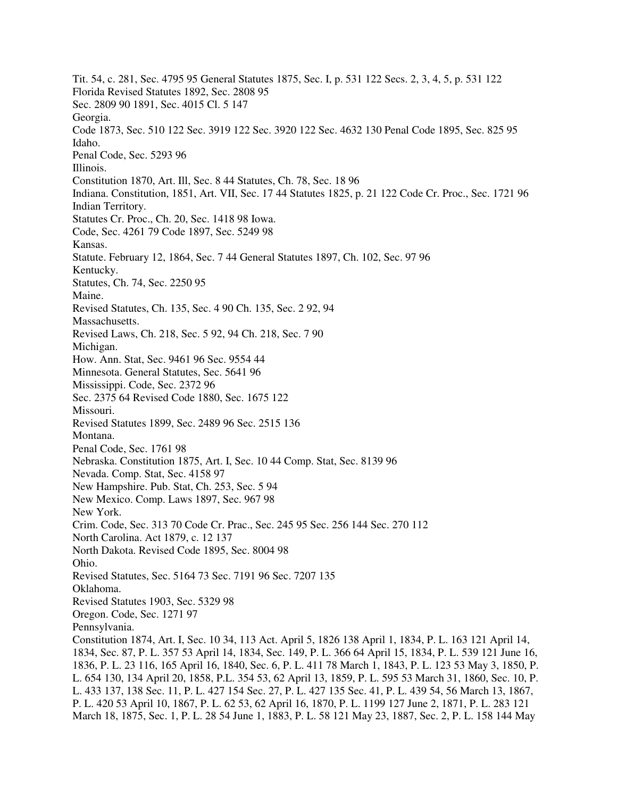Tit. 54, c. 281, Sec. 4795 95 General Statutes 1875, Sec. I, p. 531 122 Secs. 2, 3, 4, 5, p. 531 122 Florida Revised Statutes 1892, Sec. 2808 95 Sec. 2809 90 1891, Sec. 4015 Cl. 5 147 Georgia. Code 1873, Sec. 510 122 Sec. 3919 122 Sec. 3920 122 Sec. 4632 130 Penal Code 1895, Sec. 825 95 Idaho. Penal Code, Sec. 5293 96 Illinois. Constitution 1870, Art. Ill, Sec. 8 44 Statutes, Ch. 78, Sec. 18 96 Indiana. Constitution, 1851, Art. VII, Sec. 17 44 Statutes 1825, p. 21 122 Code Cr. Proc., Sec. 1721 96 Indian Territory. Statutes Cr. Proc., Ch. 20, Sec. 1418 98 Iowa. Code, Sec. 4261 79 Code 1897, Sec. 5249 98 Kansas. Statute. February 12, 1864, Sec. 7 44 General Statutes 1897, Ch. 102, Sec. 97 96 Kentucky. Statutes, Ch. 74, Sec. 2250 95 Maine. Revised Statutes, Ch. 135, Sec. 4 90 Ch. 135, Sec. 2 92, 94 Massachusetts. Revised Laws, Ch. 218, Sec. 5 92, 94 Ch. 218, Sec. 7 90 Michigan. How. Ann. Stat, Sec. 9461 96 Sec. 9554 44 Minnesota. General Statutes, Sec. 5641 96 Mississippi. Code, Sec. 2372 96 Sec. 2375 64 Revised Code 1880, Sec. 1675 122 Missouri. Revised Statutes 1899, Sec. 2489 96 Sec. 2515 136 Montana. Penal Code, Sec. 1761 98 Nebraska. Constitution 1875, Art. I, Sec. 10 44 Comp. Stat, Sec. 8139 96 Nevada. Comp. Stat, Sec. 4158 97 New Hampshire. Pub. Stat, Ch. 253, Sec. 5 94 New Mexico. Comp. Laws 1897, Sec. 967 98 New York. Crim. Code, Sec. 313 70 Code Cr. Prac., Sec. 245 95 Sec. 256 144 Sec. 270 112 North Carolina. Act 1879, c. 12 137 North Dakota. Revised Code 1895, Sec. 8004 98 Ohio. Revised Statutes, Sec. 5164 73 Sec. 7191 96 Sec. 7207 135 Oklahoma. Revised Statutes 1903, Sec. 5329 98 Oregon. Code, Sec. 1271 97 Pennsylvania. Constitution 1874, Art. I, Sec. 10 34, 113 Act. April 5, 1826 138 April 1, 1834, P. L. 163 121 April 14, 1834, Sec. 87, P. L. 357 53 April 14, 1834, Sec. 149, P. L. 366 64 April 15, 1834, P. L. 539 121 June 16, 1836, P. L. 23 116, 165 April 16, 1840, Sec. 6, P. L. 411 78 March 1, 1843, P. L. 123 53 May 3, 1850, P. L. 654 130, 134 April 20, 1858, P.L. 354 53, 62 April 13, 1859, P. L. 595 53 March 31, 1860, Sec. 10, P. L. 433 137, 138 Sec. 11, P. L. 427 154 Sec. 27, P. L. 427 135 Sec. 41, P. L. 439 54, 56 March 13, 1867, P. L. 420 53 April 10, 1867, P. L. 62 53, 62 April 16, 1870, P. L. 1199 127 June 2, 1871, P. L. 283 121

March 18, 1875, Sec. 1, P. L. 28 54 June 1, 1883, P. L. 58 121 May 23, 1887, Sec. 2, P. L. 158 144 May